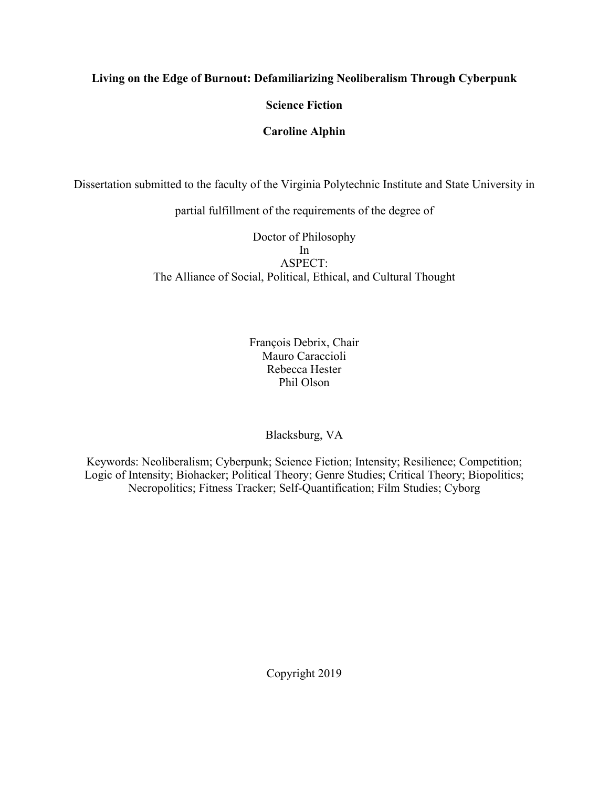## **Living on the Edge of Burnout: Defamiliarizing Neoliberalism Through Cyberpunk**

## **Science Fiction**

## **Caroline Alphin**

Dissertation submitted to the faculty of the Virginia Polytechnic Institute and State University in

partial fulfillment of the requirements of the degree of

Doctor of Philosophy In ASPECT: The Alliance of Social, Political, Ethical, and Cultural Thought

> François Debrix, Chair Mauro Caraccioli Rebecca Hester Phil Olson

> > Blacksburg, VA

Keywords: Neoliberalism; Cyberpunk; Science Fiction; Intensity; Resilience; Competition; Logic of Intensity; Biohacker; Political Theory; Genre Studies; Critical Theory; Biopolitics; Necropolitics; Fitness Tracker; Self-Quantification; Film Studies; Cyborg

Copyright 2019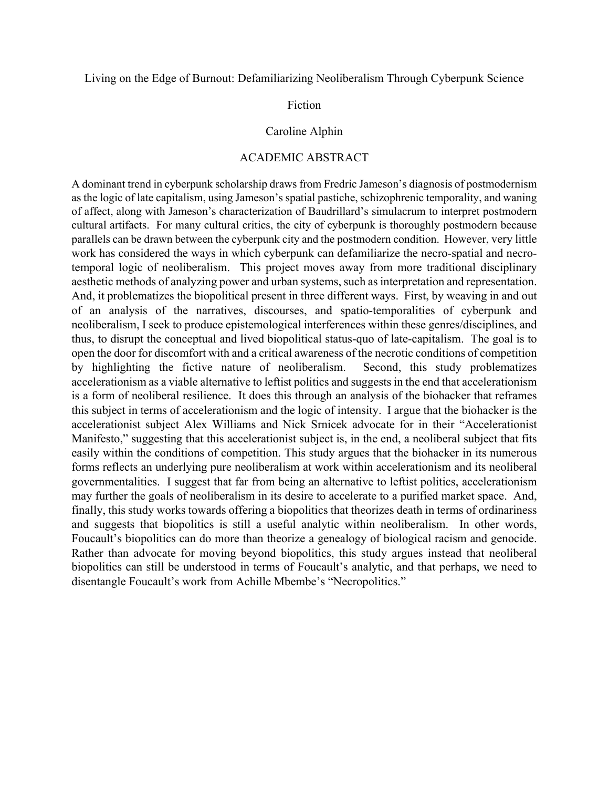Living on the Edge of Burnout: Defamiliarizing Neoliberalism Through Cyberpunk Science

Fiction

#### Caroline Alphin

#### ACADEMIC ABSTRACT

A dominant trend in cyberpunk scholarship draws from Fredric Jameson's diagnosis of postmodernism as the logic of late capitalism, using Jameson's spatial pastiche, schizophrenic temporality, and waning of affect, along with Jameson's characterization of Baudrillard's simulacrum to interpret postmodern cultural artifacts. For many cultural critics, the city of cyberpunk is thoroughly postmodern because parallels can be drawn between the cyberpunk city and the postmodern condition. However, very little work has considered the ways in which cyberpunk can defamiliarize the necro-spatial and necrotemporal logic of neoliberalism. This project moves away from more traditional disciplinary aesthetic methods of analyzing power and urban systems, such as interpretation and representation. And, it problematizes the biopolitical present in three different ways. First, by weaving in and out of an analysis of the narratives, discourses, and spatio-temporalities of cyberpunk and neoliberalism, I seek to produce epistemological interferences within these genres/disciplines, and thus, to disrupt the conceptual and lived biopolitical status-quo of late-capitalism. The goal is to open the door for discomfort with and a critical awareness of the necrotic conditions of competition by highlighting the fictive nature of neoliberalism. Second, this study problematizes accelerationism as a viable alternative to leftist politics and suggests in the end that accelerationism is a form of neoliberal resilience. It does this through an analysis of the biohacker that reframes this subject in terms of accelerationism and the logic of intensity. I argue that the biohacker is the accelerationist subject Alex Williams and Nick Srnicek advocate for in their "Accelerationist Manifesto," suggesting that this accelerationist subject is, in the end, a neoliberal subject that fits easily within the conditions of competition. This study argues that the biohacker in its numerous forms reflects an underlying pure neoliberalism at work within accelerationism and its neoliberal governmentalities. I suggest that far from being an alternative to leftist politics, accelerationism may further the goals of neoliberalism in its desire to accelerate to a purified market space. And, finally, this study works towards offering a biopolitics that theorizes death in terms of ordinariness and suggests that biopolitics is still a useful analytic within neoliberalism. In other words, Foucault's biopolitics can do more than theorize a genealogy of biological racism and genocide. Rather than advocate for moving beyond biopolitics, this study argues instead that neoliberal biopolitics can still be understood in terms of Foucault's analytic, and that perhaps, we need to disentangle Foucault's work from Achille Mbembe's "Necropolitics."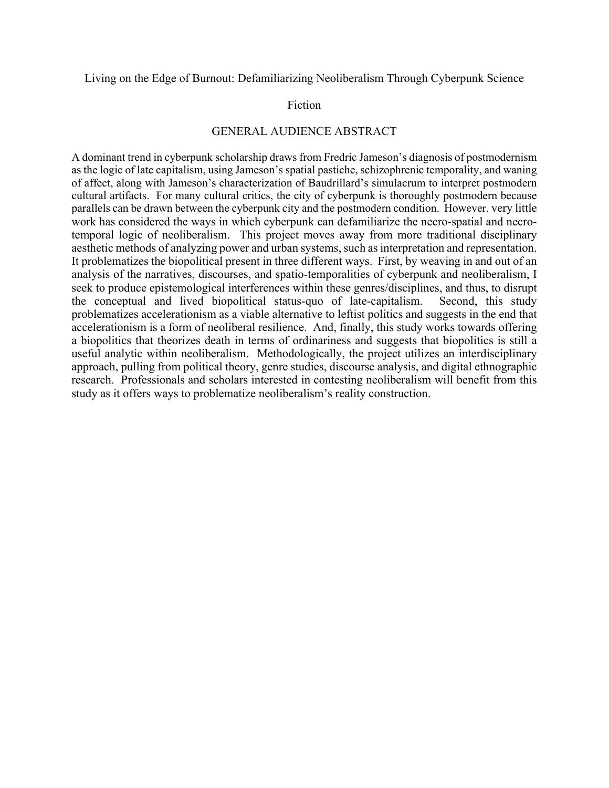#### Living on the Edge of Burnout: Defamiliarizing Neoliberalism Through Cyberpunk Science

#### Fiction

#### GENERAL AUDIENCE ABSTRACT

A dominant trend in cyberpunk scholarship draws from Fredric Jameson's diagnosis of postmodernism as the logic of late capitalism, using Jameson's spatial pastiche, schizophrenic temporality, and waning of affect, along with Jameson's characterization of Baudrillard's simulacrum to interpret postmodern cultural artifacts. For many cultural critics, the city of cyberpunk is thoroughly postmodern because parallels can be drawn between the cyberpunk city and the postmodern condition. However, very little work has considered the ways in which cyberpunk can defamiliarize the necro-spatial and necrotemporal logic of neoliberalism. This project moves away from more traditional disciplinary aesthetic methods of analyzing power and urban systems, such as interpretation and representation. It problematizes the biopolitical present in three different ways. First, by weaving in and out of an analysis of the narratives, discourses, and spatio-temporalities of cyberpunk and neoliberalism, I seek to produce epistemological interferences within these genres/disciplines, and thus, to disrupt the conceptual and lived biopolitical status-quo of late-capitalism. Second, this study problematizes accelerationism as a viable alternative to leftist politics and suggests in the end that accelerationism is a form of neoliberal resilience. And, finally, this study works towards offering a biopolitics that theorizes death in terms of ordinariness and suggests that biopolitics is still a useful analytic within neoliberalism. Methodologically, the project utilizes an interdisciplinary approach, pulling from political theory, genre studies, discourse analysis, and digital ethnographic research. Professionals and scholars interested in contesting neoliberalism will benefit from this study as it offers ways to problematize neoliberalism's reality construction.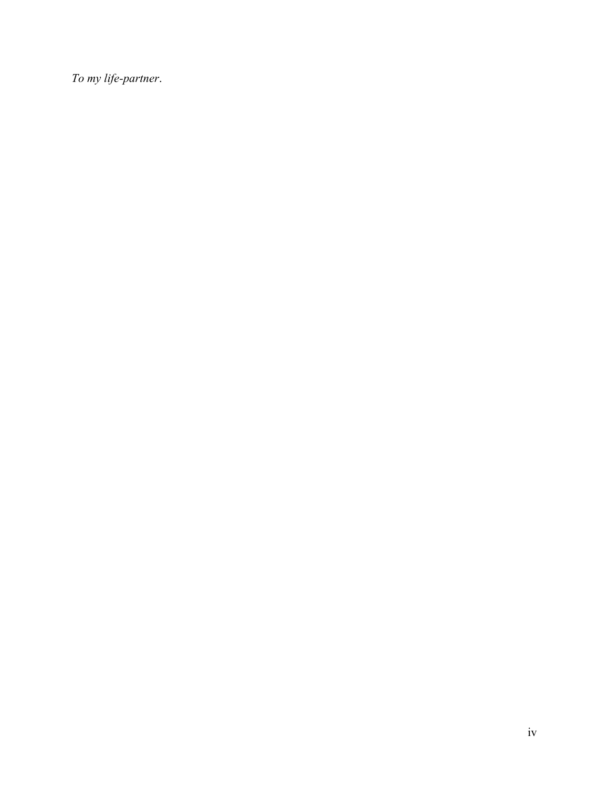*To my life-partner*.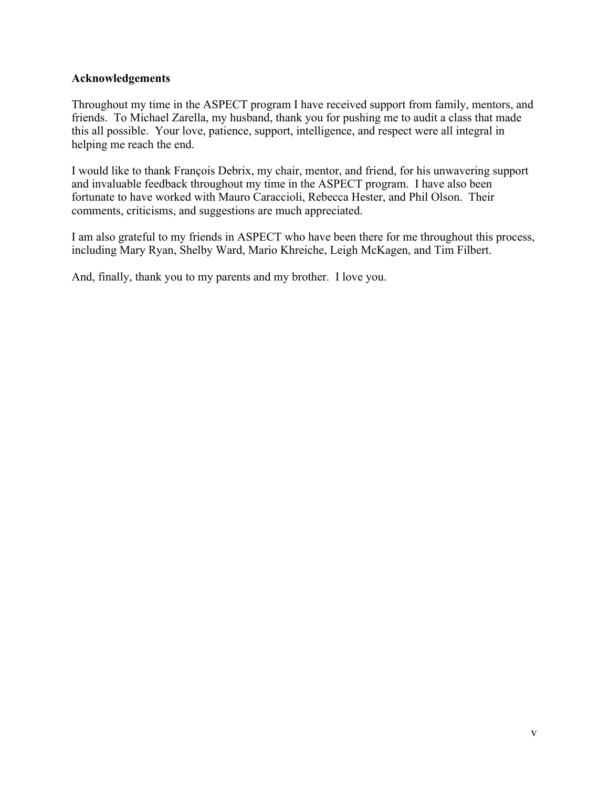#### **Acknowledgements**

Throughout my time in the ASPECT program I have received support from family, mentors, and friends. To Michael Zarella, my husband, thank you for pushing me to audit a class that made this all possible. Your love, patience, support, intelligence, and respect were all integral in helping me reach the end.

I would like to thank François Debrix, my chair, mentor, and friend, for his unwavering support and invaluable feedback throughout my time in the ASPECT program. I have also been fortunate to have worked with Mauro Caraccioli, Rebecca Hester, and Phil Olson. Their comments, criticisms, and suggestions are much appreciated.

I am also grateful to my friends in ASPECT who have been there for me throughout this process, including Mary Ryan, Shelby Ward, Mario Khreiche, Leigh McKagen, and Tim Filbert.

And, finally, thank you to my parents and my brother. I love you.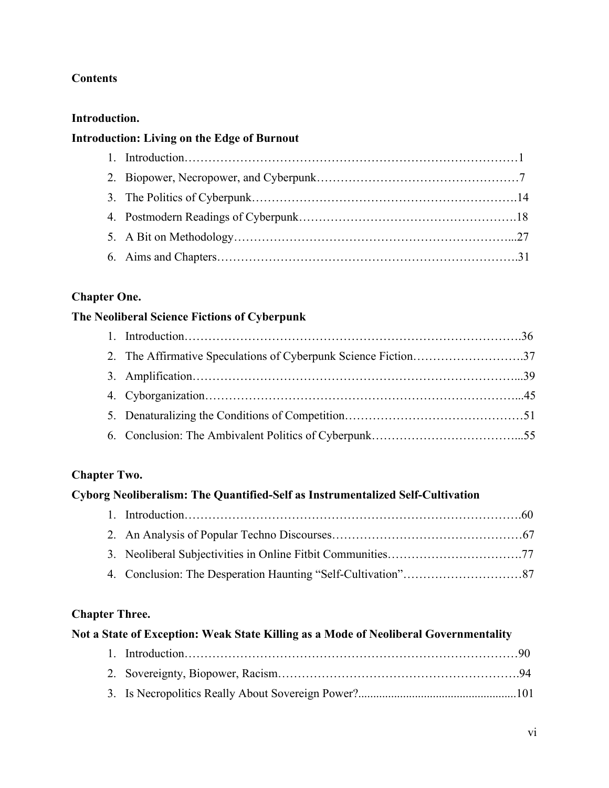## **Contents**

## **Introduction.**

#### **Introduction: Living on the Edge of Burnout**

## **Chapter One.**

## **The Neoliberal Science Fictions of Cyberpunk**

## **Chapter Two.**

## **Cyborg Neoliberalism: The Quantified-Self as Instrumentalized Self-Cultivation**

## **Chapter Three.**

## **Not a State of Exception: Weak State Killing as a Mode of Neoliberal Governmentality**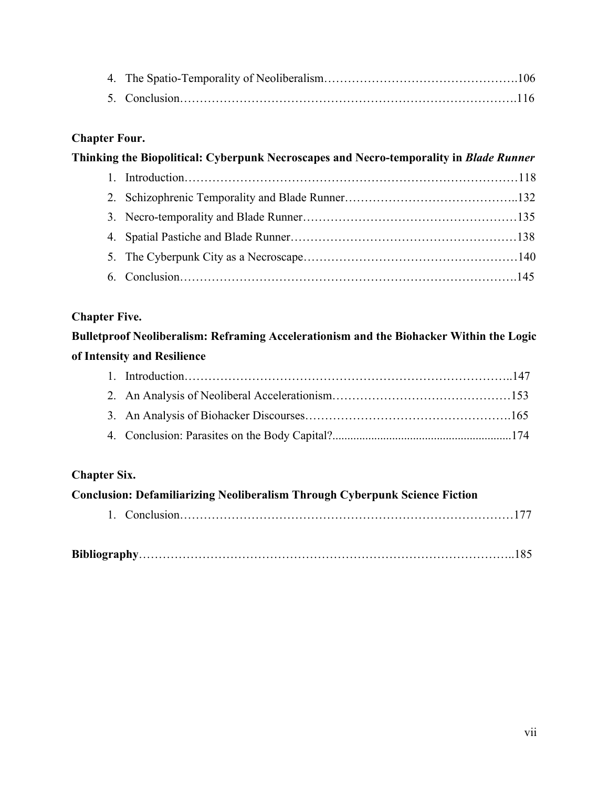## **Chapter Four.**

| Thinking the Biopolitical: Cyberpunk Necroscapes and Necro-temporality in <i>Blade Runner</i> |  |
|-----------------------------------------------------------------------------------------------|--|
|                                                                                               |  |
|                                                                                               |  |
|                                                                                               |  |
|                                                                                               |  |
|                                                                                               |  |
|                                                                                               |  |

## **Chapter Five.**

## **Bulletproof Neoliberalism: Reframing Accelerationism and the Biohacker Within the Logic of Intensity and Resilience**

## **Chapter Six.**

# **Conclusion: Defamiliarizing Neoliberalism Through Cyberpunk Science Fiction** 1. Conclusion…………………………………………………………………………177

|--|--|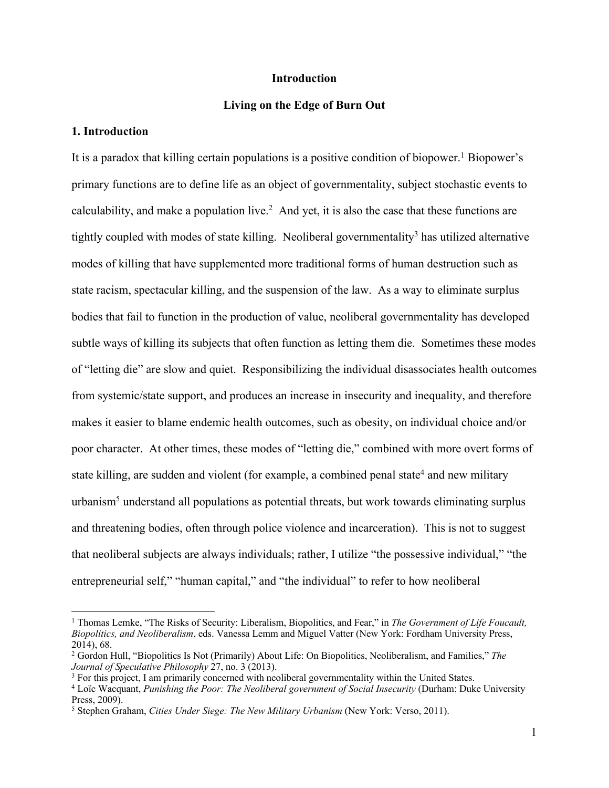#### **Introduction**

#### **Living on the Edge of Burn Out**

#### **1. Introduction**

It is a paradox that killing certain populations is a positive condition of biopower.<sup>1</sup> Biopower's primary functions are to define life as an object of governmentality, subject stochastic events to calculability, and make a population live.<sup>2</sup> And yet, it is also the case that these functions are tightly coupled with modes of state killing. Neoliberal governmentality<sup>3</sup> has utilized alternative modes of killing that have supplemented more traditional forms of human destruction such as state racism, spectacular killing, and the suspension of the law. As a way to eliminate surplus bodies that fail to function in the production of value, neoliberal governmentality has developed subtle ways of killing its subjects that often function as letting them die. Sometimes these modes of "letting die" are slow and quiet. Responsibilizing the individual disassociates health outcomes from systemic/state support, and produces an increase in insecurity and inequality, and therefore makes it easier to blame endemic health outcomes, such as obesity, on individual choice and/or poor character. At other times, these modes of "letting die," combined with more overt forms of state killing, are sudden and violent (for example, a combined penal state<sup>4</sup> and new military urbanism<sup>5</sup> understand all populations as potential threats, but work towards eliminating surplus and threatening bodies, often through police violence and incarceration). This is not to suggest that neoliberal subjects are always individuals; rather, I utilize "the possessive individual," "the entrepreneurial self," "human capital," and "the individual" to refer to how neoliberal

 <sup>1</sup> Thomas Lemke, "The Risks of Security: Liberalism, Biopolitics, and Fear," in *The Government of Life Foucault, Biopolitics, and Neoliberalism*, eds. Vanessa Lemm and Miguel Vatter (New York: Fordham University Press, 2014), 68.

<sup>2</sup> Gordon Hull, "Biopolitics Is Not (Primarily) About Life: On Biopolitics, Neoliberalism, and Families," *The Journal of Speculative Philosophy* 27, no. 3 (2013).

<sup>3</sup> For this project, I am primarily concerned with neoliberal governmentality within the United States.

<sup>4</sup> Loïc Wacquant, *Punishing the Poor: The Neoliberal government of Social Insecurity* (Durham: Duke University Press, 2009).

<sup>5</sup> Stephen Graham, *Cities Under Siege: The New Military Urbanism* (New York: Verso, 2011).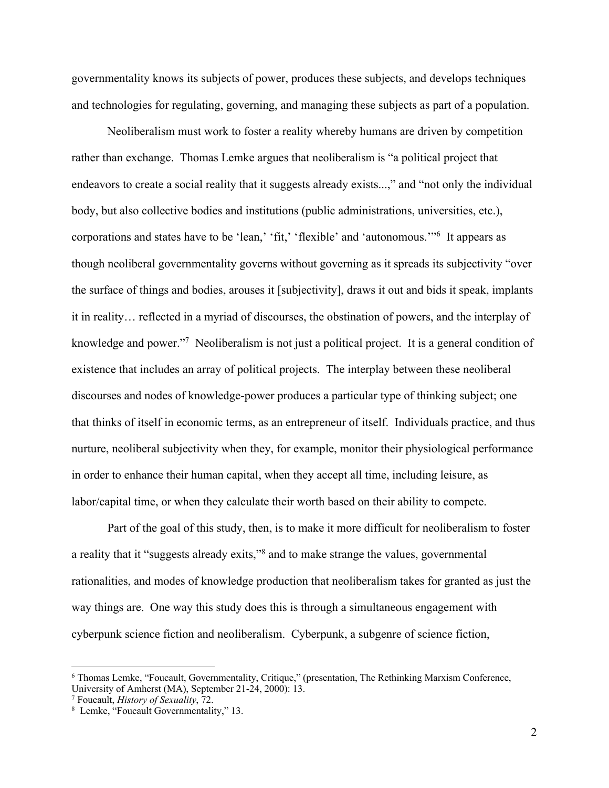governmentality knows its subjects of power, produces these subjects, and develops techniques and technologies for regulating, governing, and managing these subjects as part of a population.

Neoliberalism must work to foster a reality whereby humans are driven by competition rather than exchange. Thomas Lemke argues that neoliberalism is "a political project that endeavors to create a social reality that it suggests already exists...," and "not only the individual body, but also collective bodies and institutions (public administrations, universities, etc.), corporations and states have to be 'lean,' 'fit,' 'flexible' and 'autonomous.'"6 It appears as though neoliberal governmentality governs without governing as it spreads its subjectivity "over the surface of things and bodies, arouses it [subjectivity], draws it out and bids it speak, implants it in reality… reflected in a myriad of discourses, the obstination of powers, and the interplay of knowledge and power."<sup>7</sup> Neoliberalism is not just a political project. It is a general condition of existence that includes an array of political projects. The interplay between these neoliberal discourses and nodes of knowledge-power produces a particular type of thinking subject; one that thinks of itself in economic terms, as an entrepreneur of itself. Individuals practice, and thus nurture, neoliberal subjectivity when they, for example, monitor their physiological performance in order to enhance their human capital, when they accept all time, including leisure, as labor/capital time, or when they calculate their worth based on their ability to compete.

Part of the goal of this study, then, is to make it more difficult for neoliberalism to foster a reality that it "suggests already exits,"8 and to make strange the values, governmental rationalities, and modes of knowledge production that neoliberalism takes for granted as just the way things are. One way this study does this is through a simultaneous engagement with cyberpunk science fiction and neoliberalism. Cyberpunk, a subgenre of science fiction,

 <sup>6</sup> Thomas Lemke, "Foucault, Governmentality, Critique," (presentation, The Rethinking Marxism Conference, University of Amherst (MA), September 21-24, 2000): 13.

<sup>7</sup> Foucault, *History of Sexuality*, 72.

<sup>8</sup> Lemke, "Foucault Governmentality," 13.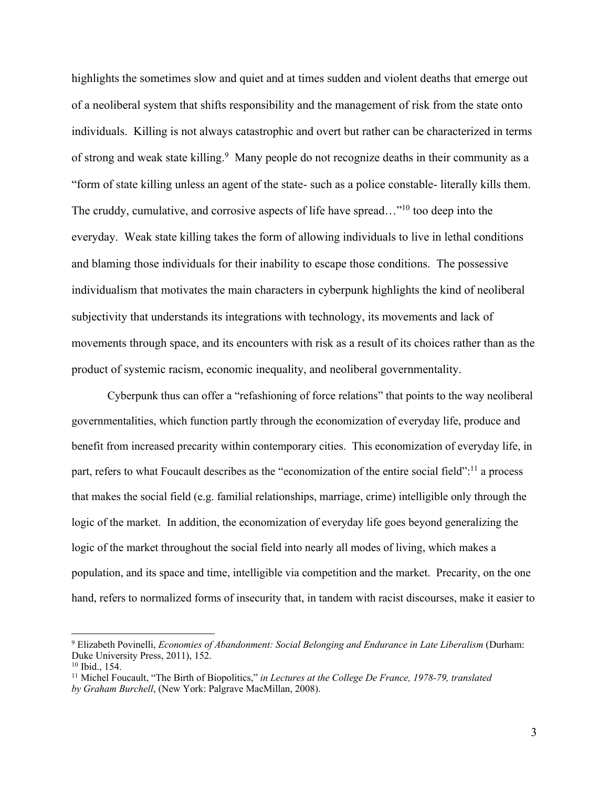highlights the sometimes slow and quiet and at times sudden and violent deaths that emerge out of a neoliberal system that shifts responsibility and the management of risk from the state onto individuals. Killing is not always catastrophic and overt but rather can be characterized in terms of strong and weak state killing.<sup>9</sup> Many people do not recognize deaths in their community as a "form of state killing unless an agent of the state- such as a police constable- literally kills them. The cruddy, cumulative, and corrosive aspects of life have spread..."<sup>10</sup> too deep into the everyday. Weak state killing takes the form of allowing individuals to live in lethal conditions and blaming those individuals for their inability to escape those conditions. The possessive individualism that motivates the main characters in cyberpunk highlights the kind of neoliberal subjectivity that understands its integrations with technology, its movements and lack of movements through space, and its encounters with risk as a result of its choices rather than as the product of systemic racism, economic inequality, and neoliberal governmentality.

Cyberpunk thus can offer a "refashioning of force relations" that points to the way neoliberal governmentalities, which function partly through the economization of everyday life, produce and benefit from increased precarity within contemporary cities. This economization of everyday life, in part, refers to what Foucault describes as the "economization of the entire social field":<sup>11</sup> a process that makes the social field (e.g. familial relationships, marriage, crime) intelligible only through the logic of the market. In addition, the economization of everyday life goes beyond generalizing the logic of the market throughout the social field into nearly all modes of living, which makes a population, and its space and time, intelligible via competition and the market. Precarity, on the one hand, refers to normalized forms of insecurity that, in tandem with racist discourses, make it easier to

 <sup>9</sup> Elizabeth Povinelli, *Economies of Abandonment: Social Belonging and Endurance in Late Liberalism* (Durham: Duke University Press, 2011), 152.

<sup>10</sup> Ibid., 154.

<sup>11</sup> Michel Foucault, "The Birth of Biopolitics," *in Lectures at the College De France, 1978-79, translated by Graham Burchell*, (New York: Palgrave MacMillan, 2008).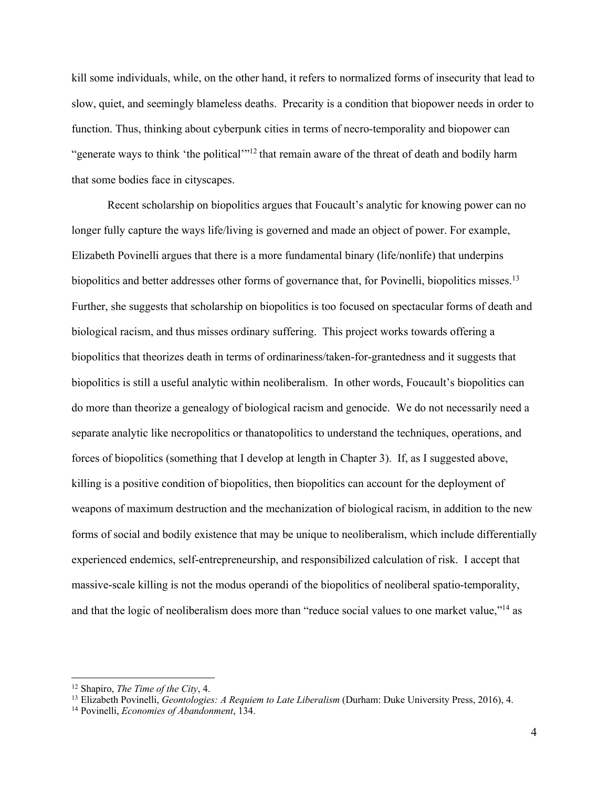kill some individuals, while, on the other hand, it refers to normalized forms of insecurity that lead to slow, quiet, and seemingly blameless deaths. Precarity is a condition that biopower needs in order to function. Thus, thinking about cyberpunk cities in terms of necro-temporality and biopower can "generate ways to think 'the political'<sup>112</sup> that remain aware of the threat of death and bodily harm that some bodies face in cityscapes.

Recent scholarship on biopolitics argues that Foucault's analytic for knowing power can no longer fully capture the ways life/living is governed and made an object of power. For example, Elizabeth Povinelli argues that there is a more fundamental binary (life/nonlife) that underpins biopolitics and better addresses other forms of governance that, for Povinelli, biopolitics misses.<sup>13</sup> Further, she suggests that scholarship on biopolitics is too focused on spectacular forms of death and biological racism, and thus misses ordinary suffering. This project works towards offering a biopolitics that theorizes death in terms of ordinariness/taken-for-grantedness and it suggests that biopolitics is still a useful analytic within neoliberalism. In other words, Foucault's biopolitics can do more than theorize a genealogy of biological racism and genocide. We do not necessarily need a separate analytic like necropolitics or thanatopolitics to understand the techniques, operations, and forces of biopolitics (something that I develop at length in Chapter 3). If, as I suggested above, killing is a positive condition of biopolitics, then biopolitics can account for the deployment of weapons of maximum destruction and the mechanization of biological racism, in addition to the new forms of social and bodily existence that may be unique to neoliberalism, which include differentially experienced endemics, self-entrepreneurship, and responsibilized calculation of risk. I accept that massive-scale killing is not the modus operandi of the biopolitics of neoliberal spatio-temporality, and that the logic of neoliberalism does more than "reduce social values to one market value,"<sup>14</sup> as

 <sup>12</sup> Shapiro, *The Time of the City*, 4.

<sup>13</sup> Elizabeth Povinelli, *Geontologies: A Requiem to Late Liberalism* (Durham: Duke University Press, 2016), 4.

<sup>14</sup> Povinelli, *Economies of Abandonment*, 134.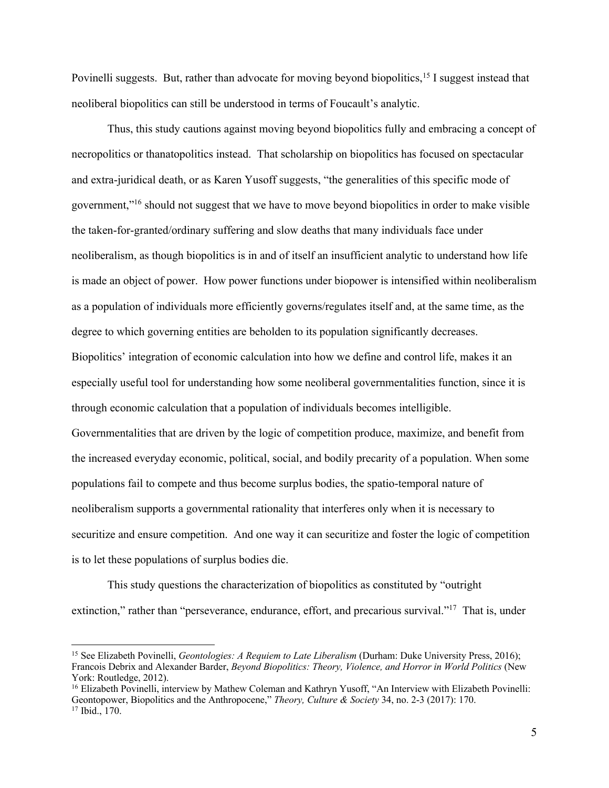Povinelli suggests. But, rather than advocate for moving beyond biopolitics,<sup>15</sup> I suggest instead that neoliberal biopolitics can still be understood in terms of Foucault's analytic.

Thus, this study cautions against moving beyond biopolitics fully and embracing a concept of necropolitics or thanatopolitics instead. That scholarship on biopolitics has focused on spectacular and extra-juridical death, or as Karen Yusoff suggests, "the generalities of this specific mode of government,"16 should not suggest that we have to move beyond biopolitics in order to make visible the taken-for-granted/ordinary suffering and slow deaths that many individuals face under neoliberalism, as though biopolitics is in and of itself an insufficient analytic to understand how life is made an object of power. How power functions under biopower is intensified within neoliberalism as a population of individuals more efficiently governs/regulates itself and, at the same time, as the degree to which governing entities are beholden to its population significantly decreases. Biopolitics' integration of economic calculation into how we define and control life, makes it an especially useful tool for understanding how some neoliberal governmentalities function, since it is through economic calculation that a population of individuals becomes intelligible. Governmentalities that are driven by the logic of competition produce, maximize, and benefit from the increased everyday economic, political, social, and bodily precarity of a population. When some populations fail to compete and thus become surplus bodies, the spatio-temporal nature of neoliberalism supports a governmental rationality that interferes only when it is necessary to securitize and ensure competition. And one way it can securitize and foster the logic of competition is to let these populations of surplus bodies die.

This study questions the characterization of biopolitics as constituted by "outright extinction," rather than "perseverance, endurance, effort, and precarious survival."<sup>17</sup> That is, under

 <sup>15</sup> See Elizabeth Povinelli, *Geontologies: A Requiem to Late Liberalism* (Durham: Duke University Press, 2016); Francois Debrix and Alexander Barder, *Beyond Biopolitics: Theory, Violence, and Horror in World Politics* (New York: Routledge, 2012).

<sup>16</sup> Elizabeth Povinelli, interview by Mathew Coleman and Kathryn Yusoff, "An Interview with Elizabeth Povinelli: Geontopower, Biopolitics and the Anthropocene," *Theory, Culture & Society* 34, no. 2-3 (2017): 170. <sup>17</sup> Ibid., 170.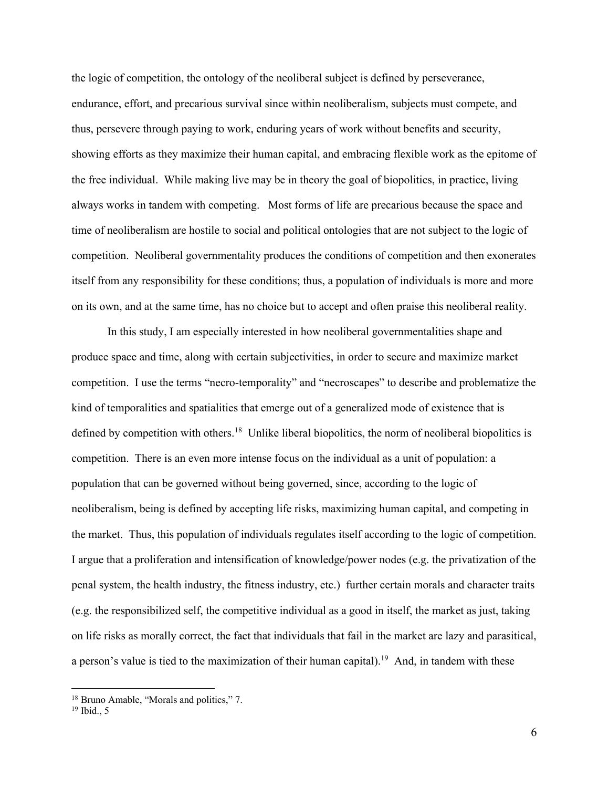the logic of competition, the ontology of the neoliberal subject is defined by perseverance, endurance, effort, and precarious survival since within neoliberalism, subjects must compete, and thus, persevere through paying to work, enduring years of work without benefits and security, showing efforts as they maximize their human capital, and embracing flexible work as the epitome of the free individual. While making live may be in theory the goal of biopolitics, in practice, living always works in tandem with competing. Most forms of life are precarious because the space and time of neoliberalism are hostile to social and political ontologies that are not subject to the logic of competition. Neoliberal governmentality produces the conditions of competition and then exonerates itself from any responsibility for these conditions; thus, a population of individuals is more and more on its own, and at the same time, has no choice but to accept and often praise this neoliberal reality.

In this study, I am especially interested in how neoliberal governmentalities shape and produce space and time, along with certain subjectivities, in order to secure and maximize market competition. I use the terms "necro-temporality" and "necroscapes" to describe and problematize the kind of temporalities and spatialities that emerge out of a generalized mode of existence that is defined by competition with others.<sup>18</sup> Unlike liberal biopolitics, the norm of neoliberal biopolitics is competition. There is an even more intense focus on the individual as a unit of population: a population that can be governed without being governed, since, according to the logic of neoliberalism, being is defined by accepting life risks, maximizing human capital, and competing in the market. Thus, this population of individuals regulates itself according to the logic of competition. I argue that a proliferation and intensification of knowledge/power nodes (e.g. the privatization of the penal system, the health industry, the fitness industry, etc.) further certain morals and character traits (e.g. the responsibilized self, the competitive individual as a good in itself, the market as just, taking on life risks as morally correct, the fact that individuals that fail in the market are lazy and parasitical, a person's value is tied to the maximization of their human capital).<sup>19</sup> And, in tandem with these

<sup>&</sup>lt;sup>18</sup> Bruno Amable, "Morals and politics," 7.

<sup>19</sup> Ibid., 5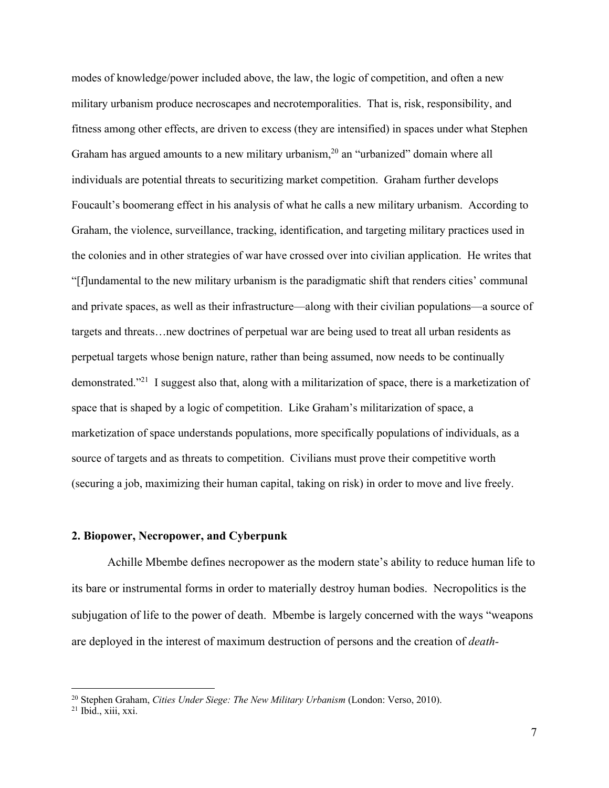modes of knowledge/power included above, the law, the logic of competition, and often a new military urbanism produce necroscapes and necrotemporalities. That is, risk, responsibility, and fitness among other effects, are driven to excess (they are intensified) in spaces under what Stephen Graham has argued amounts to a new military urbanism, $2<sup>0</sup>$  an "urbanized" domain where all individuals are potential threats to securitizing market competition. Graham further develops Foucault's boomerang effect in his analysis of what he calls a new military urbanism. According to Graham, the violence, surveillance, tracking, identification, and targeting military practices used in the colonies and in other strategies of war have crossed over into civilian application. He writes that "[f]undamental to the new military urbanism is the paradigmatic shift that renders cities' communal and private spaces, as well as their infrastructure—along with their civilian populations—a source of targets and threats…new doctrines of perpetual war are being used to treat all urban residents as perpetual targets whose benign nature, rather than being assumed, now needs to be continually demonstrated."21 I suggest also that, along with a militarization of space, there is a marketization of space that is shaped by a logic of competition. Like Graham's militarization of space, a marketization of space understands populations, more specifically populations of individuals, as a source of targets and as threats to competition. Civilians must prove their competitive worth (securing a job, maximizing their human capital, taking on risk) in order to move and live freely.

#### **2. Biopower, Necropower, and Cyberpunk**

Achille Mbembe defines necropower as the modern state's ability to reduce human life to its bare or instrumental forms in order to materially destroy human bodies. Necropolitics is the subjugation of life to the power of death. Mbembe is largely concerned with the ways "weapons are deployed in the interest of maximum destruction of persons and the creation of *death-*

 <sup>20</sup> Stephen Graham, *Cities Under Siege: The New Military Urbanism* (London: Verso, 2010).

<sup>21</sup> Ibid., xiii, xxi.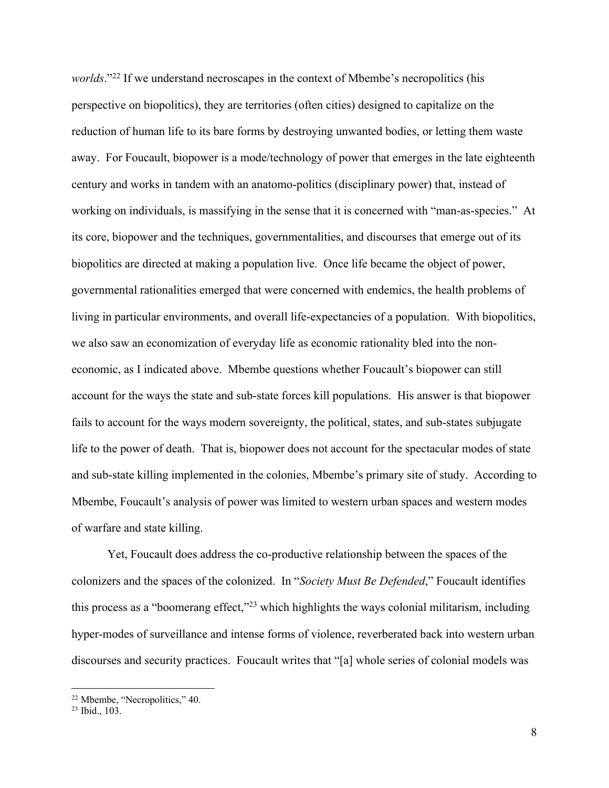*worlds*."<sup>22</sup> If we understand necroscapes in the context of Mbembe's necropolitics (his perspective on biopolitics), they are territories (often cities) designed to capitalize on the reduction of human life to its bare forms by destroying unwanted bodies, or letting them waste away. For Foucault, biopower is a mode/technology of power that emerges in the late eighteenth century and works in tandem with an anatomo-politics (disciplinary power) that, instead of working on individuals, is massifying in the sense that it is concerned with "man-as-species." At its core, biopower and the techniques, governmentalities, and discourses that emerge out of its biopolitics are directed at making a population live. Once life became the object of power, governmental rationalities emerged that were concerned with endemics, the health problems of living in particular environments, and overall life-expectancies of a population. With biopolitics, we also saw an economization of everyday life as economic rationality bled into the noneconomic, as I indicated above. Mbembe questions whether Foucault's biopower can still account for the ways the state and sub-state forces kill populations. His answer is that biopower fails to account for the ways modern sovereignty, the political, states, and sub-states subjugate life to the power of death. That is, biopower does not account for the spectacular modes of state and sub-state killing implemented in the colonies, Mbembe's primary site of study. According to Mbembe, Foucault's analysis of power was limited to western urban spaces and western modes of warfare and state killing.

Yet, Foucault does address the co-productive relationship between the spaces of the colonizers and the spaces of the colonized. In "*Society Must Be Defended*," Foucault identifies this process as a "boomerang effect,"23 which highlights the ways colonial militarism, including hyper-modes of surveillance and intense forms of violence, reverberated back into western urban discourses and security practices. Foucault writes that "[a] whole series of colonial models was

 <sup>22</sup> Mbembe, "Necropolitics," 40.

<sup>23</sup> Ibid., 103.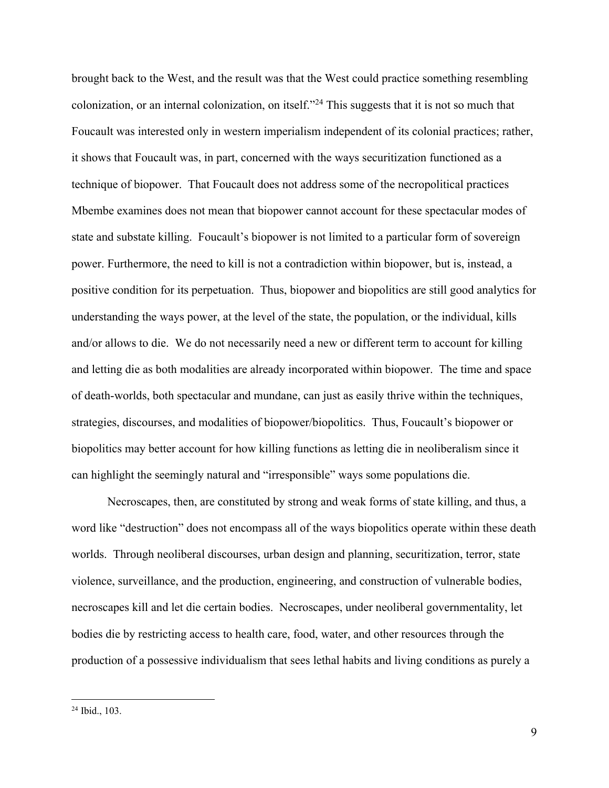brought back to the West, and the result was that the West could practice something resembling colonization, or an internal colonization, on itself."24 This suggests that it is not so much that Foucault was interested only in western imperialism independent of its colonial practices; rather, it shows that Foucault was, in part, concerned with the ways securitization functioned as a technique of biopower. That Foucault does not address some of the necropolitical practices Mbembe examines does not mean that biopower cannot account for these spectacular modes of state and substate killing. Foucault's biopower is not limited to a particular form of sovereign power. Furthermore, the need to kill is not a contradiction within biopower, but is, instead, a positive condition for its perpetuation. Thus, biopower and biopolitics are still good analytics for understanding the ways power, at the level of the state, the population, or the individual, kills and/or allows to die. We do not necessarily need a new or different term to account for killing and letting die as both modalities are already incorporated within biopower. The time and space of death-worlds, both spectacular and mundane, can just as easily thrive within the techniques, strategies, discourses, and modalities of biopower/biopolitics. Thus, Foucault's biopower or biopolitics may better account for how killing functions as letting die in neoliberalism since it can highlight the seemingly natural and "irresponsible" ways some populations die.

Necroscapes, then, are constituted by strong and weak forms of state killing, and thus, a word like "destruction" does not encompass all of the ways biopolitics operate within these death worlds. Through neoliberal discourses, urban design and planning, securitization, terror, state violence, surveillance, and the production, engineering, and construction of vulnerable bodies, necroscapes kill and let die certain bodies. Necroscapes, under neoliberal governmentality, let bodies die by restricting access to health care, food, water, and other resources through the production of a possessive individualism that sees lethal habits and living conditions as purely a

 <sup>24</sup> Ibid., 103.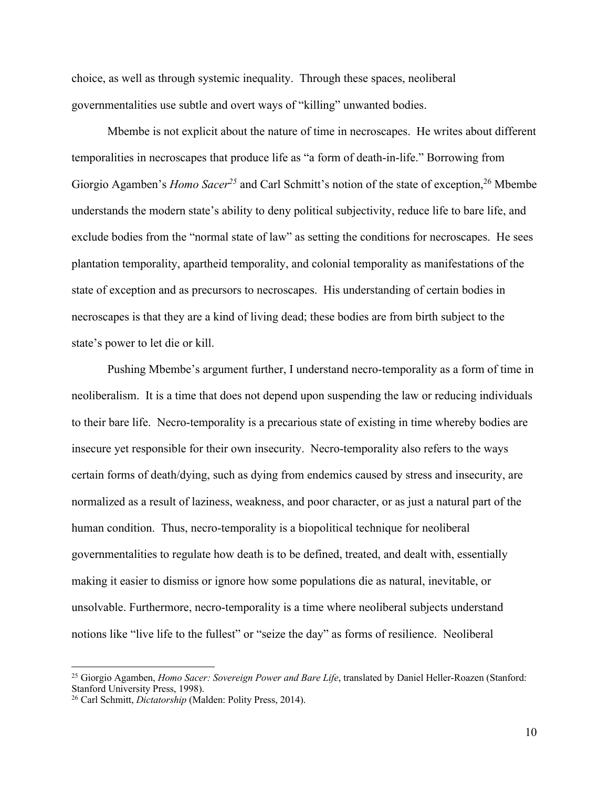choice, as well as through systemic inequality. Through these spaces, neoliberal governmentalities use subtle and overt ways of "killing" unwanted bodies.

Mbembe is not explicit about the nature of time in necroscapes. He writes about different temporalities in necroscapes that produce life as "a form of death-in-life." Borrowing from Giorgio Agamben's *Homo Sacer<sup>25</sup>* and Carl Schmitt's notion of the state of exception,<sup>26</sup> Mbembe understands the modern state's ability to deny political subjectivity, reduce life to bare life, and exclude bodies from the "normal state of law" as setting the conditions for necroscapes. He sees plantation temporality, apartheid temporality, and colonial temporality as manifestations of the state of exception and as precursors to necroscapes. His understanding of certain bodies in necroscapes is that they are a kind of living dead; these bodies are from birth subject to the state's power to let die or kill.

Pushing Mbembe's argument further, I understand necro-temporality as a form of time in neoliberalism. It is a time that does not depend upon suspending the law or reducing individuals to their bare life. Necro-temporality is a precarious state of existing in time whereby bodies are insecure yet responsible for their own insecurity. Necro-temporality also refers to the ways certain forms of death/dying, such as dying from endemics caused by stress and insecurity, are normalized as a result of laziness, weakness, and poor character, or as just a natural part of the human condition. Thus, necro-temporality is a biopolitical technique for neoliberal governmentalities to regulate how death is to be defined, treated, and dealt with, essentially making it easier to dismiss or ignore how some populations die as natural, inevitable, or unsolvable. Furthermore, necro-temporality is a time where neoliberal subjects understand notions like "live life to the fullest" or "seize the day" as forms of resilience. Neoliberal

 <sup>25</sup> Giorgio Agamben, *Homo Sacer: Sovereign Power and Bare Life*, translated by Daniel Heller-Roazen (Stanford: Stanford University Press, 1998).

<sup>26</sup> Carl Schmitt, *Dictatorship* (Malden: Polity Press, 2014).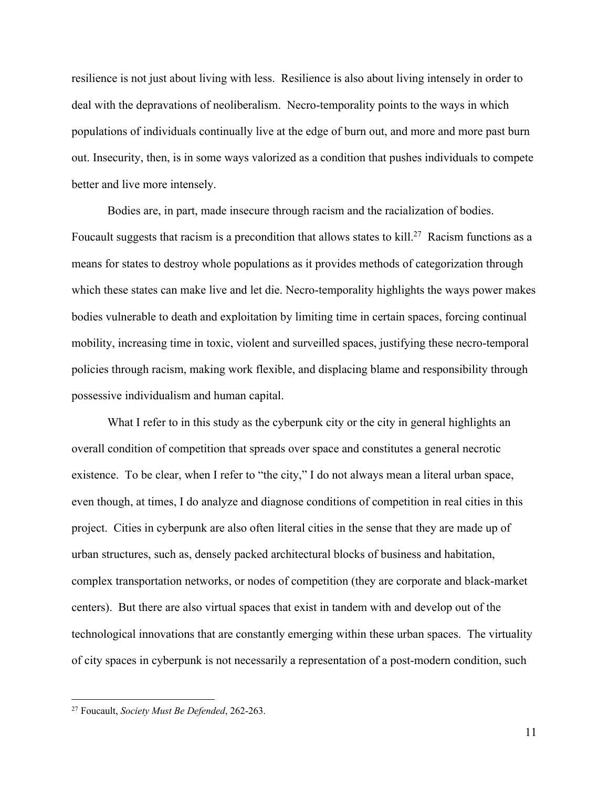resilience is not just about living with less. Resilience is also about living intensely in order to deal with the depravations of neoliberalism. Necro-temporality points to the ways in which populations of individuals continually live at the edge of burn out, and more and more past burn out. Insecurity, then, is in some ways valorized as a condition that pushes individuals to compete better and live more intensely.

Bodies are, in part, made insecure through racism and the racialization of bodies. Foucault suggests that racism is a precondition that allows states to kill.<sup>27</sup> Racism functions as a means for states to destroy whole populations as it provides methods of categorization through which these states can make live and let die. Necro-temporality highlights the ways power makes bodies vulnerable to death and exploitation by limiting time in certain spaces, forcing continual mobility, increasing time in toxic, violent and surveilled spaces, justifying these necro-temporal policies through racism, making work flexible, and displacing blame and responsibility through possessive individualism and human capital.

What I refer to in this study as the cyberpunk city or the city in general highlights an overall condition of competition that spreads over space and constitutes a general necrotic existence. To be clear, when I refer to "the city," I do not always mean a literal urban space, even though, at times, I do analyze and diagnose conditions of competition in real cities in this project. Cities in cyberpunk are also often literal cities in the sense that they are made up of urban structures, such as, densely packed architectural blocks of business and habitation, complex transportation networks, or nodes of competition (they are corporate and black-market centers). But there are also virtual spaces that exist in tandem with and develop out of the technological innovations that are constantly emerging within these urban spaces. The virtuality of city spaces in cyberpunk is not necessarily a representation of a post-modern condition, such

11

 <sup>27</sup> Foucault, *Society Must Be Defended*, 262-263.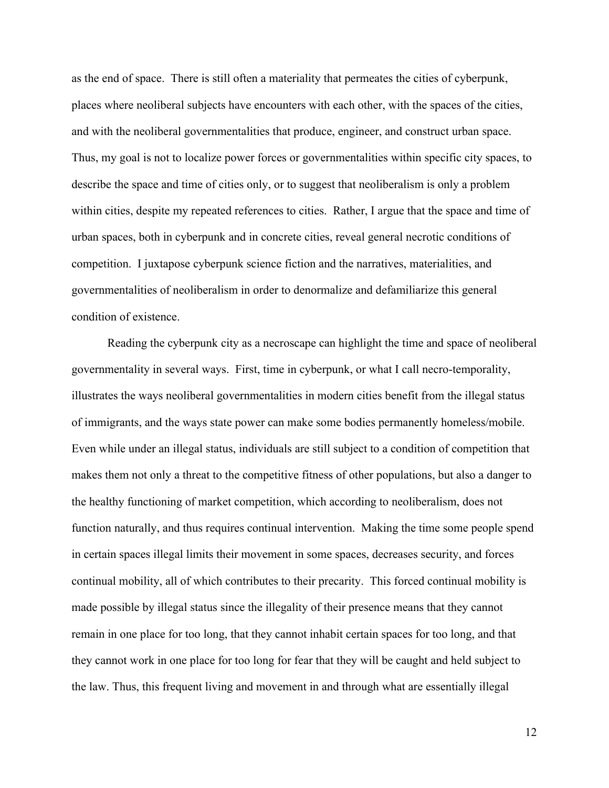as the end of space. There is still often a materiality that permeates the cities of cyberpunk, places where neoliberal subjects have encounters with each other, with the spaces of the cities, and with the neoliberal governmentalities that produce, engineer, and construct urban space. Thus, my goal is not to localize power forces or governmentalities within specific city spaces, to describe the space and time of cities only, or to suggest that neoliberalism is only a problem within cities, despite my repeated references to cities. Rather, I argue that the space and time of urban spaces, both in cyberpunk and in concrete cities, reveal general necrotic conditions of competition. I juxtapose cyberpunk science fiction and the narratives, materialities, and governmentalities of neoliberalism in order to denormalize and defamiliarize this general condition of existence.

Reading the cyberpunk city as a necroscape can highlight the time and space of neoliberal governmentality in several ways. First, time in cyberpunk, or what I call necro-temporality, illustrates the ways neoliberal governmentalities in modern cities benefit from the illegal status of immigrants, and the ways state power can make some bodies permanently homeless/mobile. Even while under an illegal status, individuals are still subject to a condition of competition that makes them not only a threat to the competitive fitness of other populations, but also a danger to the healthy functioning of market competition, which according to neoliberalism, does not function naturally, and thus requires continual intervention. Making the time some people spend in certain spaces illegal limits their movement in some spaces, decreases security, and forces continual mobility, all of which contributes to their precarity. This forced continual mobility is made possible by illegal status since the illegality of their presence means that they cannot remain in one place for too long, that they cannot inhabit certain spaces for too long, and that they cannot work in one place for too long for fear that they will be caught and held subject to the law. Thus, this frequent living and movement in and through what are essentially illegal

12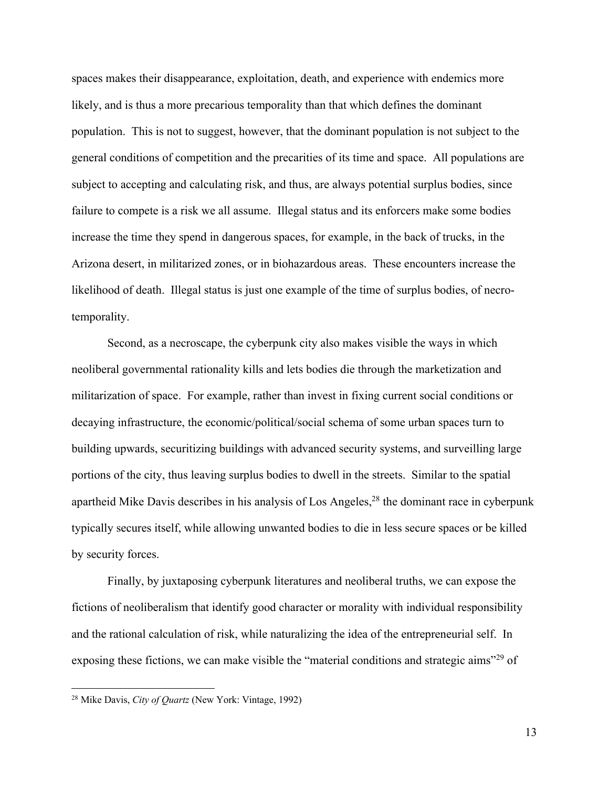spaces makes their disappearance, exploitation, death, and experience with endemics more likely, and is thus a more precarious temporality than that which defines the dominant population. This is not to suggest, however, that the dominant population is not subject to the general conditions of competition and the precarities of its time and space. All populations are subject to accepting and calculating risk, and thus, are always potential surplus bodies, since failure to compete is a risk we all assume. Illegal status and its enforcers make some bodies increase the time they spend in dangerous spaces, for example, in the back of trucks, in the Arizona desert, in militarized zones, or in biohazardous areas. These encounters increase the likelihood of death. Illegal status is just one example of the time of surplus bodies, of necrotemporality.

Second, as a necroscape, the cyberpunk city also makes visible the ways in which neoliberal governmental rationality kills and lets bodies die through the marketization and militarization of space. For example, rather than invest in fixing current social conditions or decaying infrastructure, the economic/political/social schema of some urban spaces turn to building upwards, securitizing buildings with advanced security systems, and surveilling large portions of the city, thus leaving surplus bodies to dwell in the streets. Similar to the spatial apartheid Mike Davis describes in his analysis of Los Angeles,<sup>28</sup> the dominant race in cyberpunk typically secures itself, while allowing unwanted bodies to die in less secure spaces or be killed by security forces.

Finally, by juxtaposing cyberpunk literatures and neoliberal truths, we can expose the fictions of neoliberalism that identify good character or morality with individual responsibility and the rational calculation of risk, while naturalizing the idea of the entrepreneurial self. In exposing these fictions, we can make visible the "material conditions and strategic aims"<sup>29</sup> of

 <sup>28</sup> Mike Davis, *City of Quartz* (New York: Vintage, 1992)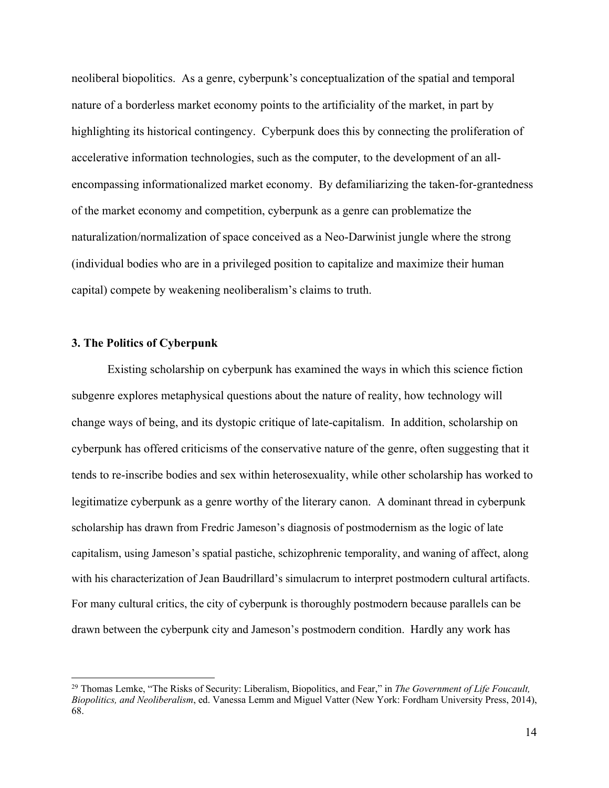neoliberal biopolitics. As a genre, cyberpunk's conceptualization of the spatial and temporal nature of a borderless market economy points to the artificiality of the market, in part by highlighting its historical contingency. Cyberpunk does this by connecting the proliferation of accelerative information technologies, such as the computer, to the development of an allencompassing informationalized market economy. By defamiliarizing the taken-for-grantedness of the market economy and competition, cyberpunk as a genre can problematize the naturalization/normalization of space conceived as a Neo-Darwinist jungle where the strong (individual bodies who are in a privileged position to capitalize and maximize their human capital) compete by weakening neoliberalism's claims to truth.

#### **3. The Politics of Cyberpunk**

Existing scholarship on cyberpunk has examined the ways in which this science fiction subgenre explores metaphysical questions about the nature of reality, how technology will change ways of being, and its dystopic critique of late-capitalism. In addition, scholarship on cyberpunk has offered criticisms of the conservative nature of the genre, often suggesting that it tends to re-inscribe bodies and sex within heterosexuality, while other scholarship has worked to legitimatize cyberpunk as a genre worthy of the literary canon. A dominant thread in cyberpunk scholarship has drawn from Fredric Jameson's diagnosis of postmodernism as the logic of late capitalism, using Jameson's spatial pastiche, schizophrenic temporality, and waning of affect, along with his characterization of Jean Baudrillard's simulacrum to interpret postmodern cultural artifacts. For many cultural critics, the city of cyberpunk is thoroughly postmodern because parallels can be drawn between the cyberpunk city and Jameson's postmodern condition. Hardly any work has

 <sup>29</sup> Thomas Lemke, "The Risks of Security: Liberalism, Biopolitics, and Fear," in *The Government of Life Foucault, Biopolitics, and Neoliberalism*, ed. Vanessa Lemm and Miguel Vatter (New York: Fordham University Press, 2014), 68.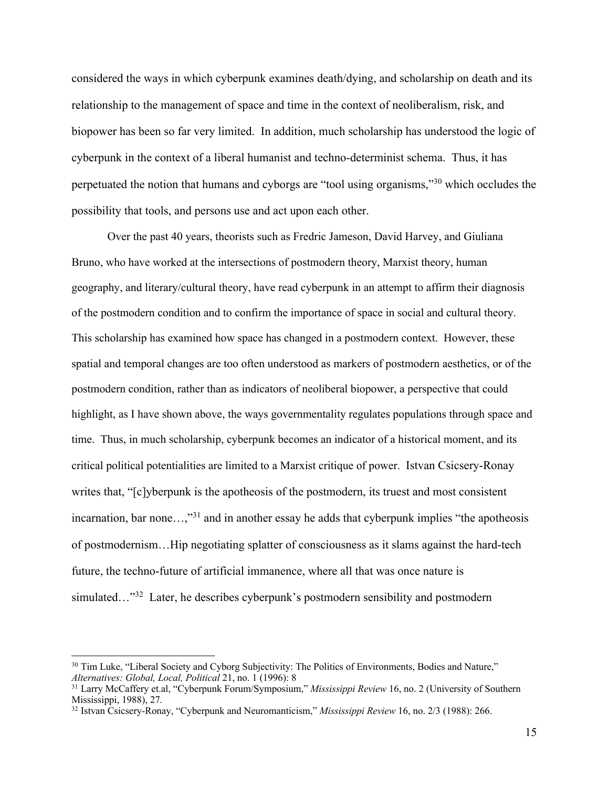considered the ways in which cyberpunk examines death/dying, and scholarship on death and its relationship to the management of space and time in the context of neoliberalism, risk, and biopower has been so far very limited. In addition, much scholarship has understood the logic of cyberpunk in the context of a liberal humanist and techno-determinist schema. Thus, it has perpetuated the notion that humans and cyborgs are "tool using organisms,"30 which occludes the possibility that tools, and persons use and act upon each other.

Over the past 40 years, theorists such as Fredric Jameson, David Harvey, and Giuliana Bruno, who have worked at the intersections of postmodern theory, Marxist theory, human geography, and literary/cultural theory, have read cyberpunk in an attempt to affirm their diagnosis of the postmodern condition and to confirm the importance of space in social and cultural theory. This scholarship has examined how space has changed in a postmodern context. However, these spatial and temporal changes are too often understood as markers of postmodern aesthetics, or of the postmodern condition, rather than as indicators of neoliberal biopower, a perspective that could highlight, as I have shown above, the ways governmentality regulates populations through space and time. Thus, in much scholarship, cyberpunk becomes an indicator of a historical moment, and its critical political potentialities are limited to a Marxist critique of power. Istvan Csicsery-Ronay writes that, "[c]yberpunk is the apotheosis of the postmodern, its truest and most consistent incarnation, bar none...,"<sup>31</sup> and in another essay he adds that cyberpunk implies "the apotheosis" of postmodernism…Hip negotiating splatter of consciousness as it slams against the hard-tech future, the techno-future of artificial immanence, where all that was once nature is simulated…"<sup>32</sup> Later, he describes cyberpunk's postmodern sensibility and postmodern

<sup>&</sup>lt;sup>30</sup> Tim Luke, "Liberal Society and Cyborg Subjectivity: The Politics of Environments, Bodies and Nature," *Alternatives: Global, Local, Political* 21, no. 1 (1996): 8

<sup>31</sup> Larry McCaffery et.al, "Cyberpunk Forum/Symposium," *Mississippi Review* 16, no. 2 (University of Southern Mississippi, 1988), 27.

<sup>32</sup> Istvan Csicsery-Ronay, "Cyberpunk and Neuromanticism," *Mississippi Review* 16, no. 2/3 (1988): 266.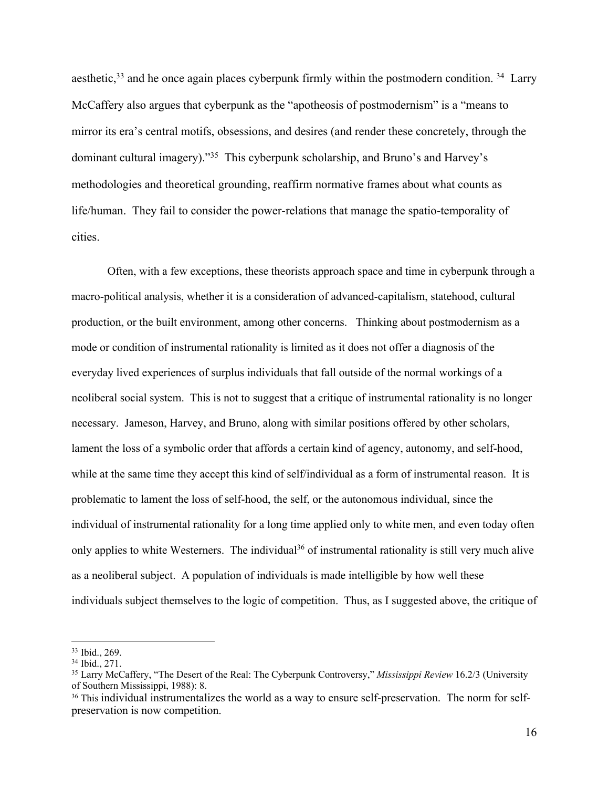aesthetic,  $33$  and he once again places cyberpunk firmly within the postmodern condition.  $34$  Larry McCaffery also argues that cyberpunk as the "apotheosis of postmodernism" is a "means to mirror its era's central motifs, obsessions, and desires (and render these concretely, through the dominant cultural imagery)."35 This cyberpunk scholarship, and Bruno's and Harvey's methodologies and theoretical grounding, reaffirm normative frames about what counts as life/human. They fail to consider the power-relations that manage the spatio-temporality of cities.

Often, with a few exceptions, these theorists approach space and time in cyberpunk through a macro-political analysis, whether it is a consideration of advanced-capitalism, statehood, cultural production, or the built environment, among other concerns. Thinking about postmodernism as a mode or condition of instrumental rationality is limited as it does not offer a diagnosis of the everyday lived experiences of surplus individuals that fall outside of the normal workings of a neoliberal social system. This is not to suggest that a critique of instrumental rationality is no longer necessary. Jameson, Harvey, and Bruno, along with similar positions offered by other scholars, lament the loss of a symbolic order that affords a certain kind of agency, autonomy, and self-hood, while at the same time they accept this kind of self/individual as a form of instrumental reason. It is problematic to lament the loss of self-hood, the self, or the autonomous individual, since the individual of instrumental rationality for a long time applied only to white men, and even today often only applies to white Westerners. The individual<sup>36</sup> of instrumental rationality is still very much alive as a neoliberal subject. A population of individuals is made intelligible by how well these individuals subject themselves to the logic of competition. Thus, as I suggested above, the critique of

<sup>&</sup>lt;sup>33</sup> Ibid., 269.<br><sup>34</sup> Ibid., 271.<br><sup>35</sup> Larry McCaffery, "The Desert of the Real: The Cyberpunk Controversy," *Mississippi Review* 16.2/3 (University of Southern Mississippi, 1988): 8.

<sup>&</sup>lt;sup>36</sup> This individual instrumentalizes the world as a way to ensure self-preservation. The norm for selfpreservation is now competition.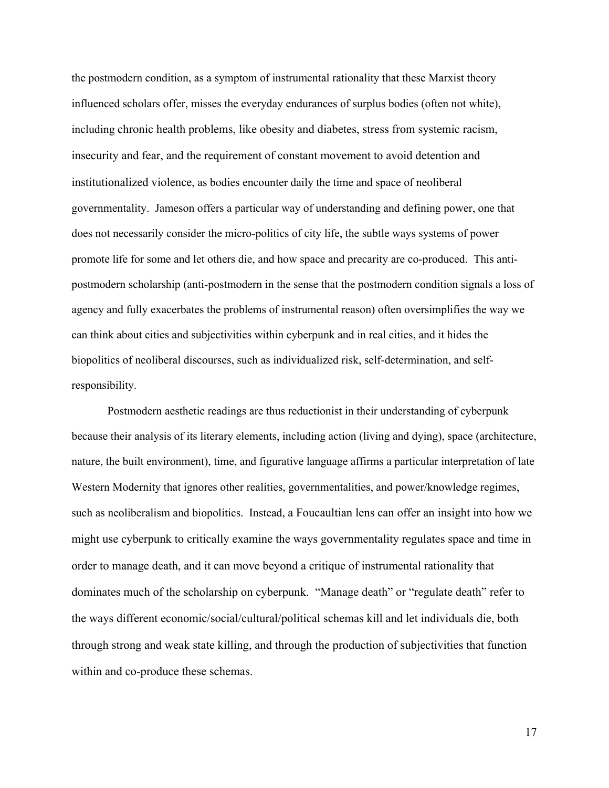the postmodern condition, as a symptom of instrumental rationality that these Marxist theory influenced scholars offer, misses the everyday endurances of surplus bodies (often not white), including chronic health problems, like obesity and diabetes, stress from systemic racism, insecurity and fear, and the requirement of constant movement to avoid detention and institutionalized violence, as bodies encounter daily the time and space of neoliberal governmentality. Jameson offers a particular way of understanding and defining power, one that does not necessarily consider the micro-politics of city life, the subtle ways systems of power promote life for some and let others die, and how space and precarity are co-produced. This antipostmodern scholarship (anti-postmodern in the sense that the postmodern condition signals a loss of agency and fully exacerbates the problems of instrumental reason) often oversimplifies the way we can think about cities and subjectivities within cyberpunk and in real cities, and it hides the biopolitics of neoliberal discourses, such as individualized risk, self-determination, and selfresponsibility.

Postmodern aesthetic readings are thus reductionist in their understanding of cyberpunk because their analysis of its literary elements, including action (living and dying), space (architecture, nature, the built environment), time, and figurative language affirms a particular interpretation of late Western Modernity that ignores other realities, governmentalities, and power/knowledge regimes, such as neoliberalism and biopolitics. Instead, a Foucaultian lens can offer an insight into how we might use cyberpunk to critically examine the ways governmentality regulates space and time in order to manage death, and it can move beyond a critique of instrumental rationality that dominates much of the scholarship on cyberpunk. "Manage death" or "regulate death" refer to the ways different economic/social/cultural/political schemas kill and let individuals die, both through strong and weak state killing, and through the production of subjectivities that function within and co-produce these schemas.

17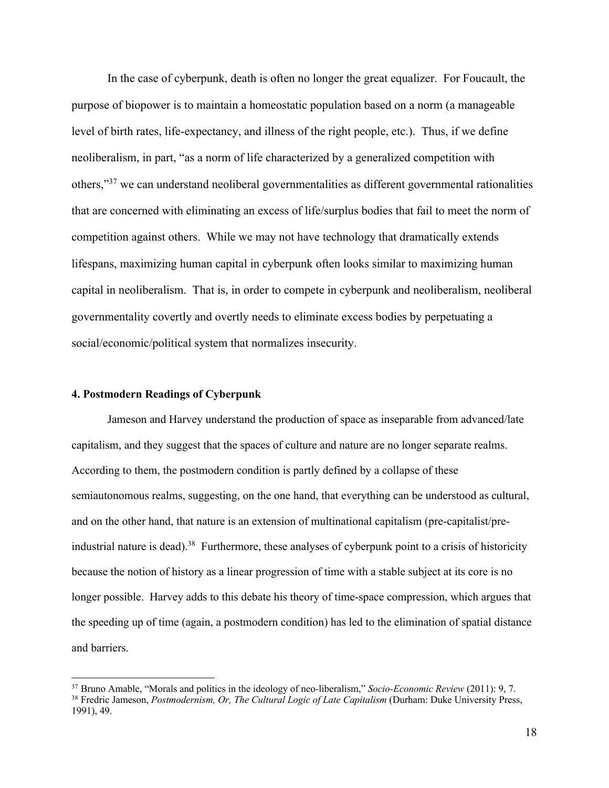In the case of cyberpunk, death is often no longer the great equalizer. For Foucault, the purpose of biopower is to maintain a homeostatic population based on a norm (a manageable level of birth rates, life-expectancy, and illness of the right people, etc.). Thus, if we define neoliberalism, in part, "as a norm of life characterized by a generalized competition with others,"37 we can understand neoliberal governmentalities as different governmental rationalities that are concerned with eliminating an excess of life/surplus bodies that fail to meet the norm of competition against others. While we may not have technology that dramatically extends lifespans, maximizing human capital in cyberpunk often looks similar to maximizing human capital in neoliberalism. That is, in order to compete in cyberpunk and neoliberalism, neoliberal governmentality covertly and overtly needs to eliminate excess bodies by perpetuating a social/economic/political system that normalizes insecurity.

#### **4. Postmodern Readings of Cyberpunk**

Jameson and Harvey understand the production of space as inseparable from advanced/late capitalism, and they suggest that the spaces of culture and nature are no longer separate realms. According to them, the postmodern condition is partly defined by a collapse of these semiautonomous realms, suggesting, on the one hand, that everything can be understood as cultural, and on the other hand, that nature is an extension of multinational capitalism (pre-capitalist/preindustrial nature is dead).<sup>38</sup> Furthermore, these analyses of cyberpunk point to a crisis of historicity because the notion of history as a linear progression of time with a stable subject at its core is no longer possible. Harvey adds to this debate his theory of time-space compression, which argues that the speeding up of time (again, a postmodern condition) has led to the elimination of spatial distance and barriers.

<sup>&</sup>lt;sup>37</sup> Bruno Amable, "Morals and politics in the ideology of neo-liberalism," Socio-Economic Review (2011): 9, 7.<br><sup>38</sup> Fredric Jameson, *Postmodernism, Or, The Cultural Logic of Late Capitalism* (Durham: Duke University Pres

<sup>1991), 49.</sup>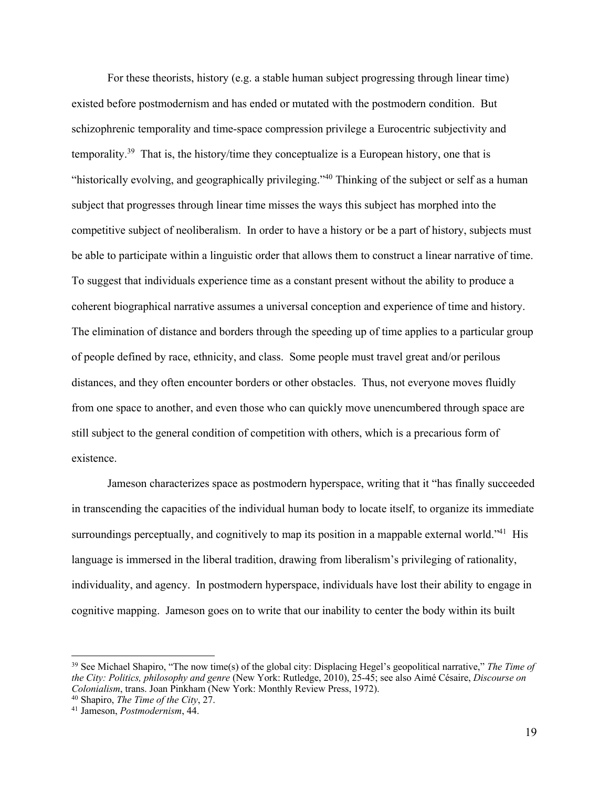For these theorists, history (e.g. a stable human subject progressing through linear time) existed before postmodernism and has ended or mutated with the postmodern condition. But schizophrenic temporality and time-space compression privilege a Eurocentric subjectivity and temporality.39 That is, the history/time they conceptualize is a European history, one that is "historically evolving, and geographically privileging."40 Thinking of the subject or self as a human subject that progresses through linear time misses the ways this subject has morphed into the competitive subject of neoliberalism. In order to have a history or be a part of history, subjects must be able to participate within a linguistic order that allows them to construct a linear narrative of time. To suggest that individuals experience time as a constant present without the ability to produce a coherent biographical narrative assumes a universal conception and experience of time and history. The elimination of distance and borders through the speeding up of time applies to a particular group of people defined by race, ethnicity, and class. Some people must travel great and/or perilous distances, and they often encounter borders or other obstacles. Thus, not everyone moves fluidly from one space to another, and even those who can quickly move unencumbered through space are still subject to the general condition of competition with others, which is a precarious form of existence.

Jameson characterizes space as postmodern hyperspace, writing that it "has finally succeeded in transcending the capacities of the individual human body to locate itself, to organize its immediate surroundings perceptually, and cognitively to map its position in a mappable external world."<sup>41</sup> His language is immersed in the liberal tradition, drawing from liberalism's privileging of rationality, individuality, and agency. In postmodern hyperspace, individuals have lost their ability to engage in cognitive mapping. Jameson goes on to write that our inability to center the body within its built

 <sup>39</sup> See Michael Shapiro, "The now time(s) of the global city: Displacing Hegel's geopolitical narrative," *The Time of the City: Politics, philosophy and genre* (New York: Rutledge, 2010), 25-45; see also Aimé Césaire, *Discourse on Colonialism*, trans. Joan Pinkham (New York: Monthly Review Press, 1972).

<sup>40</sup> Shapiro, *The Time of the City*, 27. 41 Jameson, *Postmodernism*, 44.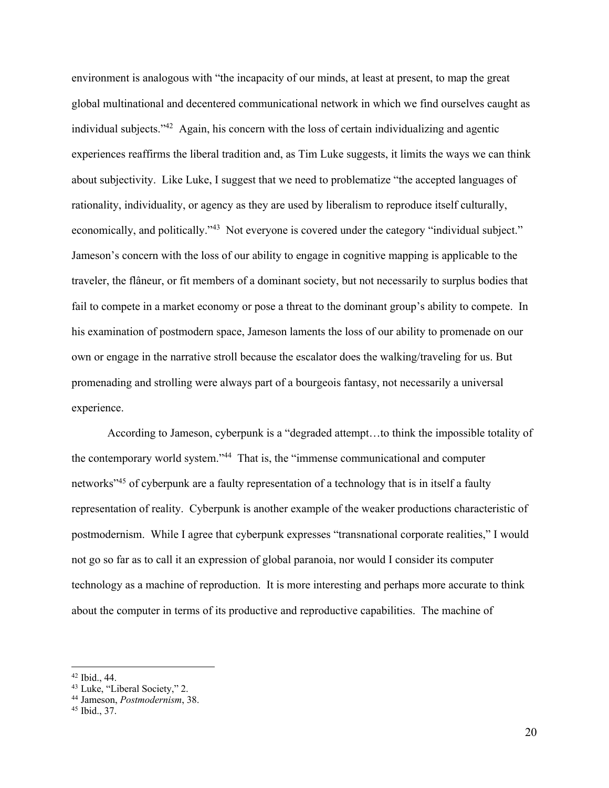environment is analogous with "the incapacity of our minds, at least at present, to map the great global multinational and decentered communicational network in which we find ourselves caught as individual subjects."42 Again, his concern with the loss of certain individualizing and agentic experiences reaffirms the liberal tradition and, as Tim Luke suggests, it limits the ways we can think about subjectivity. Like Luke, I suggest that we need to problematize "the accepted languages of rationality, individuality, or agency as they are used by liberalism to reproduce itself culturally, economically, and politically."<sup>43</sup> Not everyone is covered under the category "individual subject." Jameson's concern with the loss of our ability to engage in cognitive mapping is applicable to the traveler, the flâneur, or fit members of a dominant society, but not necessarily to surplus bodies that fail to compete in a market economy or pose a threat to the dominant group's ability to compete. In his examination of postmodern space, Jameson laments the loss of our ability to promenade on our own or engage in the narrative stroll because the escalator does the walking/traveling for us. But promenading and strolling were always part of a bourgeois fantasy, not necessarily a universal experience.

According to Jameson, cyberpunk is a "degraded attempt…to think the impossible totality of the contemporary world system."44 That is, the "immense communicational and computer networks<sup>345</sup> of cyberpunk are a faulty representation of a technology that is in itself a faulty representation of reality. Cyberpunk is another example of the weaker productions characteristic of postmodernism. While I agree that cyberpunk expresses "transnational corporate realities," I would not go so far as to call it an expression of global paranoia, nor would I consider its computer technology as a machine of reproduction. It is more interesting and perhaps more accurate to think about the computer in terms of its productive and reproductive capabilities. The machine of

 $42$  Ibid., 44.<br> $43$  Luke, "Liberal Society," 2.

<sup>&</sup>lt;sup>44</sup> Jameson, Postmodernism, 38.

<sup>45</sup> Ibid., 37.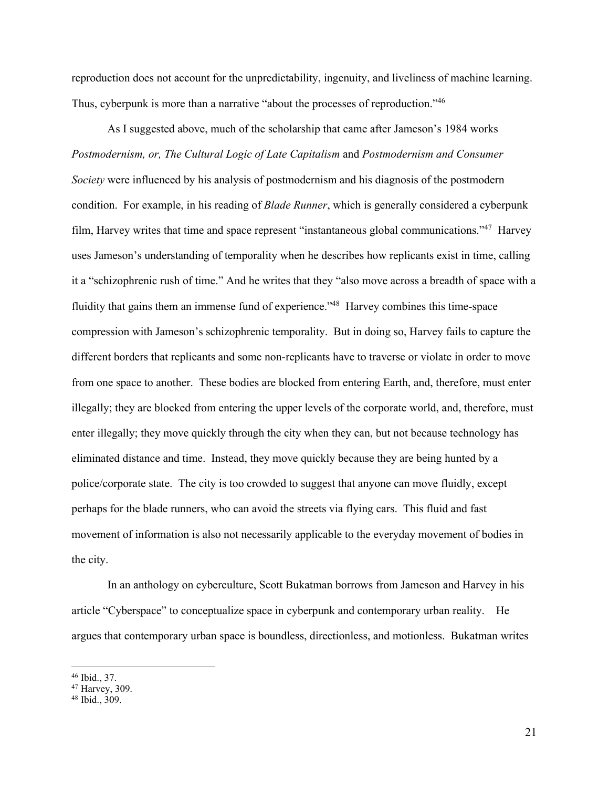reproduction does not account for the unpredictability, ingenuity, and liveliness of machine learning. Thus, cyberpunk is more than a narrative "about the processes of reproduction."<sup>46</sup>

As I suggested above, much of the scholarship that came after Jameson's 1984 works *Postmodernism, or, The Cultural Logic of Late Capitalism* and *Postmodernism and Consumer Society* were influenced by his analysis of postmodernism and his diagnosis of the postmodern condition. For example, in his reading of *Blade Runner*, which is generally considered a cyberpunk film, Harvey writes that time and space represent "instantaneous global communications."47 Harvey uses Jameson's understanding of temporality when he describes how replicants exist in time, calling it a "schizophrenic rush of time." And he writes that they "also move across a breadth of space with a fluidity that gains them an immense fund of experience."<sup>48</sup> Harvey combines this time-space compression with Jameson's schizophrenic temporality. But in doing so, Harvey fails to capture the different borders that replicants and some non-replicants have to traverse or violate in order to move from one space to another. These bodies are blocked from entering Earth, and, therefore, must enter illegally; they are blocked from entering the upper levels of the corporate world, and, therefore, must enter illegally; they move quickly through the city when they can, but not because technology has eliminated distance and time. Instead, they move quickly because they are being hunted by a police/corporate state. The city is too crowded to suggest that anyone can move fluidly, except perhaps for the blade runners, who can avoid the streets via flying cars. This fluid and fast movement of information is also not necessarily applicable to the everyday movement of bodies in the city.

In an anthology on cyberculture, Scott Bukatman borrows from Jameson and Harvey in his article "Cyberspace" to conceptualize space in cyberpunk and contemporary urban reality. He argues that contemporary urban space is boundless, directionless, and motionless. Bukatman writes

 <sup>46</sup> Ibid., 37.

<sup>47</sup> Harvey, 309. 48 Ibid., 309.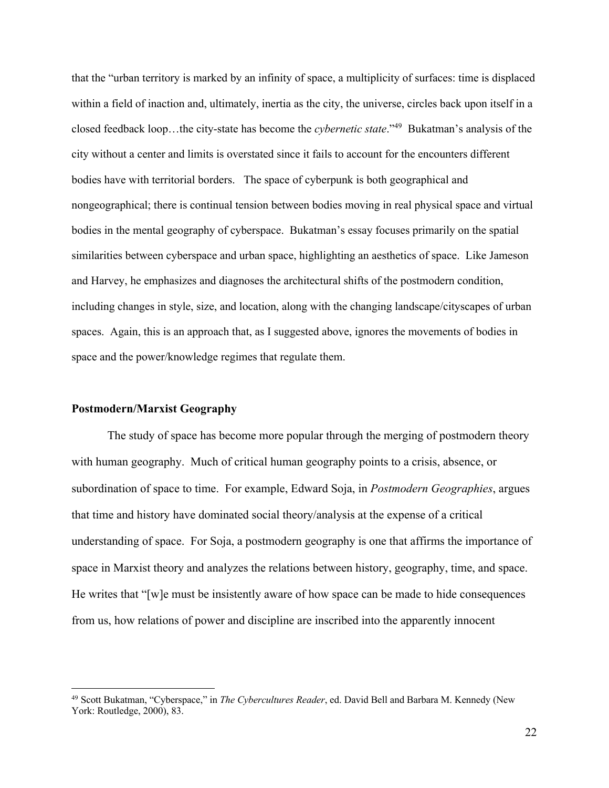that the "urban territory is marked by an infinity of space, a multiplicity of surfaces: time is displaced within a field of inaction and, ultimately, inertia as the city, the universe, circles back upon itself in a closed feedback loop…the city-state has become the *cybernetic state*."49 Bukatman's analysis of the city without a center and limits is overstated since it fails to account for the encounters different bodies have with territorial borders. The space of cyberpunk is both geographical and nongeographical; there is continual tension between bodies moving in real physical space and virtual bodies in the mental geography of cyberspace. Bukatman's essay focuses primarily on the spatial similarities between cyberspace and urban space, highlighting an aesthetics of space. Like Jameson and Harvey, he emphasizes and diagnoses the architectural shifts of the postmodern condition, including changes in style, size, and location, along with the changing landscape/cityscapes of urban spaces. Again, this is an approach that, as I suggested above, ignores the movements of bodies in space and the power/knowledge regimes that regulate them.

#### **Postmodern/Marxist Geography**

The study of space has become more popular through the merging of postmodern theory with human geography. Much of critical human geography points to a crisis, absence, or subordination of space to time. For example, Edward Soja, in *Postmodern Geographies*, argues that time and history have dominated social theory/analysis at the expense of a critical understanding of space. For Soja, a postmodern geography is one that affirms the importance of space in Marxist theory and analyzes the relations between history, geography, time, and space. He writes that " $[w]e$  must be insistently aware of how space can be made to hide consequences from us, how relations of power and discipline are inscribed into the apparently innocent

 <sup>49</sup> Scott Bukatman, "Cyberspace," in *The Cybercultures Reader*, ed. David Bell and Barbara M. Kennedy (New York: Routledge, 2000), 83.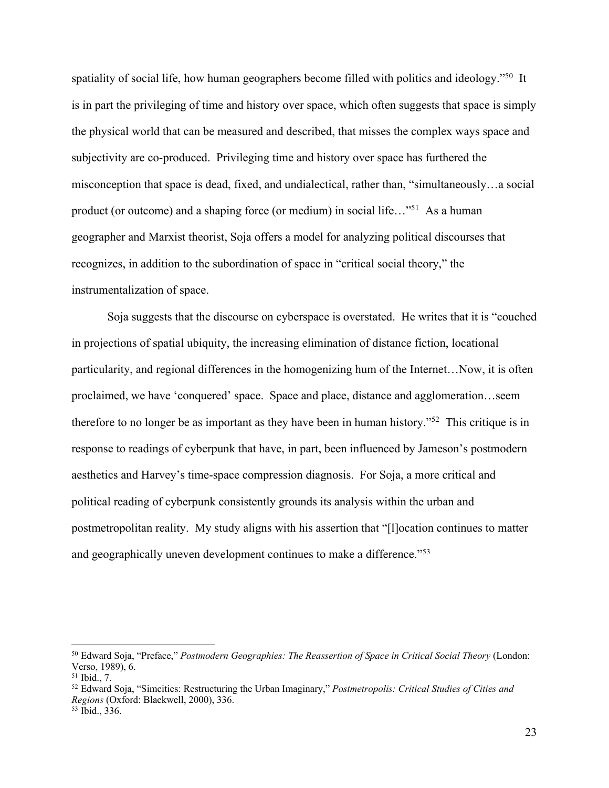spatiality of social life, how human geographers become filled with politics and ideology."<sup>50</sup> It is in part the privileging of time and history over space, which often suggests that space is simply the physical world that can be measured and described, that misses the complex ways space and subjectivity are co-produced. Privileging time and history over space has furthered the misconception that space is dead, fixed, and undialectical, rather than, "simultaneously…a social product (or outcome) and a shaping force (or medium) in social life..."<sup>51</sup> As a human geographer and Marxist theorist, Soja offers a model for analyzing political discourses that recognizes, in addition to the subordination of space in "critical social theory," the instrumentalization of space.

Soja suggests that the discourse on cyberspace is overstated. He writes that it is "couched in projections of spatial ubiquity, the increasing elimination of distance fiction, locational particularity, and regional differences in the homogenizing hum of the Internet…Now, it is often proclaimed, we have 'conquered' space. Space and place, distance and agglomeration…seem therefore to no longer be as important as they have been in human history."52 This critique is in response to readings of cyberpunk that have, in part, been influenced by Jameson's postmodern aesthetics and Harvey's time-space compression diagnosis. For Soja, a more critical and political reading of cyberpunk consistently grounds its analysis within the urban and postmetropolitan reality. My study aligns with his assertion that "[l]ocation continues to matter and geographically uneven development continues to make a difference."53

 <sup>50</sup> Edward Soja, "Preface," *Postmodern Geographies: The Reassertion of Space in Critical Social Theory* (London: Verso, 1989), 6.<br><sup>51</sup> Ibid., 7.

<sup>&</sup>lt;sup>52</sup> Edward Soja, "Simcities: Restructuring the Urban Imaginary," *Postmetropolis: Critical Studies of Cities and Regions* (Oxford: Blackwell, 2000), 336.<sup>53</sup> Ibid., 336.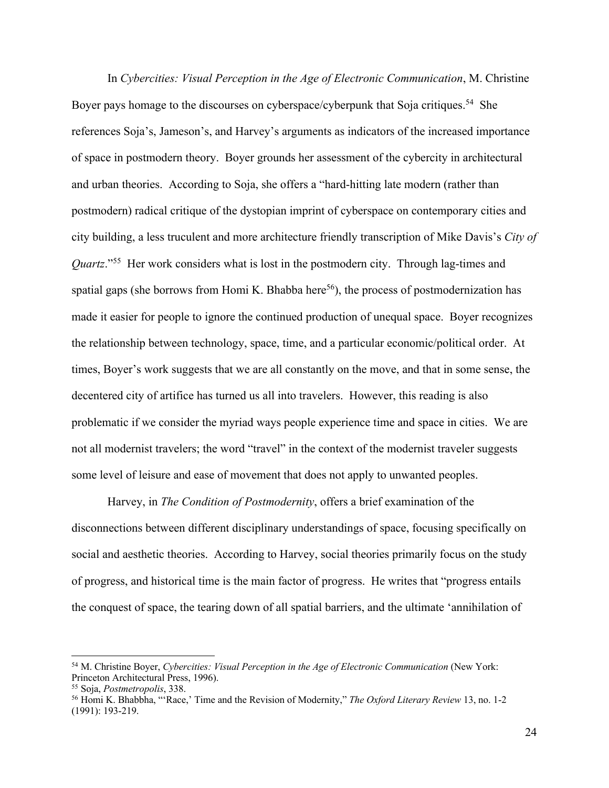In *Cybercities: Visual Perception in the Age of Electronic Communication*, M. Christine Boyer pays homage to the discourses on cyberspace/cyberpunk that Soja critiques.<sup>54</sup> She references Soja's, Jameson's, and Harvey's arguments as indicators of the increased importance of space in postmodern theory. Boyer grounds her assessment of the cybercity in architectural and urban theories. According to Soja, she offers a "hard-hitting late modern (rather than postmodern) radical critique of the dystopian imprint of cyberspace on contemporary cities and city building, a less truculent and more architecture friendly transcription of Mike Davis's *City of Quartz*."55 Her work considers what is lost in the postmodern city. Through lag-times and spatial gaps (she borrows from Homi K. Bhabba here<sup>56</sup>), the process of postmodernization has made it easier for people to ignore the continued production of unequal space. Boyer recognizes the relationship between technology, space, time, and a particular economic/political order. At times, Boyer's work suggests that we are all constantly on the move, and that in some sense, the decentered city of artifice has turned us all into travelers. However, this reading is also problematic if we consider the myriad ways people experience time and space in cities. We are not all modernist travelers; the word "travel" in the context of the modernist traveler suggests some level of leisure and ease of movement that does not apply to unwanted peoples.

Harvey, in *The Condition of Postmodernity*, offers a brief examination of the disconnections between different disciplinary understandings of space, focusing specifically on social and aesthetic theories. According to Harvey, social theories primarily focus on the study of progress, and historical time is the main factor of progress. He writes that "progress entails the conquest of space, the tearing down of all spatial barriers, and the ultimate 'annihilation of

 <sup>54</sup> M. Christine Boyer, *Cybercities: Visual Perception in the Age of Electronic Communication* (New York: Princeton Architectural Press, 1996).

<sup>&</sup>lt;sup>55</sup> Soja, *Postmetropolis*, 338.<br><sup>56</sup> Homi K. Bhabbha, "'Race,' Time and the Revision of Modernity," *The Oxford Literary Review* 13, no. 1-2 (1991): 193-219.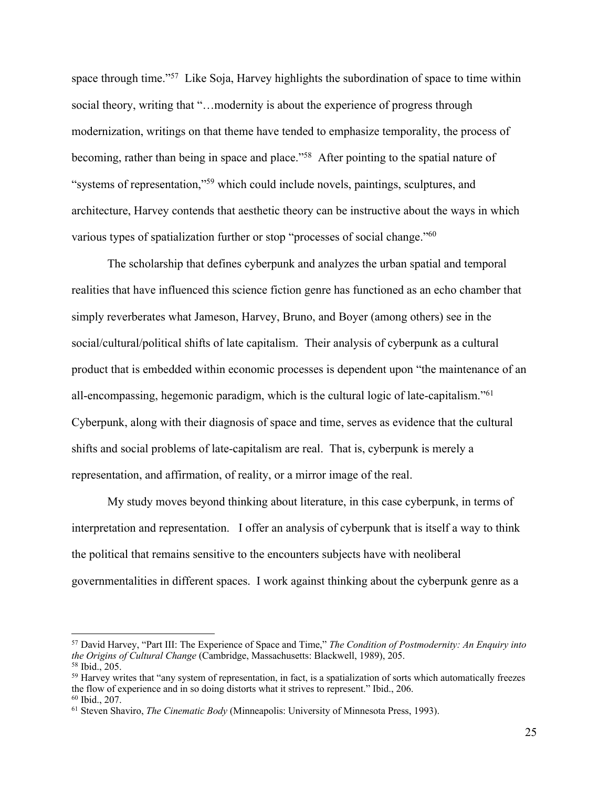space through time."<sup>57</sup> Like Soja, Harvey highlights the subordination of space to time within social theory, writing that "...modernity is about the experience of progress through modernization, writings on that theme have tended to emphasize temporality, the process of becoming, rather than being in space and place."58 After pointing to the spatial nature of "systems of representation,"59 which could include novels, paintings, sculptures, and architecture, Harvey contends that aesthetic theory can be instructive about the ways in which various types of spatialization further or stop "processes of social change."60

The scholarship that defines cyberpunk and analyzes the urban spatial and temporal realities that have influenced this science fiction genre has functioned as an echo chamber that simply reverberates what Jameson, Harvey, Bruno, and Boyer (among others) see in the social/cultural/political shifts of late capitalism. Their analysis of cyberpunk as a cultural product that is embedded within economic processes is dependent upon "the maintenance of an all-encompassing, hegemonic paradigm, which is the cultural logic of late-capitalism."61 Cyberpunk, along with their diagnosis of space and time, serves as evidence that the cultural shifts and social problems of late-capitalism are real. That is, cyberpunk is merely a representation, and affirmation, of reality, or a mirror image of the real.

My study moves beyond thinking about literature, in this case cyberpunk, in terms of interpretation and representation. I offer an analysis of cyberpunk that is itself a way to think the political that remains sensitive to the encounters subjects have with neoliberal governmentalities in different spaces. I work against thinking about the cyberpunk genre as a

 <sup>57</sup> David Harvey, "Part III: The Experience of Space and Time," *The Condition of Postmodernity: An Enquiry into the Origins of Cultural Change* (Cambridge, Massachusetts: Blackwell, 1989), 205.

<sup>&</sup>lt;sup>58</sup> Ibid., 205.<br><sup>59</sup> Harvey writes that "any system of representation, in fact, is a spatialization of sorts which automatically freezes the flow of experience and in so doing distorts what it strives to represent." Ibid., 206.<br><sup>60</sup> Ibid., 207.

<sup>&</sup>lt;sup>61</sup> Steven Shaviro, *The Cinematic Body* (Minneapolis: University of Minnesota Press, 1993).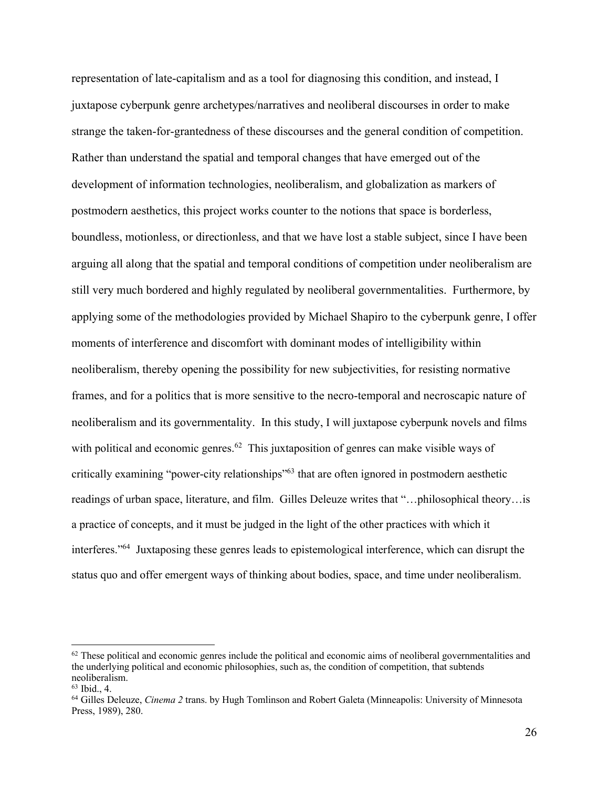representation of late-capitalism and as a tool for diagnosing this condition, and instead, I juxtapose cyberpunk genre archetypes/narratives and neoliberal discourses in order to make strange the taken-for-grantedness of these discourses and the general condition of competition. Rather than understand the spatial and temporal changes that have emerged out of the development of information technologies, neoliberalism, and globalization as markers of postmodern aesthetics, this project works counter to the notions that space is borderless, boundless, motionless, or directionless, and that we have lost a stable subject, since I have been arguing all along that the spatial and temporal conditions of competition under neoliberalism are still very much bordered and highly regulated by neoliberal governmentalities. Furthermore, by applying some of the methodologies provided by Michael Shapiro to the cyberpunk genre, I offer moments of interference and discomfort with dominant modes of intelligibility within neoliberalism, thereby opening the possibility for new subjectivities, for resisting normative frames, and for a politics that is more sensitive to the necro-temporal and necroscapic nature of neoliberalism and its governmentality. In this study, I will juxtapose cyberpunk novels and films with political and economic genres.<sup>62</sup> This juxtaposition of genres can make visible ways of critically examining "power-city relationships"<sup>63</sup> that are often ignored in postmodern aesthetic readings of urban space, literature, and film. Gilles Deleuze writes that "…philosophical theory…is a practice of concepts, and it must be judged in the light of the other practices with which it interferes."64 Juxtaposing these genres leads to epistemological interference, which can disrupt the status quo and offer emergent ways of thinking about bodies, space, and time under neoliberalism.

 $62$  These political and economic genres include the political and economic aims of neoliberal governmentalities and the underlying political and economic philosophies, such as, the condition of competition, that subtends neoliberalism.<br><sup>63</sup> Ibid., 4.

<sup>&</sup>lt;sup>64</sup> Gilles Deleuze, *Cinema 2* trans. by Hugh Tomlinson and Robert Galeta (Minneapolis: University of Minnesota Press, 1989), 280.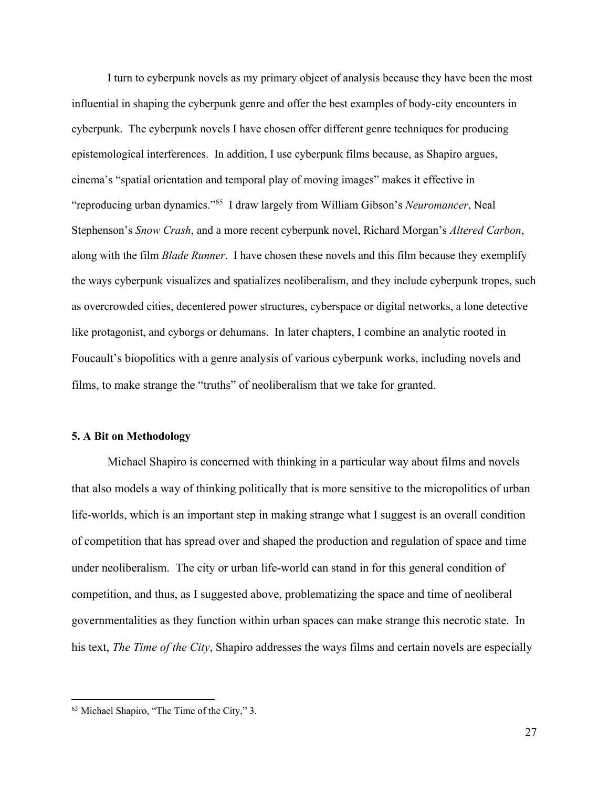I turn to cyberpunk novels as my primary object of analysis because they have been the most influential in shaping the cyberpunk genre and offer the best examples of body-city encounters in cyberpunk. The cyberpunk novels I have chosen offer different genre techniques for producing epistemological interferences. In addition, I use cyberpunk films because, as Shapiro argues, cinema's "spatial orientation and temporal play of moving images" makes it effective in "reproducing urban dynamics."65 I draw largely from William Gibson's *Neuromancer*, Neal Stephenson's *Snow Crash*, and a more recent cyberpunk novel, Richard Morgan's *Altered Carbon*, along with the film *Blade Runner*. I have chosen these novels and this film because they exemplify the ways cyberpunk visualizes and spatializes neoliberalism, and they include cyberpunk tropes, such as overcrowded cities, decentered power structures, cyberspace or digital networks, a lone detective like protagonist, and cyborgs or dehumans. In later chapters, I combine an analytic rooted in Foucault's biopolitics with a genre analysis of various cyberpunk works, including novels and films, to make strange the "truths" of neoliberalism that we take for granted.

#### **5. A Bit on Methodology**

Michael Shapiro is concerned with thinking in a particular way about films and novels that also models a way of thinking politically that is more sensitive to the micropolitics of urban life-worlds, which is an important step in making strange what I suggest is an overall condition of competition that has spread over and shaped the production and regulation of space and time under neoliberalism. The city or urban life-world can stand in for this general condition of competition, and thus, as I suggested above, problematizing the space and time of neoliberal governmentalities as they function within urban spaces can make strange this necrotic state. In his text, *The Time of the City*, Shapiro addresses the ways films and certain novels are especially

 <sup>65</sup> Michael Shapiro, "The Time of the City," 3.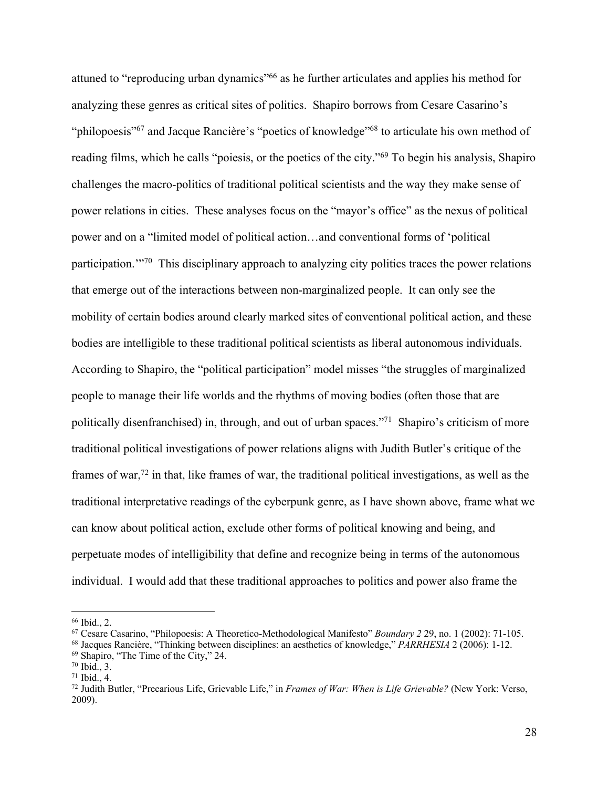attuned to "reproducing urban dynamics"66 as he further articulates and applies his method for analyzing these genres as critical sites of politics. Shapiro borrows from Cesare Casarino's "philopoesis"<sup>67</sup> and Jacque Rancière's "poetics of knowledge"<sup>68</sup> to articulate his own method of reading films, which he calls "poiesis, or the poetics of the city."69 To begin his analysis, Shapiro challenges the macro-politics of traditional political scientists and the way they make sense of power relations in cities. These analyses focus on the "mayor's office" as the nexus of political power and on a "limited model of political action…and conventional forms of 'political participation.'"70 This disciplinary approach to analyzing city politics traces the power relations that emerge out of the interactions between non-marginalized people. It can only see the mobility of certain bodies around clearly marked sites of conventional political action, and these bodies are intelligible to these traditional political scientists as liberal autonomous individuals. According to Shapiro, the "political participation" model misses "the struggles of marginalized people to manage their life worlds and the rhythms of moving bodies (often those that are politically disenfranchised) in, through, and out of urban spaces."71 Shapiro's criticism of more traditional political investigations of power relations aligns with Judith Butler's critique of the frames of war,<sup>72</sup> in that, like frames of war, the traditional political investigations, as well as the traditional interpretative readings of the cyberpunk genre, as I have shown above, frame what we can know about political action, exclude other forms of political knowing and being, and perpetuate modes of intelligibility that define and recognize being in terms of the autonomous individual. I would add that these traditional approaches to politics and power also frame the

<sup>&</sup>lt;sup>66</sup> Ibid., 2.<br><sup>67</sup> Cesare Casarino, "Philopoesis: A Theoretico-Methodological Manifesto" *Boundary 2 29*, no. 1 (2002): 71-105.<br><sup>68</sup> Jacques Rancière, "Thinking between disciplines: an aesthetics of knowledge," *PARRHESI* 

<sup>72</sup> Judith Butler, "Precarious Life, Grievable Life," in *Frames of War: When is Life Grievable?* (New York: Verso, 2009).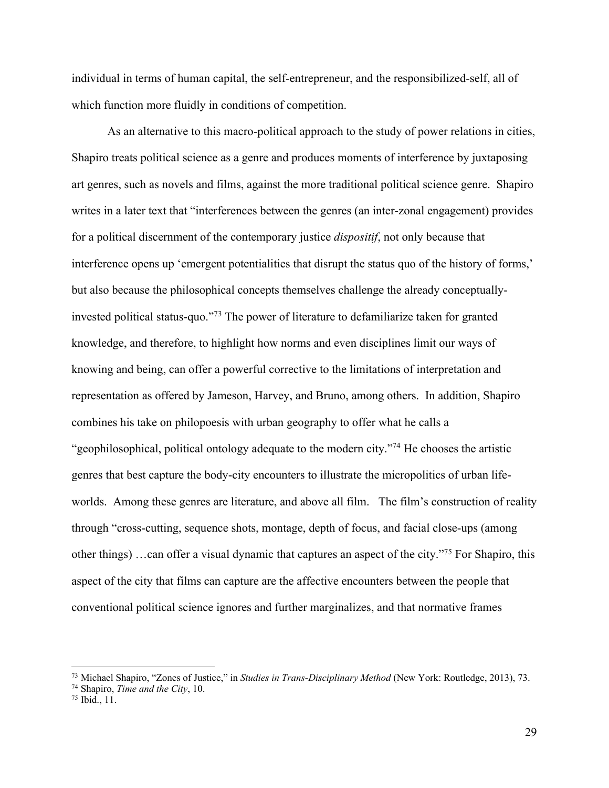individual in terms of human capital, the self-entrepreneur, and the responsibilized-self, all of which function more fluidly in conditions of competition.

As an alternative to this macro-political approach to the study of power relations in cities, Shapiro treats political science as a genre and produces moments of interference by juxtaposing art genres, such as novels and films, against the more traditional political science genre. Shapiro writes in a later text that "interferences between the genres (an inter-zonal engagement) provides for a political discernment of the contemporary justice *dispositif*, not only because that interference opens up 'emergent potentialities that disrupt the status quo of the history of forms,' but also because the philosophical concepts themselves challenge the already conceptuallyinvested political status-quo."73 The power of literature to defamiliarize taken for granted knowledge, and therefore, to highlight how norms and even disciplines limit our ways of knowing and being, can offer a powerful corrective to the limitations of interpretation and representation as offered by Jameson, Harvey, and Bruno, among others. In addition, Shapiro combines his take on philopoesis with urban geography to offer what he calls a "geophilosophical, political ontology adequate to the modern city."<sup>74</sup> He chooses the artistic genres that best capture the body-city encounters to illustrate the micropolitics of urban lifeworlds. Among these genres are literature, and above all film. The film's construction of reality through "cross-cutting, sequence shots, montage, depth of focus, and facial close-ups (among other things) …can offer a visual dynamic that captures an aspect of the city."75 For Shapiro, this aspect of the city that films can capture are the affective encounters between the people that conventional political science ignores and further marginalizes, and that normative frames

<sup>&</sup>lt;sup>73</sup> Michael Shapiro, "Zones of Justice," in *Studies in Trans-Disciplinary Method* (New York: Routledge, 2013), 73.<br><sup>74</sup> Shapiro, *Time and the City*, 10. *75* Ibid., 11.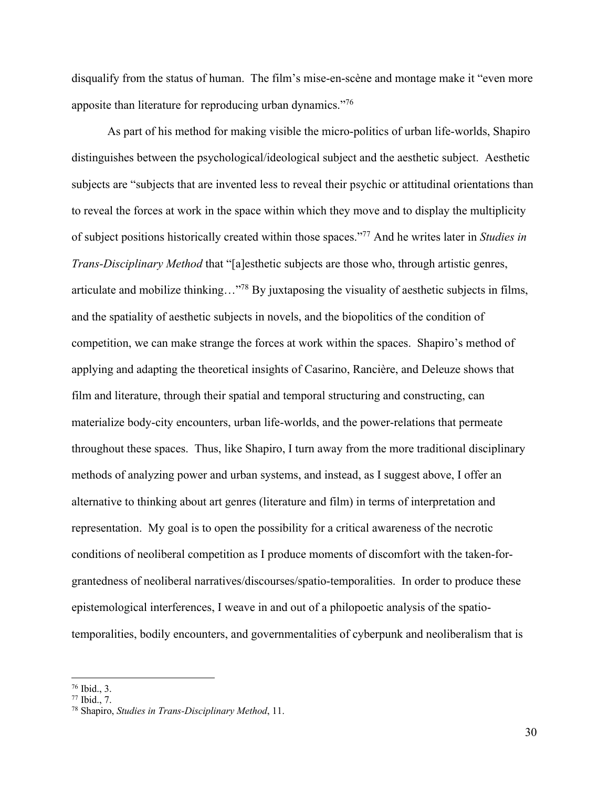disqualify from the status of human. The film's mise-en-scène and montage make it "even more apposite than literature for reproducing urban dynamics."76

As part of his method for making visible the micro-politics of urban life-worlds, Shapiro distinguishes between the psychological/ideological subject and the aesthetic subject. Aesthetic subjects are "subjects that are invented less to reveal their psychic or attitudinal orientations than to reveal the forces at work in the space within which they move and to display the multiplicity of subject positions historically created within those spaces."77 And he writes later in *Studies in Trans-Disciplinary Method* that "[a]esthetic subjects are those who, through artistic genres, articulate and mobilize thinking…"78 By juxtaposing the visuality of aesthetic subjects in films, and the spatiality of aesthetic subjects in novels, and the biopolitics of the condition of competition, we can make strange the forces at work within the spaces. Shapiro's method of applying and adapting the theoretical insights of Casarino, Rancière, and Deleuze shows that film and literature, through their spatial and temporal structuring and constructing, can materialize body-city encounters, urban life-worlds, and the power-relations that permeate throughout these spaces. Thus, like Shapiro, I turn away from the more traditional disciplinary methods of analyzing power and urban systems, and instead, as I suggest above, I offer an alternative to thinking about art genres (literature and film) in terms of interpretation and representation. My goal is to open the possibility for a critical awareness of the necrotic conditions of neoliberal competition as I produce moments of discomfort with the taken-forgrantedness of neoliberal narratives/discourses/spatio-temporalities. In order to produce these epistemological interferences, I weave in and out of a philopoetic analysis of the spatiotemporalities, bodily encounters, and governmentalities of cyberpunk and neoliberalism that is

<sup>&</sup>lt;sup>76</sup> Ibid., 3.<br><sup>77</sup> Ibid., 7.<br><sup>78</sup> Shapiro, *Studies in Trans-Disciplinary Method*, 11.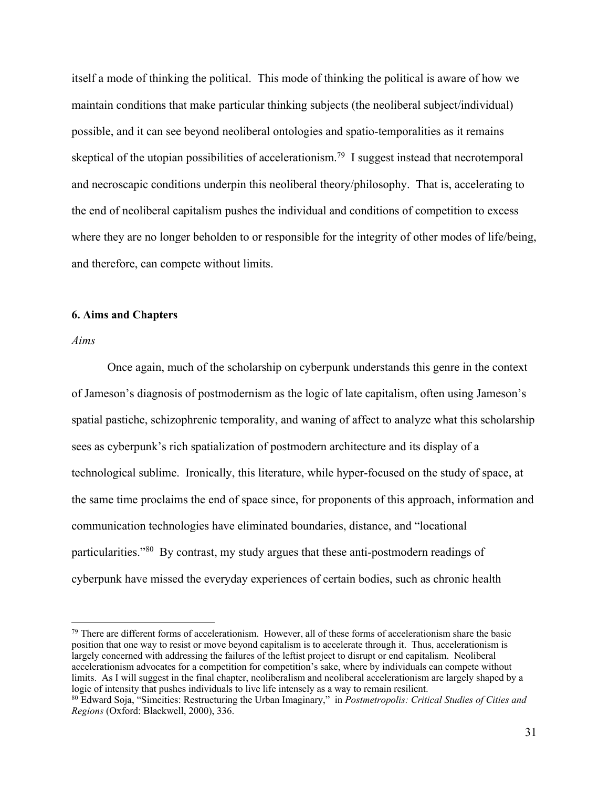itself a mode of thinking the political. This mode of thinking the political is aware of how we maintain conditions that make particular thinking subjects (the neoliberal subject/individual) possible, and it can see beyond neoliberal ontologies and spatio-temporalities as it remains skeptical of the utopian possibilities of accelerationism.<sup>79</sup> I suggest instead that necrotemporal and necroscapic conditions underpin this neoliberal theory/philosophy. That is, accelerating to the end of neoliberal capitalism pushes the individual and conditions of competition to excess where they are no longer beholden to or responsible for the integrity of other modes of life/being, and therefore, can compete without limits.

#### **6. Aims and Chapters**

*Aims*

Once again, much of the scholarship on cyberpunk understands this genre in the context of Jameson's diagnosis of postmodernism as the logic of late capitalism, often using Jameson's spatial pastiche, schizophrenic temporality, and waning of affect to analyze what this scholarship sees as cyberpunk's rich spatialization of postmodern architecture and its display of a technological sublime. Ironically, this literature, while hyper-focused on the study of space, at the same time proclaims the end of space since, for proponents of this approach, information and communication technologies have eliminated boundaries, distance, and "locational particularities."80 By contrast, my study argues that these anti-postmodern readings of cyberpunk have missed the everyday experiences of certain bodies, such as chronic health

<sup>&</sup>lt;sup>79</sup> There are different forms of accelerationism. However, all of these forms of accelerationism share the basic position that one way to resist or move beyond capitalism is to accelerate through it. Thus, accelerationism is largely concerned with addressing the failures of the leftist project to disrupt or end capitalism. Neoliberal accelerationism advocates for a competition for competition's sake, where by individuals can compete without limits. As I will suggest in the final chapter, neoliberalism and neoliberal accelerationism are largely shaped by a logic of intensity that pushes individuals to live life intensely as a way to remain resilient.

<sup>&</sup>lt;sup>80</sup> Edward Soja, "Simcities: Restructuring the Urban Imaginary," in *Postmetropolis: Critical Studies of Cities and Regions* (Oxford: Blackwell, 2000), 336.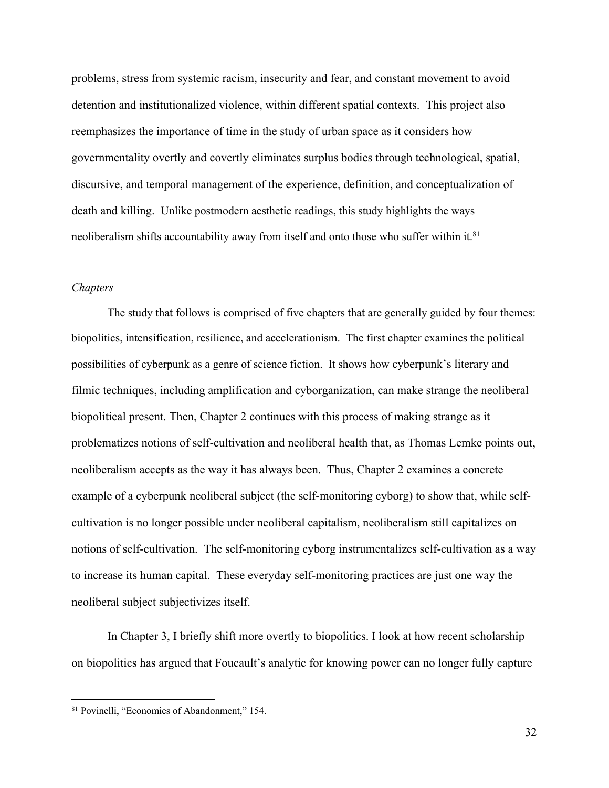problems, stress from systemic racism, insecurity and fear, and constant movement to avoid detention and institutionalized violence, within different spatial contexts. This project also reemphasizes the importance of time in the study of urban space as it considers how governmentality overtly and covertly eliminates surplus bodies through technological, spatial, discursive, and temporal management of the experience, definition, and conceptualization of death and killing. Unlike postmodern aesthetic readings, this study highlights the ways neoliberalism shifts accountability away from itself and onto those who suffer within it.<sup>81</sup>

# *Chapters*

The study that follows is comprised of five chapters that are generally guided by four themes: biopolitics, intensification, resilience, and accelerationism. The first chapter examines the political possibilities of cyberpunk as a genre of science fiction. It shows how cyberpunk's literary and filmic techniques, including amplification and cyborganization, can make strange the neoliberal biopolitical present. Then, Chapter 2 continues with this process of making strange as it problematizes notions of self-cultivation and neoliberal health that, as Thomas Lemke points out, neoliberalism accepts as the way it has always been. Thus, Chapter 2 examines a concrete example of a cyberpunk neoliberal subject (the self-monitoring cyborg) to show that, while selfcultivation is no longer possible under neoliberal capitalism, neoliberalism still capitalizes on notions of self-cultivation. The self-monitoring cyborg instrumentalizes self-cultivation as a way to increase its human capital. These everyday self-monitoring practices are just one way the neoliberal subject subjectivizes itself.

In Chapter 3, I briefly shift more overtly to biopolitics. I look at how recent scholarship on biopolitics has argued that Foucault's analytic for knowing power can no longer fully capture

 <sup>81</sup> Povinelli, "Economies of Abandonment," 154.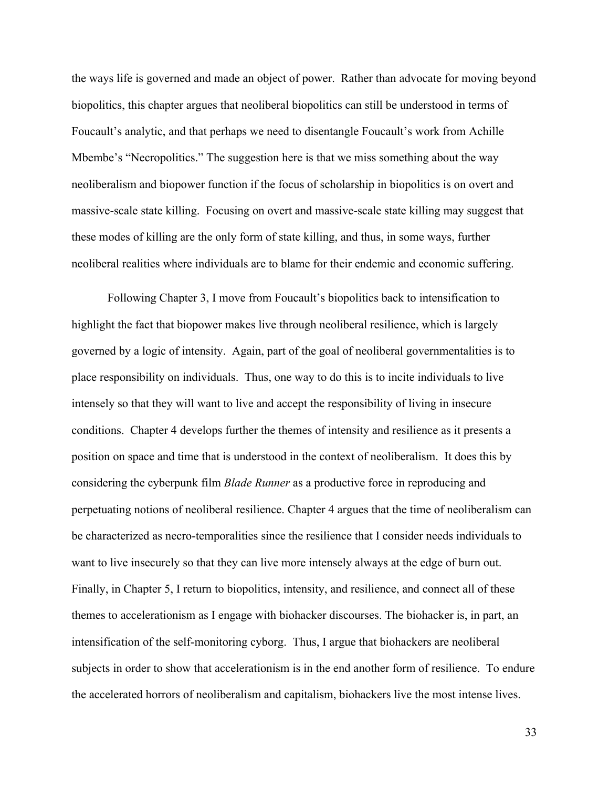the ways life is governed and made an object of power. Rather than advocate for moving beyond biopolitics, this chapter argues that neoliberal biopolitics can still be understood in terms of Foucault's analytic, and that perhaps we need to disentangle Foucault's work from Achille Mbembe's "Necropolitics." The suggestion here is that we miss something about the way neoliberalism and biopower function if the focus of scholarship in biopolitics is on overt and massive-scale state killing. Focusing on overt and massive-scale state killing may suggest that these modes of killing are the only form of state killing, and thus, in some ways, further neoliberal realities where individuals are to blame for their endemic and economic suffering.

Following Chapter 3, I move from Foucault's biopolitics back to intensification to highlight the fact that biopower makes live through neoliberal resilience, which is largely governed by a logic of intensity. Again, part of the goal of neoliberal governmentalities is to place responsibility on individuals. Thus, one way to do this is to incite individuals to live intensely so that they will want to live and accept the responsibility of living in insecure conditions. Chapter 4 develops further the themes of intensity and resilience as it presents a position on space and time that is understood in the context of neoliberalism. It does this by considering the cyberpunk film *Blade Runner* as a productive force in reproducing and perpetuating notions of neoliberal resilience. Chapter 4 argues that the time of neoliberalism can be characterized as necro-temporalities since the resilience that I consider needs individuals to want to live insecurely so that they can live more intensely always at the edge of burn out. Finally, in Chapter 5, I return to biopolitics, intensity, and resilience, and connect all of these themes to accelerationism as I engage with biohacker discourses. The biohacker is, in part, an intensification of the self-monitoring cyborg. Thus, I argue that biohackers are neoliberal subjects in order to show that accelerationism is in the end another form of resilience. To endure the accelerated horrors of neoliberalism and capitalism, biohackers live the most intense lives.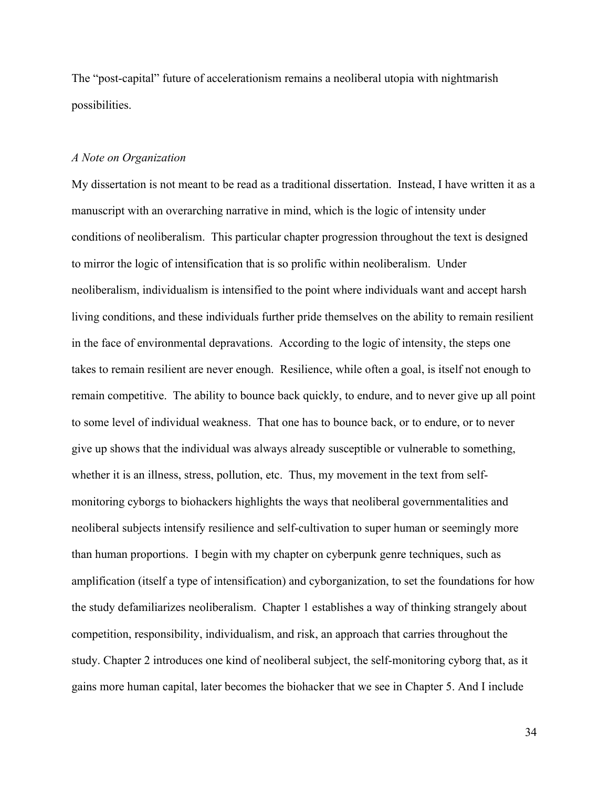The "post-capital" future of accelerationism remains a neoliberal utopia with nightmarish possibilities.

### *A Note on Organization*

My dissertation is not meant to be read as a traditional dissertation. Instead, I have written it as a manuscript with an overarching narrative in mind, which is the logic of intensity under conditions of neoliberalism. This particular chapter progression throughout the text is designed to mirror the logic of intensification that is so prolific within neoliberalism. Under neoliberalism, individualism is intensified to the point where individuals want and accept harsh living conditions, and these individuals further pride themselves on the ability to remain resilient in the face of environmental depravations. According to the logic of intensity, the steps one takes to remain resilient are never enough. Resilience, while often a goal, is itself not enough to remain competitive. The ability to bounce back quickly, to endure, and to never give up all point to some level of individual weakness. That one has to bounce back, or to endure, or to never give up shows that the individual was always already susceptible or vulnerable to something, whether it is an illness, stress, pollution, etc. Thus, my movement in the text from selfmonitoring cyborgs to biohackers highlights the ways that neoliberal governmentalities and neoliberal subjects intensify resilience and self-cultivation to super human or seemingly more than human proportions. I begin with my chapter on cyberpunk genre techniques, such as amplification (itself a type of intensification) and cyborganization, to set the foundations for how the study defamiliarizes neoliberalism. Chapter 1 establishes a way of thinking strangely about competition, responsibility, individualism, and risk, an approach that carries throughout the study. Chapter 2 introduces one kind of neoliberal subject, the self-monitoring cyborg that, as it gains more human capital, later becomes the biohacker that we see in Chapter 5. And I include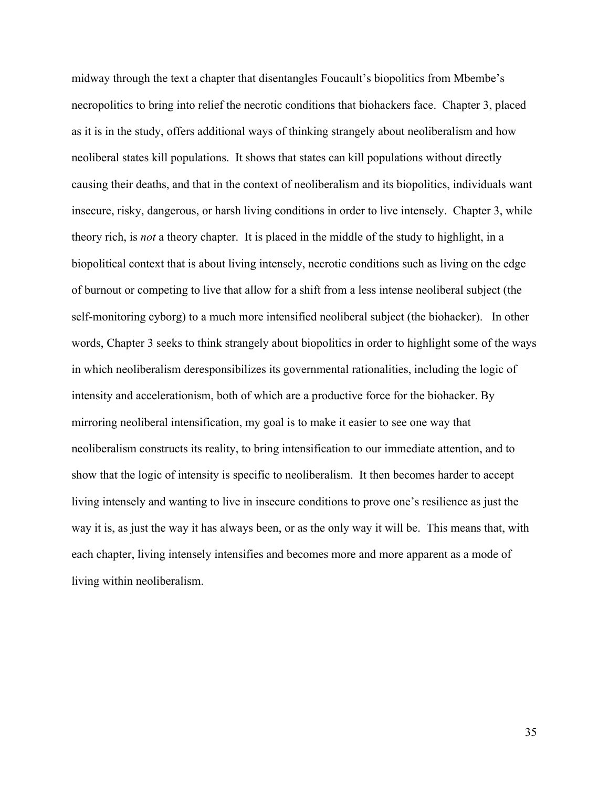midway through the text a chapter that disentangles Foucault's biopolitics from Mbembe's necropolitics to bring into relief the necrotic conditions that biohackers face. Chapter 3, placed as it is in the study, offers additional ways of thinking strangely about neoliberalism and how neoliberal states kill populations. It shows that states can kill populations without directly causing their deaths, and that in the context of neoliberalism and its biopolitics, individuals want insecure, risky, dangerous, or harsh living conditions in order to live intensely. Chapter 3, while theory rich, is *not* a theory chapter. It is placed in the middle of the study to highlight, in a biopolitical context that is about living intensely, necrotic conditions such as living on the edge of burnout or competing to live that allow for a shift from a less intense neoliberal subject (the self-monitoring cyborg) to a much more intensified neoliberal subject (the biohacker). In other words, Chapter 3 seeks to think strangely about biopolitics in order to highlight some of the ways in which neoliberalism deresponsibilizes its governmental rationalities, including the logic of intensity and accelerationism, both of which are a productive force for the biohacker. By mirroring neoliberal intensification, my goal is to make it easier to see one way that neoliberalism constructs its reality, to bring intensification to our immediate attention, and to show that the logic of intensity is specific to neoliberalism. It then becomes harder to accept living intensely and wanting to live in insecure conditions to prove one's resilience as just the way it is, as just the way it has always been, or as the only way it will be. This means that, with each chapter, living intensely intensifies and becomes more and more apparent as a mode of living within neoliberalism.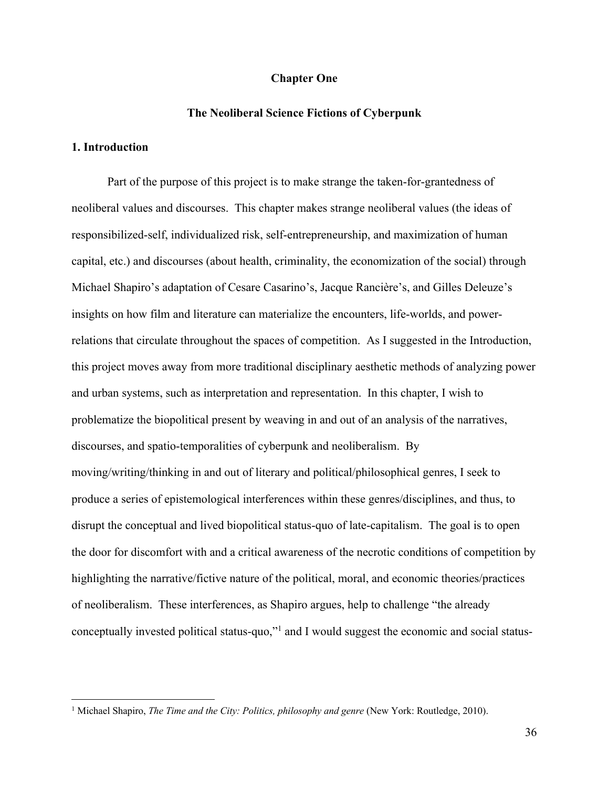### **Chapter One**

### **The Neoliberal Science Fictions of Cyberpunk**

# **1. Introduction**

Part of the purpose of this project is to make strange the taken-for-grantedness of neoliberal values and discourses. This chapter makes strange neoliberal values (the ideas of responsibilized-self, individualized risk, self-entrepreneurship, and maximization of human capital, etc.) and discourses (about health, criminality, the economization of the social) through Michael Shapiro's adaptation of Cesare Casarino's, Jacque Rancière's, and Gilles Deleuze's insights on how film and literature can materialize the encounters, life-worlds, and powerrelations that circulate throughout the spaces of competition. As I suggested in the Introduction, this project moves away from more traditional disciplinary aesthetic methods of analyzing power and urban systems, such as interpretation and representation. In this chapter, I wish to problematize the biopolitical present by weaving in and out of an analysis of the narratives, discourses, and spatio-temporalities of cyberpunk and neoliberalism. By moving/writing/thinking in and out of literary and political/philosophical genres, I seek to produce a series of epistemological interferences within these genres/disciplines, and thus, to disrupt the conceptual and lived biopolitical status-quo of late-capitalism. The goal is to open the door for discomfort with and a critical awareness of the necrotic conditions of competition by highlighting the narrative/fictive nature of the political, moral, and economic theories/practices of neoliberalism. These interferences, as Shapiro argues, help to challenge "the already conceptually invested political status-quo,"1 and I would suggest the economic and social status-

 <sup>1</sup> Michael Shapiro, *The Time and the City: Politics, philosophy and genre* (New York: Routledge, 2010).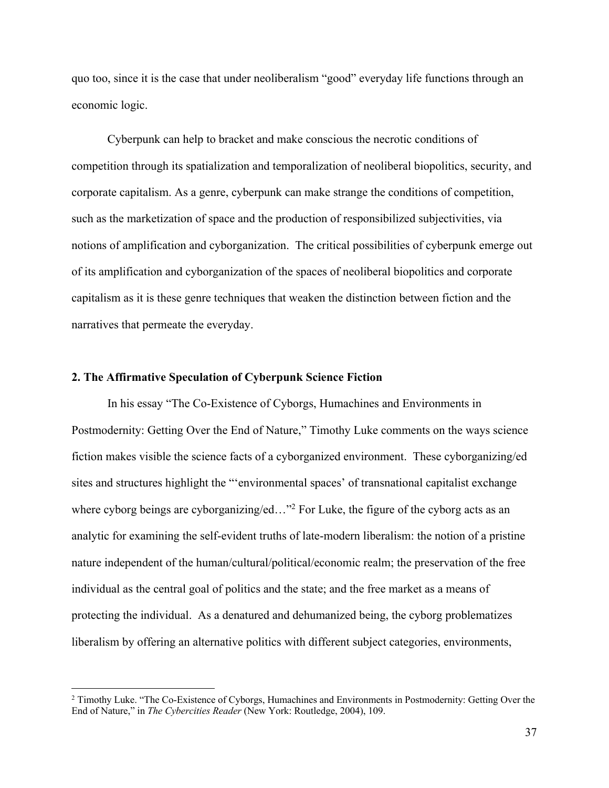quo too, since it is the case that under neoliberalism "good" everyday life functions through an economic logic.

Cyberpunk can help to bracket and make conscious the necrotic conditions of competition through its spatialization and temporalization of neoliberal biopolitics, security, and corporate capitalism. As a genre, cyberpunk can make strange the conditions of competition, such as the marketization of space and the production of responsibilized subjectivities, via notions of amplification and cyborganization. The critical possibilities of cyberpunk emerge out of its amplification and cyborganization of the spaces of neoliberal biopolitics and corporate capitalism as it is these genre techniques that weaken the distinction between fiction and the narratives that permeate the everyday.

# **2. The Affirmative Speculation of Cyberpunk Science Fiction**

In his essay "The Co-Existence of Cyborgs, Humachines and Environments in Postmodernity: Getting Over the End of Nature," Timothy Luke comments on the ways science fiction makes visible the science facts of a cyborganized environment. These cyborganizing/ed sites and structures highlight the "'environmental spaces' of transnational capitalist exchange where cyborg beings are cyborganizing/ed..."<sup>2</sup> For Luke, the figure of the cyborg acts as an analytic for examining the self-evident truths of late-modern liberalism: the notion of a pristine nature independent of the human/cultural/political/economic realm; the preservation of the free individual as the central goal of politics and the state; and the free market as a means of protecting the individual. As a denatured and dehumanized being, the cyborg problematizes liberalism by offering an alternative politics with different subject categories, environments,

 <sup>2</sup> Timothy Luke. "The Co-Existence of Cyborgs, Humachines and Environments in Postmodernity: Getting Over the End of Nature," in *The Cybercities Reader* (New York: Routledge, 2004), 109.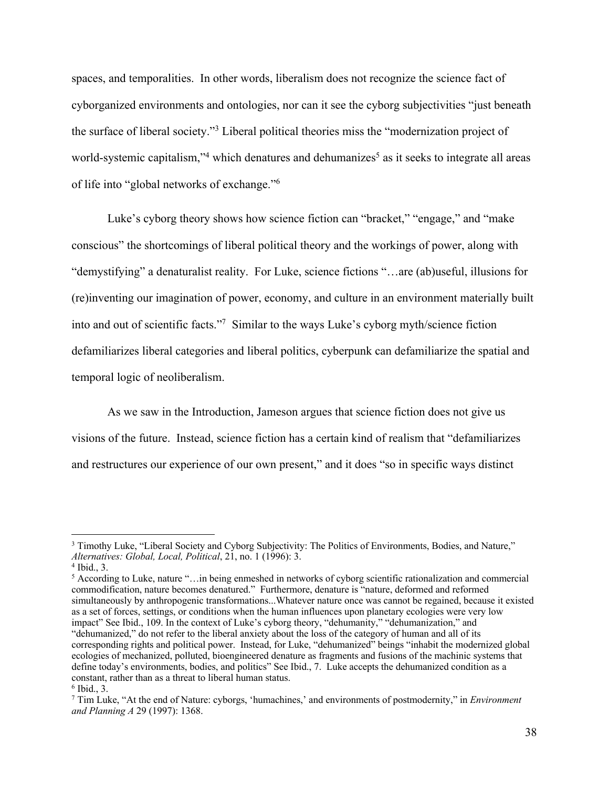spaces, and temporalities. In other words, liberalism does not recognize the science fact of cyborganized environments and ontologies, nor can it see the cyborg subjectivities "just beneath the surface of liberal society."3 Liberal political theories miss the "modernization project of world-systemic capitalism,"<sup>4</sup> which denatures and dehumanizes<sup>5</sup> as it seeks to integrate all areas of life into "global networks of exchange."6

Luke's cyborg theory shows how science fiction can "bracket," "engage," and "make conscious" the shortcomings of liberal political theory and the workings of power, along with "demystifying" a denaturalist reality. For Luke, science fictions "…are (ab)useful, illusions for (re)inventing our imagination of power, economy, and culture in an environment materially built into and out of scientific facts."7 Similar to the ways Luke's cyborg myth/science fiction defamiliarizes liberal categories and liberal politics, cyberpunk can defamiliarize the spatial and temporal logic of neoliberalism.

As we saw in the Introduction, Jameson argues that science fiction does not give us visions of the future. Instead, science fiction has a certain kind of realism that "defamiliarizes and restructures our experience of our own present," and it does "so in specific ways distinct

 <sup>3</sup> Timothy Luke, "Liberal Society and Cyborg Subjectivity: The Politics of Environments, Bodies, and Nature," *Alternatives: Global, Local, Political*, 21, no. 1 (1996): 3.

<sup>4</sup> Ibid., 3.

<sup>5</sup> According to Luke, nature "…in being enmeshed in networks of cyborg scientific rationalization and commercial commodification, nature becomes denatured." Furthermore, denature is "nature, deformed and reformed simultaneously by anthropogenic transformations...Whatever nature once was cannot be regained, because it existed as a set of forces, settings, or conditions when the human influences upon planetary ecologies were very low impact" See Ibid., 109. In the context of Luke's cyborg theory, "dehumanity," "dehumanization," and "dehumanized," do not refer to the liberal anxiety about the loss of the category of human and all of its corresponding rights and political power. Instead, for Luke, "dehumanized" beings "inhabit the modernized global ecologies of mechanized, polluted, bioengineered denature as fragments and fusions of the machinic systems that define today's environments, bodies, and politics" See Ibid., 7. Luke accepts the dehumanized condition as a constant, rather than as a threat to liberal human status.

<sup>6</sup> Ibid., 3.

<sup>7</sup> Tim Luke, "At the end of Nature: cyborgs, 'humachines,' and environments of postmodernity," in *Environment and Planning A* 29 (1997): 1368.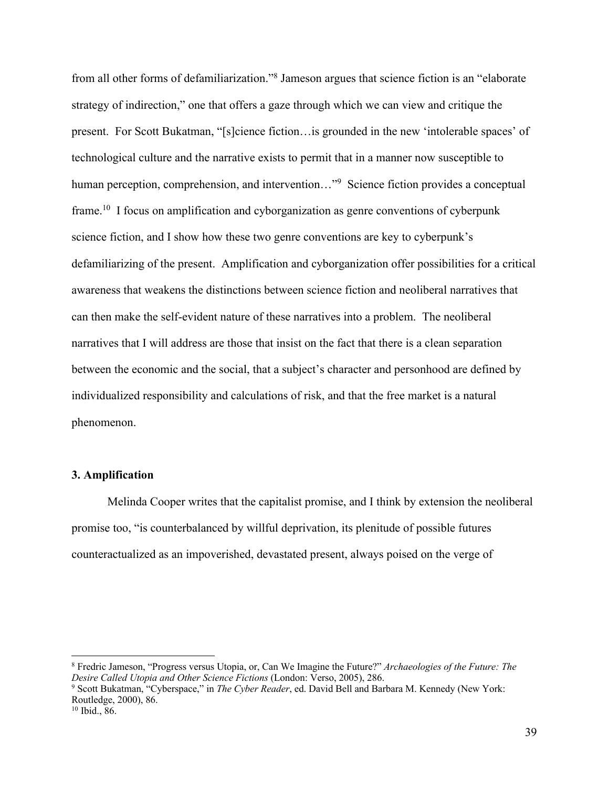from all other forms of defamiliarization."8 Jameson argues that science fiction is an "elaborate strategy of indirection," one that offers a gaze through which we can view and critique the present. For Scott Bukatman, "[s]cience fiction…is grounded in the new 'intolerable spaces' of technological culture and the narrative exists to permit that in a manner now susceptible to human perception, comprehension, and intervention..."<sup>9</sup> Science fiction provides a conceptual frame.<sup>10</sup> I focus on amplification and cyborganization as genre conventions of cyberpunk science fiction, and I show how these two genre conventions are key to cyberpunk's defamiliarizing of the present. Amplification and cyborganization offer possibilities for a critical awareness that weakens the distinctions between science fiction and neoliberal narratives that can then make the self-evident nature of these narratives into a problem. The neoliberal narratives that I will address are those that insist on the fact that there is a clean separation between the economic and the social, that a subject's character and personhood are defined by individualized responsibility and calculations of risk, and that the free market is a natural phenomenon.

# **3. Amplification**

Melinda Cooper writes that the capitalist promise, and I think by extension the neoliberal promise too, "is counterbalanced by willful deprivation, its plenitude of possible futures counteractualized as an impoverished, devastated present, always poised on the verge of

 <sup>8</sup> Fredric Jameson, "Progress versus Utopia, or, Can We Imagine the Future?" *Archaeologies of the Future: The Desire Called Utopia and Other Science Fictions* (London: Verso, 2005), 286.

<sup>9</sup> Scott Bukatman, "Cyberspace," in *The Cyber Reader*, ed. David Bell and Barbara M. Kennedy (New York: Routledge, 2000), 86.

<sup>10</sup> Ibid., 86.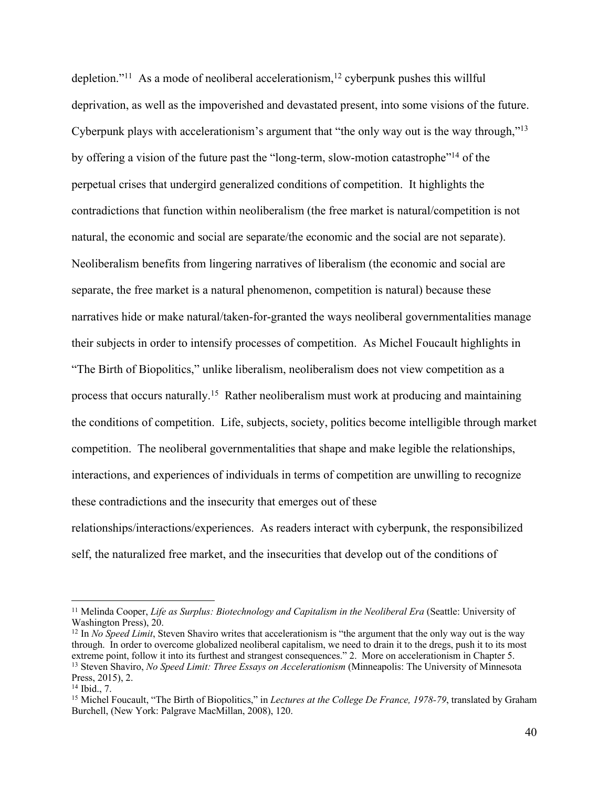depletion."<sup>11</sup> As a mode of neoliberal accelerationism,<sup>12</sup> cyberpunk pushes this willful deprivation, as well as the impoverished and devastated present, into some visions of the future. Cyberpunk plays with accelerationism's argument that "the only way out is the way through,"13 by offering a vision of the future past the "long-term, slow-motion catastrophe"14 of the perpetual crises that undergird generalized conditions of competition. It highlights the contradictions that function within neoliberalism (the free market is natural/competition is not natural, the economic and social are separate/the economic and the social are not separate). Neoliberalism benefits from lingering narratives of liberalism (the economic and social are separate, the free market is a natural phenomenon, competition is natural) because these narratives hide or make natural/taken-for-granted the ways neoliberal governmentalities manage their subjects in order to intensify processes of competition. As Michel Foucault highlights in "The Birth of Biopolitics," unlike liberalism, neoliberalism does not view competition as a process that occurs naturally.15 Rather neoliberalism must work at producing and maintaining the conditions of competition. Life, subjects, society, politics become intelligible through market competition. The neoliberal governmentalities that shape and make legible the relationships, interactions, and experiences of individuals in terms of competition are unwilling to recognize these contradictions and the insecurity that emerges out of these relationships/interactions/experiences. As readers interact with cyberpunk, the responsibilized self, the naturalized free market, and the insecurities that develop out of the conditions of

 <sup>11</sup> Melinda Cooper, *Life as Surplus: Biotechnology and Capitalism in the Neoliberal Era* (Seattle: University of Washington Press), 20.

<sup>12</sup> In *No Speed Limit*, Steven Shaviro writes that accelerationism is "the argument that the only way out is the way through. In order to overcome globalized neoliberal capitalism, we need to drain it to the dregs, push it to its most extreme point, follow it into its furthest and strangest consequences." 2. More on accelerationism in Chapter 5. <sup>13</sup> Steven Shaviro, *No Speed Limit: Three Essays on Accelerationism* (Minneapolis: The University of Minnesota Press, 2015), 2.

<sup>14</sup> Ibid., 7.

<sup>&</sup>lt;sup>15</sup> Michel Foucault, "The Birth of Biopolitics," in *Lectures at the College De France, 1978-79*, translated by Graham Burchell, (New York: Palgrave MacMillan, 2008), 120.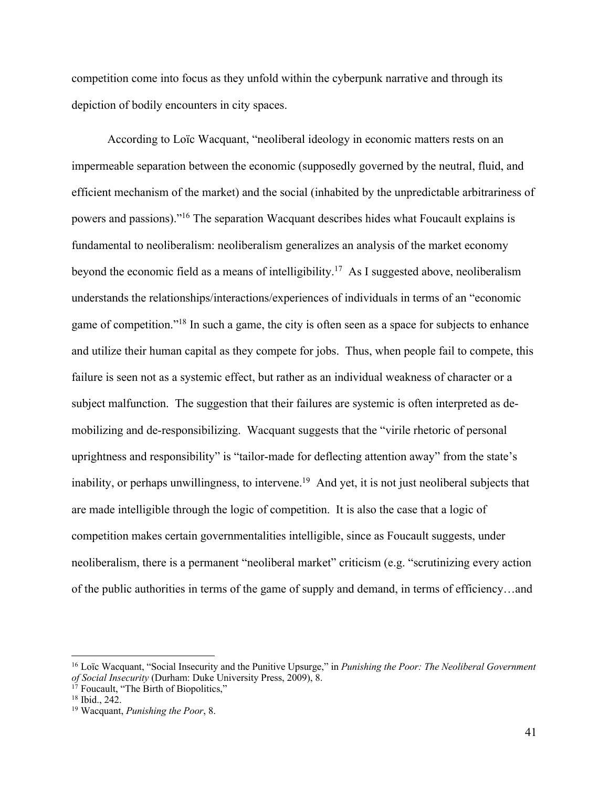competition come into focus as they unfold within the cyberpunk narrative and through its depiction of bodily encounters in city spaces.

According to Loïc Wacquant, "neoliberal ideology in economic matters rests on an impermeable separation between the economic (supposedly governed by the neutral, fluid, and efficient mechanism of the market) and the social (inhabited by the unpredictable arbitrariness of powers and passions)."16 The separation Wacquant describes hides what Foucault explains is fundamental to neoliberalism: neoliberalism generalizes an analysis of the market economy beyond the economic field as a means of intelligibility.<sup>17</sup> As I suggested above, neoliberalism understands the relationships/interactions/experiences of individuals in terms of an "economic game of competition."<sup>18</sup> In such a game, the city is often seen as a space for subjects to enhance and utilize their human capital as they compete for jobs. Thus, when people fail to compete, this failure is seen not as a systemic effect, but rather as an individual weakness of character or a subject malfunction. The suggestion that their failures are systemic is often interpreted as demobilizing and de-responsibilizing. Wacquant suggests that the "virile rhetoric of personal uprightness and responsibility" is "tailor-made for deflecting attention away" from the state's inability, or perhaps unwillingness, to intervene.<sup>19</sup> And yet, it is not just neoliberal subjects that are made intelligible through the logic of competition. It is also the case that a logic of competition makes certain governmentalities intelligible, since as Foucault suggests, under neoliberalism, there is a permanent "neoliberal market" criticism (e.g. "scrutinizing every action of the public authorities in terms of the game of supply and demand, in terms of efficiency…and

 <sup>16</sup> Loïc Wacquant, "Social Insecurity and the Punitive Upsurge," in *Punishing the Poor: The Neoliberal Government of Social Insecurity* (Durham: Duke University Press, 2009), 8. 17 Foucault, "The Birth of Biopolitics,"

<sup>18</sup> Ibid., 242.

<sup>19</sup> Wacquant, *Punishing the Poor*, 8.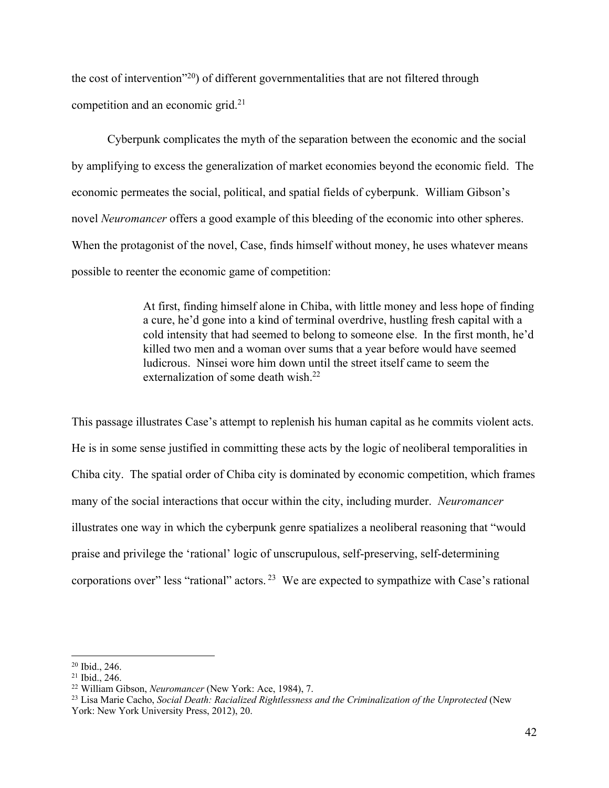the cost of intervention<sup> $20$ </sup>) of different governmentalities that are not filtered through competition and an economic grid.<sup>21</sup>

Cyberpunk complicates the myth of the separation between the economic and the social by amplifying to excess the generalization of market economies beyond the economic field. The economic permeates the social, political, and spatial fields of cyberpunk. William Gibson's novel *Neuromancer* offers a good example of this bleeding of the economic into other spheres. When the protagonist of the novel, Case, finds himself without money, he uses whatever means possible to reenter the economic game of competition:

> At first, finding himself alone in Chiba, with little money and less hope of finding a cure, he'd gone into a kind of terminal overdrive, hustling fresh capital with a cold intensity that had seemed to belong to someone else. In the first month, he'd killed two men and a woman over sums that a year before would have seemed ludicrous. Ninsei wore him down until the street itself came to seem the externalization of some death wish.22

This passage illustrates Case's attempt to replenish his human capital as he commits violent acts. He is in some sense justified in committing these acts by the logic of neoliberal temporalities in Chiba city. The spatial order of Chiba city is dominated by economic competition, which frames many of the social interactions that occur within the city, including murder. *Neuromancer* illustrates one way in which the cyberpunk genre spatializes a neoliberal reasoning that "would praise and privilege the 'rational' logic of unscrupulous, self-preserving, self-determining corporations over" less "rational" actors. 23 We are expected to sympathize with Case's rational

<sup>&</sup>lt;sup>20</sup> Ibid., 246.<br><sup>21</sup> Ibid., 246.

<sup>22</sup> William Gibson, *Neuromancer* (New York: Ace, 1984), 7.

<sup>23</sup> Lisa Marie Cacho, *Social Death: Racialized Rightlessness and the Criminalization of the Unprotected* (New York: New York University Press, 2012), 20.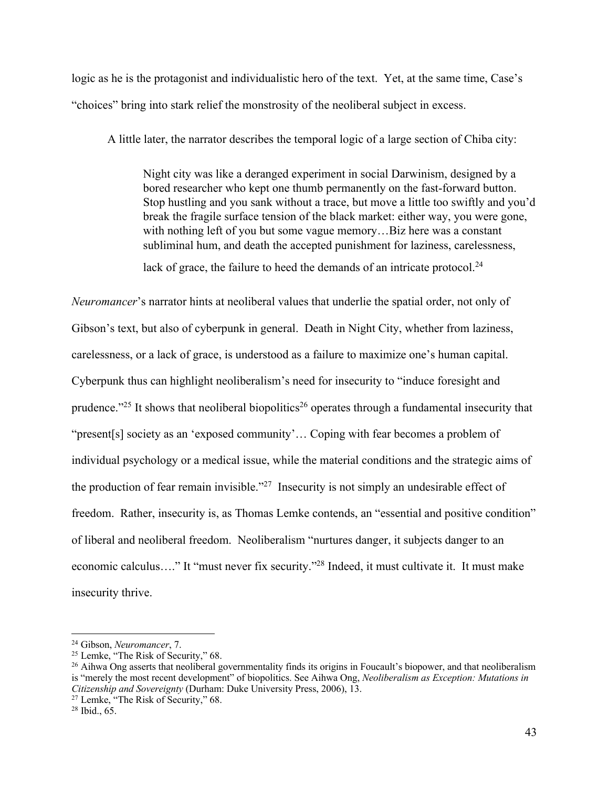logic as he is the protagonist and individualistic hero of the text. Yet, at the same time, Case's "choices" bring into stark relief the monstrosity of the neoliberal subject in excess.

A little later, the narrator describes the temporal logic of a large section of Chiba city:

Night city was like a deranged experiment in social Darwinism, designed by a bored researcher who kept one thumb permanently on the fast-forward button. Stop hustling and you sank without a trace, but move a little too swiftly and you'd break the fragile surface tension of the black market: either way, you were gone, with nothing left of you but some vague memory…Biz here was a constant subliminal hum, and death the accepted punishment for laziness, carelessness,

lack of grace, the failure to heed the demands of an intricate protocol.<sup>24</sup>

*Neuromancer*'s narrator hints at neoliberal values that underlie the spatial order, not only of Gibson's text, but also of cyberpunk in general. Death in Night City, whether from laziness, carelessness, or a lack of grace, is understood as a failure to maximize one's human capital. Cyberpunk thus can highlight neoliberalism's need for insecurity to "induce foresight and prudence."<sup>25</sup> It shows that neoliberal biopolitics<sup>26</sup> operates through a fundamental insecurity that "present[s] society as an 'exposed community'… Coping with fear becomes a problem of individual psychology or a medical issue, while the material conditions and the strategic aims of the production of fear remain invisible."<sup>27</sup> Insecurity is not simply an undesirable effect of freedom. Rather, insecurity is, as Thomas Lemke contends, an "essential and positive condition" of liberal and neoliberal freedom. Neoliberalism "nurtures danger, it subjects danger to an economic calculus…." It "must never fix security."28 Indeed, it must cultivate it. It must make insecurity thrive.

<sup>&</sup>lt;sup>24</sup> Gibson, *Neuromancer*, 7.<br><sup>25</sup> Lemke, "The Risk of Security," 68.

<sup>&</sup>lt;sup>26</sup> Aihwa Ong asserts that neoliberal governmentality finds its origins in Foucault's biopower, and that neoliberalism is "merely the most recent development" of biopolitics. See Aihwa Ong, *Neoliberalism as Exception: Mutations in Citizenship and Sovereignty* (Durham: Duke University Press, 2006), 13. 27 Lemke, "The Risk of Security," 68. 28 Ibid., 65.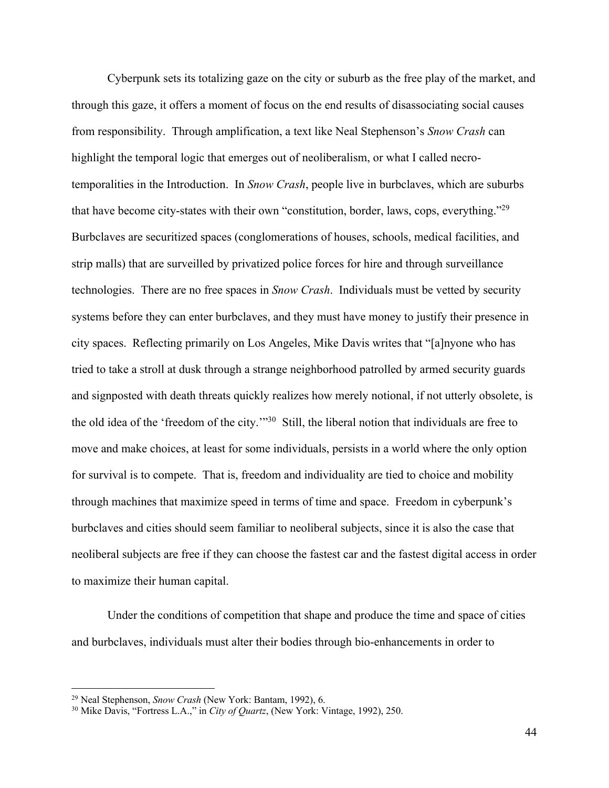Cyberpunk sets its totalizing gaze on the city or suburb as the free play of the market, and through this gaze, it offers a moment of focus on the end results of disassociating social causes from responsibility. Through amplification, a text like Neal Stephenson's *Snow Crash* can highlight the temporal logic that emerges out of neoliberalism, or what I called necrotemporalities in the Introduction. In *Snow Crash*, people live in burbclaves, which are suburbs that have become city-states with their own "constitution, border, laws, cops, everything."29 Burbclaves are securitized spaces (conglomerations of houses, schools, medical facilities, and strip malls) that are surveilled by privatized police forces for hire and through surveillance technologies. There are no free spaces in *Snow Crash*. Individuals must be vetted by security systems before they can enter burbclaves, and they must have money to justify their presence in city spaces. Reflecting primarily on Los Angeles, Mike Davis writes that "[a]nyone who has tried to take a stroll at dusk through a strange neighborhood patrolled by armed security guards and signposted with death threats quickly realizes how merely notional, if not utterly obsolete, is the old idea of the 'freedom of the city.'"30 Still, the liberal notion that individuals are free to move and make choices, at least for some individuals, persists in a world where the only option for survival is to compete. That is, freedom and individuality are tied to choice and mobility through machines that maximize speed in terms of time and space. Freedom in cyberpunk's burbclaves and cities should seem familiar to neoliberal subjects, since it is also the case that neoliberal subjects are free if they can choose the fastest car and the fastest digital access in order to maximize their human capital.

Under the conditions of competition that shape and produce the time and space of cities and burbclaves, individuals must alter their bodies through bio-enhancements in order to

 <sup>29</sup> Neal Stephenson, *Snow Crash* (New York: Bantam, 1992), 6.

<sup>30</sup> Mike Davis, "Fortress L.A.," in *City of Quartz*, (New York: Vintage, 1992), 250.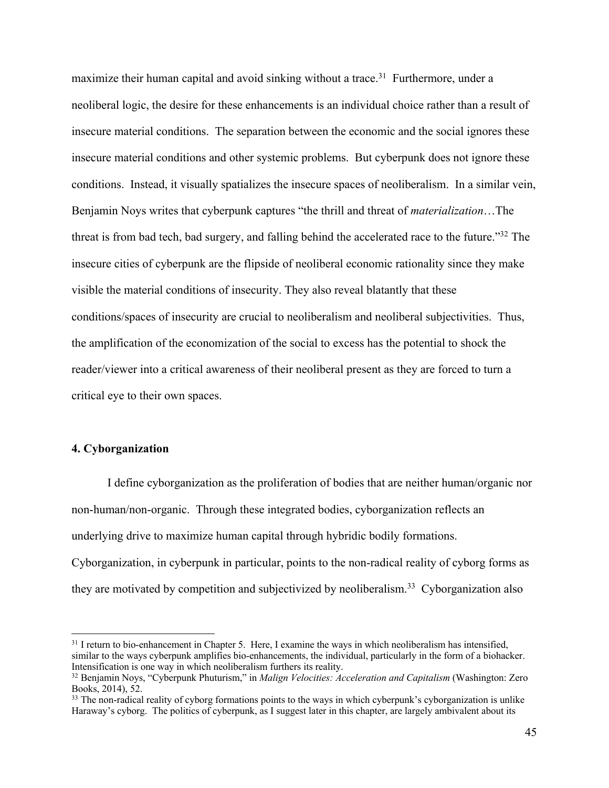maximize their human capital and avoid sinking without a trace.<sup>31</sup> Furthermore, under a neoliberal logic, the desire for these enhancements is an individual choice rather than a result of insecure material conditions. The separation between the economic and the social ignores these insecure material conditions and other systemic problems. But cyberpunk does not ignore these conditions. Instead, it visually spatializes the insecure spaces of neoliberalism. In a similar vein, Benjamin Noys writes that cyberpunk captures "the thrill and threat of *materialization*…The threat is from bad tech, bad surgery, and falling behind the accelerated race to the future."32 The insecure cities of cyberpunk are the flipside of neoliberal economic rationality since they make visible the material conditions of insecurity. They also reveal blatantly that these conditions/spaces of insecurity are crucial to neoliberalism and neoliberal subjectivities. Thus, the amplification of the economization of the social to excess has the potential to shock the reader/viewer into a critical awareness of their neoliberal present as they are forced to turn a critical eye to their own spaces.

# **4. Cyborganization**

I define cyborganization as the proliferation of bodies that are neither human/organic nor non-human/non-organic. Through these integrated bodies, cyborganization reflects an underlying drive to maximize human capital through hybridic bodily formations. Cyborganization, in cyberpunk in particular, points to the non-radical reality of cyborg forms as they are motivated by competition and subjectivized by neoliberalism.<sup>33</sup> Cyborganization also

<sup>&</sup>lt;sup>31</sup> I return to bio-enhancement in Chapter 5. Here, I examine the ways in which neoliberalism has intensified, similar to the ways cyberpunk amplifies bio-enhancements, the individual, particularly in the form of a biohacker. Intensification is one way in which neoliberalism furthers its reality. 32 Benjamin Noys, "Cyberpunk Phuturism," in *Malign Velocities: Acceleration and Capitalism* (Washington: Zero

Books, 2014), 52.

<sup>&</sup>lt;sup>33</sup> The non-radical reality of cyborg formations points to the ways in which cyberpunk's cyborganization is unlike Haraway's cyborg. The politics of cyberpunk, as I suggest later in this chapter, are largely ambivalent about its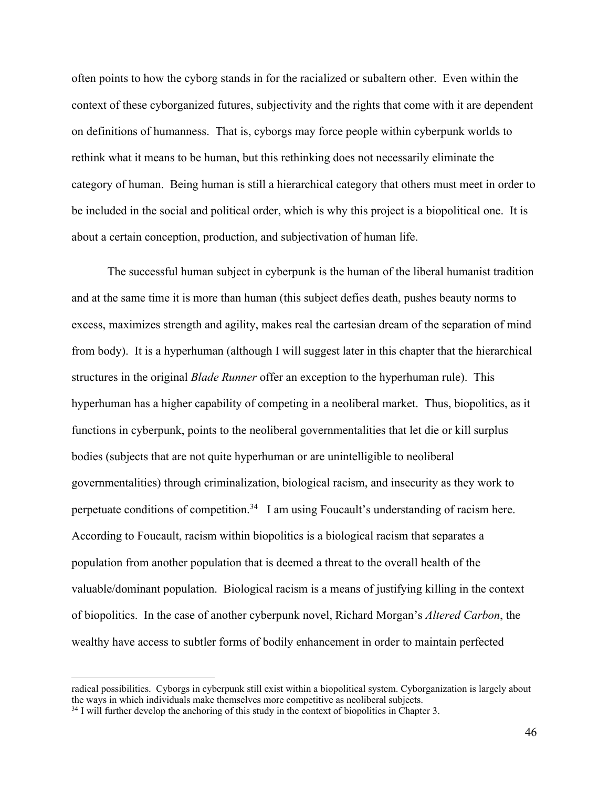often points to how the cyborg stands in for the racialized or subaltern other. Even within the context of these cyborganized futures, subjectivity and the rights that come with it are dependent on definitions of humanness. That is, cyborgs may force people within cyberpunk worlds to rethink what it means to be human, but this rethinking does not necessarily eliminate the category of human. Being human is still a hierarchical category that others must meet in order to be included in the social and political order, which is why this project is a biopolitical one. It is about a certain conception, production, and subjectivation of human life.

The successful human subject in cyberpunk is the human of the liberal humanist tradition and at the same time it is more than human (this subject defies death, pushes beauty norms to excess, maximizes strength and agility, makes real the cartesian dream of the separation of mind from body). It is a hyperhuman (although I will suggest later in this chapter that the hierarchical structures in the original *Blade Runner* offer an exception to the hyperhuman rule). This hyperhuman has a higher capability of competing in a neoliberal market. Thus, biopolitics, as it functions in cyberpunk, points to the neoliberal governmentalities that let die or kill surplus bodies (subjects that are not quite hyperhuman or are unintelligible to neoliberal governmentalities) through criminalization, biological racism, and insecurity as they work to perpetuate conditions of competition.34 I am using Foucault's understanding of racism here. According to Foucault, racism within biopolitics is a biological racism that separates a population from another population that is deemed a threat to the overall health of the valuable/dominant population. Biological racism is a means of justifying killing in the context of biopolitics. In the case of another cyberpunk novel, Richard Morgan's *Altered Carbon*, the wealthy have access to subtler forms of bodily enhancement in order to maintain perfected

radical possibilities. Cyborgs in cyberpunk still exist within a biopolitical system. Cyborganization is largely about the ways in which individuals make themselves more competitive as neoliberal subjects.

<sup>&</sup>lt;sup>34</sup> I will further develop the anchoring of this study in the context of biopolitics in Chapter 3.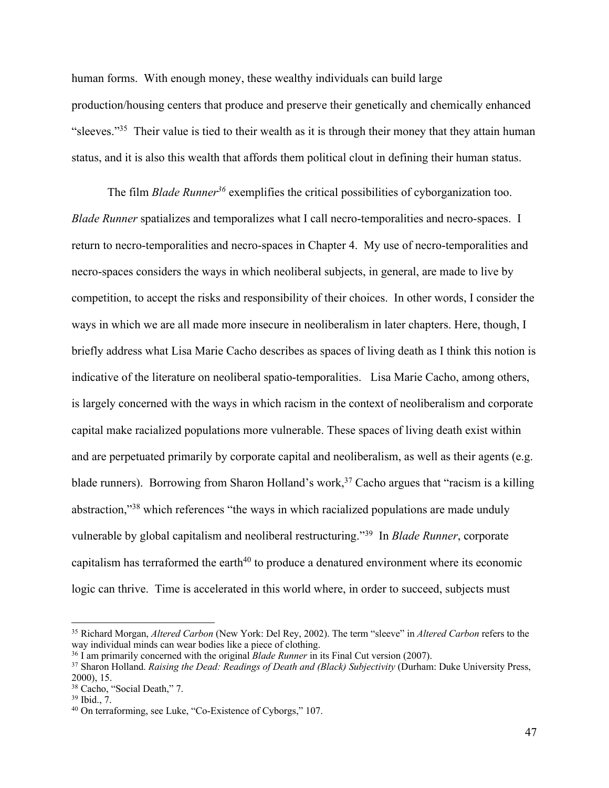human forms. With enough money, these wealthy individuals can build large production/housing centers that produce and preserve their genetically and chemically enhanced "sleeves."<sup>35</sup> Their value is tied to their wealth as it is through their money that they attain human status, and it is also this wealth that affords them political clout in defining their human status.

The film *Blade Runner<sup>36</sup>* exemplifies the critical possibilities of cyborganization too. *Blade Runner* spatializes and temporalizes what I call necro-temporalities and necro-spaces. I return to necro-temporalities and necro-spaces in Chapter 4. My use of necro-temporalities and necro-spaces considers the ways in which neoliberal subjects, in general, are made to live by competition, to accept the risks and responsibility of their choices. In other words, I consider the ways in which we are all made more insecure in neoliberalism in later chapters. Here, though, I briefly address what Lisa Marie Cacho describes as spaces of living death as I think this notion is indicative of the literature on neoliberal spatio-temporalities. Lisa Marie Cacho, among others, is largely concerned with the ways in which racism in the context of neoliberalism and corporate capital make racialized populations more vulnerable. These spaces of living death exist within and are perpetuated primarily by corporate capital and neoliberalism, as well as their agents (e.g. blade runners). Borrowing from Sharon Holland's work,<sup>37</sup> Cacho argues that "racism is a killing abstraction,"38 which references "the ways in which racialized populations are made unduly vulnerable by global capitalism and neoliberal restructuring."39 In *Blade Runner*, corporate capitalism has terraformed the earth<sup>40</sup> to produce a denatured environment where its economic logic can thrive. Time is accelerated in this world where, in order to succeed, subjects must

 <sup>35</sup> Richard Morgan, *Altered Carbon* (New York: Del Rey, 2002). The term "sleeve" in *Altered Carbon* refers to the way individual minds can wear bodies like a piece of clothing.<br><sup>36</sup> I am primarily concerned with the original *Blade Runner* in its Final Cut version (2007).

<sup>&</sup>lt;sup>37</sup> Sharon Holland. *Raising the Dead: Readings of Death and (Black) Subjectivity* (Durham: Duke University Press, 2000), 15.<br><sup>38</sup> Cacho, "Social Death," 7.

 $39$  Ibid., 7.  $40$  On terraforming, see Luke, "Co-Existence of Cyborgs," 107.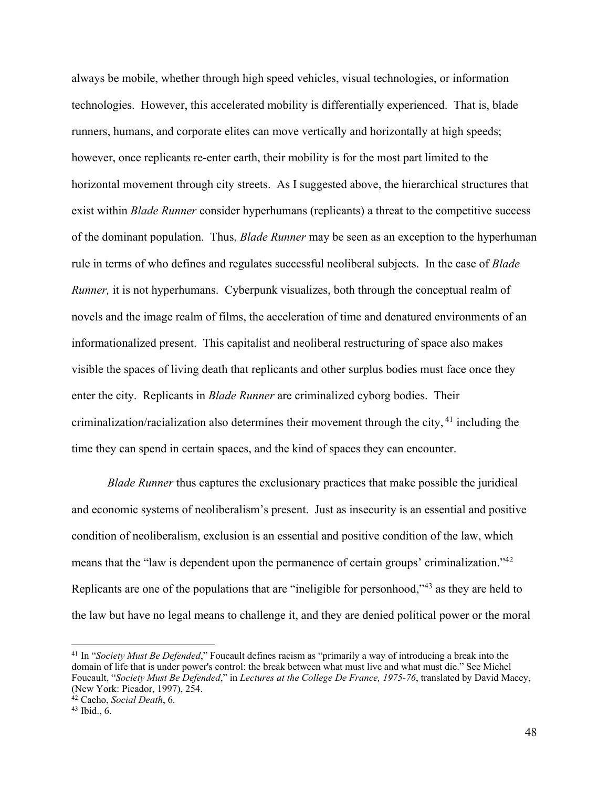always be mobile, whether through high speed vehicles, visual technologies, or information technologies. However, this accelerated mobility is differentially experienced. That is, blade runners, humans, and corporate elites can move vertically and horizontally at high speeds; however, once replicants re-enter earth, their mobility is for the most part limited to the horizontal movement through city streets. As I suggested above, the hierarchical structures that exist within *Blade Runner* consider hyperhumans (replicants) a threat to the competitive success of the dominant population. Thus, *Blade Runner* may be seen as an exception to the hyperhuman rule in terms of who defines and regulates successful neoliberal subjects. In the case of *Blade Runner,* it is not hyperhumans. Cyberpunk visualizes, both through the conceptual realm of novels and the image realm of films, the acceleration of time and denatured environments of an informationalized present. This capitalist and neoliberal restructuring of space also makes visible the spaces of living death that replicants and other surplus bodies must face once they enter the city. Replicants in *Blade Runner* are criminalized cyborg bodies. Their criminalization/racialization also determines their movement through the city, <sup>41</sup> including the time they can spend in certain spaces, and the kind of spaces they can encounter.

*Blade Runner* thus captures the exclusionary practices that make possible the juridical and economic systems of neoliberalism's present. Just as insecurity is an essential and positive condition of neoliberalism, exclusion is an essential and positive condition of the law, which means that the "law is dependent upon the permanence of certain groups' criminalization."<sup>42</sup> Replicants are one of the populations that are "ineligible for personhood,"43 as they are held to the law but have no legal means to challenge it, and they are denied political power or the moral

 <sup>41</sup> In "*Society Must Be Defended*," Foucault defines racism as "primarily a way of introducing a break into the domain of life that is under power's control: the break between what must live and what must die." See Michel Foucault, "*Society Must Be Defended*," in *Lectures at the College De France, 1975-76*, translated by David Macey, (New York: Picador, 1997), 254.

<sup>42</sup> Cacho, *Social Death*, 6. 43 Ibid., 6.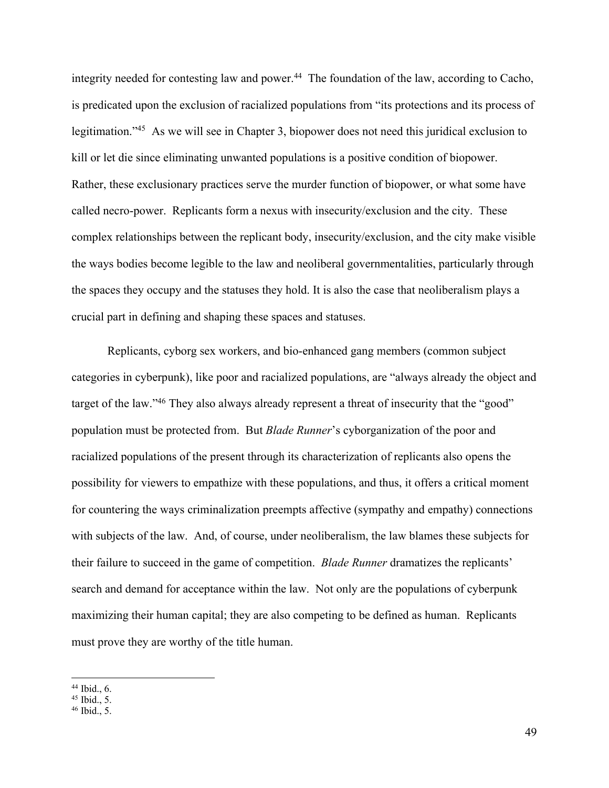integrity needed for contesting law and power. 44 The foundation of the law, according to Cacho, is predicated upon the exclusion of racialized populations from "its protections and its process of legitimation."45 As we will see in Chapter 3, biopower does not need this juridical exclusion to kill or let die since eliminating unwanted populations is a positive condition of biopower. Rather, these exclusionary practices serve the murder function of biopower, or what some have called necro-power. Replicants form a nexus with insecurity/exclusion and the city. These complex relationships between the replicant body, insecurity/exclusion, and the city make visible the ways bodies become legible to the law and neoliberal governmentalities, particularly through the spaces they occupy and the statuses they hold. It is also the case that neoliberalism plays a crucial part in defining and shaping these spaces and statuses.

Replicants, cyborg sex workers, and bio-enhanced gang members (common subject categories in cyberpunk), like poor and racialized populations, are "always already the object and target of the law."<sup>46</sup> They also always already represent a threat of insecurity that the "good" population must be protected from. But *Blade Runner*'s cyborganization of the poor and racialized populations of the present through its characterization of replicants also opens the possibility for viewers to empathize with these populations, and thus, it offers a critical moment for countering the ways criminalization preempts affective (sympathy and empathy) connections with subjects of the law. And, of course, under neoliberalism, the law blames these subjects for their failure to succeed in the game of competition. *Blade Runner* dramatizes the replicants' search and demand for acceptance within the law. Not only are the populations of cyberpunk maximizing their human capital; they are also competing to be defined as human. Replicants must prove they are worthy of the title human.

<sup>44</sup> Ibid.,  $6.$ <br>45 Ibid.,  $5.$ <br>46 Ibid.,  $5.$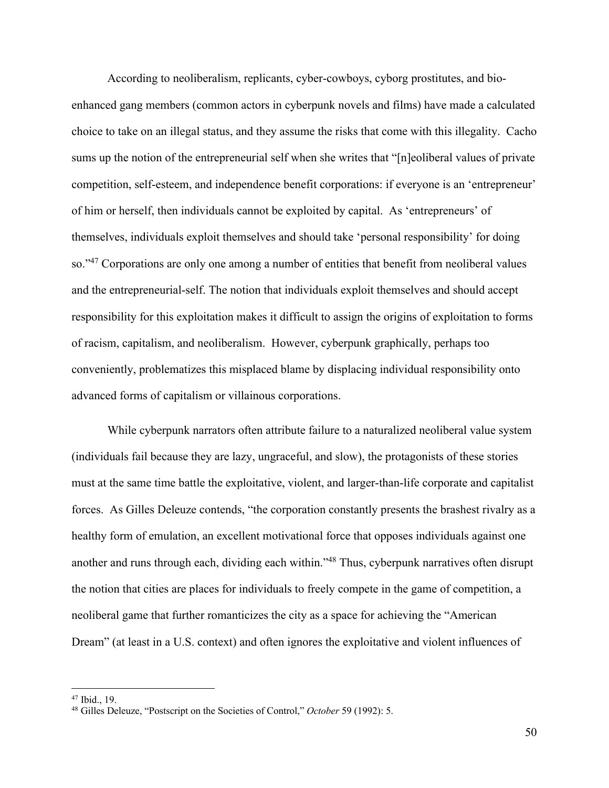According to neoliberalism, replicants, cyber-cowboys, cyborg prostitutes, and bio-

enhanced gang members (common actors in cyberpunk novels and films) have made a calculated choice to take on an illegal status, and they assume the risks that come with this illegality. Cacho sums up the notion of the entrepreneurial self when she writes that "[n]eoliberal values of private competition, self-esteem, and independence benefit corporations: if everyone is an 'entrepreneur' of him or herself, then individuals cannot be exploited by capital. As 'entrepreneurs' of themselves, individuals exploit themselves and should take 'personal responsibility' for doing so."<sup>47</sup> Corporations are only one among a number of entities that benefit from neoliberal values and the entrepreneurial-self. The notion that individuals exploit themselves and should accept responsibility for this exploitation makes it difficult to assign the origins of exploitation to forms of racism, capitalism, and neoliberalism. However, cyberpunk graphically, perhaps too conveniently, problematizes this misplaced blame by displacing individual responsibility onto advanced forms of capitalism or villainous corporations.

While cyberpunk narrators often attribute failure to a naturalized neoliberal value system (individuals fail because they are lazy, ungraceful, and slow), the protagonists of these stories must at the same time battle the exploitative, violent, and larger-than-life corporate and capitalist forces. As Gilles Deleuze contends, "the corporation constantly presents the brashest rivalry as a healthy form of emulation, an excellent motivational force that opposes individuals against one another and runs through each, dividing each within."48 Thus, cyberpunk narratives often disrupt the notion that cities are places for individuals to freely compete in the game of competition, a neoliberal game that further romanticizes the city as a space for achieving the "American Dream" (at least in a U.S. context) and often ignores the exploitative and violent influences of

<sup>47</sup> Ibid., 19. 48 Gilles Deleuze, "Postscript on the Societies of Control," *October* 59 (1992): 5.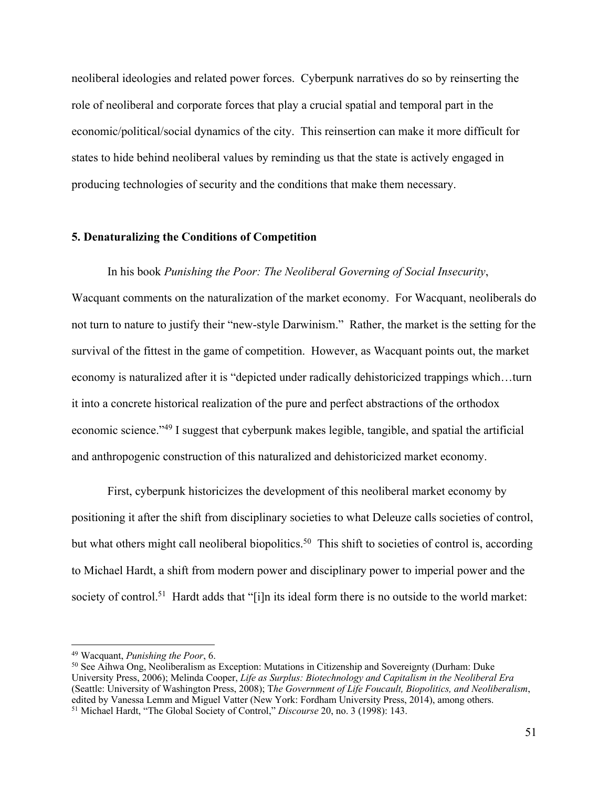neoliberal ideologies and related power forces. Cyberpunk narratives do so by reinserting the role of neoliberal and corporate forces that play a crucial spatial and temporal part in the economic/political/social dynamics of the city. This reinsertion can make it more difficult for states to hide behind neoliberal values by reminding us that the state is actively engaged in producing technologies of security and the conditions that make them necessary.

#### **5. Denaturalizing the Conditions of Competition**

In his book *Punishing the Poor: The Neoliberal Governing of Social Insecurity*, Wacquant comments on the naturalization of the market economy. For Wacquant, neoliberals do not turn to nature to justify their "new-style Darwinism." Rather, the market is the setting for the survival of the fittest in the game of competition. However, as Wacquant points out, the market economy is naturalized after it is "depicted under radically dehistoricized trappings which…turn it into a concrete historical realization of the pure and perfect abstractions of the orthodox economic science."49 I suggest that cyberpunk makes legible, tangible, and spatial the artificial and anthropogenic construction of this naturalized and dehistoricized market economy.

First, cyberpunk historicizes the development of this neoliberal market economy by positioning it after the shift from disciplinary societies to what Deleuze calls societies of control, but what others might call neoliberal biopolitics.<sup>50</sup> This shift to societies of control is, according to Michael Hardt, a shift from modern power and disciplinary power to imperial power and the society of control.<sup>51</sup> Hardt adds that "[i]n its ideal form there is no outside to the world market:

<sup>49</sup> Wacquant, *Punishing the Poor*, 6.<br><sup>50</sup> See Aihwa Ong, Neoliberalism as Exception: Mutations in Citizenship and Sovereignty (Durham: Duke University Press, 2006); Melinda Cooper, *Life as Surplus: Biotechnology and Capitalism in the Neoliberal Era* (Seattle: University of Washington Press, 2008); T*he Government of Life Foucault, Biopolitics, and Neoliberalism*, edited by Vanessa Lemm and Miguel Vatter (New York: Fordham University Press, 2014), among others. <sup>51</sup> Michael Hardt, "The Global Society of Control," *Discourse* 20, no. 3 (1998): 143.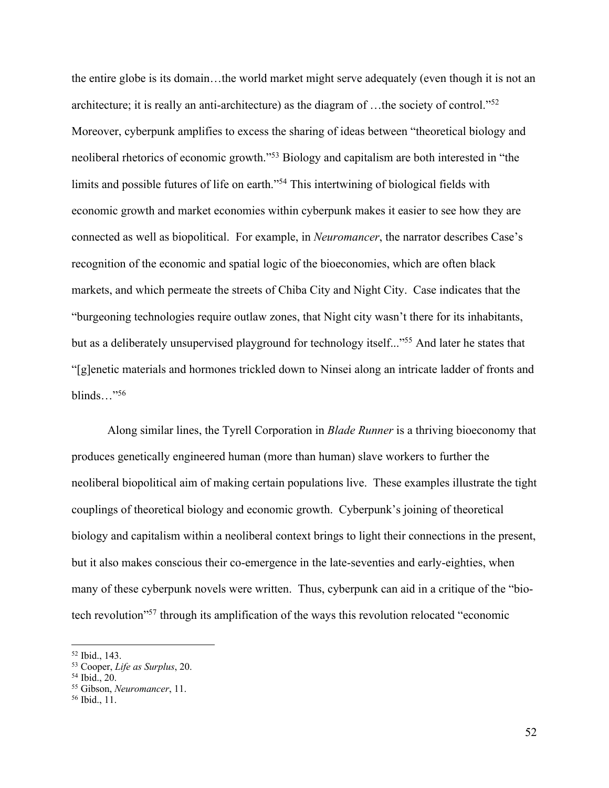the entire globe is its domain…the world market might serve adequately (even though it is not an architecture; it is really an anti-architecture) as the diagram of …the society of control."52 Moreover, cyberpunk amplifies to excess the sharing of ideas between "theoretical biology and neoliberal rhetorics of economic growth."53 Biology and capitalism are both interested in "the limits and possible futures of life on earth."<sup>54</sup> This intertwining of biological fields with economic growth and market economies within cyberpunk makes it easier to see how they are connected as well as biopolitical. For example, in *Neuromancer*, the narrator describes Case's recognition of the economic and spatial logic of the bioeconomies, which are often black markets, and which permeate the streets of Chiba City and Night City. Case indicates that the "burgeoning technologies require outlaw zones, that Night city wasn't there for its inhabitants, but as a deliberately unsupervised playground for technology itself..."<sup>55</sup> And later he states that "[g]enetic materials and hormones trickled down to Ninsei along an intricate ladder of fronts and blinds…"56

Along similar lines, the Tyrell Corporation in *Blade Runner* is a thriving bioeconomy that produces genetically engineered human (more than human) slave workers to further the neoliberal biopolitical aim of making certain populations live. These examples illustrate the tight couplings of theoretical biology and economic growth. Cyberpunk's joining of theoretical biology and capitalism within a neoliberal context brings to light their connections in the present, but it also makes conscious their co-emergence in the late-seventies and early-eighties, when many of these cyberpunk novels were written. Thus, cyberpunk can aid in a critique of the "biotech revolution"57 through its amplification of the ways this revolution relocated "economic

<sup>52</sup> Ibid., 143. 53 Cooper, *Life as Surplus*, 20.

<sup>54</sup> Ibid., 20. 55 Gibson, *Neuromancer*, 11.

<sup>56</sup> Ibid., 11.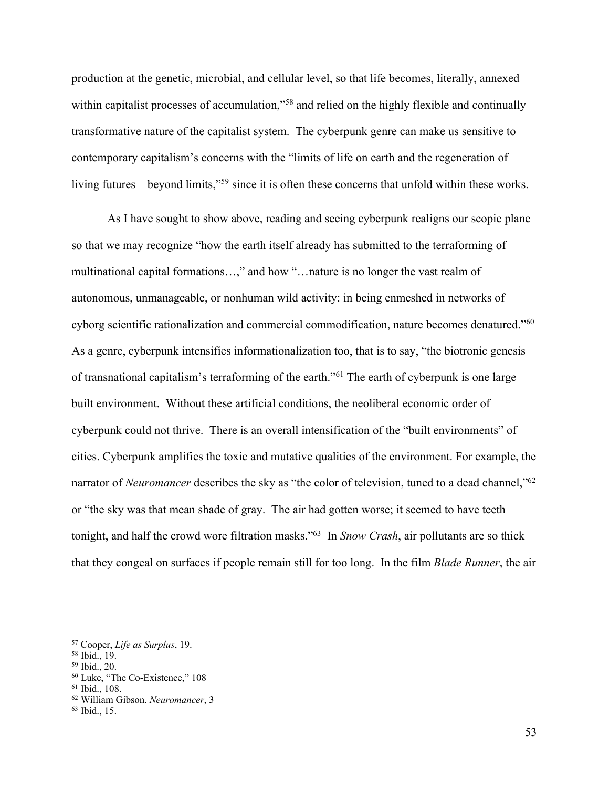production at the genetic, microbial, and cellular level, so that life becomes, literally, annexed within capitalist processes of accumulation,"<sup>58</sup> and relied on the highly flexible and continually transformative nature of the capitalist system. The cyberpunk genre can make us sensitive to contemporary capitalism's concerns with the "limits of life on earth and the regeneration of living futures—beyond limits,"<sup>59</sup> since it is often these concerns that unfold within these works.

As I have sought to show above, reading and seeing cyberpunk realigns our scopic plane so that we may recognize "how the earth itself already has submitted to the terraforming of multinational capital formations…," and how "…nature is no longer the vast realm of autonomous, unmanageable, or nonhuman wild activity: in being enmeshed in networks of cyborg scientific rationalization and commercial commodification, nature becomes denatured."60 As a genre, cyberpunk intensifies informationalization too, that is to say, "the biotronic genesis of transnational capitalism's terraforming of the earth."61 The earth of cyberpunk is one large built environment. Without these artificial conditions, the neoliberal economic order of cyberpunk could not thrive. There is an overall intensification of the "built environments" of cities. Cyberpunk amplifies the toxic and mutative qualities of the environment. For example, the narrator of *Neuromancer* describes the sky as "the color of television, tuned to a dead channel,"<sup>62</sup> or "the sky was that mean shade of gray. The air had gotten worse; it seemed to have teeth tonight, and half the crowd wore filtration masks."63 In *Snow Crash*, air pollutants are so thick that they congeal on surfaces if people remain still for too long. In the film *Blade Runner*, the air

<sup>57</sup> Cooper, *Life as Surplus*, 19. 58 Ibid., 19.

 $59$  Ibid., 20.<br> $60$  Luke, "The Co-Existence," 108

<sup>61</sup> Ibid., 108.

<sup>62</sup> William Gibson. *Neuromancer*, 3

<sup>63</sup> Ibid., 15.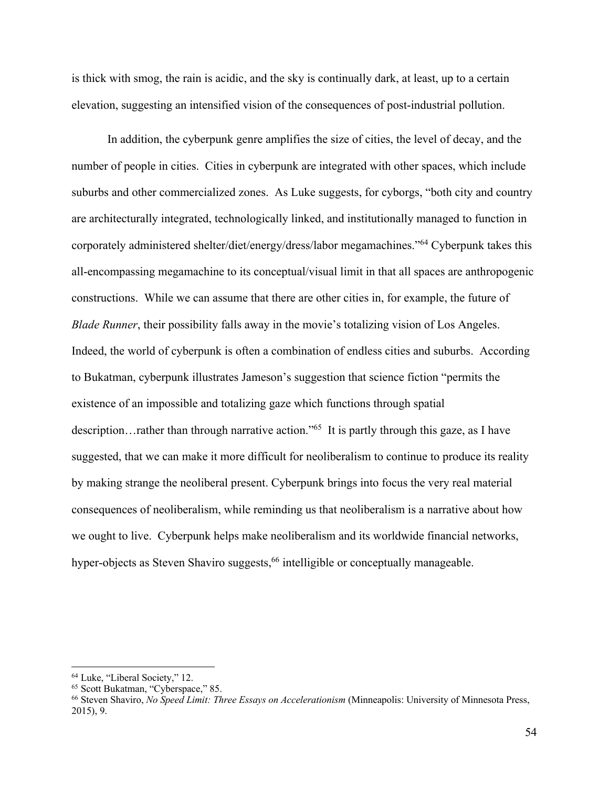is thick with smog, the rain is acidic, and the sky is continually dark, at least, up to a certain elevation, suggesting an intensified vision of the consequences of post-industrial pollution.

In addition, the cyberpunk genre amplifies the size of cities, the level of decay, and the number of people in cities. Cities in cyberpunk are integrated with other spaces, which include suburbs and other commercialized zones. As Luke suggests, for cyborgs, "both city and country are architecturally integrated, technologically linked, and institutionally managed to function in corporately administered shelter/diet/energy/dress/labor megamachines."64 Cyberpunk takes this all-encompassing megamachine to its conceptual/visual limit in that all spaces are anthropogenic constructions. While we can assume that there are other cities in, for example, the future of *Blade Runner*, their possibility falls away in the movie's totalizing vision of Los Angeles. Indeed, the world of cyberpunk is often a combination of endless cities and suburbs. According to Bukatman, cyberpunk illustrates Jameson's suggestion that science fiction "permits the existence of an impossible and totalizing gaze which functions through spatial description…rather than through narrative action."65 It is partly through this gaze, as I have suggested, that we can make it more difficult for neoliberalism to continue to produce its reality by making strange the neoliberal present. Cyberpunk brings into focus the very real material consequences of neoliberalism, while reminding us that neoliberalism is a narrative about how we ought to live. Cyberpunk helps make neoliberalism and its worldwide financial networks, hyper-objects as Steven Shaviro suggests,<sup>66</sup> intelligible or conceptually manageable.

<sup>&</sup>lt;sup>64</sup> Luke, "Liberal Society," 12.<br><sup>65</sup> Scott Bukatman, "Cyberspace," 85.

<sup>&</sup>lt;sup>66</sup> Steven Shaviro, No Speed Limit: Three Essays on Accelerationism (Minneapolis: University of Minnesota Press, 2015), 9.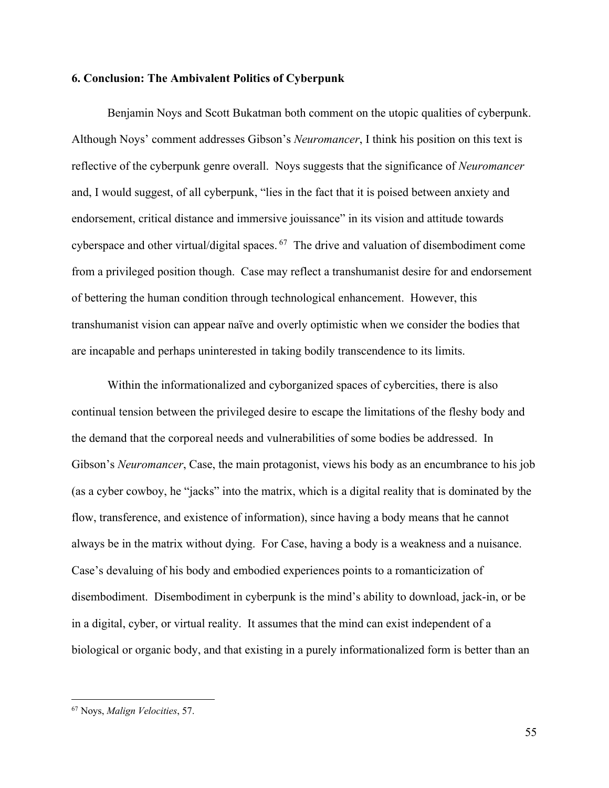### **6. Conclusion: The Ambivalent Politics of Cyberpunk**

Benjamin Noys and Scott Bukatman both comment on the utopic qualities of cyberpunk. Although Noys' comment addresses Gibson's *Neuromancer*, I think his position on this text is reflective of the cyberpunk genre overall. Noys suggests that the significance of *Neuromancer* and, I would suggest, of all cyberpunk, "lies in the fact that it is poised between anxiety and endorsement, critical distance and immersive jouissance" in its vision and attitude towards cyberspace and other virtual/digital spaces. 67 The drive and valuation of disembodiment come from a privileged position though. Case may reflect a transhumanist desire for and endorsement of bettering the human condition through technological enhancement. However, this transhumanist vision can appear naïve and overly optimistic when we consider the bodies that are incapable and perhaps uninterested in taking bodily transcendence to its limits.

Within the informationalized and cyborganized spaces of cybercities, there is also continual tension between the privileged desire to escape the limitations of the fleshy body and the demand that the corporeal needs and vulnerabilities of some bodies be addressed. In Gibson's *Neuromancer*, Case, the main protagonist, views his body as an encumbrance to his job (as a cyber cowboy, he "jacks" into the matrix, which is a digital reality that is dominated by the flow, transference, and existence of information), since having a body means that he cannot always be in the matrix without dying. For Case, having a body is a weakness and a nuisance. Case's devaluing of his body and embodied experiences points to a romanticization of disembodiment. Disembodiment in cyberpunk is the mind's ability to download, jack-in, or be in a digital, cyber, or virtual reality. It assumes that the mind can exist independent of a biological or organic body, and that existing in a purely informationalized form is better than an

 <sup>67</sup> Noys, *Malign Velocities*, 57.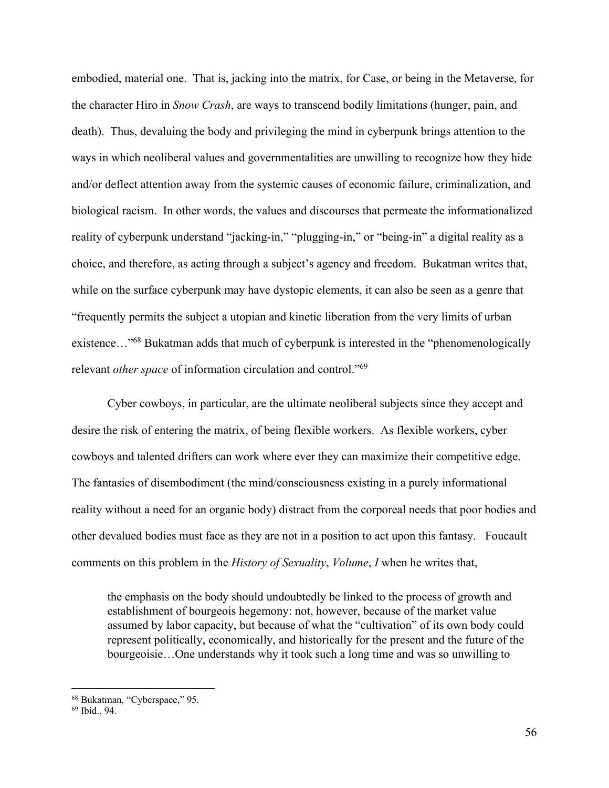embodied, material one. That is, jacking into the matrix, for Case, or being in the Metaverse, for the character Hiro in *Snow Crash*, are ways to transcend bodily limitations (hunger, pain, and death). Thus, devaluing the body and privileging the mind in cyberpunk brings attention to the ways in which neoliberal values and governmentalities are unwilling to recognize how they hide and/or deflect attention away from the systemic causes of economic failure, criminalization, and biological racism. In other words, the values and discourses that permeate the informationalized reality of cyberpunk understand "jacking-in," "plugging-in," or "being-in" a digital reality as a choice, and therefore, as acting through a subject's agency and freedom. Bukatman writes that, while on the surface cyberpunk may have dystopic elements, it can also be seen as a genre that "frequently permits the subject a utopian and kinetic liberation from the very limits of urban existence…"68 Bukatman adds that much of cyberpunk is interested in the "phenomenologically relevant *other space* of information circulation and control."69

Cyber cowboys, in particular, are the ultimate neoliberal subjects since they accept and desire the risk of entering the matrix, of being flexible workers. As flexible workers, cyber cowboys and talented drifters can work where ever they can maximize their competitive edge. The fantasies of disembodiment (the mind/consciousness existing in a purely informational reality without a need for an organic body) distract from the corporeal needs that poor bodies and other devalued bodies must face as they are not in a position to act upon this fantasy. Foucault comments on this problem in the *History of Sexuality*, *Volume*, *I* when he writes that,

the emphasis on the body should undoubtedly be linked to the process of growth and establishment of bourgeois hegemony: not, however, because of the market value assumed by labor capacity, but because of what the "cultivation" of its own body could represent politically, economically, and historically for the present and the future of the bourgeoisie…One understands why it took such a long time and was so unwilling to

 <sup>68</sup> Bukatman, "Cyberspace," 95.

<sup>69</sup> Ibid., 94.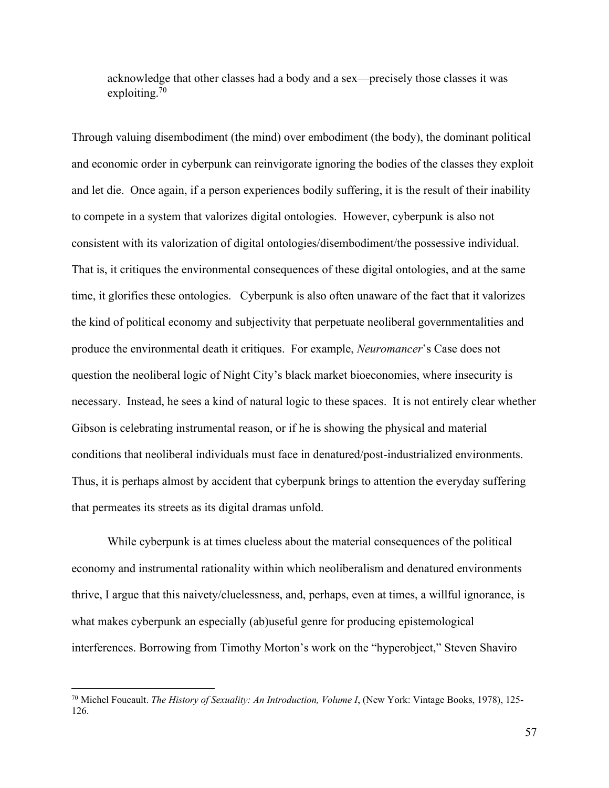acknowledge that other classes had a body and a sex—precisely those classes it was exploiting. $70$ 

Through valuing disembodiment (the mind) over embodiment (the body), the dominant political and economic order in cyberpunk can reinvigorate ignoring the bodies of the classes they exploit and let die. Once again, if a person experiences bodily suffering, it is the result of their inability to compete in a system that valorizes digital ontologies. However, cyberpunk is also not consistent with its valorization of digital ontologies/disembodiment/the possessive individual. That is, it critiques the environmental consequences of these digital ontologies, and at the same time, it glorifies these ontologies. Cyberpunk is also often unaware of the fact that it valorizes the kind of political economy and subjectivity that perpetuate neoliberal governmentalities and produce the environmental death it critiques. For example, *Neuromancer*'s Case does not question the neoliberal logic of Night City's black market bioeconomies, where insecurity is necessary. Instead, he sees a kind of natural logic to these spaces. It is not entirely clear whether Gibson is celebrating instrumental reason, or if he is showing the physical and material conditions that neoliberal individuals must face in denatured/post-industrialized environments. Thus, it is perhaps almost by accident that cyberpunk brings to attention the everyday suffering that permeates its streets as its digital dramas unfold.

While cyberpunk is at times clueless about the material consequences of the political economy and instrumental rationality within which neoliberalism and denatured environments thrive, I argue that this naivety/cluelessness, and, perhaps, even at times, a willful ignorance, is what makes cyberpunk an especially (ab)useful genre for producing epistemological interferences. Borrowing from Timothy Morton's work on the "hyperobject," Steven Shaviro

 <sup>70</sup> Michel Foucault. *The History of Sexuality: An Introduction, Volume I*, (New York: Vintage Books, 1978), 125- 126.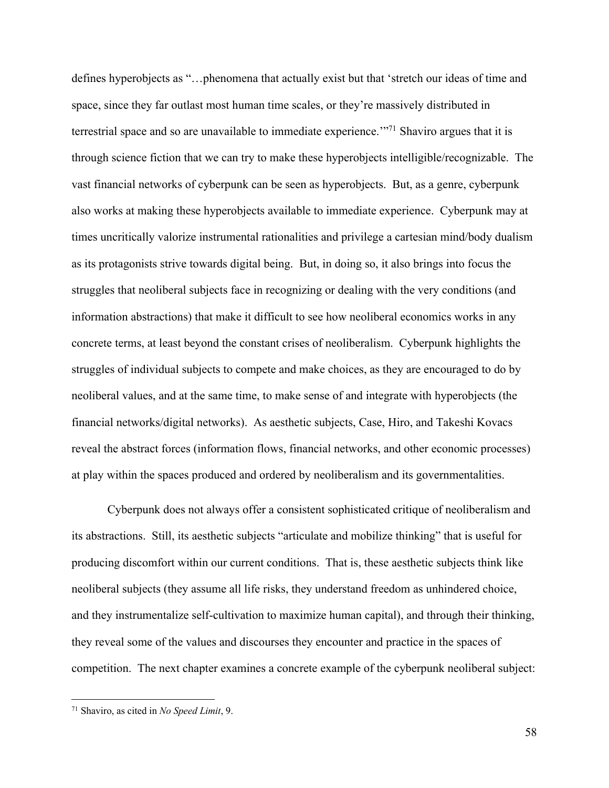defines hyperobjects as "…phenomena that actually exist but that 'stretch our ideas of time and space, since they far outlast most human time scales, or they're massively distributed in terrestrial space and so are unavailable to immediate experience.'"71 Shaviro argues that it is through science fiction that we can try to make these hyperobjects intelligible/recognizable. The vast financial networks of cyberpunk can be seen as hyperobjects. But, as a genre, cyberpunk also works at making these hyperobjects available to immediate experience. Cyberpunk may at times uncritically valorize instrumental rationalities and privilege a cartesian mind/body dualism as its protagonists strive towards digital being. But, in doing so, it also brings into focus the struggles that neoliberal subjects face in recognizing or dealing with the very conditions (and information abstractions) that make it difficult to see how neoliberal economics works in any concrete terms, at least beyond the constant crises of neoliberalism. Cyberpunk highlights the struggles of individual subjects to compete and make choices, as they are encouraged to do by neoliberal values, and at the same time, to make sense of and integrate with hyperobjects (the financial networks/digital networks). As aesthetic subjects, Case, Hiro, and Takeshi Kovacs reveal the abstract forces (information flows, financial networks, and other economic processes) at play within the spaces produced and ordered by neoliberalism and its governmentalities.

Cyberpunk does not always offer a consistent sophisticated critique of neoliberalism and its abstractions. Still, its aesthetic subjects "articulate and mobilize thinking" that is useful for producing discomfort within our current conditions. That is, these aesthetic subjects think like neoliberal subjects (they assume all life risks, they understand freedom as unhindered choice, and they instrumentalize self-cultivation to maximize human capital), and through their thinking, they reveal some of the values and discourses they encounter and practice in the spaces of competition. The next chapter examines a concrete example of the cyberpunk neoliberal subject:

 <sup>71</sup> Shaviro, as cited in *No Speed Limit*, 9.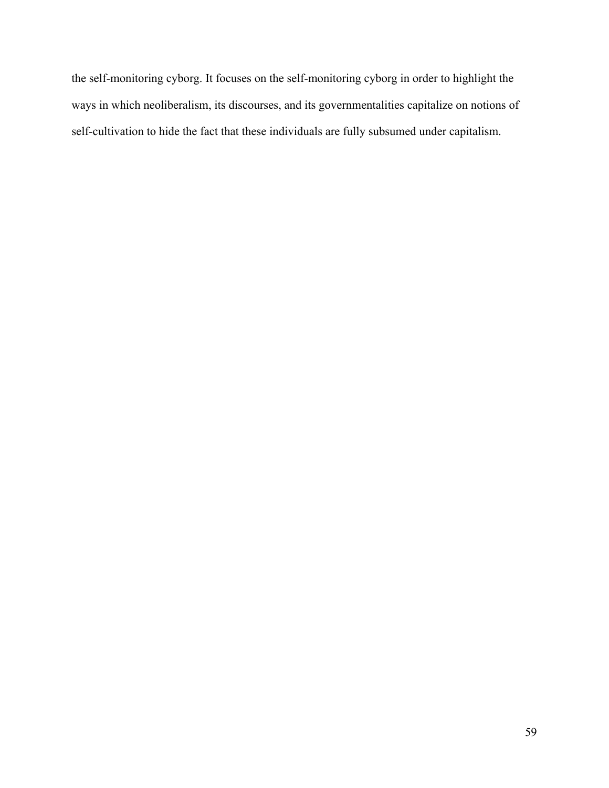the self-monitoring cyborg. It focuses on the self-monitoring cyborg in order to highlight the ways in which neoliberalism, its discourses, and its governmentalities capitalize on notions of self-cultivation to hide the fact that these individuals are fully subsumed under capitalism.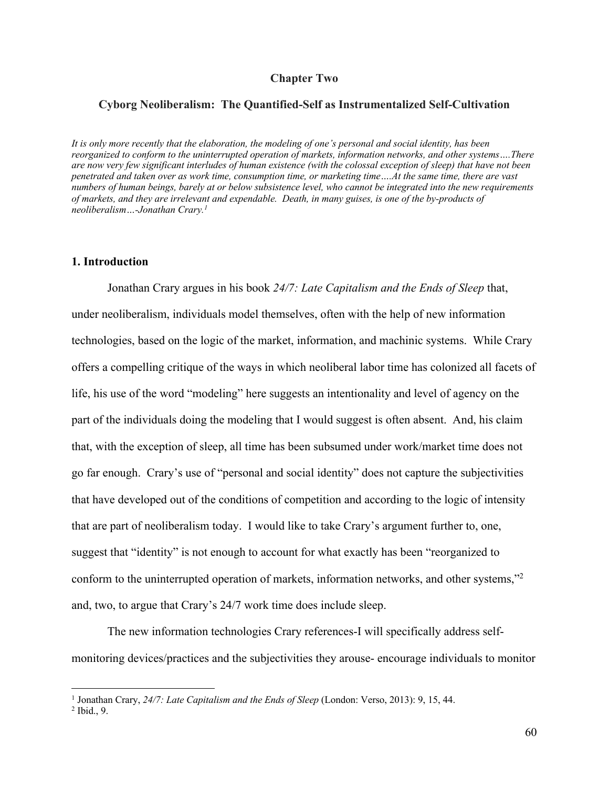### **Chapter Two**

#### **Cyborg Neoliberalism: The Quantified-Self as Instrumentalized Self-Cultivation**

*It is only more recently that the elaboration, the modeling of one's personal and social identity, has been reorganized to conform to the uninterrupted operation of markets, information networks, and other systems….There are now very few significant interludes of human existence (with the colossal exception of sleep) that have not been penetrated and taken over as work time, consumption time, or marketing time….At the same time, there are vast numbers of human beings, barely at or below subsistence level, who cannot be integrated into the new requirements of markets, and they are irrelevant and expendable. Death, in many guises, is one of the by-products of neoliberalism…-Jonathan Crary.1*

# **1. Introduction**

Jonathan Crary argues in his book *24/7: Late Capitalism and the Ends of Sleep* that, under neoliberalism, individuals model themselves, often with the help of new information technologies, based on the logic of the market, information, and machinic systems. While Crary offers a compelling critique of the ways in which neoliberal labor time has colonized all facets of life, his use of the word "modeling" here suggests an intentionality and level of agency on the part of the individuals doing the modeling that I would suggest is often absent. And, his claim that, with the exception of sleep, all time has been subsumed under work/market time does not go far enough. Crary's use of "personal and social identity" does not capture the subjectivities that have developed out of the conditions of competition and according to the logic of intensity that are part of neoliberalism today. I would like to take Crary's argument further to, one, suggest that "identity" is not enough to account for what exactly has been "reorganized to conform to the uninterrupted operation of markets, information networks, and other systems,"2 and, two, to argue that Crary's 24/7 work time does include sleep.

The new information technologies Crary references-I will specifically address selfmonitoring devices/practices and the subjectivities they arouse- encourage individuals to monitor

<sup>&</sup>lt;sup>1</sup> Jonathan Crary, *24/7: Late Capitalism and the Ends of Sleep* (London: Verso, 2013): 9, 15, 44.<br><sup>2</sup> Ibid., 9.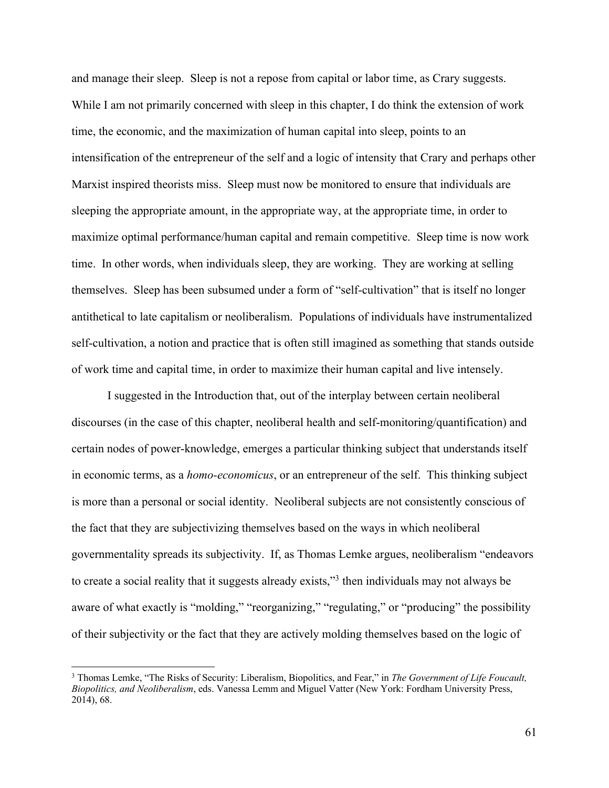and manage their sleep. Sleep is not a repose from capital or labor time, as Crary suggests. While I am not primarily concerned with sleep in this chapter, I do think the extension of work time, the economic, and the maximization of human capital into sleep, points to an intensification of the entrepreneur of the self and a logic of intensity that Crary and perhaps other Marxist inspired theorists miss. Sleep must now be monitored to ensure that individuals are sleeping the appropriate amount, in the appropriate way, at the appropriate time, in order to maximize optimal performance/human capital and remain competitive. Sleep time is now work time. In other words, when individuals sleep, they are working. They are working at selling themselves. Sleep has been subsumed under a form of "self-cultivation" that is itself no longer antithetical to late capitalism or neoliberalism. Populations of individuals have instrumentalized self-cultivation, a notion and practice that is often still imagined as something that stands outside of work time and capital time, in order to maximize their human capital and live intensely.

I suggested in the Introduction that, out of the interplay between certain neoliberal discourses (in the case of this chapter, neoliberal health and self-monitoring/quantification) and certain nodes of power-knowledge, emerges a particular thinking subject that understands itself in economic terms, as a *homo-economicus*, or an entrepreneur of the self. This thinking subject is more than a personal or social identity. Neoliberal subjects are not consistently conscious of the fact that they are subjectivizing themselves based on the ways in which neoliberal governmentality spreads its subjectivity. If, as Thomas Lemke argues, neoliberalism "endeavors to create a social reality that it suggests already exists,"3 then individuals may not always be aware of what exactly is "molding," "reorganizing," "regulating," or "producing" the possibility of their subjectivity or the fact that they are actively molding themselves based on the logic of

 <sup>3</sup> Thomas Lemke, "The Risks of Security: Liberalism, Biopolitics, and Fear," in *The Government of Life Foucault, Biopolitics, and Neoliberalism*, eds. Vanessa Lemm and Miguel Vatter (New York: Fordham University Press, 2014), 68.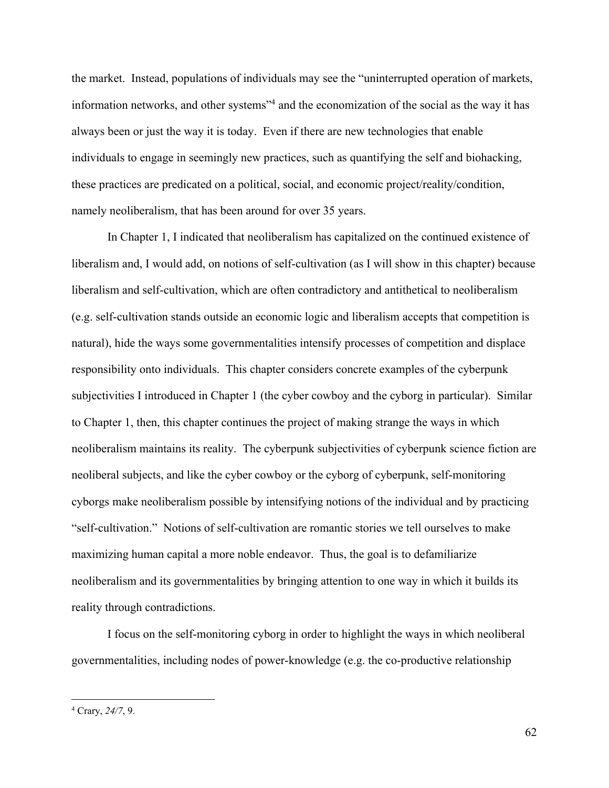the market. Instead, populations of individuals may see the "uninterrupted operation of markets, information networks, and other systems"4 and the economization of the social as the way it has always been or just the way it is today. Even if there are new technologies that enable individuals to engage in seemingly new practices, such as quantifying the self and biohacking, these practices are predicated on a political, social, and economic project/reality/condition, namely neoliberalism, that has been around for over 35 years.

In Chapter 1, I indicated that neoliberalism has capitalized on the continued existence of liberalism and, I would add, on notions of self-cultivation (as I will show in this chapter) because liberalism and self-cultivation, which are often contradictory and antithetical to neoliberalism (e.g. self-cultivation stands outside an economic logic and liberalism accepts that competition is natural), hide the ways some governmentalities intensify processes of competition and displace responsibility onto individuals. This chapter considers concrete examples of the cyberpunk subjectivities I introduced in Chapter 1 (the cyber cowboy and the cyborg in particular). Similar to Chapter 1, then, this chapter continues the project of making strange the ways in which neoliberalism maintains its reality. The cyberpunk subjectivities of cyberpunk science fiction are neoliberal subjects, and like the cyber cowboy or the cyborg of cyberpunk, self-monitoring cyborgs make neoliberalism possible by intensifying notions of the individual and by practicing "self-cultivation." Notions of self-cultivation are romantic stories we tell ourselves to make maximizing human capital a more noble endeavor. Thus, the goal is to defamiliarize neoliberalism and its governmentalities by bringing attention to one way in which it builds its reality through contradictions.

I focus on the self-monitoring cyborg in order to highlight the ways in which neoliberal governmentalities, including nodes of power-knowledge (e.g. the co-productive relationship

 <sup>4</sup> Crary, *24/7*, 9.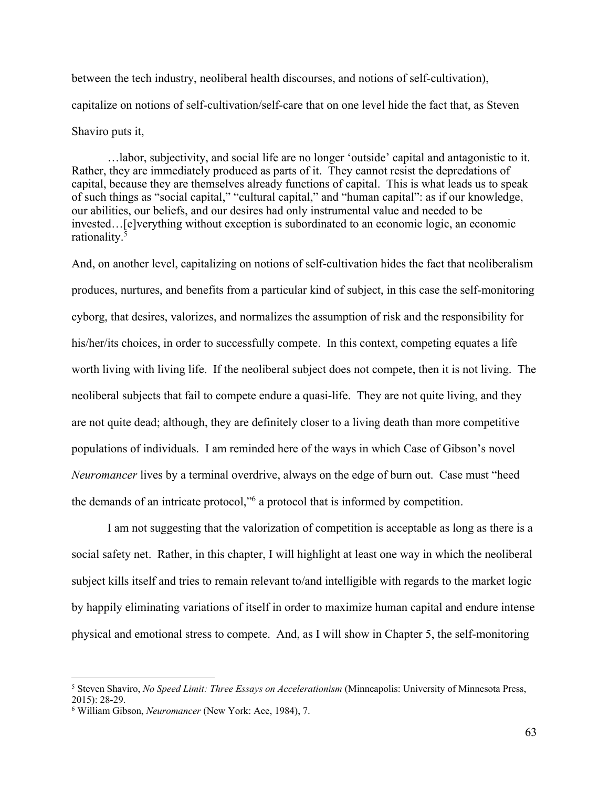between the tech industry, neoliberal health discourses, and notions of self-cultivation), capitalize on notions of self-cultivation/self-care that on one level hide the fact that, as Steven Shaviro puts it,

…labor, subjectivity, and social life are no longer 'outside' capital and antagonistic to it. Rather, they are immediately produced as parts of it. They cannot resist the depredations of capital, because they are themselves already functions of capital. This is what leads us to speak of such things as "social capital," "cultural capital," and "human capital": as if our knowledge, our abilities, our beliefs, and our desires had only instrumental value and needed to be invested…[e]verything without exception is subordinated to an economic logic, an economic rationality. $5$ 

And, on another level, capitalizing on notions of self-cultivation hides the fact that neoliberalism produces, nurtures, and benefits from a particular kind of subject, in this case the self-monitoring cyborg, that desires, valorizes, and normalizes the assumption of risk and the responsibility for his/her/its choices, in order to successfully compete. In this context, competing equates a life worth living with living life. If the neoliberal subject does not compete, then it is not living. The neoliberal subjects that fail to compete endure a quasi-life. They are not quite living, and they are not quite dead; although, they are definitely closer to a living death than more competitive populations of individuals. I am reminded here of the ways in which Case of Gibson's novel *Neuromancer* lives by a terminal overdrive, always on the edge of burn out. Case must "heed the demands of an intricate protocol,"6 a protocol that is informed by competition.

I am not suggesting that the valorization of competition is acceptable as long as there is a social safety net. Rather, in this chapter, I will highlight at least one way in which the neoliberal subject kills itself and tries to remain relevant to/and intelligible with regards to the market logic by happily eliminating variations of itself in order to maximize human capital and endure intense physical and emotional stress to compete. And, as I will show in Chapter 5, the self-monitoring

 <sup>5</sup> Steven Shaviro, *No Speed Limit: Three Essays on Accelerationism* (Minneapolis: University of Minnesota Press, 2015): 28-29.

<sup>6</sup> William Gibson, *Neuromancer* (New York: Ace, 1984), 7.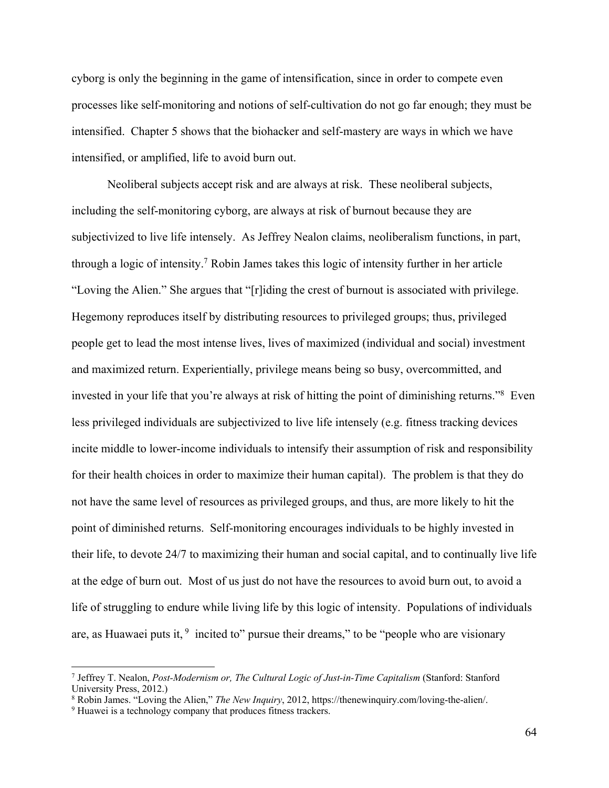cyborg is only the beginning in the game of intensification, since in order to compete even processes like self-monitoring and notions of self-cultivation do not go far enough; they must be intensified. Chapter 5 shows that the biohacker and self-mastery are ways in which we have intensified, or amplified, life to avoid burn out.

Neoliberal subjects accept risk and are always at risk. These neoliberal subjects, including the self-monitoring cyborg, are always at risk of burnout because they are subjectivized to live life intensely. As Jeffrey Nealon claims, neoliberalism functions, in part, through a logic of intensity.7 Robin James takes this logic of intensity further in her article "Loving the Alien." She argues that "[r]iding the crest of burnout is associated with privilege. Hegemony reproduces itself by distributing resources to privileged groups; thus, privileged people get to lead the most intense lives, lives of maximized (individual and social) investment and maximized return. Experientially, privilege means being so busy, overcommitted, and invested in your life that you're always at risk of hitting the point of diminishing returns."8 Even less privileged individuals are subjectivized to live life intensely (e.g. fitness tracking devices incite middle to lower-income individuals to intensify their assumption of risk and responsibility for their health choices in order to maximize their human capital). The problem is that they do not have the same level of resources as privileged groups, and thus, are more likely to hit the point of diminished returns. Self-monitoring encourages individuals to be highly invested in their life, to devote 24/7 to maximizing their human and social capital, and to continually live life at the edge of burn out. Most of us just do not have the resources to avoid burn out, to avoid a life of struggling to endure while living life by this logic of intensity. Populations of individuals are, as Huawaei puts it,  $9$  incited to" pursue their dreams," to be "people who are visionary

 <sup>7</sup> Jeffrey T. Nealon, *Post-Modernism or, The Cultural Logic of Just-in-Time Capitalism* (Stanford: Stanford University Press, 2012.)

<sup>8</sup> Robin James. "Loving the Alien," *The New Inquiry*, 2012, https://thenewinquiry.com/loving-the-alien/. 9 Huawei is a technology company that produces fitness trackers.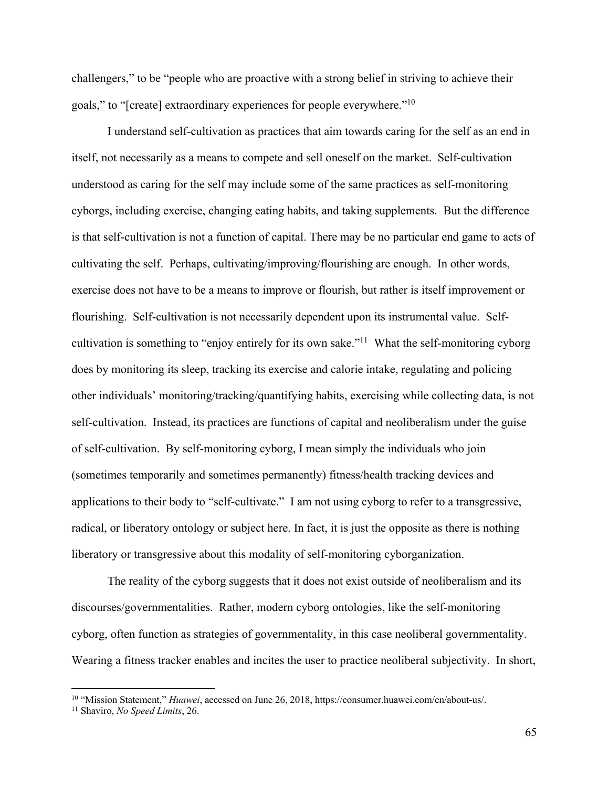challengers," to be "people who are proactive with a strong belief in striving to achieve their goals," to "[create] extraordinary experiences for people everywhere."10

I understand self-cultivation as practices that aim towards caring for the self as an end in itself, not necessarily as a means to compete and sell oneself on the market. Self-cultivation understood as caring for the self may include some of the same practices as self-monitoring cyborgs, including exercise, changing eating habits, and taking supplements. But the difference is that self-cultivation is not a function of capital. There may be no particular end game to acts of cultivating the self. Perhaps, cultivating/improving/flourishing are enough. In other words, exercise does not have to be a means to improve or flourish, but rather is itself improvement or flourishing. Self-cultivation is not necessarily dependent upon its instrumental value. Selfcultivation is something to "enjoy entirely for its own sake."11 What the self-monitoring cyborg does by monitoring its sleep, tracking its exercise and calorie intake, regulating and policing other individuals' monitoring/tracking/quantifying habits, exercising while collecting data, is not self-cultivation. Instead, its practices are functions of capital and neoliberalism under the guise of self-cultivation. By self-monitoring cyborg, I mean simply the individuals who join (sometimes temporarily and sometimes permanently) fitness/health tracking devices and applications to their body to "self-cultivate." I am not using cyborg to refer to a transgressive, radical, or liberatory ontology or subject here. In fact, it is just the opposite as there is nothing liberatory or transgressive about this modality of self-monitoring cyborganization.

The reality of the cyborg suggests that it does not exist outside of neoliberalism and its discourses/governmentalities. Rather, modern cyborg ontologies, like the self-monitoring cyborg, often function as strategies of governmentality, in this case neoliberal governmentality. Wearing a fitness tracker enables and incites the user to practice neoliberal subjectivity. In short,

 <sup>10</sup> "Mission Statement," *Huawei*, accessed on June 26, 2018, https://consumer.huawei.com/en/about-us/.

<sup>11</sup> Shaviro, *No Speed Limits*, 26.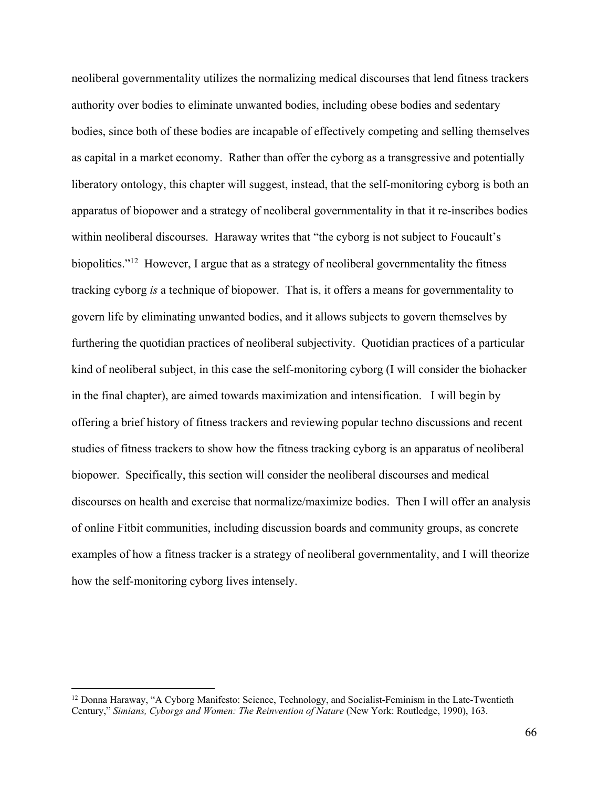neoliberal governmentality utilizes the normalizing medical discourses that lend fitness trackers authority over bodies to eliminate unwanted bodies, including obese bodies and sedentary bodies, since both of these bodies are incapable of effectively competing and selling themselves as capital in a market economy. Rather than offer the cyborg as a transgressive and potentially liberatory ontology, this chapter will suggest, instead, that the self-monitoring cyborg is both an apparatus of biopower and a strategy of neoliberal governmentality in that it re-inscribes bodies within neoliberal discourses. Haraway writes that "the cyborg is not subject to Foucault's biopolitics."<sup>12</sup> However, I argue that as a strategy of neoliberal governmentality the fitness tracking cyborg *is* a technique of biopower. That is, it offers a means for governmentality to govern life by eliminating unwanted bodies, and it allows subjects to govern themselves by furthering the quotidian practices of neoliberal subjectivity. Quotidian practices of a particular kind of neoliberal subject, in this case the self-monitoring cyborg (I will consider the biohacker in the final chapter), are aimed towards maximization and intensification. I will begin by offering a brief history of fitness trackers and reviewing popular techno discussions and recent studies of fitness trackers to show how the fitness tracking cyborg is an apparatus of neoliberal biopower. Specifically, this section will consider the neoliberal discourses and medical discourses on health and exercise that normalize/maximize bodies. Then I will offer an analysis of online Fitbit communities, including discussion boards and community groups, as concrete examples of how a fitness tracker is a strategy of neoliberal governmentality, and I will theorize how the self-monitoring cyborg lives intensely.

<sup>&</sup>lt;sup>12</sup> Donna Haraway, "A Cyborg Manifesto: Science, Technology, and Socialist-Feminism in the Late-Twentieth Century," *Simians, Cyborgs and Women: The Reinvention of Nature* (New York: Routledge, 1990), 163.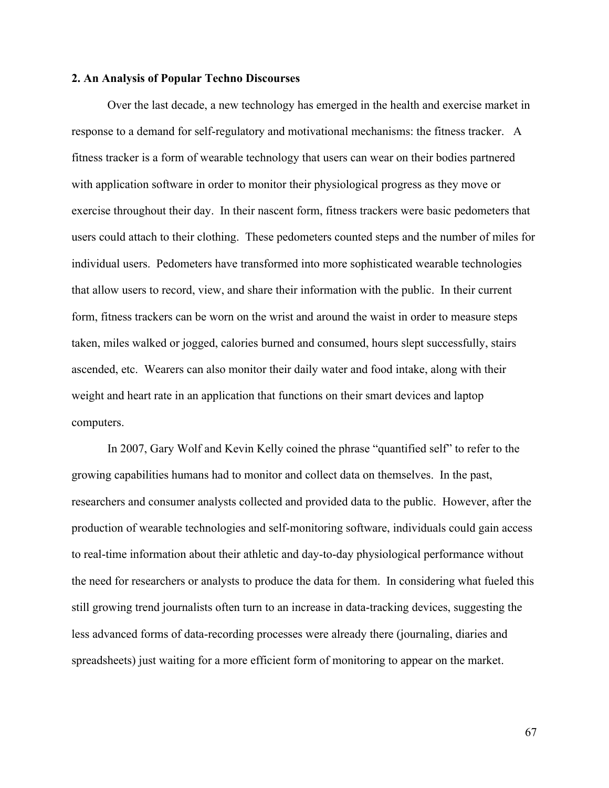### **2. An Analysis of Popular Techno Discourses**

Over the last decade, a new technology has emerged in the health and exercise market in response to a demand for self-regulatory and motivational mechanisms: the fitness tracker. A fitness tracker is a form of wearable technology that users can wear on their bodies partnered with application software in order to monitor their physiological progress as they move or exercise throughout their day. In their nascent form, fitness trackers were basic pedometers that users could attach to their clothing. These pedometers counted steps and the number of miles for individual users. Pedometers have transformed into more sophisticated wearable technologies that allow users to record, view, and share their information with the public. In their current form, fitness trackers can be worn on the wrist and around the waist in order to measure steps taken, miles walked or jogged, calories burned and consumed, hours slept successfully, stairs ascended, etc. Wearers can also monitor their daily water and food intake, along with their weight and heart rate in an application that functions on their smart devices and laptop computers.

In 2007, Gary Wolf and Kevin Kelly coined the phrase "quantified self" to refer to the growing capabilities humans had to monitor and collect data on themselves. In the past, researchers and consumer analysts collected and provided data to the public. However, after the production of wearable technologies and self-monitoring software, individuals could gain access to real-time information about their athletic and day-to-day physiological performance without the need for researchers or analysts to produce the data for them. In considering what fueled this still growing trend journalists often turn to an increase in data-tracking devices, suggesting the less advanced forms of data-recording processes were already there (journaling, diaries and spreadsheets) just waiting for a more efficient form of monitoring to appear on the market.

67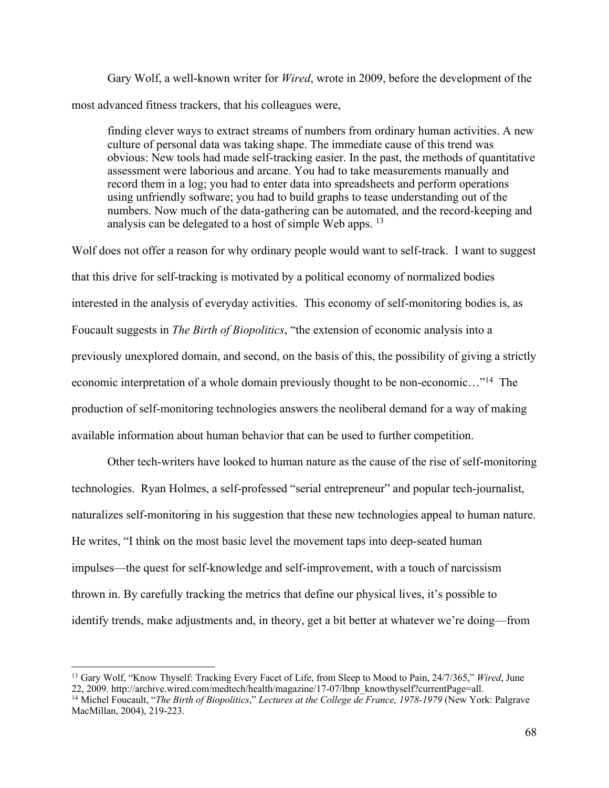Gary Wolf, a well-known writer for *Wired*, wrote in 2009, before the development of the most advanced fitness trackers, that his colleagues were,

finding clever ways to extract streams of numbers from ordinary human activities. A new culture of personal data was taking shape. The immediate cause of this trend was obvious: New tools had made self-tracking easier. In the past, the methods of quantitative assessment were laborious and arcane. You had to take measurements manually and record them in a log; you had to enter data into spreadsheets and perform operations using unfriendly software; you had to build graphs to tease understanding out of the numbers. Now much of the data-gathering can be automated, and the record-keeping and analysis can be delegated to a host of simple Web apps. <sup>13</sup>

Wolf does not offer a reason for why ordinary people would want to self-track. I want to suggest that this drive for self-tracking is motivated by a political economy of normalized bodies interested in the analysis of everyday activities. This economy of self-monitoring bodies is, as Foucault suggests in *The Birth of Biopolitics*, "the extension of economic analysis into a previously unexplored domain, and second, on the basis of this, the possibility of giving a strictly economic interpretation of a whole domain previously thought to be non-economic..."<sup>14</sup> The production of self-monitoring technologies answers the neoliberal demand for a way of making available information about human behavior that can be used to further competition.

Other tech-writers have looked to human nature as the cause of the rise of self-monitoring technologies. Ryan Holmes, a self-professed "serial entrepreneur" and popular tech-journalist, naturalizes self-monitoring in his suggestion that these new technologies appeal to human nature. He writes, "I think on the most basic level the movement taps into deep-seated human impulses—the quest for self-knowledge and self-improvement, with a touch of narcissism thrown in. By carefully tracking the metrics that define our physical lives, it's possible to identify trends, make adjustments and, in theory, get a bit better at whatever we're doing—from

 <sup>13</sup> Gary Wolf, "Know Thyself: Tracking Every Facet of Life, from Sleep to Mood to Pain, 24/7/365," *Wired*, June 22, 2009. http://archive.wired.com/medtech/health/magazine/17-07/lbnp\_knowthyself?currentPage=all. <sup>14</sup> Michel Foucault, "*The Birth of Biopolitics*," *Lectures at the College de France, 1978-1979* (New York: Palgrave

MacMillan, 2004), 219-223.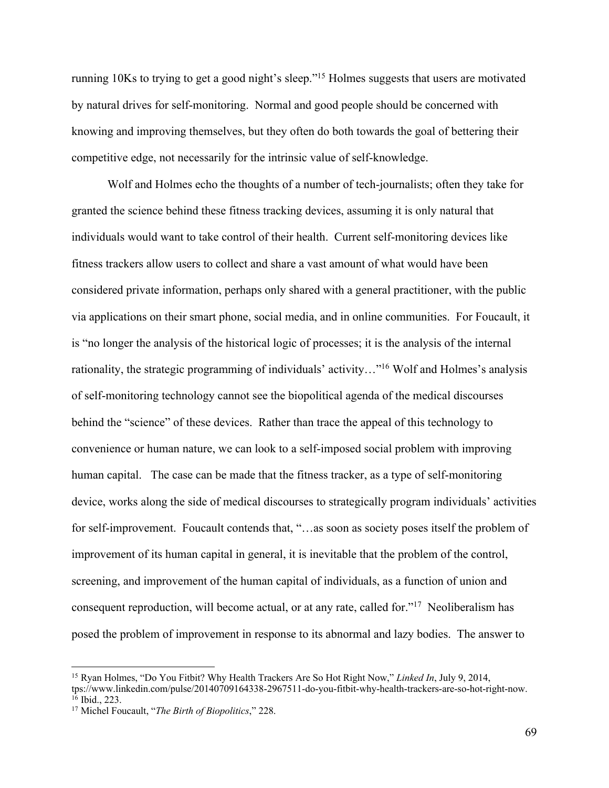running 10Ks to trying to get a good night's sleep."15 Holmes suggests that users are motivated by natural drives for self-monitoring. Normal and good people should be concerned with knowing and improving themselves, but they often do both towards the goal of bettering their competitive edge, not necessarily for the intrinsic value of self-knowledge.

Wolf and Holmes echo the thoughts of a number of tech-journalists; often they take for granted the science behind these fitness tracking devices, assuming it is only natural that individuals would want to take control of their health. Current self-monitoring devices like fitness trackers allow users to collect and share a vast amount of what would have been considered private information, perhaps only shared with a general practitioner, with the public via applications on their smart phone, social media, and in online communities. For Foucault, it is "no longer the analysis of the historical logic of processes; it is the analysis of the internal rationality, the strategic programming of individuals' activity…"16 Wolf and Holmes's analysis of self-monitoring technology cannot see the biopolitical agenda of the medical discourses behind the "science" of these devices. Rather than trace the appeal of this technology to convenience or human nature, we can look to a self-imposed social problem with improving human capital. The case can be made that the fitness tracker, as a type of self-monitoring device, works along the side of medical discourses to strategically program individuals' activities for self-improvement. Foucault contends that, "...as soon as society poses itself the problem of improvement of its human capital in general, it is inevitable that the problem of the control, screening, and improvement of the human capital of individuals, as a function of union and consequent reproduction, will become actual, or at any rate, called for."17 Neoliberalism has posed the problem of improvement in response to its abnormal and lazy bodies. The answer to

 <sup>15</sup> Ryan Holmes, "Do You Fitbit? Why Health Trackers Are So Hot Right Now," *Linked In*, July 9, 2014,

tps://www.linkedin.com/pulse/20140709164338-2967511-do-you-fitbit-why-health-trackers-are-so-hot-right-now.  $16$  Ibid., 223.

<sup>17</sup> Michel Foucault, "*The Birth of Biopolitics*," 228.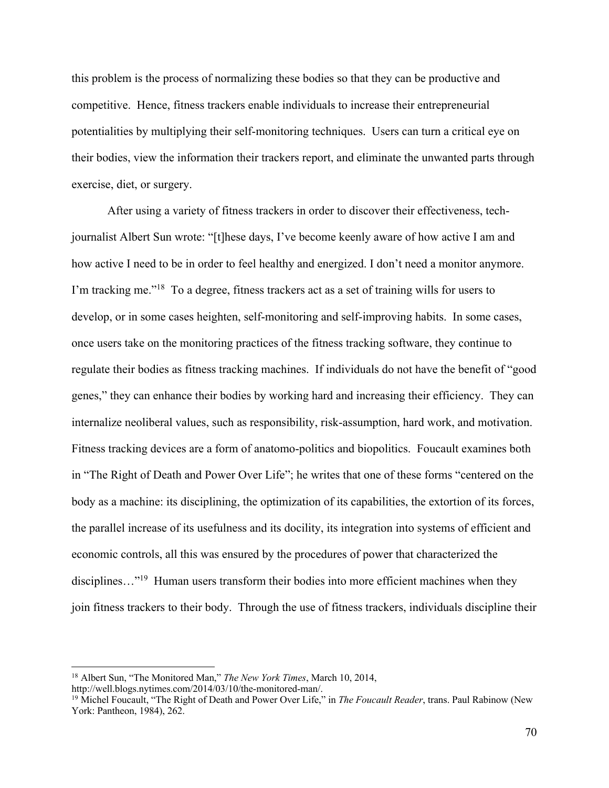this problem is the process of normalizing these bodies so that they can be productive and competitive. Hence, fitness trackers enable individuals to increase their entrepreneurial potentialities by multiplying their self-monitoring techniques. Users can turn a critical eye on their bodies, view the information their trackers report, and eliminate the unwanted parts through exercise, diet, or surgery.

After using a variety of fitness trackers in order to discover their effectiveness, techjournalist Albert Sun wrote: "[t]hese days, I've become keenly aware of how active I am and how active I need to be in order to feel healthy and energized. I don't need a monitor anymore. I'm tracking me."18 To a degree, fitness trackers act as a set of training wills for users to develop, or in some cases heighten, self-monitoring and self-improving habits. In some cases, once users take on the monitoring practices of the fitness tracking software, they continue to regulate their bodies as fitness tracking machines. If individuals do not have the benefit of "good genes," they can enhance their bodies by working hard and increasing their efficiency. They can internalize neoliberal values, such as responsibility, risk-assumption, hard work, and motivation. Fitness tracking devices are a form of anatomo-politics and biopolitics. Foucault examines both in "The Right of Death and Power Over Life"; he writes that one of these forms "centered on the body as a machine: its disciplining, the optimization of its capabilities, the extortion of its forces, the parallel increase of its usefulness and its docility, its integration into systems of efficient and economic controls, all this was ensured by the procedures of power that characterized the disciplines..."<sup>19</sup> Human users transform their bodies into more efficient machines when they join fitness trackers to their body. Through the use of fitness trackers, individuals discipline their

 <sup>18</sup> Albert Sun, "The Monitored Man," *The New York Times*, March 10, 2014,

http://well.blogs.nytimes.com/2014/03/10/the-monitored-man/.

<sup>19</sup> Michel Foucault, "The Right of Death and Power Over Life," in *The Foucault Reader*, trans. Paul Rabinow (New York: Pantheon, 1984), 262.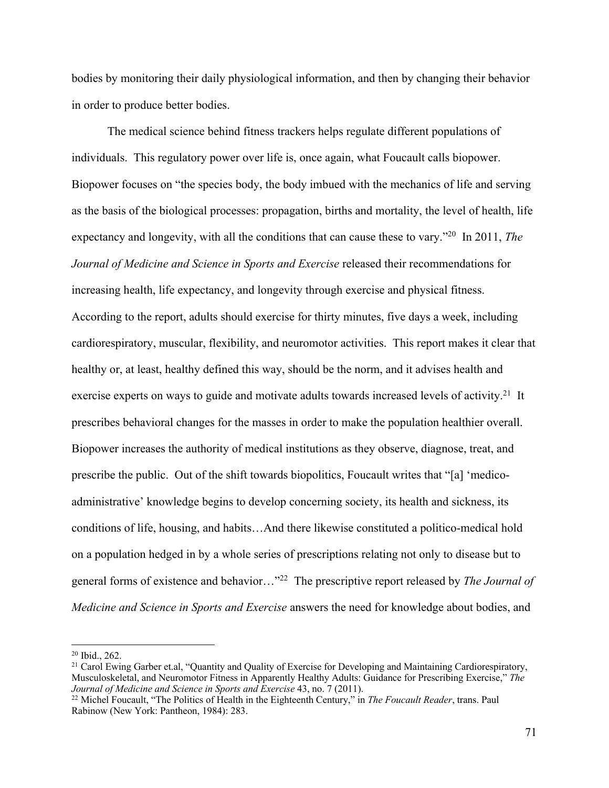bodies by monitoring their daily physiological information, and then by changing their behavior in order to produce better bodies.

The medical science behind fitness trackers helps regulate different populations of individuals. This regulatory power over life is, once again, what Foucault calls biopower. Biopower focuses on "the species body, the body imbued with the mechanics of life and serving as the basis of the biological processes: propagation, births and mortality, the level of health, life expectancy and longevity, with all the conditions that can cause these to vary."20 In 2011, *The Journal of Medicine and Science in Sports and Exercise* released their recommendations for increasing health, life expectancy, and longevity through exercise and physical fitness. According to the report, adults should exercise for thirty minutes, five days a week, including cardiorespiratory, muscular, flexibility, and neuromotor activities. This report makes it clear that healthy or, at least, healthy defined this way, should be the norm, and it advises health and exercise experts on ways to guide and motivate adults towards increased levels of activity.<sup>21</sup> It prescribes behavioral changes for the masses in order to make the population healthier overall. Biopower increases the authority of medical institutions as they observe, diagnose, treat, and prescribe the public. Out of the shift towards biopolitics, Foucault writes that "[a] 'medicoadministrative' knowledge begins to develop concerning society, its health and sickness, its conditions of life, housing, and habits…And there likewise constituted a politico-medical hold on a population hedged in by a whole series of prescriptions relating not only to disease but to general forms of existence and behavior…"22 The prescriptive report released by *The Journal of Medicine and Science in Sports and Exercise* answers the need for knowledge about bodies, and

 <sup>20</sup> Ibid., 262.

<sup>&</sup>lt;sup>21</sup> Carol Ewing Garber et.al, "Quantity and Quality of Exercise for Developing and Maintaining Cardiorespiratory, Musculoskeletal, and Neuromotor Fitness in Apparently Healthy Adults: Guidance for Prescribing Exercise," *The* 

<sup>&</sup>lt;sup>22</sup> Michel Foucault, "The Politics of Health in the Eighteenth Century," in *The Foucault Reader*, trans. Paul Rabinow (New York: Pantheon, 1984): 283.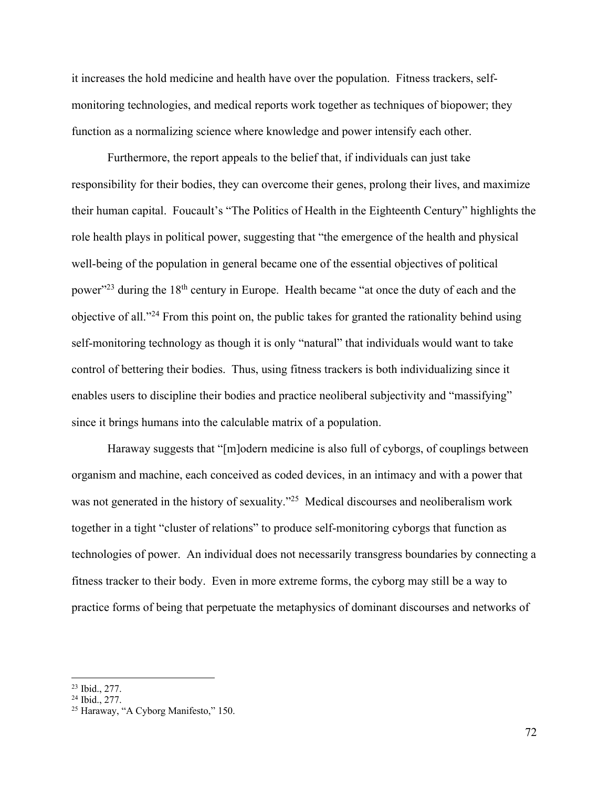it increases the hold medicine and health have over the population. Fitness trackers, selfmonitoring technologies, and medical reports work together as techniques of biopower; they function as a normalizing science where knowledge and power intensify each other.

Furthermore, the report appeals to the belief that, if individuals can just take responsibility for their bodies, they can overcome their genes, prolong their lives, and maximize their human capital. Foucault's "The Politics of Health in the Eighteenth Century" highlights the role health plays in political power, suggesting that "the emergence of the health and physical well-being of the population in general became one of the essential objectives of political power"<sup>23</sup> during the 18<sup>th</sup> century in Europe. Health became "at once the duty of each and the objective of all."24 From this point on, the public takes for granted the rationality behind using self-monitoring technology as though it is only "natural" that individuals would want to take control of bettering their bodies. Thus, using fitness trackers is both individualizing since it enables users to discipline their bodies and practice neoliberal subjectivity and "massifying" since it brings humans into the calculable matrix of a population.

Haraway suggests that "[m]odern medicine is also full of cyborgs, of couplings between organism and machine, each conceived as coded devices, in an intimacy and with a power that was not generated in the history of sexuality."<sup>25</sup> Medical discourses and neoliberalism work together in a tight "cluster of relations" to produce self-monitoring cyborgs that function as technologies of power. An individual does not necessarily transgress boundaries by connecting a fitness tracker to their body. Even in more extreme forms, the cyborg may still be a way to practice forms of being that perpetuate the metaphysics of dominant discourses and networks of

 <sup>23</sup> Ibid., 277.

<sup>24</sup> Ibid., 277.

<sup>25</sup> Haraway, "A Cyborg Manifesto," 150.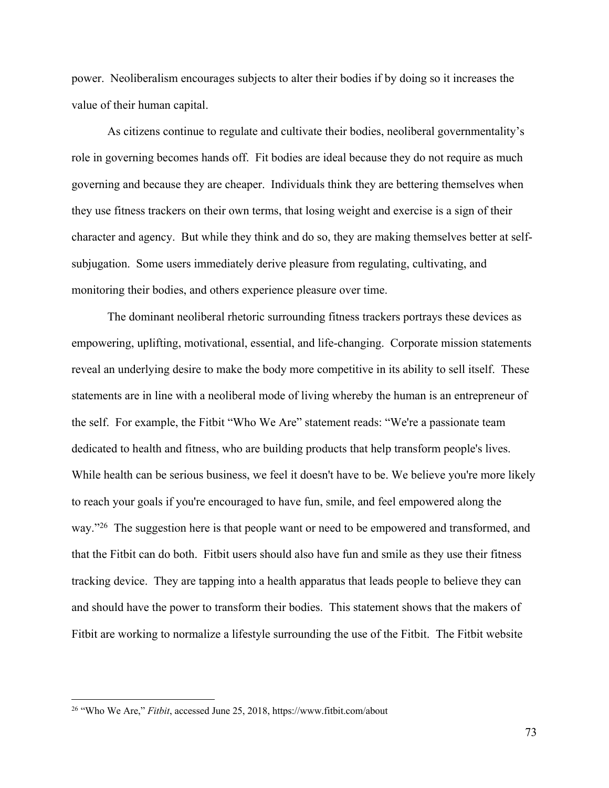power. Neoliberalism encourages subjects to alter their bodies if by doing so it increases the value of their human capital.

As citizens continue to regulate and cultivate their bodies, neoliberal governmentality's role in governing becomes hands off. Fit bodies are ideal because they do not require as much governing and because they are cheaper. Individuals think they are bettering themselves when they use fitness trackers on their own terms, that losing weight and exercise is a sign of their character and agency. But while they think and do so, they are making themselves better at selfsubjugation. Some users immediately derive pleasure from regulating, cultivating, and monitoring their bodies, and others experience pleasure over time.

The dominant neoliberal rhetoric surrounding fitness trackers portrays these devices as empowering, uplifting, motivational, essential, and life-changing. Corporate mission statements reveal an underlying desire to make the body more competitive in its ability to sell itself. These statements are in line with a neoliberal mode of living whereby the human is an entrepreneur of the self. For example, the Fitbit "Who We Are" statement reads: "We're a passionate team dedicated to health and fitness, who are building products that help transform people's lives. While health can be serious business, we feel it doesn't have to be. We believe you're more likely to reach your goals if you're encouraged to have fun, smile, and feel empowered along the way."<sup>26</sup> The suggestion here is that people want or need to be empowered and transformed, and that the Fitbit can do both. Fitbit users should also have fun and smile as they use their fitness tracking device. They are tapping into a health apparatus that leads people to believe they can and should have the power to transform their bodies. This statement shows that the makers of Fitbit are working to normalize a lifestyle surrounding the use of the Fitbit. The Fitbit website

 <sup>26</sup> "Who We Are," *Fitbit*, accessed June 25, 2018, https://www.fitbit.com/about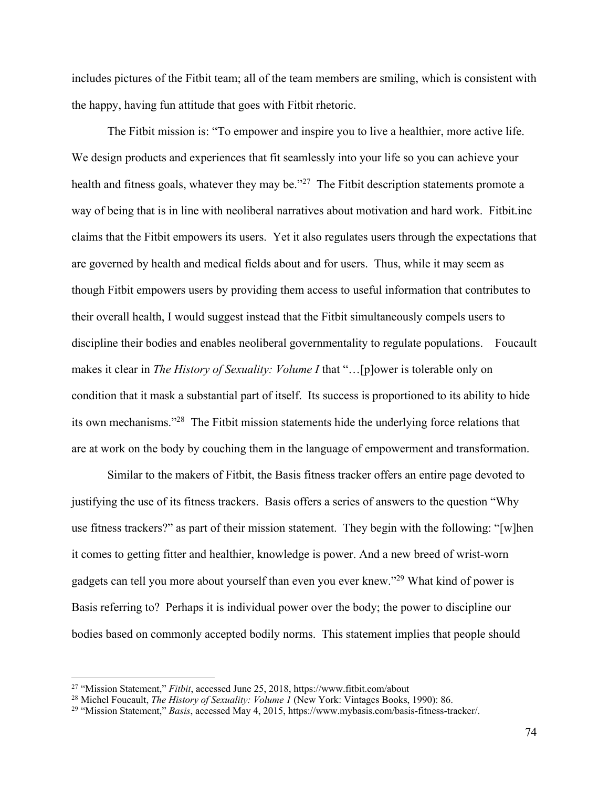includes pictures of the Fitbit team; all of the team members are smiling, which is consistent with the happy, having fun attitude that goes with Fitbit rhetoric.

The Fitbit mission is: "To empower and inspire you to live a healthier, more active life. We design products and experiences that fit seamlessly into your life so you can achieve your health and fitness goals, whatever they may be."<sup>27</sup> The Fitbit description statements promote a way of being that is in line with neoliberal narratives about motivation and hard work. Fitbit.inc claims that the Fitbit empowers its users. Yet it also regulates users through the expectations that are governed by health and medical fields about and for users. Thus, while it may seem as though Fitbit empowers users by providing them access to useful information that contributes to their overall health, I would suggest instead that the Fitbit simultaneously compels users to discipline their bodies and enables neoliberal governmentality to regulate populations. Foucault makes it clear in *The History of Sexuality: Volume I* that "…[p]ower is tolerable only on condition that it mask a substantial part of itself. Its success is proportioned to its ability to hide its own mechanisms."28 The Fitbit mission statements hide the underlying force relations that are at work on the body by couching them in the language of empowerment and transformation.

Similar to the makers of Fitbit, the Basis fitness tracker offers an entire page devoted to justifying the use of its fitness trackers. Basis offers a series of answers to the question "Why use fitness trackers?" as part of their mission statement. They begin with the following: "[w]hen it comes to getting fitter and healthier, knowledge is power. And a new breed of wrist-worn gadgets can tell you more about yourself than even you ever knew."29 What kind of power is Basis referring to? Perhaps it is individual power over the body; the power to discipline our bodies based on commonly accepted bodily norms. This statement implies that people should

 <sup>27</sup> "Mission Statement," *Fitbit*, accessed June 25, 2018, https://www.fitbit.com/about

<sup>28</sup> Michel Foucault, *The History of Sexuality: Volume 1* (New York: Vintages Books, 1990): 86.

<sup>29</sup> "Mission Statement," *Basis*, accessed May 4, 2015, https://www.mybasis.com/basis-fitness-tracker/.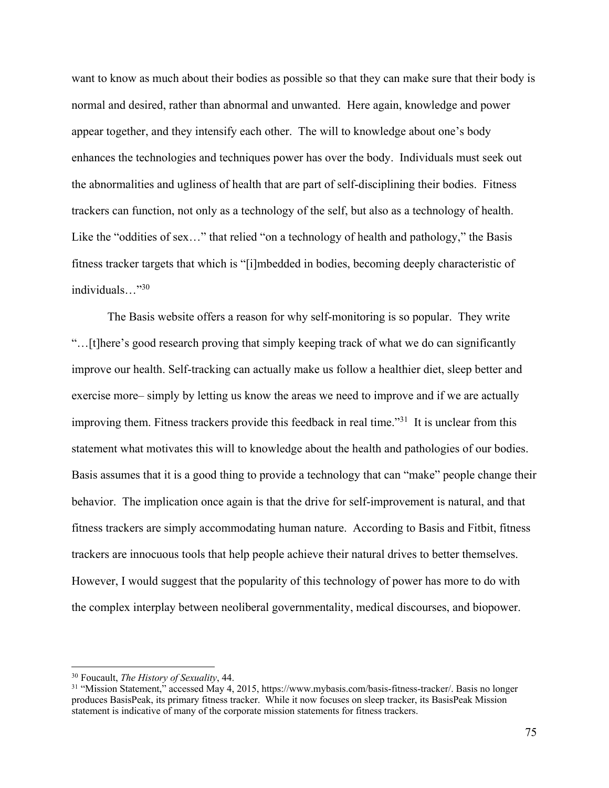want to know as much about their bodies as possible so that they can make sure that their body is normal and desired, rather than abnormal and unwanted. Here again, knowledge and power appear together, and they intensify each other. The will to knowledge about one's body enhances the technologies and techniques power has over the body. Individuals must seek out the abnormalities and ugliness of health that are part of self-disciplining their bodies. Fitness trackers can function, not only as a technology of the self, but also as a technology of health. Like the "oddities of sex..." that relied "on a technology of health and pathology," the Basis fitness tracker targets that which is "[i]mbedded in bodies, becoming deeply characteristic of individuals…"30

The Basis website offers a reason for why self-monitoring is so popular. They write "…[t]here's good research proving that simply keeping track of what we do can significantly improve our health. Self-tracking can actually make us follow a healthier diet, sleep better and exercise more– simply by letting us know the areas we need to improve and if we are actually improving them. Fitness trackers provide this feedback in real time."<sup>31</sup> It is unclear from this statement what motivates this will to knowledge about the health and pathologies of our bodies. Basis assumes that it is a good thing to provide a technology that can "make" people change their behavior. The implication once again is that the drive for self-improvement is natural, and that fitness trackers are simply accommodating human nature. According to Basis and Fitbit, fitness trackers are innocuous tools that help people achieve their natural drives to better themselves. However, I would suggest that the popularity of this technology of power has more to do with the complex interplay between neoliberal governmentality, medical discourses, and biopower.

 <sup>30</sup> Foucault, *The History of Sexuality*, 44.

<sup>31</sup> "Mission Statement," accessed May 4, 2015, https://www.mybasis.com/basis-fitness-tracker/. Basis no longer produces BasisPeak, its primary fitness tracker. While it now focuses on sleep tracker, its BasisPeak Mission statement is indicative of many of the corporate mission statements for fitness trackers.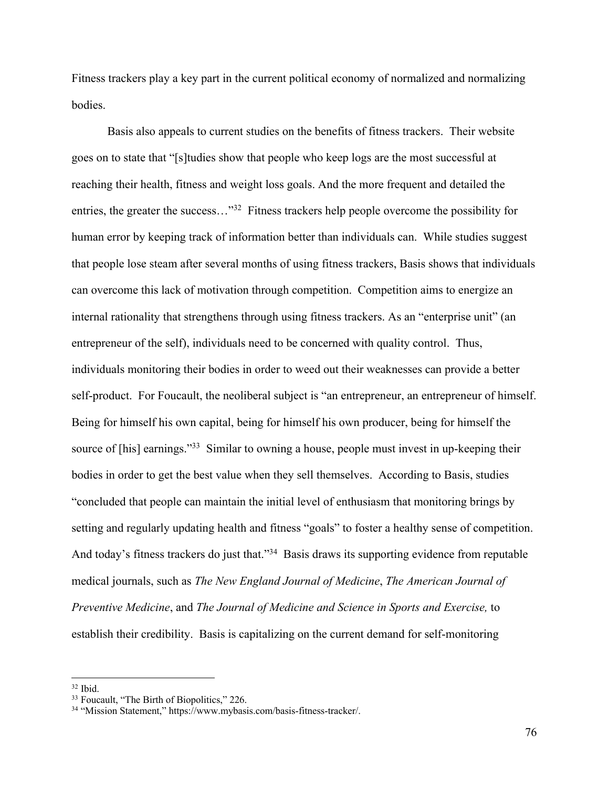Fitness trackers play a key part in the current political economy of normalized and normalizing bodies.

Basis also appeals to current studies on the benefits of fitness trackers. Their website goes on to state that "[s]tudies show that people who keep logs are the most successful at reaching their health, fitness and weight loss goals. And the more frequent and detailed the entries, the greater the success..."<sup>32</sup> Fitness trackers help people overcome the possibility for human error by keeping track of information better than individuals can. While studies suggest that people lose steam after several months of using fitness trackers, Basis shows that individuals can overcome this lack of motivation through competition. Competition aims to energize an internal rationality that strengthens through using fitness trackers. As an "enterprise unit" (an entrepreneur of the self), individuals need to be concerned with quality control. Thus, individuals monitoring their bodies in order to weed out their weaknesses can provide a better self-product. For Foucault, the neoliberal subject is "an entrepreneur, an entrepreneur of himself. Being for himself his own capital, being for himself his own producer, being for himself the source of [his] earnings."<sup>33</sup> Similar to owning a house, people must invest in up-keeping their bodies in order to get the best value when they sell themselves. According to Basis, studies "concluded that people can maintain the initial level of enthusiasm that monitoring brings by setting and regularly updating health and fitness "goals" to foster a healthy sense of competition. And today's fitness trackers do just that."<sup>34</sup> Basis draws its supporting evidence from reputable medical journals, such as *The New England Journal of Medicine*, *The American Journal of Preventive Medicine*, and *The Journal of Medicine and Science in Sports and Exercise,* to establish their credibility. Basis is capitalizing on the current demand for self-monitoring

 <sup>32</sup> Ibid.

<sup>33</sup> Foucault, "The Birth of Biopolitics," 226.

<sup>34</sup> "Mission Statement," https://www.mybasis.com/basis-fitness-tracker/.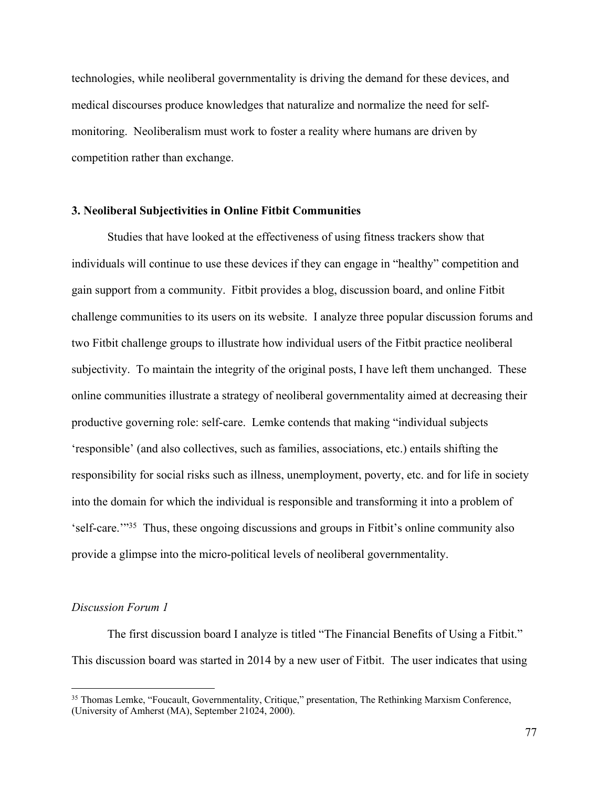technologies, while neoliberal governmentality is driving the demand for these devices, and medical discourses produce knowledges that naturalize and normalize the need for selfmonitoring. Neoliberalism must work to foster a reality where humans are driven by competition rather than exchange.

### **3. Neoliberal Subjectivities in Online Fitbit Communities**

Studies that have looked at the effectiveness of using fitness trackers show that individuals will continue to use these devices if they can engage in "healthy" competition and gain support from a community. Fitbit provides a blog, discussion board, and online Fitbit challenge communities to its users on its website. I analyze three popular discussion forums and two Fitbit challenge groups to illustrate how individual users of the Fitbit practice neoliberal subjectivity. To maintain the integrity of the original posts, I have left them unchanged. These online communities illustrate a strategy of neoliberal governmentality aimed at decreasing their productive governing role: self-care. Lemke contends that making "individual subjects 'responsible' (and also collectives, such as families, associations, etc.) entails shifting the responsibility for social risks such as illness, unemployment, poverty, etc. and for life in society into the domain for which the individual is responsible and transforming it into a problem of 'self-care.'"35 Thus, these ongoing discussions and groups in Fitbit's online community also provide a glimpse into the micro-political levels of neoliberal governmentality.

### *Discussion Forum 1*

The first discussion board I analyze is titled "The Financial Benefits of Using a Fitbit." This discussion board was started in 2014 by a new user of Fitbit. The user indicates that using

<sup>&</sup>lt;sup>35</sup> Thomas Lemke, "Foucault, Governmentality, Critique," presentation, The Rethinking Marxism Conference, (University of Amherst (MA), September 21024, 2000).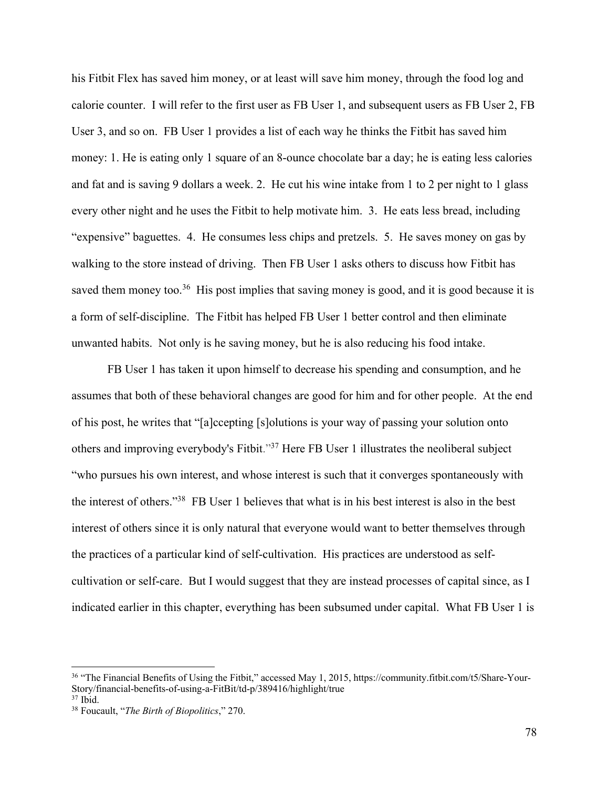his Fitbit Flex has saved him money, or at least will save him money, through the food log and calorie counter. I will refer to the first user as FB User 1, and subsequent users as FB User 2, FB User 3, and so on. FB User 1 provides a list of each way he thinks the Fitbit has saved him money: 1. He is eating only 1 square of an 8-ounce chocolate bar a day; he is eating less calories and fat and is saving 9 dollars a week. 2. He cut his wine intake from 1 to 2 per night to 1 glass every other night and he uses the Fitbit to help motivate him. 3. He eats less bread, including "expensive" baguettes. 4. He consumes less chips and pretzels. 5. He saves money on gas by walking to the store instead of driving. Then FB User 1 asks others to discuss how Fitbit has saved them money too.<sup>36</sup> His post implies that saving money is good, and it is good because it is a form of self-discipline. The Fitbit has helped FB User 1 better control and then eliminate unwanted habits. Not only is he saving money, but he is also reducing his food intake.

FB User 1 has taken it upon himself to decrease his spending and consumption, and he assumes that both of these behavioral changes are good for him and for other people. At the end of his post, he writes that "[a]ccepting [s]olutions is your way of passing your solution onto others and improving everybody's Fitbit."37 Here FB User 1 illustrates the neoliberal subject "who pursues his own interest, and whose interest is such that it converges spontaneously with the interest of others."38 FB User 1 believes that what is in his best interest is also in the best interest of others since it is only natural that everyone would want to better themselves through the practices of a particular kind of self-cultivation. His practices are understood as selfcultivation or self-care. But I would suggest that they are instead processes of capital since, as I indicated earlier in this chapter, everything has been subsumed under capital. What FB User 1 is

 <sup>36</sup> "The Financial Benefits of Using the Fitbit," accessed May 1, 2015, https://community.fitbit.com/t5/Share-Your-Story/financial-benefits-of-using-a-FitBit/td-p/389416/highlight/true 37 Ibid.

<sup>38</sup> Foucault, "*The Birth of Biopolitics*," 270.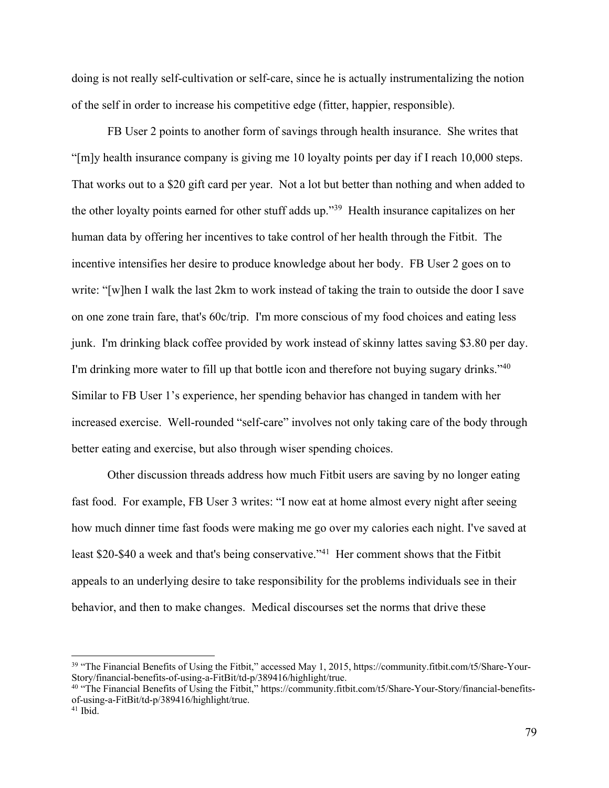doing is not really self-cultivation or self-care, since he is actually instrumentalizing the notion of the self in order to increase his competitive edge (fitter, happier, responsible).

FB User 2 points to another form of savings through health insurance. She writes that "[m]y health insurance company is giving me 10 loyalty points per day if I reach 10,000 steps. That works out to a \$20 gift card per year. Not a lot but better than nothing and when added to the other loyalty points earned for other stuff adds up."39 Health insurance capitalizes on her human data by offering her incentives to take control of her health through the Fitbit. The incentive intensifies her desire to produce knowledge about her body. FB User 2 goes on to write: "[w]hen I walk the last 2km to work instead of taking the train to outside the door I save on one zone train fare, that's 60c/trip. I'm more conscious of my food choices and eating less junk. I'm drinking black coffee provided by work instead of skinny lattes saving \$3.80 per day. I'm drinking more water to fill up that bottle icon and therefore not buying sugary drinks."<sup>40</sup> Similar to FB User 1's experience, her spending behavior has changed in tandem with her increased exercise. Well-rounded "self-care" involves not only taking care of the body through better eating and exercise, but also through wiser spending choices.

Other discussion threads address how much Fitbit users are saving by no longer eating fast food. For example, FB User 3 writes: "I now eat at home almost every night after seeing how much dinner time fast foods were making me go over my calories each night. I've saved at least \$20-\$40 a week and that's being conservative."<sup>41</sup> Her comment shows that the Fitbit appeals to an underlying desire to take responsibility for the problems individuals see in their behavior, and then to make changes. Medical discourses set the norms that drive these

 <sup>39</sup> "The Financial Benefits of Using the Fitbit," accessed May 1, 2015, https://community.fitbit.com/t5/Share-Your-Story/financial-benefits-of-using-a-FitBit/td-p/389416/highlight/true.

<sup>40</sup> "The Financial Benefits of Using the Fitbit," https://community.fitbit.com/t5/Share-Your-Story/financial-benefitsof-using-a-FitBit/td-p/389416/highlight/true.

 $41$  Ibid.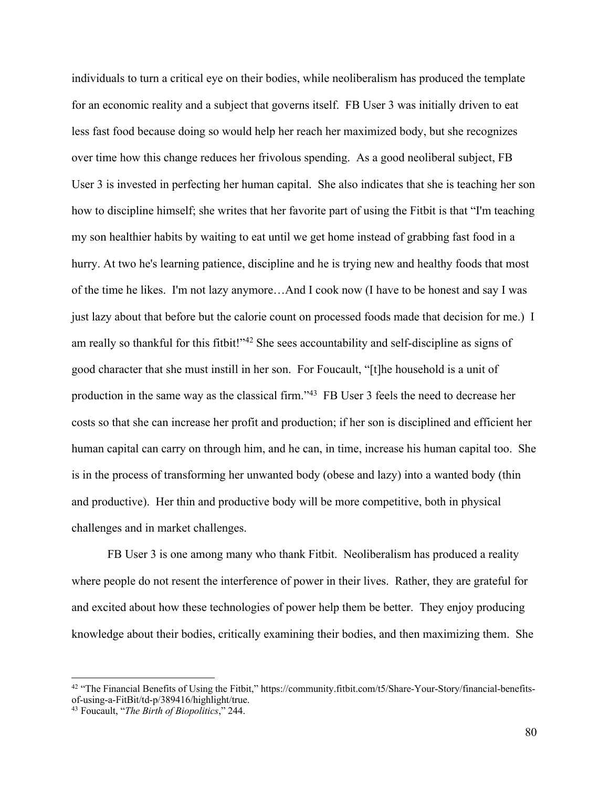individuals to turn a critical eye on their bodies, while neoliberalism has produced the template for an economic reality and a subject that governs itself. FB User 3 was initially driven to eat less fast food because doing so would help her reach her maximized body, but she recognizes over time how this change reduces her frivolous spending. As a good neoliberal subject, FB User 3 is invested in perfecting her human capital. She also indicates that she is teaching her son how to discipline himself; she writes that her favorite part of using the Fitbit is that "I'm teaching my son healthier habits by waiting to eat until we get home instead of grabbing fast food in a hurry. At two he's learning patience, discipline and he is trying new and healthy foods that most of the time he likes. I'm not lazy anymore…And I cook now (I have to be honest and say I was just lazy about that before but the calorie count on processed foods made that decision for me.) I am really so thankful for this fitbit!"<sup>42</sup> She sees accountability and self-discipline as signs of good character that she must instill in her son. For Foucault, "[t]he household is a unit of production in the same way as the classical firm."43 FB User 3 feels the need to decrease her costs so that she can increase her profit and production; if her son is disciplined and efficient her human capital can carry on through him, and he can, in time, increase his human capital too. She is in the process of transforming her unwanted body (obese and lazy) into a wanted body (thin and productive). Her thin and productive body will be more competitive, both in physical challenges and in market challenges.

FB User 3 is one among many who thank Fitbit. Neoliberalism has produced a reality where people do not resent the interference of power in their lives. Rather, they are grateful for and excited about how these technologies of power help them be better. They enjoy producing knowledge about their bodies, critically examining their bodies, and then maximizing them. She

<sup>42 &</sup>quot;The Financial Benefits of Using the Fitbit," https://community.fitbit.com/t5/Share-Your-Story/financial-benefitsof-using-a-FitBit/td-p/389416/highlight/true.

<sup>43</sup> Foucault, "*The Birth of Biopolitics*," 244.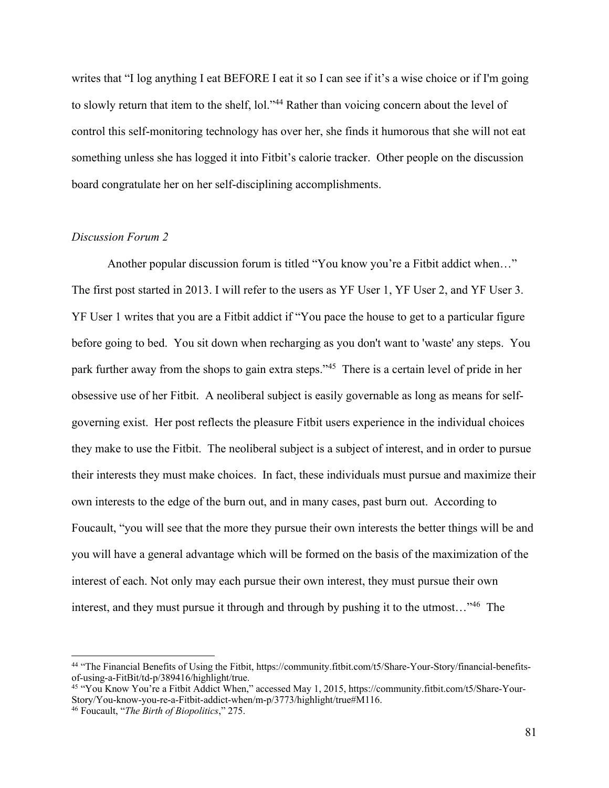writes that "I log anything I eat BEFORE I eat it so I can see if it's a wise choice or if I'm going to slowly return that item to the shelf, lol."44 Rather than voicing concern about the level of control this self-monitoring technology has over her, she finds it humorous that she will not eat something unless she has logged it into Fitbit's calorie tracker. Other people on the discussion board congratulate her on her self-disciplining accomplishments.

# *Discussion Forum 2*

Another popular discussion forum is titled "You know you're a Fitbit addict when..." The first post started in 2013. I will refer to the users as YF User 1, YF User 2, and YF User 3. YF User 1 writes that you are a Fitbit addict if "You pace the house to get to a particular figure before going to bed. You sit down when recharging as you don't want to 'waste' any steps. You park further away from the shops to gain extra steps."<sup>45</sup> There is a certain level of pride in her obsessive use of her Fitbit. A neoliberal subject is easily governable as long as means for selfgoverning exist. Her post reflects the pleasure Fitbit users experience in the individual choices they make to use the Fitbit. The neoliberal subject is a subject of interest, and in order to pursue their interests they must make choices. In fact, these individuals must pursue and maximize their own interests to the edge of the burn out, and in many cases, past burn out. According to Foucault, "you will see that the more they pursue their own interests the better things will be and you will have a general advantage which will be formed on the basis of the maximization of the interest of each. Not only may each pursue their own interest, they must pursue their own interest, and they must pursue it through and through by pushing it to the utmost…"46 The

 <sup>44</sup> "The Financial Benefits of Using the Fitbit, https://community.fitbit.com/t5/Share-Your-Story/financial-benefitsof-using-a-FitBit/td-p/389416/highlight/true.

<sup>45</sup> "You Know You're a Fitbit Addict When," accessed May 1, 2015, https://community.fitbit.com/t5/Share-Your-Story/You-know-you-re-a-Fitbit-addict-when/m-p/3773/highlight/true#M116.

<sup>46</sup> Foucault, "*The Birth of Biopolitics*," 275.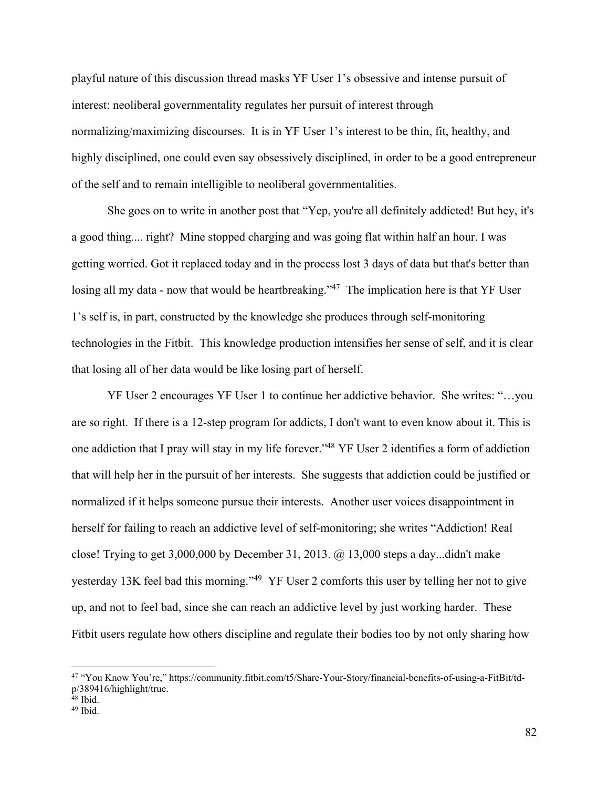playful nature of this discussion thread masks YF User 1's obsessive and intense pursuit of interest; neoliberal governmentality regulates her pursuit of interest through normalizing/maximizing discourses. It is in YF User 1's interest to be thin, fit, healthy, and highly disciplined, one could even say obsessively disciplined, in order to be a good entrepreneur of the self and to remain intelligible to neoliberal governmentalities.

She goes on to write in another post that "Yep, you're all definitely addicted! But hey, it's a good thing.... right? Mine stopped charging and was going flat within half an hour. I was getting worried. Got it replaced today and in the process lost 3 days of data but that's better than losing all my data - now that would be heartbreaking."<sup>47</sup> The implication here is that YF User 1's self is, in part, constructed by the knowledge she produces through self-monitoring technologies in the Fitbit. This knowledge production intensifies her sense of self, and it is clear that losing all of her data would be like losing part of herself.

YF User 2 encourages YF User 1 to continue her addictive behavior. She writes: "…you are so right. If there is a 12-step program for addicts, I don't want to even know about it. This is one addiction that I pray will stay in my life forever."48 YF User 2 identifies a form of addiction that will help her in the pursuit of her interests. She suggests that addiction could be justified or normalized if it helps someone pursue their interests. Another user voices disappointment in herself for failing to reach an addictive level of self-monitoring; she writes "Addiction! Real close! Trying to get 3,000,000 by December 31, 2013.  $\omega$  13,000 steps a day...didn't make yesterday 13K feel bad this morning."49 YF User 2 comforts this user by telling her not to give up, and not to feel bad, since she can reach an addictive level by just working harder. These Fitbit users regulate how others discipline and regulate their bodies too by not only sharing how

 <sup>47</sup> "You Know You're," https://community.fitbit.com/t5/Share-Your-Story/financial-benefits-of-using-a-FitBit/tdp/389416/highlight/true.

<sup>48</sup> Ibid.

<sup>49</sup> Ibid.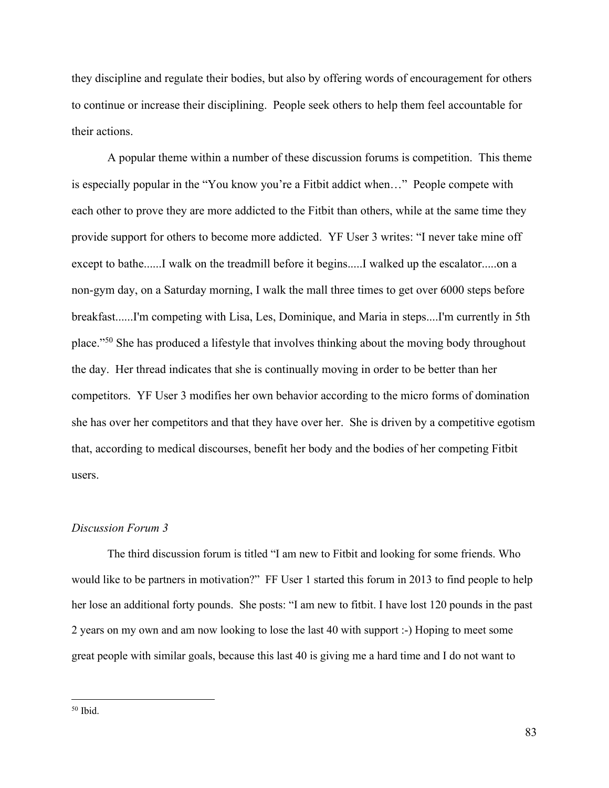they discipline and regulate their bodies, but also by offering words of encouragement for others to continue or increase their disciplining. People seek others to help them feel accountable for their actions.

A popular theme within a number of these discussion forums is competition. This theme is especially popular in the "You know you're a Fitbit addict when…" People compete with each other to prove they are more addicted to the Fitbit than others, while at the same time they provide support for others to become more addicted. YF User 3 writes: "I never take mine off except to bathe......I walk on the treadmill before it begins.....I walked up the escalator.....on a non-gym day, on a Saturday morning, I walk the mall three times to get over 6000 steps before breakfast......I'm competing with Lisa, Les, Dominique, and Maria in steps....I'm currently in 5th place."50 She has produced a lifestyle that involves thinking about the moving body throughout the day. Her thread indicates that she is continually moving in order to be better than her competitors. YF User 3 modifies her own behavior according to the micro forms of domination she has over her competitors and that they have over her. She is driven by a competitive egotism that, according to medical discourses, benefit her body and the bodies of her competing Fitbit users.

### *Discussion Forum 3*

The third discussion forum is titled "I am new to Fitbit and looking for some friends. Who would like to be partners in motivation?" FF User 1 started this forum in 2013 to find people to help her lose an additional forty pounds. She posts: "I am new to fitbit. I have lost 120 pounds in the past 2 years on my own and am now looking to lose the last 40 with support :-) Hoping to meet some great people with similar goals, because this last 40 is giving me a hard time and I do not want to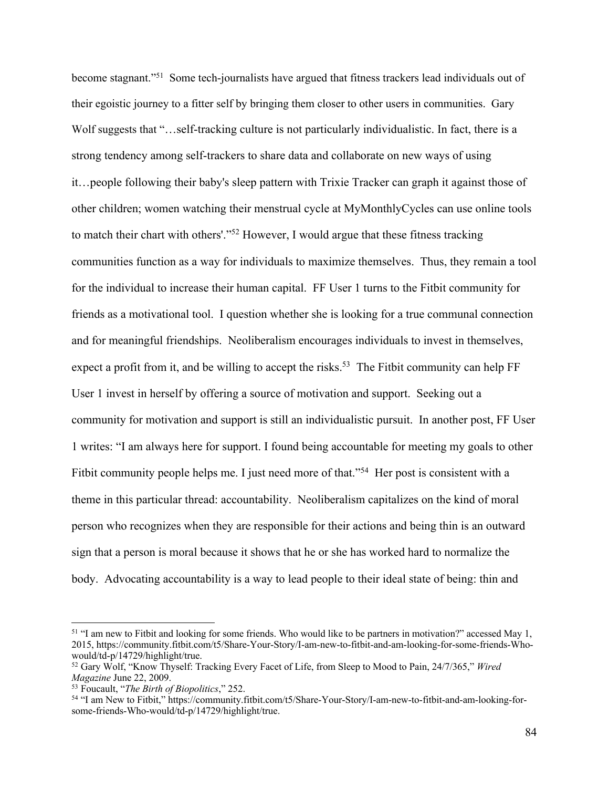become stagnant."<sup>51</sup> Some tech-journalists have argued that fitness trackers lead individuals out of their egoistic journey to a fitter self by bringing them closer to other users in communities. Gary Wolf suggests that "...self-tracking culture is not particularly individualistic. In fact, there is a strong tendency among self-trackers to share data and collaborate on new ways of using it…people following their baby's sleep pattern with Trixie Tracker can graph it against those of other children; women watching their menstrual cycle at MyMonthlyCycles can use online tools to match their chart with others'."52 However, I would argue that these fitness tracking communities function as a way for individuals to maximize themselves. Thus, they remain a tool for the individual to increase their human capital. FF User 1 turns to the Fitbit community for friends as a motivational tool. I question whether she is looking for a true communal connection and for meaningful friendships. Neoliberalism encourages individuals to invest in themselves, expect a profit from it, and be willing to accept the risks.<sup>53</sup> The Fitbit community can help FF User 1 invest in herself by offering a source of motivation and support. Seeking out a community for motivation and support is still an individualistic pursuit. In another post, FF User 1 writes: "I am always here for support. I found being accountable for meeting my goals to other Fitbit community people helps me. I just need more of that."<sup>54</sup> Her post is consistent with a theme in this particular thread: accountability. Neoliberalism capitalizes on the kind of moral person who recognizes when they are responsible for their actions and being thin is an outward sign that a person is moral because it shows that he or she has worked hard to normalize the body. Advocating accountability is a way to lead people to their ideal state of being: thin and

 <sup>51</sup> "I am new to Fitbit and looking for some friends. Who would like to be partners in motivation?" accessed May 1, 2015, https://community.fitbit.com/t5/Share-Your-Story/I-am-new-to-fitbit-and-am-looking-for-some-friends-Whowould/td-p/14729/highlight/true.

<sup>52</sup> Gary Wolf, "Know Thyself: Tracking Every Facet of Life, from Sleep to Mood to Pain, 24/7/365," *Wired* 

<sup>&</sup>lt;sup>53</sup> Foucault, "*The Birth of Biopolitics*," 252.

<sup>54</sup> "I am New to Fitbit," https://community.fitbit.com/t5/Share-Your-Story/I-am-new-to-fitbit-and-am-looking-forsome-friends-Who-would/td-p/14729/highlight/true.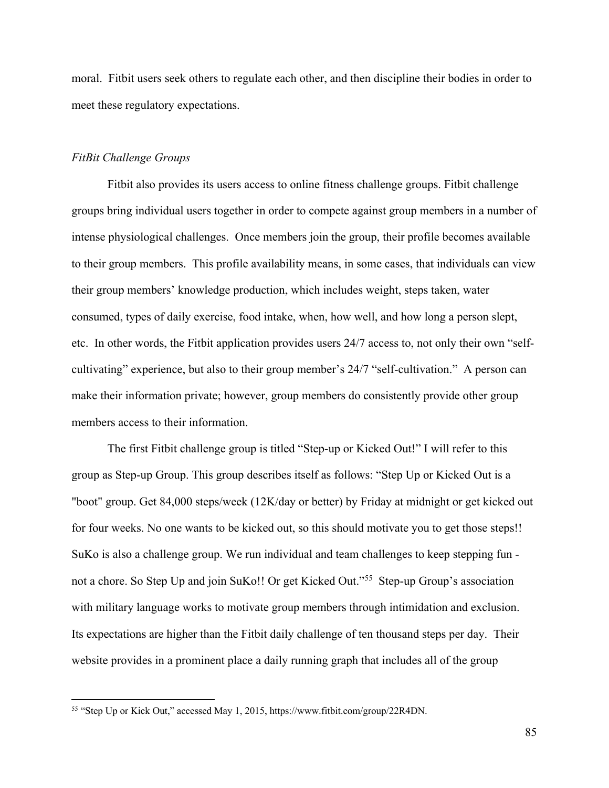moral. Fitbit users seek others to regulate each other, and then discipline their bodies in order to meet these regulatory expectations.

# *FitBit Challenge Groups*

Fitbit also provides its users access to online fitness challenge groups. Fitbit challenge groups bring individual users together in order to compete against group members in a number of intense physiological challenges. Once members join the group, their profile becomes available to their group members. This profile availability means, in some cases, that individuals can view their group members' knowledge production, which includes weight, steps taken, water consumed, types of daily exercise, food intake, when, how well, and how long a person slept, etc. In other words, the Fitbit application provides users 24/7 access to, not only their own "selfcultivating" experience, but also to their group member's 24/7 "self-cultivation." A person can make their information private; however, group members do consistently provide other group members access to their information.

The first Fitbit challenge group is titled "Step-up or Kicked Out!" I will refer to this group as Step-up Group. This group describes itself as follows: "Step Up or Kicked Out is a "boot" group. Get 84,000 steps/week (12K/day or better) by Friday at midnight or get kicked out for four weeks. No one wants to be kicked out, so this should motivate you to get those steps!! SuKo is also a challenge group. We run individual and team challenges to keep stepping fun not a chore. So Step Up and join SuKo!! Or get Kicked Out."55 Step-up Group's association with military language works to motivate group members through intimidation and exclusion. Its expectations are higher than the Fitbit daily challenge of ten thousand steps per day. Their website provides in a prominent place a daily running graph that includes all of the group

 <sup>55</sup> "Step Up or Kick Out," accessed May 1, 2015, https://www.fitbit.com/group/22R4DN.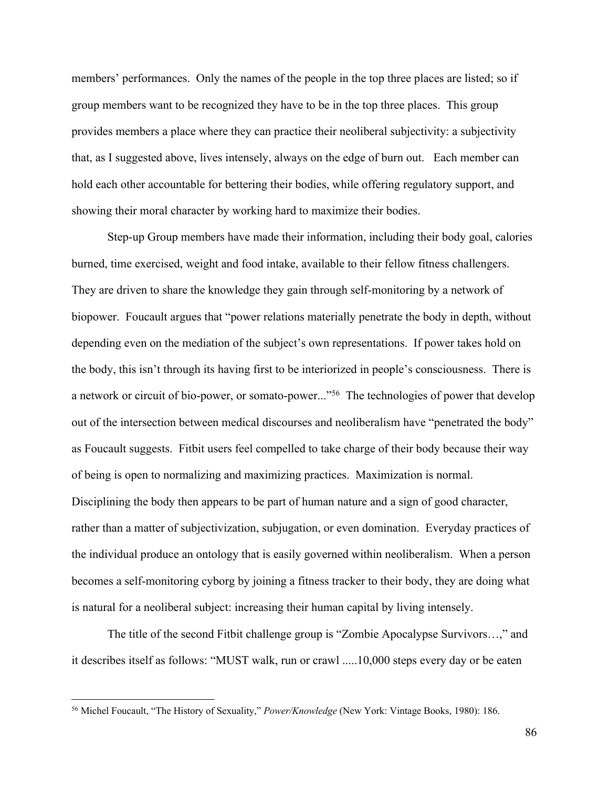members' performances. Only the names of the people in the top three places are listed; so if group members want to be recognized they have to be in the top three places. This group provides members a place where they can practice their neoliberal subjectivity: a subjectivity that, as I suggested above, lives intensely, always on the edge of burn out. Each member can hold each other accountable for bettering their bodies, while offering regulatory support, and showing their moral character by working hard to maximize their bodies.

Step-up Group members have made their information, including their body goal, calories burned, time exercised, weight and food intake, available to their fellow fitness challengers. They are driven to share the knowledge they gain through self-monitoring by a network of biopower. Foucault argues that "power relations materially penetrate the body in depth, without depending even on the mediation of the subject's own representations. If power takes hold on the body, this isn't through its having first to be interiorized in people's consciousness. There is a network or circuit of bio-power, or somato-power..."<sup>56</sup> The technologies of power that develop out of the intersection between medical discourses and neoliberalism have "penetrated the body" as Foucault suggests. Fitbit users feel compelled to take charge of their body because their way of being is open to normalizing and maximizing practices. Maximization is normal. Disciplining the body then appears to be part of human nature and a sign of good character, rather than a matter of subjectivization, subjugation, or even domination. Everyday practices of the individual produce an ontology that is easily governed within neoliberalism. When a person becomes a self-monitoring cyborg by joining a fitness tracker to their body, they are doing what is natural for a neoliberal subject: increasing their human capital by living intensely.

The title of the second Fitbit challenge group is "Zombie Apocalypse Survivors…," and it describes itself as follows: "MUST walk, run or crawl .....10,000 steps every day or be eaten

 <sup>56</sup> Michel Foucault, "The History of Sexuality," *Power/Knowledge* (New York: Vintage Books, 1980): 186.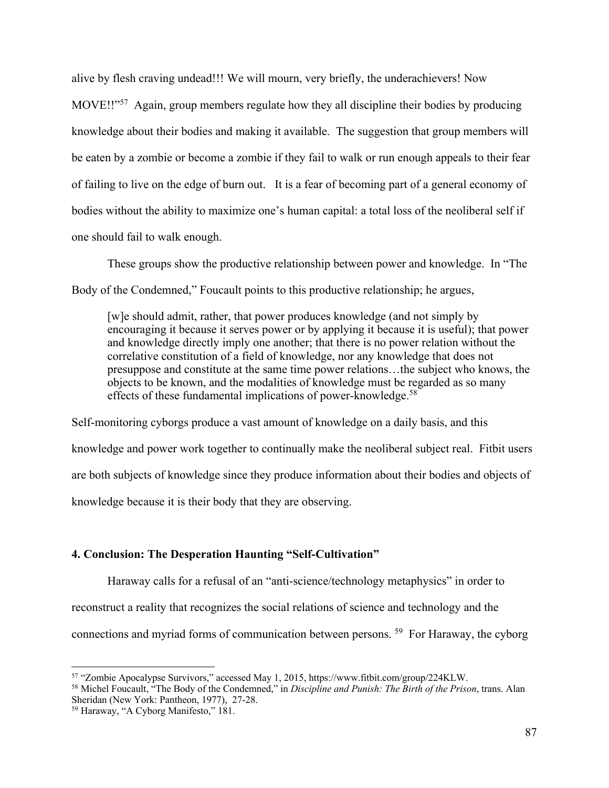alive by flesh craving undead!!! We will mourn, very briefly, the underachievers! Now MOVE!!"<sup>57</sup> Again, group members regulate how they all discipline their bodies by producing knowledge about their bodies and making it available. The suggestion that group members will be eaten by a zombie or become a zombie if they fail to walk or run enough appeals to their fear of failing to live on the edge of burn out. It is a fear of becoming part of a general economy of bodies without the ability to maximize one's human capital: a total loss of the neoliberal self if one should fail to walk enough.

These groups show the productive relationship between power and knowledge. In "The Body of the Condemned," Foucault points to this productive relationship; he argues,

[w]e should admit, rather, that power produces knowledge (and not simply by encouraging it because it serves power or by applying it because it is useful); that power and knowledge directly imply one another; that there is no power relation without the correlative constitution of a field of knowledge, nor any knowledge that does not presuppose and constitute at the same time power relations…the subject who knows, the objects to be known, and the modalities of knowledge must be regarded as so many effects of these fundamental implications of power-knowledge.<sup>58</sup>

Self-monitoring cyborgs produce a vast amount of knowledge on a daily basis, and this knowledge and power work together to continually make the neoliberal subject real. Fitbit users are both subjects of knowledge since they produce information about their bodies and objects of knowledge because it is their body that they are observing.

# **4. Conclusion: The Desperation Haunting "Self-Cultivation"**

Haraway calls for a refusal of an "anti-science/technology metaphysics" in order to reconstruct a reality that recognizes the social relations of science and technology and the connections and myriad forms of communication between persons. 59 For Haraway, the cyborg

 <sup>57</sup> "Zombie Apocalypse Survivors," accessed May 1, 2015, https://www.fitbit.com/group/224KLW.

<sup>58</sup> Michel Foucault, "The Body of the Condemned," in *Discipline and Punish: The Birth of the Prison*, trans. Alan

<sup>59</sup> Haraway, "A Cyborg Manifesto," 181.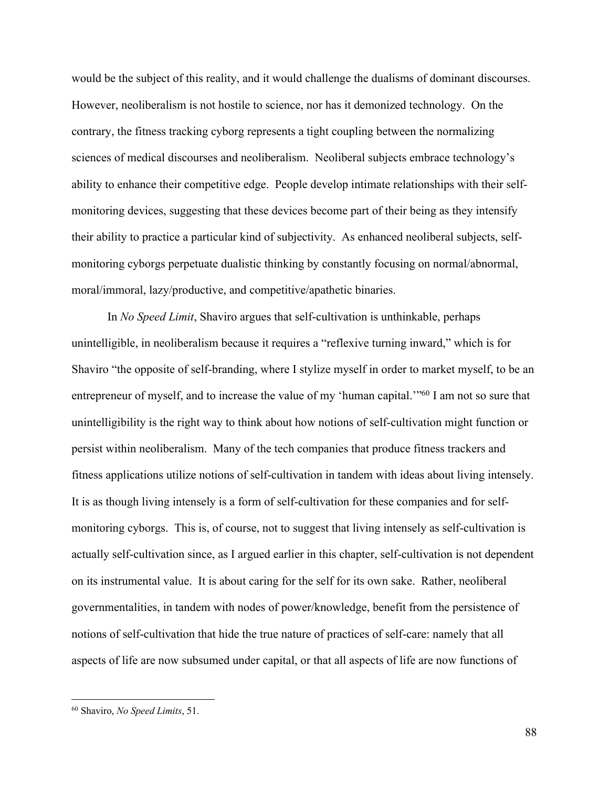would be the subject of this reality, and it would challenge the dualisms of dominant discourses. However, neoliberalism is not hostile to science, nor has it demonized technology. On the contrary, the fitness tracking cyborg represents a tight coupling between the normalizing sciences of medical discourses and neoliberalism. Neoliberal subjects embrace technology's ability to enhance their competitive edge. People develop intimate relationships with their selfmonitoring devices, suggesting that these devices become part of their being as they intensify their ability to practice a particular kind of subjectivity. As enhanced neoliberal subjects, selfmonitoring cyborgs perpetuate dualistic thinking by constantly focusing on normal/abnormal, moral/immoral, lazy/productive, and competitive/apathetic binaries.

In *No Speed Limit*, Shaviro argues that self-cultivation is unthinkable, perhaps unintelligible, in neoliberalism because it requires a "reflexive turning inward," which is for Shaviro "the opposite of self-branding, where I stylize myself in order to market myself, to be an entrepreneur of myself, and to increase the value of my 'human capital.'"<sup>60</sup> I am not so sure that unintelligibility is the right way to think about how notions of self-cultivation might function or persist within neoliberalism. Many of the tech companies that produce fitness trackers and fitness applications utilize notions of self-cultivation in tandem with ideas about living intensely. It is as though living intensely is a form of self-cultivation for these companies and for selfmonitoring cyborgs. This is, of course, not to suggest that living intensely as self-cultivation is actually self-cultivation since, as I argued earlier in this chapter, self-cultivation is not dependent on its instrumental value. It is about caring for the self for its own sake. Rather, neoliberal governmentalities, in tandem with nodes of power/knowledge, benefit from the persistence of notions of self-cultivation that hide the true nature of practices of self-care: namely that all aspects of life are now subsumed under capital, or that all aspects of life are now functions of

 <sup>60</sup> Shaviro, *No Speed Limits*, 51.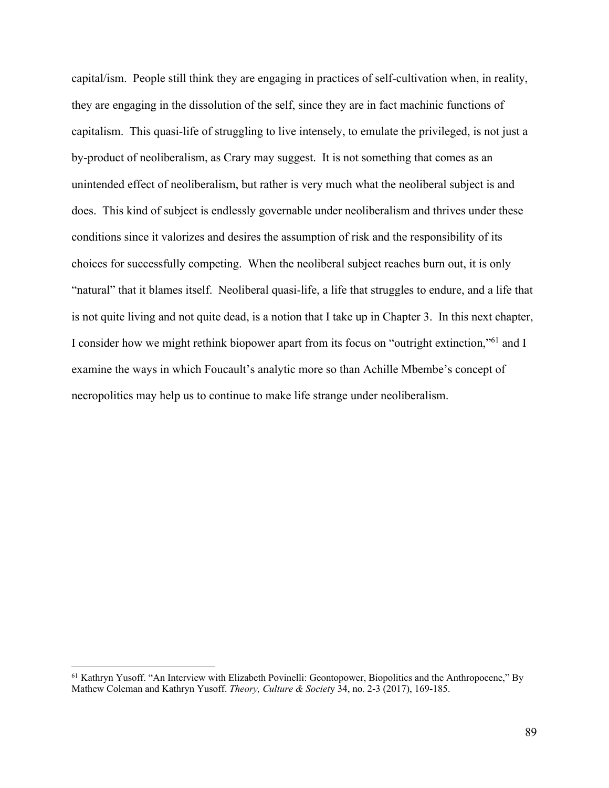capital/ism. People still think they are engaging in practices of self-cultivation when, in reality, they are engaging in the dissolution of the self, since they are in fact machinic functions of capitalism. This quasi-life of struggling to live intensely, to emulate the privileged, is not just a by-product of neoliberalism, as Crary may suggest. It is not something that comes as an unintended effect of neoliberalism, but rather is very much what the neoliberal subject is and does. This kind of subject is endlessly governable under neoliberalism and thrives under these conditions since it valorizes and desires the assumption of risk and the responsibility of its choices for successfully competing. When the neoliberal subject reaches burn out, it is only "natural" that it blames itself. Neoliberal quasi-life, a life that struggles to endure, and a life that is not quite living and not quite dead, is a notion that I take up in Chapter 3. In this next chapter, I consider how we might rethink biopower apart from its focus on "outright extinction,"61 and I examine the ways in which Foucault's analytic more so than Achille Mbembe's concept of necropolitics may help us to continue to make life strange under neoliberalism.

 <sup>61</sup> Kathryn Yusoff. "An Interview with Elizabeth Povinelli: Geontopower, Biopolitics and the Anthropocene," By Mathew Coleman and Kathryn Yusoff. *Theory, Culture & Societ*y 34, no. 2-3 (2017), 169-185.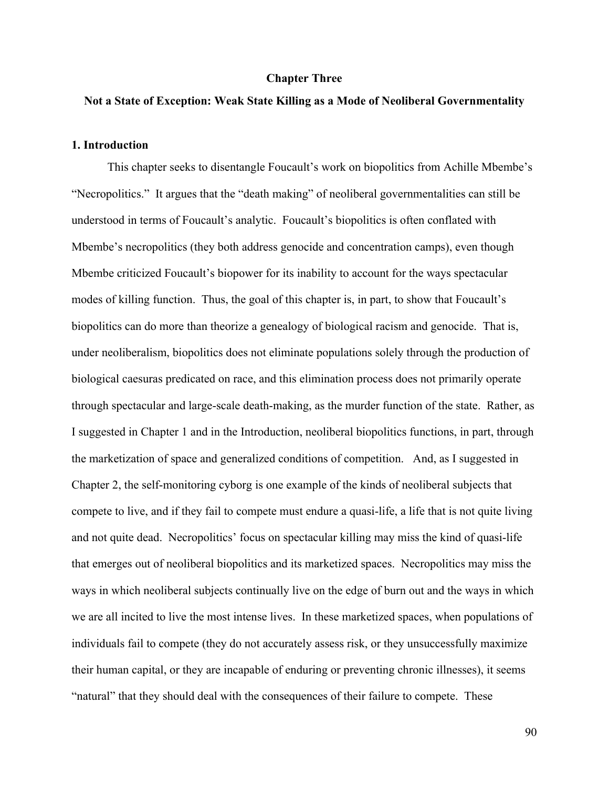### **Chapter Three**

# **Not a State of Exception: Weak State Killing as a Mode of Neoliberal Governmentality**

## **1. Introduction**

This chapter seeks to disentangle Foucault's work on biopolitics from Achille Mbembe's "Necropolitics." It argues that the "death making" of neoliberal governmentalities can still be understood in terms of Foucault's analytic. Foucault's biopolitics is often conflated with Mbembe's necropolitics (they both address genocide and concentration camps), even though Mbembe criticized Foucault's biopower for its inability to account for the ways spectacular modes of killing function. Thus, the goal of this chapter is, in part, to show that Foucault's biopolitics can do more than theorize a genealogy of biological racism and genocide. That is, under neoliberalism, biopolitics does not eliminate populations solely through the production of biological caesuras predicated on race, and this elimination process does not primarily operate through spectacular and large-scale death-making, as the murder function of the state. Rather, as I suggested in Chapter 1 and in the Introduction, neoliberal biopolitics functions, in part, through the marketization of space and generalized conditions of competition. And, as I suggested in Chapter 2, the self-monitoring cyborg is one example of the kinds of neoliberal subjects that compete to live, and if they fail to compete must endure a quasi-life, a life that is not quite living and not quite dead. Necropolitics' focus on spectacular killing may miss the kind of quasi-life that emerges out of neoliberal biopolitics and its marketized spaces. Necropolitics may miss the ways in which neoliberal subjects continually live on the edge of burn out and the ways in which we are all incited to live the most intense lives. In these marketized spaces, when populations of individuals fail to compete (they do not accurately assess risk, or they unsuccessfully maximize their human capital, or they are incapable of enduring or preventing chronic illnesses), it seems "natural" that they should deal with the consequences of their failure to compete. These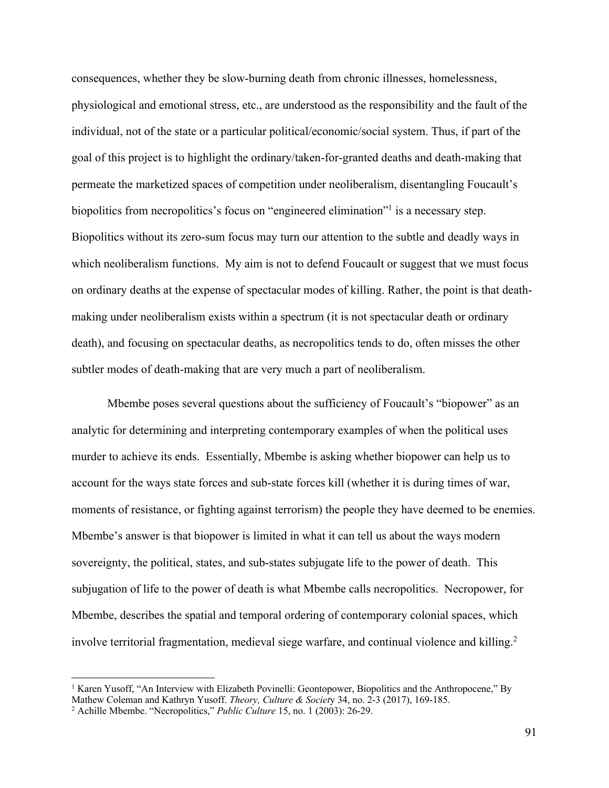consequences, whether they be slow-burning death from chronic illnesses, homelessness, physiological and emotional stress, etc., are understood as the responsibility and the fault of the individual, not of the state or a particular political/economic/social system. Thus, if part of the goal of this project is to highlight the ordinary/taken-for-granted deaths and death-making that permeate the marketized spaces of competition under neoliberalism, disentangling Foucault's biopolitics from necropolitics's focus on "engineered elimination"<sup>1</sup> is a necessary step. Biopolitics without its zero-sum focus may turn our attention to the subtle and deadly ways in which neoliberalism functions. My aim is not to defend Foucault or suggest that we must focus on ordinary deaths at the expense of spectacular modes of killing. Rather, the point is that deathmaking under neoliberalism exists within a spectrum (it is not spectacular death or ordinary death), and focusing on spectacular deaths, as necropolitics tends to do, often misses the other subtler modes of death-making that are very much a part of neoliberalism.

Mbembe poses several questions about the sufficiency of Foucault's "biopower" as an analytic for determining and interpreting contemporary examples of when the political uses murder to achieve its ends. Essentially, Mbembe is asking whether biopower can help us to account for the ways state forces and sub-state forces kill (whether it is during times of war, moments of resistance, or fighting against terrorism) the people they have deemed to be enemies. Mbembe's answer is that biopower is limited in what it can tell us about the ways modern sovereignty, the political, states, and sub-states subjugate life to the power of death. This subjugation of life to the power of death is what Mbembe calls necropolitics. Necropower, for Mbembe, describes the spatial and temporal ordering of contemporary colonial spaces, which involve territorial fragmentation, medieval siege warfare, and continual violence and killing.<sup>2</sup>

<sup>&</sup>lt;sup>1</sup> Karen Yusoff, "An Interview with Elizabeth Povinelli: Geontopower, Biopolitics and the Anthropocene," By Mathew Coleman and Kathryn Yusoff. *Theory, Culture & Societ*y 34, no. 2-3 (2017), 169-185.

<sup>2</sup> Achille Mbembe. "Necropolitics," *Public Culture* 15, no. 1 (2003): 26-29.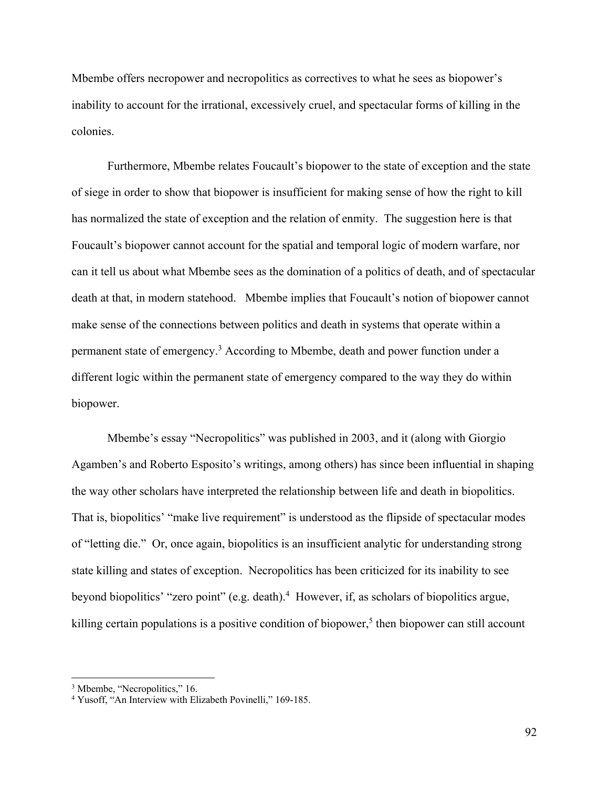Mbembe offers necropower and necropolitics as correctives to what he sees as biopower's inability to account for the irrational, excessively cruel, and spectacular forms of killing in the colonies.

Furthermore, Mbembe relates Foucault's biopower to the state of exception and the state of siege in order to show that biopower is insufficient for making sense of how the right to kill has normalized the state of exception and the relation of enmity. The suggestion here is that Foucault's biopower cannot account for the spatial and temporal logic of modern warfare, nor can it tell us about what Mbembe sees as the domination of a politics of death, and of spectacular death at that, in modern statehood. Mbembe implies that Foucault's notion of biopower cannot make sense of the connections between politics and death in systems that operate within a permanent state of emergency.3 According to Mbembe, death and power function under a different logic within the permanent state of emergency compared to the way they do within biopower.

Mbembe's essay "Necropolitics" was published in 2003, and it (along with Giorgio Agamben's and Roberto Esposito's writings, among others) has since been influential in shaping the way other scholars have interpreted the relationship between life and death in biopolitics. That is, biopolitics' "make live requirement" is understood as the flipside of spectacular modes of "letting die." Or, once again, biopolitics is an insufficient analytic for understanding strong state killing and states of exception. Necropolitics has been criticized for its inability to see beyond biopolitics' "zero point" (e.g. death).<sup>4</sup> However, if, as scholars of biopolitics argue, killing certain populations is a positive condition of biopower,<sup>5</sup> then biopower can still account

<sup>&</sup>lt;sup>3</sup> Mbembe, "Necropolitics," 16.

<sup>&</sup>lt;sup>4</sup> Yusoff, "An Interview with Elizabeth Povinelli," 169-185.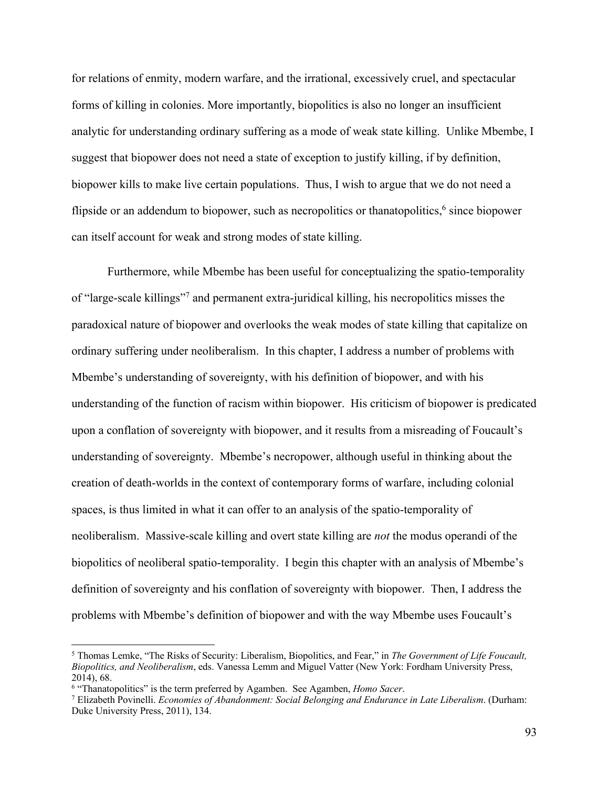for relations of enmity, modern warfare, and the irrational, excessively cruel, and spectacular forms of killing in colonies. More importantly, biopolitics is also no longer an insufficient analytic for understanding ordinary suffering as a mode of weak state killing. Unlike Mbembe, I suggest that biopower does not need a state of exception to justify killing, if by definition, biopower kills to make live certain populations. Thus, I wish to argue that we do not need a flipside or an addendum to biopower, such as necropolitics or thanatopolitics, $6 \text{ since biopower}$ can itself account for weak and strong modes of state killing.

Furthermore, while Mbembe has been useful for conceptualizing the spatio-temporality of "large-scale killings"7 and permanent extra-juridical killing, his necropolitics misses the paradoxical nature of biopower and overlooks the weak modes of state killing that capitalize on ordinary suffering under neoliberalism. In this chapter, I address a number of problems with Mbembe's understanding of sovereignty, with his definition of biopower, and with his understanding of the function of racism within biopower. His criticism of biopower is predicated upon a conflation of sovereignty with biopower, and it results from a misreading of Foucault's understanding of sovereignty. Mbembe's necropower, although useful in thinking about the creation of death-worlds in the context of contemporary forms of warfare, including colonial spaces, is thus limited in what it can offer to an analysis of the spatio-temporality of neoliberalism. Massive-scale killing and overt state killing are *not* the modus operandi of the biopolitics of neoliberal spatio-temporality. I begin this chapter with an analysis of Mbembe's definition of sovereignty and his conflation of sovereignty with biopower. Then, I address the problems with Mbembe's definition of biopower and with the way Mbembe uses Foucault's

 <sup>5</sup> Thomas Lemke, "The Risks of Security: Liberalism, Biopolitics, and Fear," in *The Government of Life Foucault, Biopolitics, and Neoliberalism*, eds. Vanessa Lemm and Miguel Vatter (New York: Fordham University Press, 2014), 68.<br><sup>6</sup> "Thanatopolitics" is the term preferred by Agamben. See Agamben, *Homo Sacer*.

<sup>&</sup>lt;sup>7</sup> Elizabeth Povinelli. *Economies of Abandonment: Social Belonging and Endurance in Late Liberalism*. (Durham: Duke University Press, 2011), 134.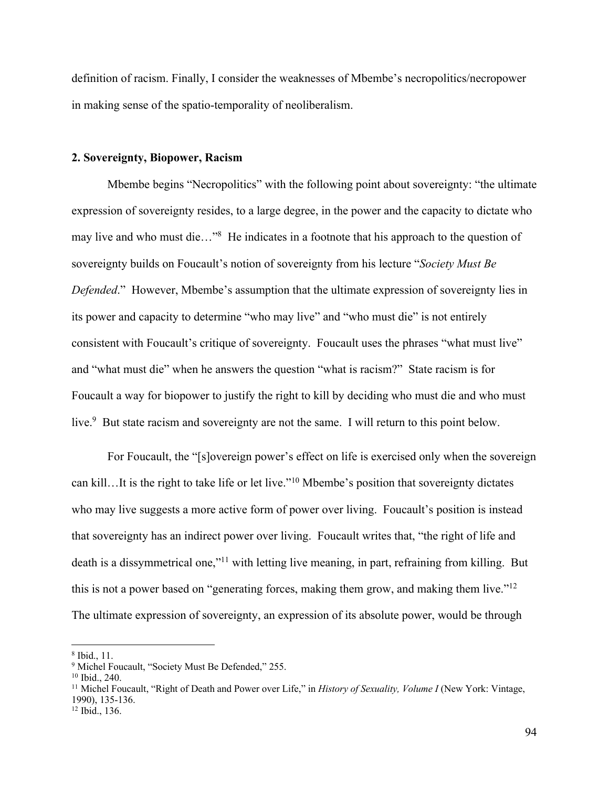definition of racism. Finally, I consider the weaknesses of Mbembe's necropolitics/necropower in making sense of the spatio-temporality of neoliberalism.

# **2. Sovereignty, Biopower, Racism**

Mbembe begins "Necropolitics" with the following point about sovereignty: "the ultimate expression of sovereignty resides, to a large degree, in the power and the capacity to dictate who may live and who must die…"8 He indicates in a footnote that his approach to the question of sovereignty builds on Foucault's notion of sovereignty from his lecture "*Society Must Be Defended*." However, Mbembe's assumption that the ultimate expression of sovereignty lies in its power and capacity to determine "who may live" and "who must die" is not entirely consistent with Foucault's critique of sovereignty. Foucault uses the phrases "what must live" and "what must die" when he answers the question "what is racism?" State racism is for Foucault a way for biopower to justify the right to kill by deciding who must die and who must live.<sup>9</sup> But state racism and sovereignty are not the same. I will return to this point below.

For Foucault, the "[s]overeign power's effect on life is exercised only when the sovereign can kill…It is the right to take life or let live."10 Mbembe's position that sovereignty dictates who may live suggests a more active form of power over living. Foucault's position is instead that sovereignty has an indirect power over living. Foucault writes that, "the right of life and death is a dissymmetrical one,"<sup>11</sup> with letting live meaning, in part, refraining from killing. But this is not a power based on "generating forces, making them grow, and making them live."12 The ultimate expression of sovereignty, an expression of its absolute power, would be through

 <sup>8</sup> Ibid., 11.

<sup>9</sup> Michel Foucault, "Society Must Be Defended," 255.

<sup>10</sup> Ibid., 240.

<sup>11</sup> Michel Foucault, "Right of Death and Power over Life," in *History of Sexuality, Volume I* (New York: Vintage, 1990), 135-136.

<sup>12</sup> Ibid., 136.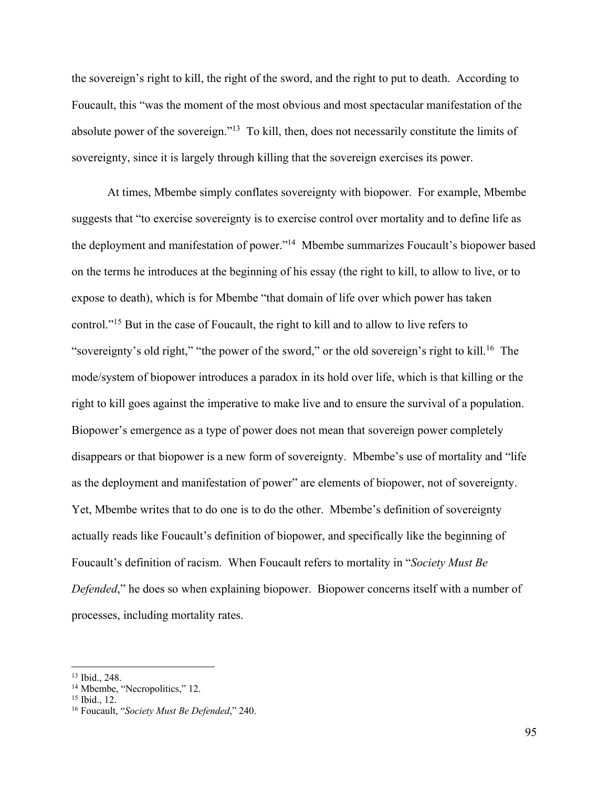the sovereign's right to kill, the right of the sword, and the right to put to death. According to Foucault, this "was the moment of the most obvious and most spectacular manifestation of the absolute power of the sovereign."13 To kill, then, does not necessarily constitute the limits of sovereignty, since it is largely through killing that the sovereign exercises its power.

At times, Mbembe simply conflates sovereignty with biopower. For example, Mbembe suggests that "to exercise sovereignty is to exercise control over mortality and to define life as the deployment and manifestation of power."14 Mbembe summarizes Foucault's biopower based on the terms he introduces at the beginning of his essay (the right to kill, to allow to live, or to expose to death), which is for Mbembe "that domain of life over which power has taken control."15 But in the case of Foucault, the right to kill and to allow to live refers to "sovereignty's old right," "the power of the sword," or the old sovereign's right to kill.<sup>16</sup> The mode/system of biopower introduces a paradox in its hold over life, which is that killing or the right to kill goes against the imperative to make live and to ensure the survival of a population. Biopower's emergence as a type of power does not mean that sovereign power completely disappears or that biopower is a new form of sovereignty. Mbembe's use of mortality and "life as the deployment and manifestation of power" are elements of biopower, not of sovereignty. Yet, Mbembe writes that to do one is to do the other. Mbembe's definition of sovereignty actually reads like Foucault's definition of biopower, and specifically like the beginning of Foucault's definition of racism. When Foucault refers to mortality in "*Society Must Be Defended*," he does so when explaining biopower. Biopower concerns itself with a number of processes, including mortality rates.

 $13$  Ibid., 248.<br> $14$  Mbembe, "Necropolitics," 12.

<sup>15</sup> Ibid., 12.

<sup>16</sup> Foucault, "*Society Must Be Defended*," 240.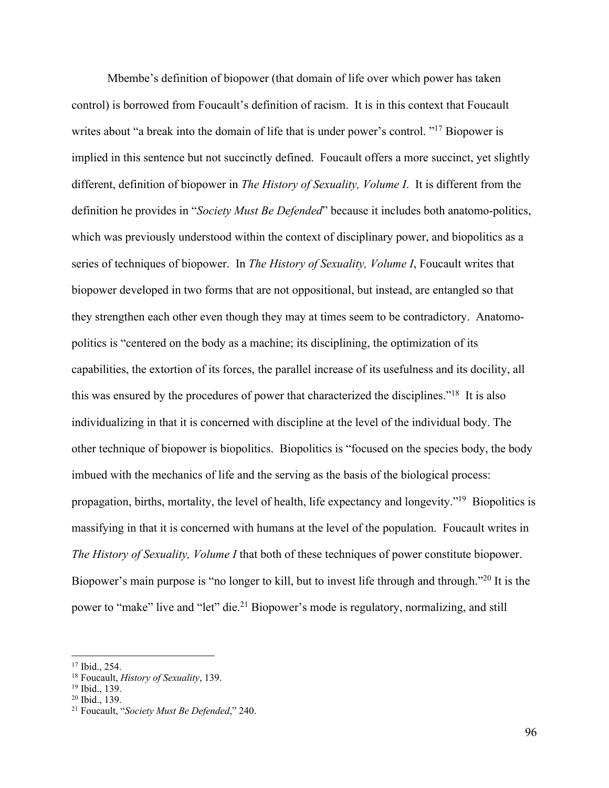Mbembe's definition of biopower (that domain of life over which power has taken control) is borrowed from Foucault's definition of racism. It is in this context that Foucault writes about "a break into the domain of life that is under power's control. "<sup>17</sup> Biopower is implied in this sentence but not succinctly defined. Foucault offers a more succinct, yet slightly different, definition of biopower in *The History of Sexuality, Volume I*. It is different from the definition he provides in "*Society Must Be Defended*" because it includes both anatomo-politics, which was previously understood within the context of disciplinary power, and biopolitics as a series of techniques of biopower. In *The History of Sexuality, Volume I*, Foucault writes that biopower developed in two forms that are not oppositional, but instead, are entangled so that they strengthen each other even though they may at times seem to be contradictory. Anatomopolitics is "centered on the body as a machine; its disciplining, the optimization of its capabilities, the extortion of its forces, the parallel increase of its usefulness and its docility, all this was ensured by the procedures of power that characterized the disciplines."18 It is also individualizing in that it is concerned with discipline at the level of the individual body. The other technique of biopower is biopolitics. Biopolitics is "focused on the species body, the body imbued with the mechanics of life and the serving as the basis of the biological process: propagation, births, mortality, the level of health, life expectancy and longevity."19 Biopolitics is massifying in that it is concerned with humans at the level of the population. Foucault writes in *The History of Sexuality, Volume I* that both of these techniques of power constitute biopower. Biopower's main purpose is "no longer to kill, but to invest life through and through."20 It is the power to "make" live and "let" die.21 Biopower's mode is regulatory, normalizing, and still

<sup>17</sup> Ibid., 254. 18 Foucault, *History of Sexuality*, 139. 19 Ibid., 139. 20 Ibid., 139.

<sup>21</sup> Foucault, "*Society Must Be Defended*," 240.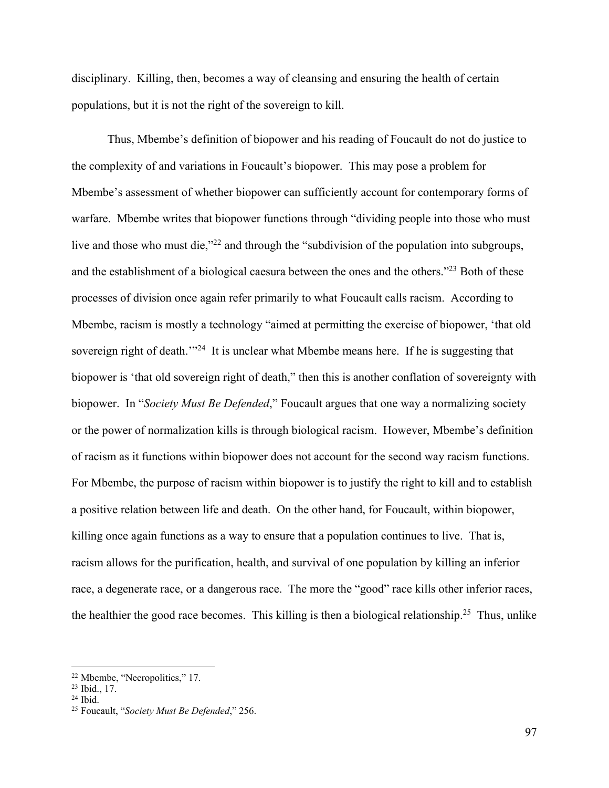disciplinary. Killing, then, becomes a way of cleansing and ensuring the health of certain populations, but it is not the right of the sovereign to kill.

Thus, Mbembe's definition of biopower and his reading of Foucault do not do justice to the complexity of and variations in Foucault's biopower. This may pose a problem for Mbembe's assessment of whether biopower can sufficiently account for contemporary forms of warfare. Mbembe writes that biopower functions through "dividing people into those who must live and those who must die,"22 and through the "subdivision of the population into subgroups, and the establishment of a biological caesura between the ones and the others."<sup>23</sup> Both of these processes of division once again refer primarily to what Foucault calls racism. According to Mbembe, racism is mostly a technology "aimed at permitting the exercise of biopower, 'that old sovereign right of death."<sup>24</sup> It is unclear what Mbembe means here. If he is suggesting that biopower is 'that old sovereign right of death," then this is another conflation of sovereignty with biopower. In "*Society Must Be Defended*," Foucault argues that one way a normalizing society or the power of normalization kills is through biological racism. However, Mbembe's definition of racism as it functions within biopower does not account for the second way racism functions. For Mbembe, the purpose of racism within biopower is to justify the right to kill and to establish a positive relation between life and death. On the other hand, for Foucault, within biopower, killing once again functions as a way to ensure that a population continues to live. That is, racism allows for the purification, health, and survival of one population by killing an inferior race, a degenerate race, or a dangerous race. The more the "good" race kills other inferior races, the healthier the good race becomes. This killing is then a biological relationship.<sup>25</sup> Thus, unlike

<sup>&</sup>lt;sup>22</sup> Mbembe, "Necropolitics," 17.<br><sup>23</sup> Ibid., 17.

 $24$  Ibid.

<sup>25</sup> Foucault, "*Society Must Be Defended*," 256.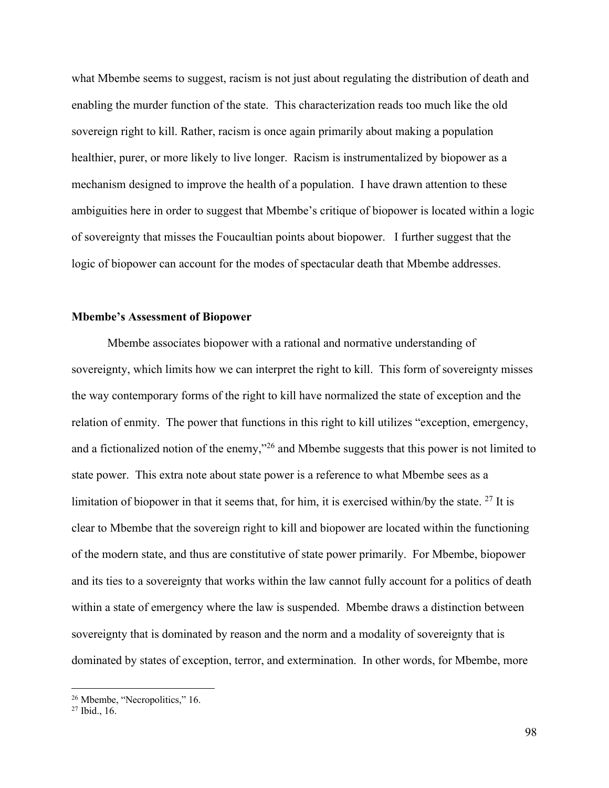what Mbembe seems to suggest, racism is not just about regulating the distribution of death and enabling the murder function of the state. This characterization reads too much like the old sovereign right to kill. Rather, racism is once again primarily about making a population healthier, purer, or more likely to live longer. Racism is instrumentalized by biopower as a mechanism designed to improve the health of a population. I have drawn attention to these ambiguities here in order to suggest that Mbembe's critique of biopower is located within a logic of sovereignty that misses the Foucaultian points about biopower. I further suggest that the logic of biopower can account for the modes of spectacular death that Mbembe addresses.

### **Mbembe's Assessment of Biopower**

Mbembe associates biopower with a rational and normative understanding of sovereignty, which limits how we can interpret the right to kill. This form of sovereignty misses the way contemporary forms of the right to kill have normalized the state of exception and the relation of enmity. The power that functions in this right to kill utilizes "exception, emergency, and a fictionalized notion of the enemy,"26 and Mbembe suggests that this power is not limited to state power. This extra note about state power is a reference to what Mbembe sees as a limitation of biopower in that it seems that, for him, it is exercised within/by the state. <sup>27</sup> It is clear to Mbembe that the sovereign right to kill and biopower are located within the functioning of the modern state, and thus are constitutive of state power primarily. For Mbembe, biopower and its ties to a sovereignty that works within the law cannot fully account for a politics of death within a state of emergency where the law is suspended. Mbembe draws a distinction between sovereignty that is dominated by reason and the norm and a modality of sovereignty that is dominated by states of exception, terror, and extermination. In other words, for Mbembe, more

 <sup>26</sup> Mbembe, "Necropolitics," 16.

<sup>27</sup> Ibid., 16.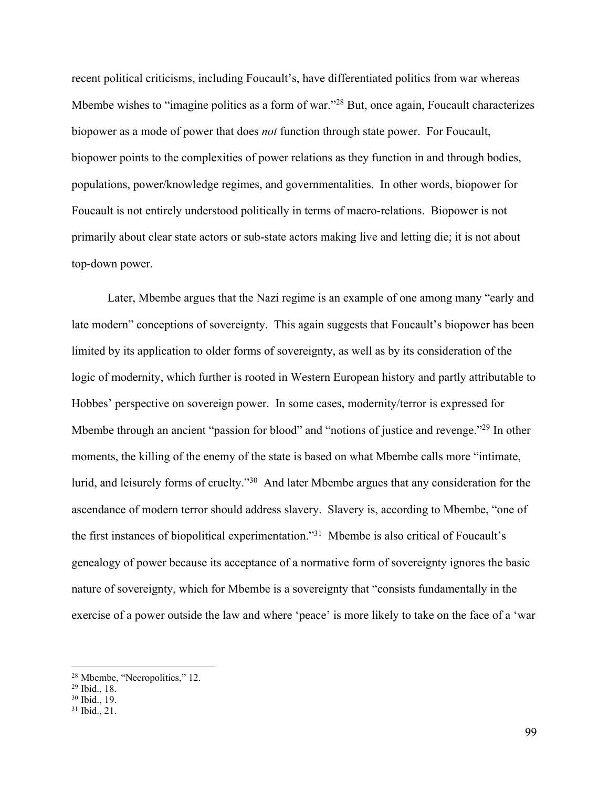recent political criticisms, including Foucault's, have differentiated politics from war whereas Mbembe wishes to "imagine politics as a form of war."<sup>28</sup> But, once again, Foucault characterizes biopower as a mode of power that does *not* function through state power. For Foucault, biopower points to the complexities of power relations as they function in and through bodies, populations, power/knowledge regimes, and governmentalities. In other words, biopower for Foucault is not entirely understood politically in terms of macro-relations. Biopower is not primarily about clear state actors or sub-state actors making live and letting die; it is not about top-down power.

Later, Mbembe argues that the Nazi regime is an example of one among many "early and late modern" conceptions of sovereignty. This again suggests that Foucault's biopower has been limited by its application to older forms of sovereignty, as well as by its consideration of the logic of modernity, which further is rooted in Western European history and partly attributable to Hobbes' perspective on sovereign power. In some cases, modernity/terror is expressed for Mbembe through an ancient "passion for blood" and "notions of justice and revenge."<sup>29</sup> In other moments, the killing of the enemy of the state is based on what Mbembe calls more "intimate, lurid, and leisurely forms of cruelty."30 And later Mbembe argues that any consideration for the ascendance of modern terror should address slavery. Slavery is, according to Mbembe, "one of the first instances of biopolitical experimentation."31 Mbembe is also critical of Foucault's genealogy of power because its acceptance of a normative form of sovereignty ignores the basic nature of sovereignty, which for Mbembe is a sovereignty that "consists fundamentally in the exercise of a power outside the law and where 'peace' is more likely to take on the face of a 'war

 <sup>28</sup> Mbembe, "Necropolitics," 12.

<sup>&</sup>lt;sup>29</sup> Ibid., 18.<br><sup>30</sup> Ibid., 19.

<sup>31</sup> Ibid., 21.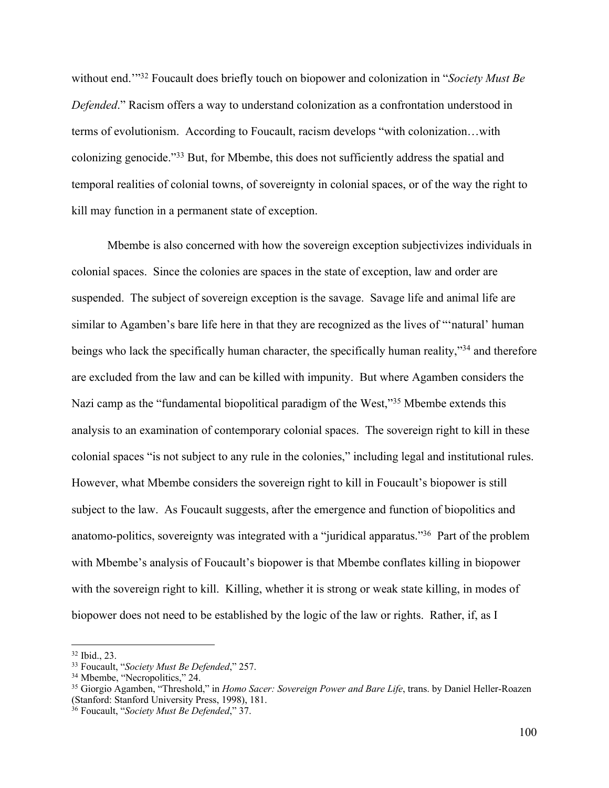without end.'"32 Foucault does briefly touch on biopower and colonization in "*Society Must Be Defended*." Racism offers a way to understand colonization as a confrontation understood in terms of evolutionism. According to Foucault, racism develops "with colonization…with colonizing genocide."33 But, for Mbembe, this does not sufficiently address the spatial and temporal realities of colonial towns, of sovereignty in colonial spaces, or of the way the right to kill may function in a permanent state of exception.

Mbembe is also concerned with how the sovereign exception subjectivizes individuals in colonial spaces. Since the colonies are spaces in the state of exception, law and order are suspended. The subject of sovereign exception is the savage. Savage life and animal life are similar to Agamben's bare life here in that they are recognized as the lives of "'natural' human beings who lack the specifically human character, the specifically human reality,"<sup>34</sup> and therefore are excluded from the law and can be killed with impunity. But where Agamben considers the Nazi camp as the "fundamental biopolitical paradigm of the West,"<sup>35</sup> Mbembe extends this analysis to an examination of contemporary colonial spaces. The sovereign right to kill in these colonial spaces "is not subject to any rule in the colonies," including legal and institutional rules. However, what Mbembe considers the sovereign right to kill in Foucault's biopower is still subject to the law. As Foucault suggests, after the emergence and function of biopolitics and anatomo-politics, sovereignty was integrated with a "juridical apparatus."36 Part of the problem with Mbembe's analysis of Foucault's biopower is that Mbembe conflates killing in biopower with the sovereign right to kill. Killing, whether it is strong or weak state killing, in modes of biopower does not need to be established by the logic of the law or rights. Rather, if, as I

 <sup>32</sup> Ibid., 23.

<sup>&</sup>lt;sup>33</sup> Foucault, "*Society Must Be Defended*," 257.<br><sup>34</sup> Mbembe, "Necropolitics," 24.

<sup>&</sup>lt;sup>35</sup> Giorgio Agamben, "Threshold," in *Homo Sacer: Sovereign Power and Bare Life*, trans. by Daniel Heller-Roazen (Stanford: Stanford University Press, 1998), 181.

<sup>&</sup>lt;sup>36</sup> Foucault, "*Society Must Be Defended*," 37.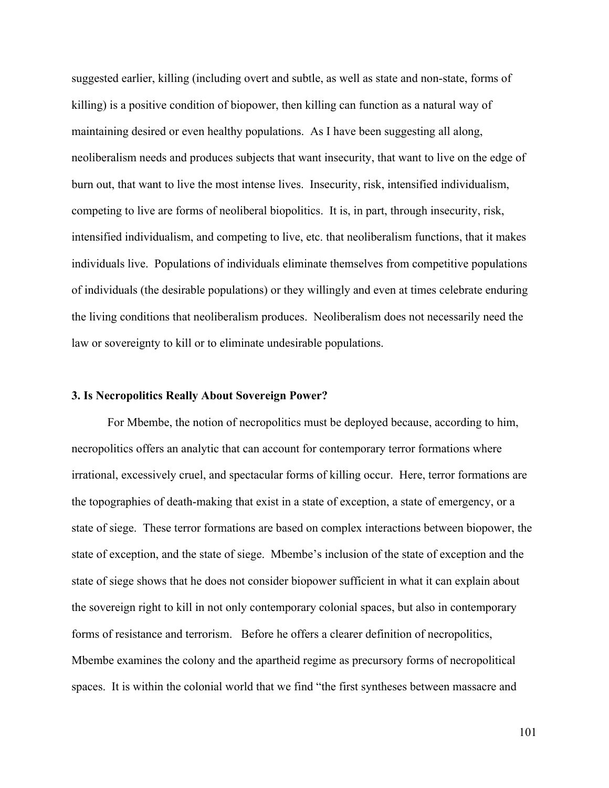suggested earlier, killing (including overt and subtle, as well as state and non-state, forms of killing) is a positive condition of biopower, then killing can function as a natural way of maintaining desired or even healthy populations. As I have been suggesting all along, neoliberalism needs and produces subjects that want insecurity, that want to live on the edge of burn out, that want to live the most intense lives. Insecurity, risk, intensified individualism, competing to live are forms of neoliberal biopolitics. It is, in part, through insecurity, risk, intensified individualism, and competing to live, etc. that neoliberalism functions, that it makes individuals live. Populations of individuals eliminate themselves from competitive populations of individuals (the desirable populations) or they willingly and even at times celebrate enduring the living conditions that neoliberalism produces. Neoliberalism does not necessarily need the law or sovereignty to kill or to eliminate undesirable populations.

# **3. Is Necropolitics Really About Sovereign Power?**

For Mbembe, the notion of necropolitics must be deployed because, according to him, necropolitics offers an analytic that can account for contemporary terror formations where irrational, excessively cruel, and spectacular forms of killing occur. Here, terror formations are the topographies of death-making that exist in a state of exception, a state of emergency, or a state of siege. These terror formations are based on complex interactions between biopower, the state of exception, and the state of siege. Mbembe's inclusion of the state of exception and the state of siege shows that he does not consider biopower sufficient in what it can explain about the sovereign right to kill in not only contemporary colonial spaces, but also in contemporary forms of resistance and terrorism. Before he offers a clearer definition of necropolitics, Mbembe examines the colony and the apartheid regime as precursory forms of necropolitical spaces. It is within the colonial world that we find "the first syntheses between massacre and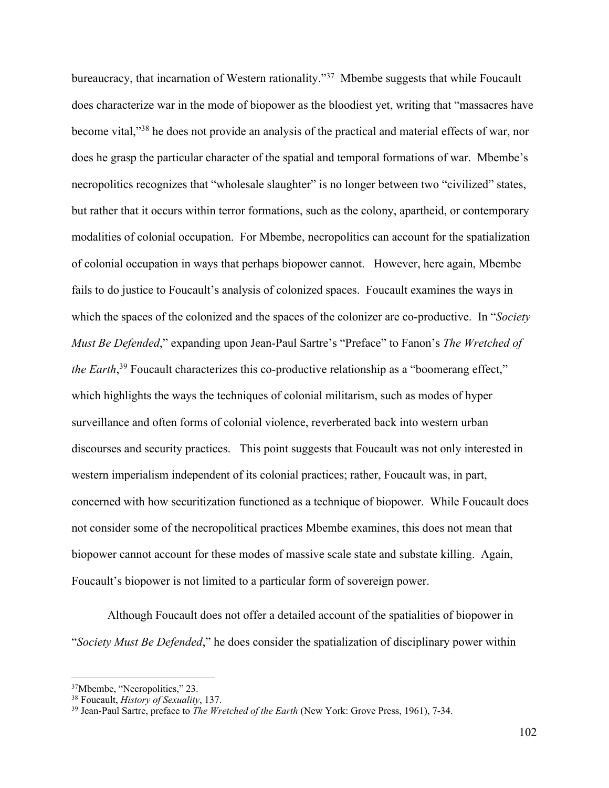bureaucracy, that incarnation of Western rationality."<sup>37</sup> Mbembe suggests that while Foucault does characterize war in the mode of biopower as the bloodiest yet, writing that "massacres have become vital,"38 he does not provide an analysis of the practical and material effects of war, nor does he grasp the particular character of the spatial and temporal formations of war. Mbembe's necropolitics recognizes that "wholesale slaughter" is no longer between two "civilized" states, but rather that it occurs within terror formations, such as the colony, apartheid, or contemporary modalities of colonial occupation. For Mbembe, necropolitics can account for the spatialization of colonial occupation in ways that perhaps biopower cannot. However, here again, Mbembe fails to do justice to Foucault's analysis of colonized spaces. Foucault examines the ways in which the spaces of the colonized and the spaces of the colonizer are co-productive. In "*Society Must Be Defended*," expanding upon Jean-Paul Sartre's "Preface" to Fanon's *The Wretched of the Earth*, <sup>39</sup> Foucault characterizes this co-productive relationship as a "boomerang effect," which highlights the ways the techniques of colonial militarism, such as modes of hyper surveillance and often forms of colonial violence, reverberated back into western urban discourses and security practices. This point suggests that Foucault was not only interested in western imperialism independent of its colonial practices; rather, Foucault was, in part, concerned with how securitization functioned as a technique of biopower. While Foucault does not consider some of the necropolitical practices Mbembe examines, this does not mean that biopower cannot account for these modes of massive scale state and substate killing. Again, Foucault's biopower is not limited to a particular form of sovereign power.

Although Foucault does not offer a detailed account of the spatialities of biopower in "*Society Must Be Defended*," he does consider the spatialization of disciplinary power within

102

 <sup>37</sup>Mbembe, "Necropolitics," 23. 38 Foucault, *History of Sexuality*, 137.

<sup>39</sup> Jean-Paul Sartre, preface to *The Wretched of the Earth* (New York: Grove Press, 1961), 7-34.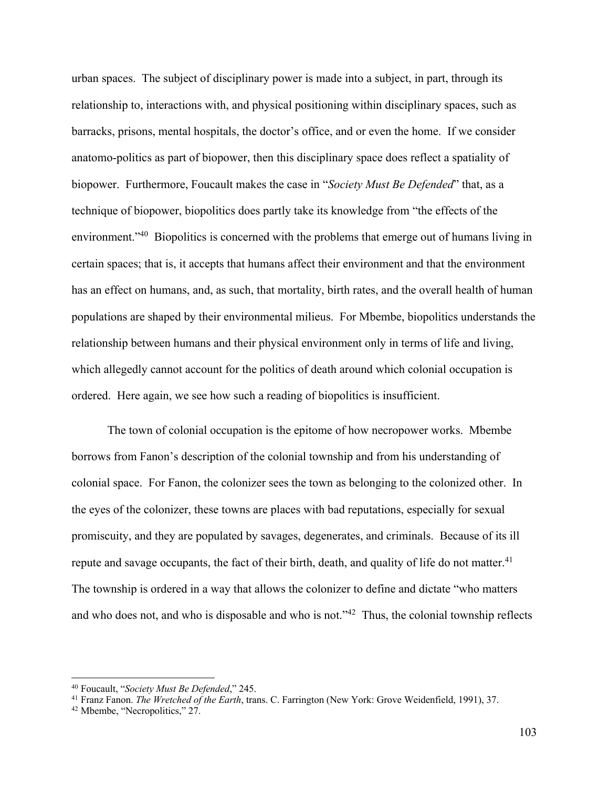urban spaces. The subject of disciplinary power is made into a subject, in part, through its relationship to, interactions with, and physical positioning within disciplinary spaces, such as barracks, prisons, mental hospitals, the doctor's office, and or even the home. If we consider anatomo-politics as part of biopower, then this disciplinary space does reflect a spatiality of biopower. Furthermore, Foucault makes the case in "*Society Must Be Defended*" that, as a technique of biopower, biopolitics does partly take its knowledge from "the effects of the environment."<sup>40</sup> Biopolitics is concerned with the problems that emerge out of humans living in certain spaces; that is, it accepts that humans affect their environment and that the environment has an effect on humans, and, as such, that mortality, birth rates, and the overall health of human populations are shaped by their environmental milieus. For Mbembe, biopolitics understands the relationship between humans and their physical environment only in terms of life and living, which allegedly cannot account for the politics of death around which colonial occupation is ordered. Here again, we see how such a reading of biopolitics is insufficient.

The town of colonial occupation is the epitome of how necropower works. Mbembe borrows from Fanon's description of the colonial township and from his understanding of colonial space. For Fanon, the colonizer sees the town as belonging to the colonized other. In the eyes of the colonizer, these towns are places with bad reputations, especially for sexual promiscuity, and they are populated by savages, degenerates, and criminals. Because of its ill repute and savage occupants, the fact of their birth, death, and quality of life do not matter.<sup>41</sup> The township is ordered in a way that allows the colonizer to define and dictate "who matters and who does not, and who is disposable and who is not."<sup>42</sup> Thus, the colonial township reflects

 <sup>40</sup> Foucault, "*Society Must Be Defended*," 245.

<sup>41</sup> Franz Fanon. *The Wretched of the Earth*, trans. C. Farrington (New York: Grove Weidenfield, 1991), 37.

<sup>42</sup> Mbembe, "Necropolitics," 27.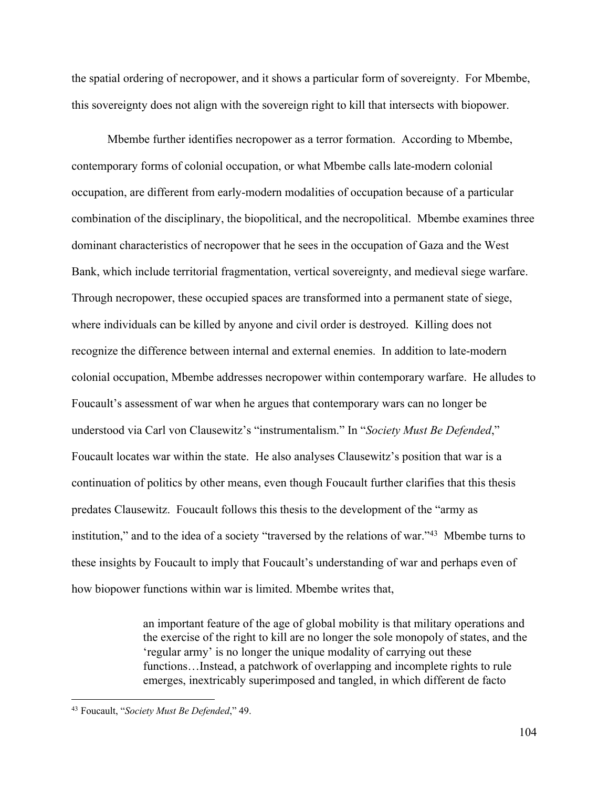the spatial ordering of necropower, and it shows a particular form of sovereignty. For Mbembe, this sovereignty does not align with the sovereign right to kill that intersects with biopower.

Mbembe further identifies necropower as a terror formation. According to Mbembe, contemporary forms of colonial occupation, or what Mbembe calls late-modern colonial occupation, are different from early-modern modalities of occupation because of a particular combination of the disciplinary, the biopolitical, and the necropolitical. Mbembe examines three dominant characteristics of necropower that he sees in the occupation of Gaza and the West Bank, which include territorial fragmentation, vertical sovereignty, and medieval siege warfare. Through necropower, these occupied spaces are transformed into a permanent state of siege, where individuals can be killed by anyone and civil order is destroyed. Killing does not recognize the difference between internal and external enemies. In addition to late-modern colonial occupation, Mbembe addresses necropower within contemporary warfare. He alludes to Foucault's assessment of war when he argues that contemporary wars can no longer be understood via Carl von Clausewitz's "instrumentalism." In "*Society Must Be Defended*," Foucault locates war within the state. He also analyses Clausewitz's position that war is a continuation of politics by other means, even though Foucault further clarifies that this thesis predates Clausewitz. Foucault follows this thesis to the development of the "army as institution," and to the idea of a society "traversed by the relations of war."43 Mbembe turns to these insights by Foucault to imply that Foucault's understanding of war and perhaps even of how biopower functions within war is limited. Mbembe writes that,

> an important feature of the age of global mobility is that military operations and the exercise of the right to kill are no longer the sole monopoly of states, and the 'regular army' is no longer the unique modality of carrying out these functions…Instead, a patchwork of overlapping and incomplete rights to rule emerges, inextricably superimposed and tangled, in which different de facto

 <sup>43</sup> Foucault, "*Society Must Be Defended*," 49.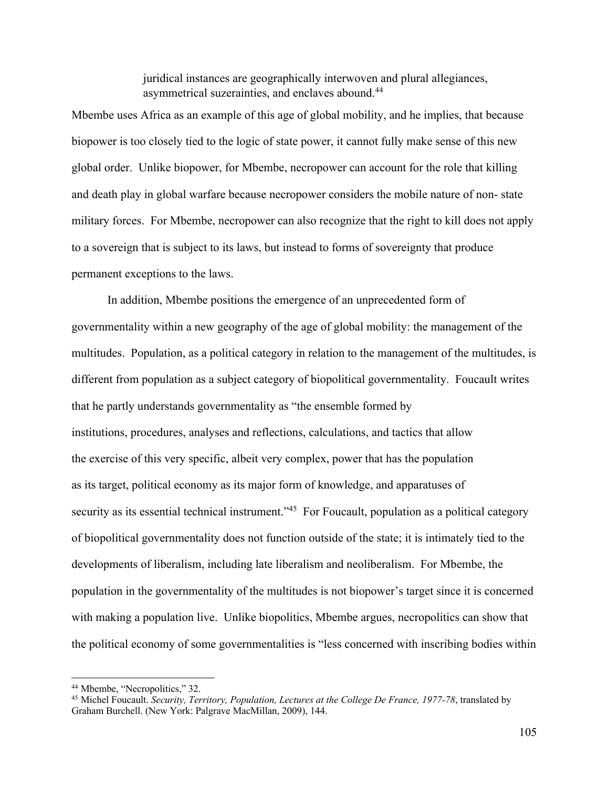juridical instances are geographically interwoven and plural allegiances, asymmetrical suzerainties, and enclaves abound.44

Mbembe uses Africa as an example of this age of global mobility, and he implies, that because biopower is too closely tied to the logic of state power, it cannot fully make sense of this new global order. Unlike biopower, for Mbembe, necropower can account for the role that killing and death play in global warfare because necropower considers the mobile nature of non- state military forces. For Mbembe, necropower can also recognize that the right to kill does not apply to a sovereign that is subject to its laws, but instead to forms of sovereignty that produce permanent exceptions to the laws.

In addition, Mbembe positions the emergence of an unprecedented form of governmentality within a new geography of the age of global mobility: the management of the multitudes. Population, as a political category in relation to the management of the multitudes, is different from population as a subject category of biopolitical governmentality. Foucault writes that he partly understands governmentality as "the ensemble formed by institutions, procedures, analyses and reflections, calculations, and tactics that allow the exercise of this very specific, albeit very complex, power that has the population as its target, political economy as its major form of knowledge, and apparatuses of security as its essential technical instrument."<sup>45</sup> For Foucault, population as a political category of biopolitical governmentality does not function outside of the state; it is intimately tied to the developments of liberalism, including late liberalism and neoliberalism. For Mbembe, the population in the governmentality of the multitudes is not biopower's target since it is concerned with making a population live. Unlike biopolitics, Mbembe argues, necropolitics can show that the political economy of some governmentalities is "less concerned with inscribing bodies within

<sup>&</sup>lt;sup>44</sup> Mbembe, "Necropolitics," 32.<br><sup>45</sup> Michel Foucault. *Security, Territory, Population, Lectures at the College De France, 1977-78*, translated by Graham Burchell. (New York: Palgrave MacMillan, 2009), 144.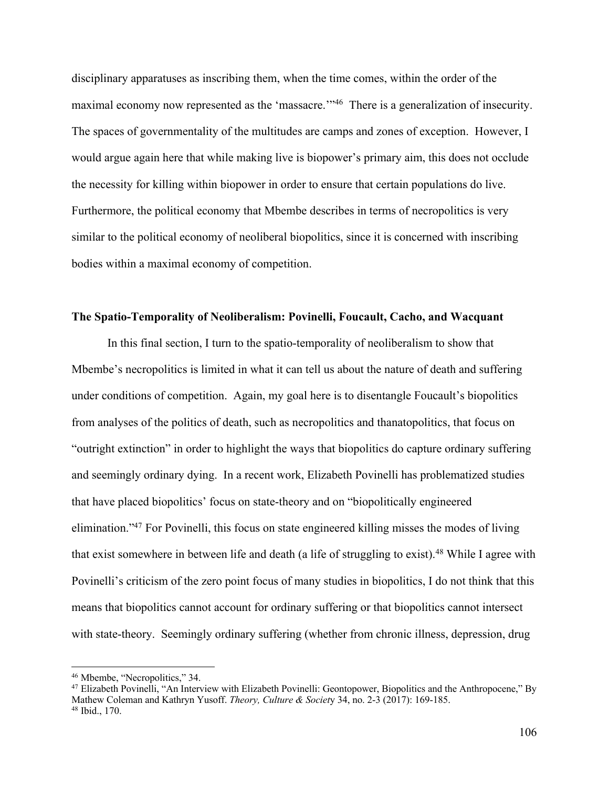disciplinary apparatuses as inscribing them, when the time comes, within the order of the maximal economy now represented as the 'massacre.'"46 There is a generalization of insecurity. The spaces of governmentality of the multitudes are camps and zones of exception. However, I would argue again here that while making live is biopower's primary aim, this does not occlude the necessity for killing within biopower in order to ensure that certain populations do live. Furthermore, the political economy that Mbembe describes in terms of necropolitics is very similar to the political economy of neoliberal biopolitics, since it is concerned with inscribing bodies within a maximal economy of competition.

# **The Spatio-Temporality of Neoliberalism: Povinelli, Foucault, Cacho, and Wacquant**

In this final section, I turn to the spatio-temporality of neoliberalism to show that Mbembe's necropolitics is limited in what it can tell us about the nature of death and suffering under conditions of competition. Again, my goal here is to disentangle Foucault's biopolitics from analyses of the politics of death, such as necropolitics and thanatopolitics, that focus on "outright extinction" in order to highlight the ways that biopolitics do capture ordinary suffering and seemingly ordinary dying. In a recent work, Elizabeth Povinelli has problematized studies that have placed biopolitics' focus on state-theory and on "biopolitically engineered elimination."47 For Povinelli, this focus on state engineered killing misses the modes of living that exist somewhere in between life and death (a life of struggling to exist).<sup>48</sup> While I agree with Povinelli's criticism of the zero point focus of many studies in biopolitics, I do not think that this means that biopolitics cannot account for ordinary suffering or that biopolitics cannot intersect with state-theory. Seemingly ordinary suffering (whether from chronic illness, depression, drug

<sup>&</sup>lt;sup>46</sup> Mbembe, "Necropolitics," 34.<br><sup>47</sup> Elizabeth Povinelli, "An Interview with Elizabeth Povinelli: Geontopower, Biopolitics and the Anthropocene," By Mathew Coleman and Kathryn Yusoff. *Theory, Culture & Societ*y 34, no. 2-3 (2017): 169-185. <sup>48</sup> Ibid., 170.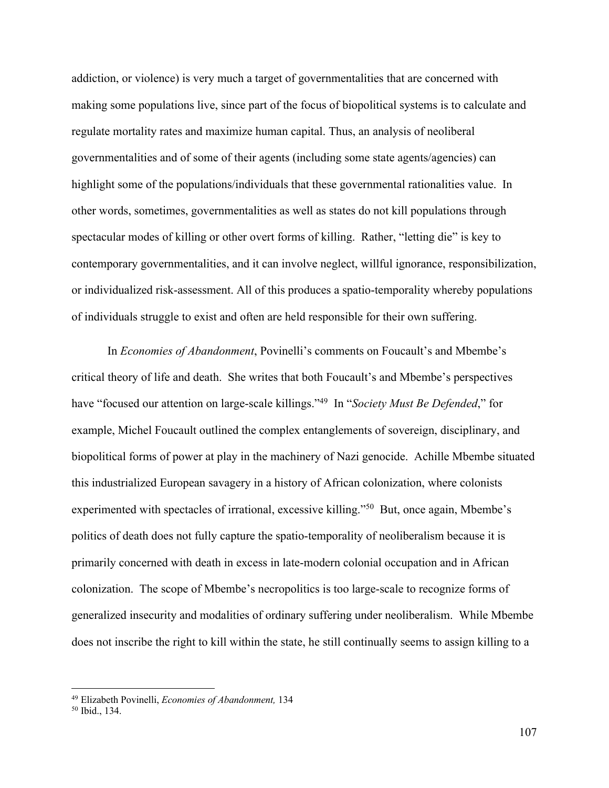addiction, or violence) is very much a target of governmentalities that are concerned with making some populations live, since part of the focus of biopolitical systems is to calculate and regulate mortality rates and maximize human capital. Thus, an analysis of neoliberal governmentalities and of some of their agents (including some state agents/agencies) can highlight some of the populations/individuals that these governmental rationalities value. In other words, sometimes, governmentalities as well as states do not kill populations through spectacular modes of killing or other overt forms of killing. Rather, "letting die" is key to contemporary governmentalities, and it can involve neglect, willful ignorance, responsibilization, or individualized risk-assessment. All of this produces a spatio-temporality whereby populations of individuals struggle to exist and often are held responsible for their own suffering.

In *Economies of Abandonment*, Povinelli's comments on Foucault's and Mbembe's critical theory of life and death. She writes that both Foucault's and Mbembe's perspectives have "focused our attention on large-scale killings."49 In "*Society Must Be Defended*," for example, Michel Foucault outlined the complex entanglements of sovereign, disciplinary, and biopolitical forms of power at play in the machinery of Nazi genocide. Achille Mbembe situated this industrialized European savagery in a history of African colonization, where colonists experimented with spectacles of irrational, excessive killing."50 But, once again, Mbembe's politics of death does not fully capture the spatio-temporality of neoliberalism because it is primarily concerned with death in excess in late-modern colonial occupation and in African colonization. The scope of Mbembe's necropolitics is too large-scale to recognize forms of generalized insecurity and modalities of ordinary suffering under neoliberalism. While Mbembe does not inscribe the right to kill within the state, he still continually seems to assign killing to a

 <sup>49</sup> Elizabeth Povinelli, *Economies of Abandonment,* <sup>134</sup>

<sup>50</sup> Ibid., 134.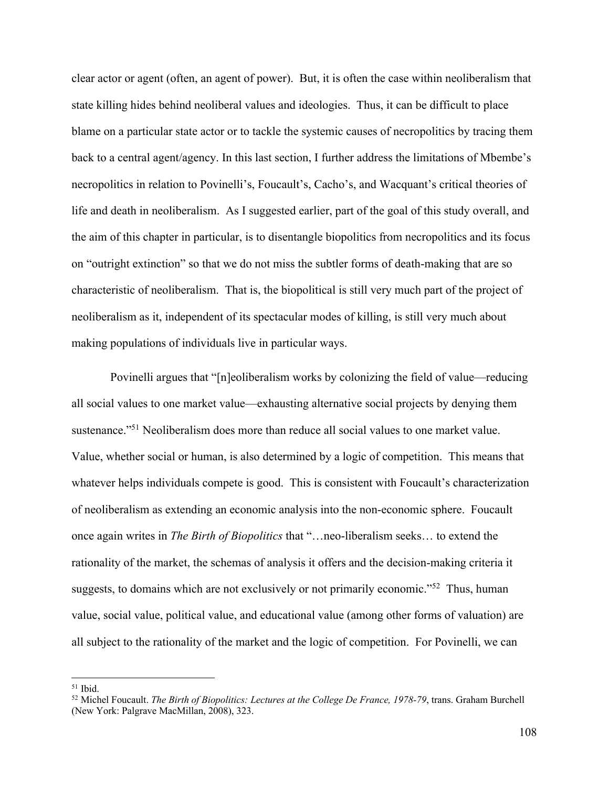clear actor or agent (often, an agent of power). But, it is often the case within neoliberalism that state killing hides behind neoliberal values and ideologies. Thus, it can be difficult to place blame on a particular state actor or to tackle the systemic causes of necropolitics by tracing them back to a central agent/agency. In this last section, I further address the limitations of Mbembe's necropolitics in relation to Povinelli's, Foucault's, Cacho's, and Wacquant's critical theories of life and death in neoliberalism. As I suggested earlier, part of the goal of this study overall, and the aim of this chapter in particular, is to disentangle biopolitics from necropolitics and its focus on "outright extinction" so that we do not miss the subtler forms of death-making that are so characteristic of neoliberalism. That is, the biopolitical is still very much part of the project of neoliberalism as it, independent of its spectacular modes of killing, is still very much about making populations of individuals live in particular ways.

Povinelli argues that "[n]eoliberalism works by colonizing the field of value—reducing all social values to one market value—exhausting alternative social projects by denying them sustenance."<sup>51</sup> Neoliberalism does more than reduce all social values to one market value. Value, whether social or human, is also determined by a logic of competition. This means that whatever helps individuals compete is good. This is consistent with Foucault's characterization of neoliberalism as extending an economic analysis into the non-economic sphere. Foucault once again writes in *The Birth of Biopolitics* that "…neo-liberalism seeks… to extend the rationality of the market, the schemas of analysis it offers and the decision-making criteria it suggests, to domains which are not exclusively or not primarily economic."<sup>52</sup> Thus, human value, social value, political value, and educational value (among other forms of valuation) are all subject to the rationality of the market and the logic of competition. For Povinelli, we can

 <sup>51</sup> Ibid.

<sup>52</sup> Michel Foucault. *The Birth of Biopolitics: Lectures at the College De France, 1978-79*, trans. Graham Burchell (New York: Palgrave MacMillan, 2008), 323.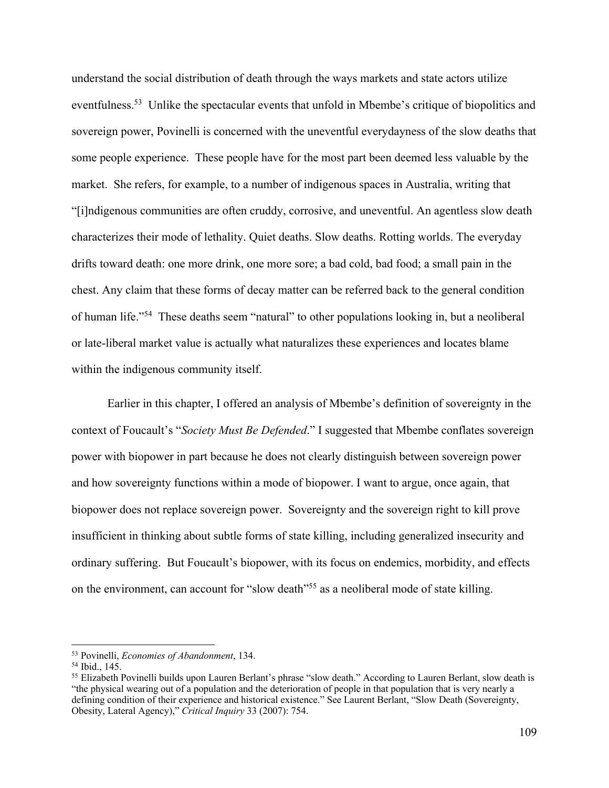understand the social distribution of death through the ways markets and state actors utilize eventfulness.<sup>53</sup> Unlike the spectacular events that unfold in Mbembe's critique of biopolitics and sovereign power, Povinelli is concerned with the uneventful everydayness of the slow deaths that some people experience. These people have for the most part been deemed less valuable by the market. She refers, for example, to a number of indigenous spaces in Australia, writing that "[i]ndigenous communities are often cruddy, corrosive, and uneventful. An agentless slow death characterizes their mode of lethality. Quiet deaths. Slow deaths. Rotting worlds. The everyday drifts toward death: one more drink, one more sore; a bad cold, bad food; a small pain in the chest. Any claim that these forms of decay matter can be referred back to the general condition of human life."54 These deaths seem "natural" to other populations looking in, but a neoliberal or late-liberal market value is actually what naturalizes these experiences and locates blame within the indigenous community itself.

Earlier in this chapter, I offered an analysis of Mbembe's definition of sovereignty in the context of Foucault's "*Society Must Be Defended*." I suggested that Mbembe conflates sovereign power with biopower in part because he does not clearly distinguish between sovereign power and how sovereignty functions within a mode of biopower. I want to argue, once again, that biopower does not replace sovereign power. Sovereignty and the sovereign right to kill prove insufficient in thinking about subtle forms of state killing, including generalized insecurity and ordinary suffering. But Foucault's biopower, with its focus on endemics, morbidity, and effects on the environment, can account for "slow death"55 as a neoliberal mode of state killing.

<sup>&</sup>lt;sup>53</sup> Povinelli, *Economies of Abandonment*, 134.<br><sup>54</sup> Ibid., 145.<br><sup>55</sup> Elizabeth Povinelli builds upon Lauren Berlant's phrase "slow death." According to Lauren Berlant, slow death is "the physical wearing out of a population and the deterioration of people in that population that is very nearly a defining condition of their experience and historical existence." See Laurent Berlant, "Slow Death (Sovereignty, Obesity, Lateral Agency)," *Critical Inquiry* 33 (2007): 754.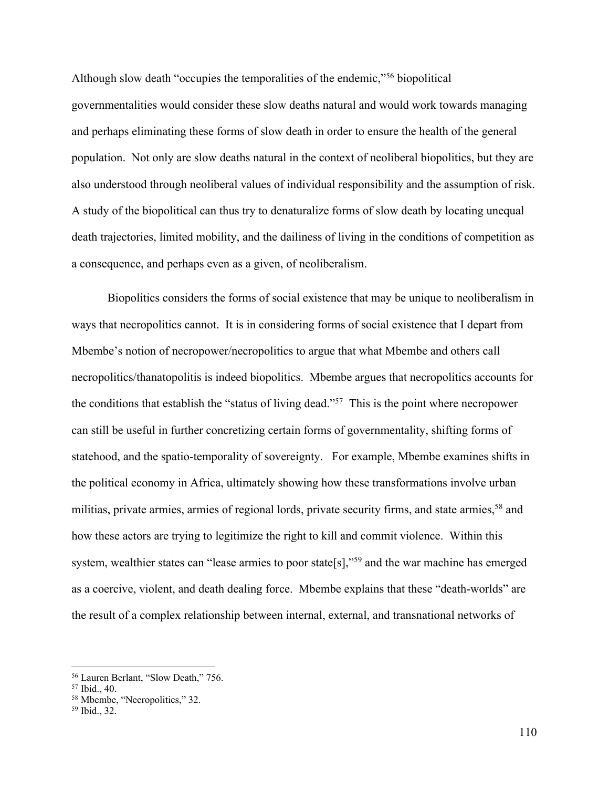Although slow death "occupies the temporalities of the endemic,"56 biopolitical governmentalities would consider these slow deaths natural and would work towards managing and perhaps eliminating these forms of slow death in order to ensure the health of the general population. Not only are slow deaths natural in the context of neoliberal biopolitics, but they are also understood through neoliberal values of individual responsibility and the assumption of risk. A study of the biopolitical can thus try to denaturalize forms of slow death by locating unequal death trajectories, limited mobility, and the dailiness of living in the conditions of competition as a consequence, and perhaps even as a given, of neoliberalism.

Biopolitics considers the forms of social existence that may be unique to neoliberalism in ways that necropolitics cannot. It is in considering forms of social existence that I depart from Mbembe's notion of necropower/necropolitics to argue that what Mbembe and others call necropolitics/thanatopolitis is indeed biopolitics. Mbembe argues that necropolitics accounts for the conditions that establish the "status of living dead."57 This is the point where necropower can still be useful in further concretizing certain forms of governmentality, shifting forms of statehood, and the spatio-temporality of sovereignty. For example, Mbembe examines shifts in the political economy in Africa, ultimately showing how these transformations involve urban militias, private armies, armies of regional lords, private security firms, and state armies,<sup>58</sup> and how these actors are trying to legitimize the right to kill and commit violence. Within this system, wealthier states can "lease armies to poor state[s],"59 and the war machine has emerged as a coercive, violent, and death dealing force. Mbembe explains that these "death-worlds" are the result of a complex relationship between internal, external, and transnational networks of

 <sup>56</sup> Lauren Berlant, "Slow Death," 756.

<sup>57</sup> Ibid., 40.

<sup>&</sup>lt;sup>58</sup> Mbembe, "Necropolitics," 32.<br><sup>59</sup> Ibid., 32.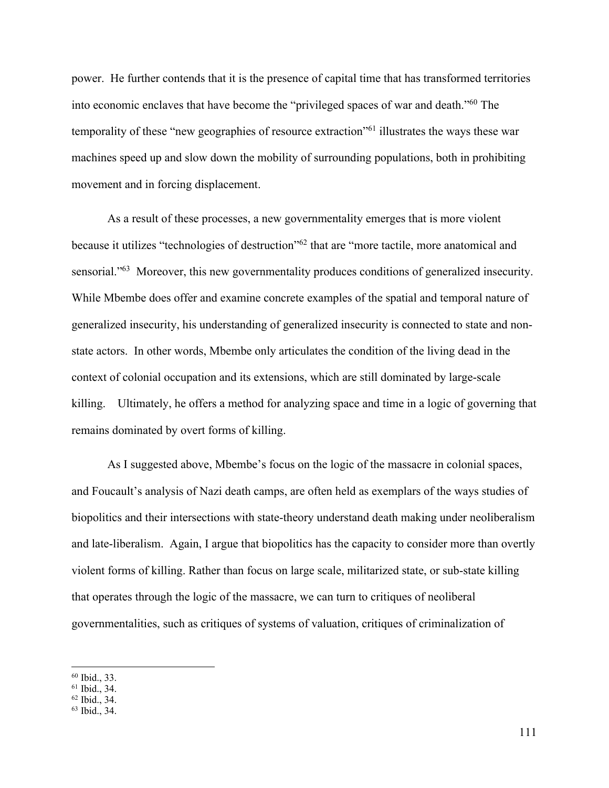power. He further contends that it is the presence of capital time that has transformed territories into economic enclaves that have become the "privileged spaces of war and death."60 The temporality of these "new geographies of resource extraction"61 illustrates the ways these war machines speed up and slow down the mobility of surrounding populations, both in prohibiting movement and in forcing displacement.

As a result of these processes, a new governmentality emerges that is more violent because it utilizes "technologies of destruction"62 that are "more tactile, more anatomical and sensorial."63 Moreover, this new governmentality produces conditions of generalized insecurity. While Mbembe does offer and examine concrete examples of the spatial and temporal nature of generalized insecurity, his understanding of generalized insecurity is connected to state and nonstate actors. In other words, Mbembe only articulates the condition of the living dead in the context of colonial occupation and its extensions, which are still dominated by large-scale killing. Ultimately, he offers a method for analyzing space and time in a logic of governing that remains dominated by overt forms of killing.

As I suggested above, Mbembe's focus on the logic of the massacre in colonial spaces, and Foucault's analysis of Nazi death camps, are often held as exemplars of the ways studies of biopolitics and their intersections with state-theory understand death making under neoliberalism and late-liberalism. Again, I argue that biopolitics has the capacity to consider more than overtly violent forms of killing. Rather than focus on large scale, militarized state, or sub-state killing that operates through the logic of the massacre, we can turn to critiques of neoliberal governmentalities, such as critiques of systems of valuation, critiques of criminalization of

 <sup>60</sup> Ibid., 33.

<sup>61</sup> Ibid., 34.

<sup>62</sup> Ibid., 34.

<sup>63</sup> Ibid., 34.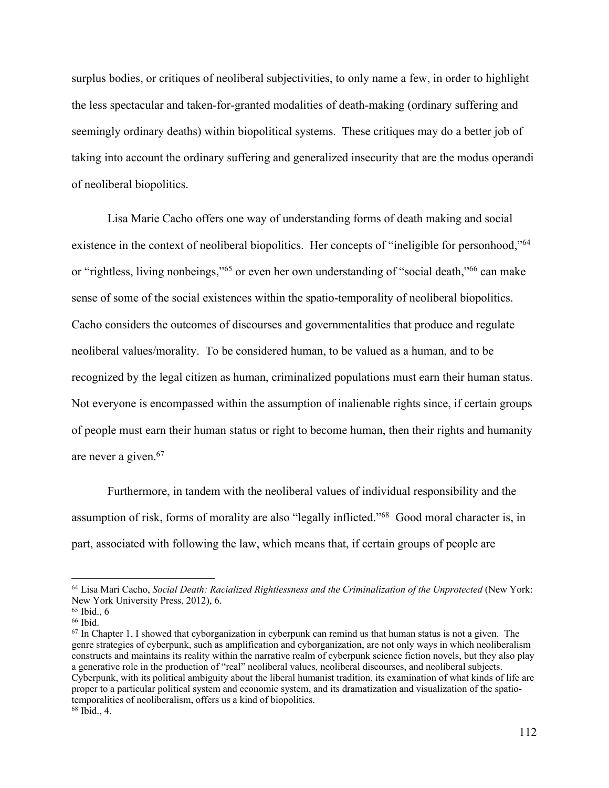surplus bodies, or critiques of neoliberal subjectivities, to only name a few, in order to highlight the less spectacular and taken-for-granted modalities of death-making (ordinary suffering and seemingly ordinary deaths) within biopolitical systems. These critiques may do a better job of taking into account the ordinary suffering and generalized insecurity that are the modus operandi of neoliberal biopolitics.

Lisa Marie Cacho offers one way of understanding forms of death making and social existence in the context of neoliberal biopolitics. Her concepts of "ineligible for personhood,"<sup>64</sup> or "rightless, living nonbeings,"65 or even her own understanding of "social death,"66 can make sense of some of the social existences within the spatio-temporality of neoliberal biopolitics. Cacho considers the outcomes of discourses and governmentalities that produce and regulate neoliberal values/morality. To be considered human, to be valued as a human, and to be recognized by the legal citizen as human, criminalized populations must earn their human status. Not everyone is encompassed within the assumption of inalienable rights since, if certain groups of people must earn their human status or right to become human, then their rights and humanity are never a given.67

Furthermore, in tandem with the neoliberal values of individual responsibility and the assumption of risk, forms of morality are also "legally inflicted."68 Good moral character is, in part, associated with following the law, which means that, if certain groups of people are

 <sup>64</sup> Lisa Mari Cacho, *Social Death: Racialized Rightlessness and the Criminalization of the Unprotected* (New York: New York University Press, 2012), 6.

 $65$  Ibid., 6

<sup>&</sup>lt;sup>66</sup> Ibid.<br><sup>67</sup> In Chapter 1, I showed that cyborganization in cyberpunk can remind us that human status is not a given. The genre strategies of cyberpunk, such as amplification and cyborganization, are not only ways in which neoliberalism constructs and maintains its reality within the narrative realm of cyberpunk science fiction novels, but they also play a generative role in the production of "real" neoliberal values, neoliberal discourses, and neoliberal subjects. Cyberpunk, with its political ambiguity about the liberal humanist tradition, its examination of what kinds of life are proper to a particular political system and economic system, and its dramatization and visualization of the spatiotemporalities of neoliberalism, offers us a kind of biopolitics. <sup>68</sup> Ibid., 4.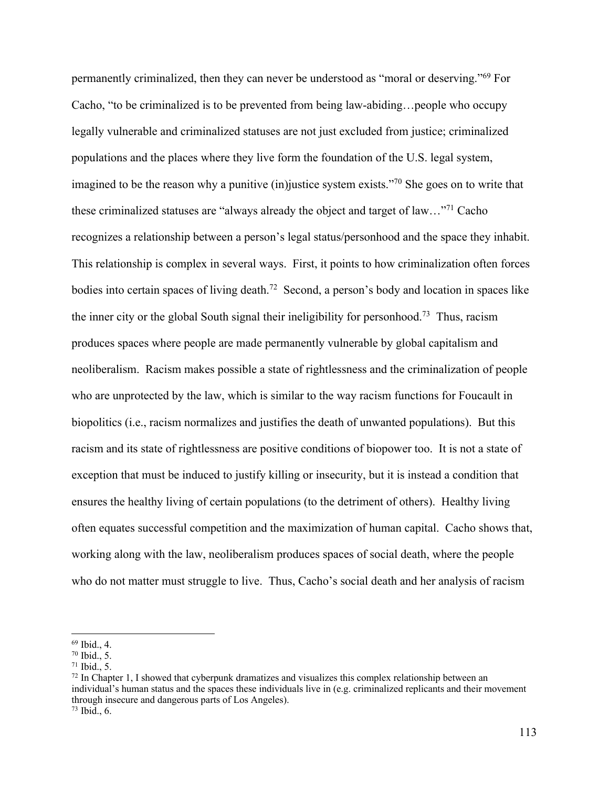permanently criminalized, then they can never be understood as "moral or deserving."69 For Cacho, "to be criminalized is to be prevented from being law-abiding…people who occupy legally vulnerable and criminalized statuses are not just excluded from justice; criminalized populations and the places where they live form the foundation of the U.S. legal system, imagined to be the reason why a punitive (in)justice system exists."70 She goes on to write that these criminalized statuses are "always already the object and target of law…"71 Cacho recognizes a relationship between a person's legal status/personhood and the space they inhabit. This relationship is complex in several ways. First, it points to how criminalization often forces bodies into certain spaces of living death.<sup>72</sup> Second, a person's body and location in spaces like the inner city or the global South signal their ineligibility for personhood.<sup>73</sup> Thus, racism produces spaces where people are made permanently vulnerable by global capitalism and neoliberalism. Racism makes possible a state of rightlessness and the criminalization of people who are unprotected by the law, which is similar to the way racism functions for Foucault in biopolitics (i.e., racism normalizes and justifies the death of unwanted populations). But this racism and its state of rightlessness are positive conditions of biopower too. It is not a state of exception that must be induced to justify killing or insecurity, but it is instead a condition that ensures the healthy living of certain populations (to the detriment of others). Healthy living often equates successful competition and the maximization of human capital. Cacho shows that, working along with the law, neoliberalism produces spaces of social death, where the people who do not matter must struggle to live. Thus, Cacho's social death and her analysis of racism

<sup>69</sup> Ibid., 4.<br> $70 \text{ Ibid., } 5.$ <br> $71 \text{ Ibid., } 5.$ 

<sup>72</sup> In Chapter 1, I showed that cyberpunk dramatizes and visualizes this complex relationship between an individual's human status and the spaces these individuals live in (e.g. criminalized replicants and their movement through insecure and dangerous parts of Los Angeles). 73 Ibid., 6.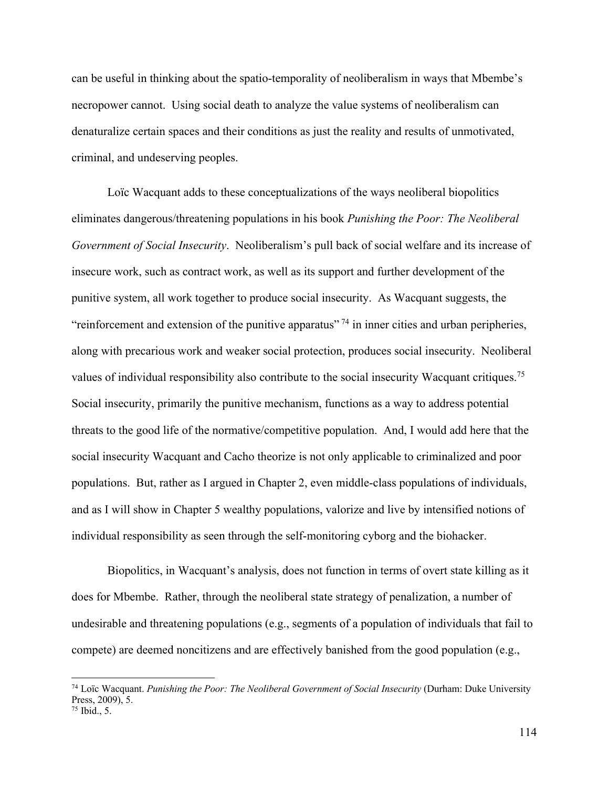can be useful in thinking about the spatio-temporality of neoliberalism in ways that Mbembe's necropower cannot. Using social death to analyze the value systems of neoliberalism can denaturalize certain spaces and their conditions as just the reality and results of unmotivated, criminal, and undeserving peoples.

Loïc Wacquant adds to these conceptualizations of the ways neoliberal biopolitics eliminates dangerous/threatening populations in his book *Punishing the Poor: The Neoliberal Government of Social Insecurity*. Neoliberalism's pull back of social welfare and its increase of insecure work, such as contract work, as well as its support and further development of the punitive system, all work together to produce social insecurity. As Wacquant suggests, the "reinforcement and extension of the punitive apparatus"<sup>74</sup> in inner cities and urban peripheries, along with precarious work and weaker social protection, produces social insecurity. Neoliberal values of individual responsibility also contribute to the social insecurity Wacquant critiques.<sup>75</sup> Social insecurity, primarily the punitive mechanism, functions as a way to address potential threats to the good life of the normative/competitive population. And, I would add here that the social insecurity Wacquant and Cacho theorize is not only applicable to criminalized and poor populations. But, rather as I argued in Chapter 2, even middle-class populations of individuals, and as I will show in Chapter 5 wealthy populations, valorize and live by intensified notions of individual responsibility as seen through the self-monitoring cyborg and the biohacker.

Biopolitics, in Wacquant's analysis, does not function in terms of overt state killing as it does for Mbembe. Rather, through the neoliberal state strategy of penalization, a number of undesirable and threatening populations (e.g., segments of a population of individuals that fail to compete) are deemed noncitizens and are effectively banished from the good population (e.g.,

 <sup>74</sup> Loïc Wacquant. *Punishing the Poor: The Neoliberal Government of Social Insecurity* (Durham: Duke University Press, 2009), 5.

<sup>75</sup> Ibid., 5.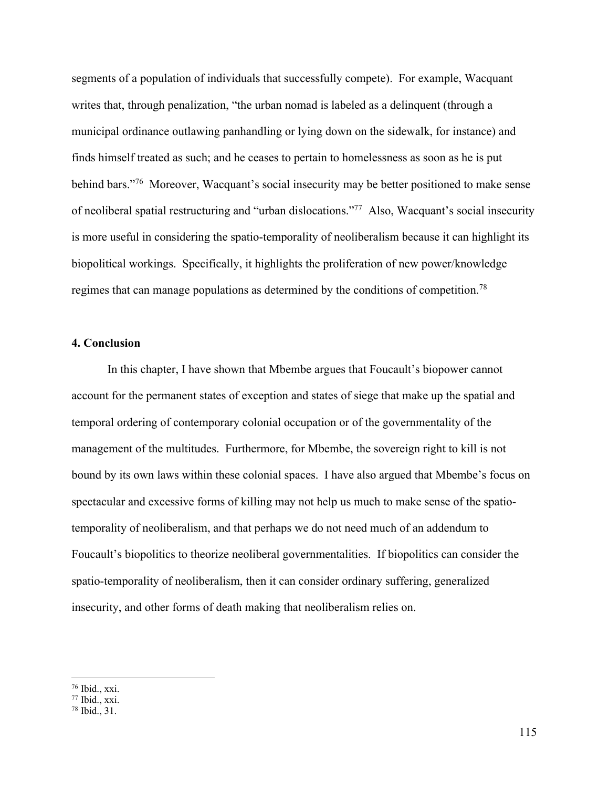segments of a population of individuals that successfully compete). For example, Wacquant writes that, through penalization, "the urban nomad is labeled as a delinquent (through a municipal ordinance outlawing panhandling or lying down on the sidewalk, for instance) and finds himself treated as such; and he ceases to pertain to homelessness as soon as he is put behind bars."<sup>76</sup> Moreover, Wacquant's social insecurity may be better positioned to make sense of neoliberal spatial restructuring and "urban dislocations."77 Also, Wacquant's social insecurity is more useful in considering the spatio-temporality of neoliberalism because it can highlight its biopolitical workings. Specifically, it highlights the proliferation of new power/knowledge regimes that can manage populations as determined by the conditions of competition.<sup>78</sup>

# **4. Conclusion**

In this chapter, I have shown that Mbembe argues that Foucault's biopower cannot account for the permanent states of exception and states of siege that make up the spatial and temporal ordering of contemporary colonial occupation or of the governmentality of the management of the multitudes. Furthermore, for Mbembe, the sovereign right to kill is not bound by its own laws within these colonial spaces. I have also argued that Mbembe's focus on spectacular and excessive forms of killing may not help us much to make sense of the spatiotemporality of neoliberalism, and that perhaps we do not need much of an addendum to Foucault's biopolitics to theorize neoliberal governmentalities. If biopolitics can consider the spatio-temporality of neoliberalism, then it can consider ordinary suffering, generalized insecurity, and other forms of death making that neoliberalism relies on.

 $^{76}$  Ibid., xxi.<br> $^{77}$  Ibid., xxi.<br> $^{78}$  Ibid., 31.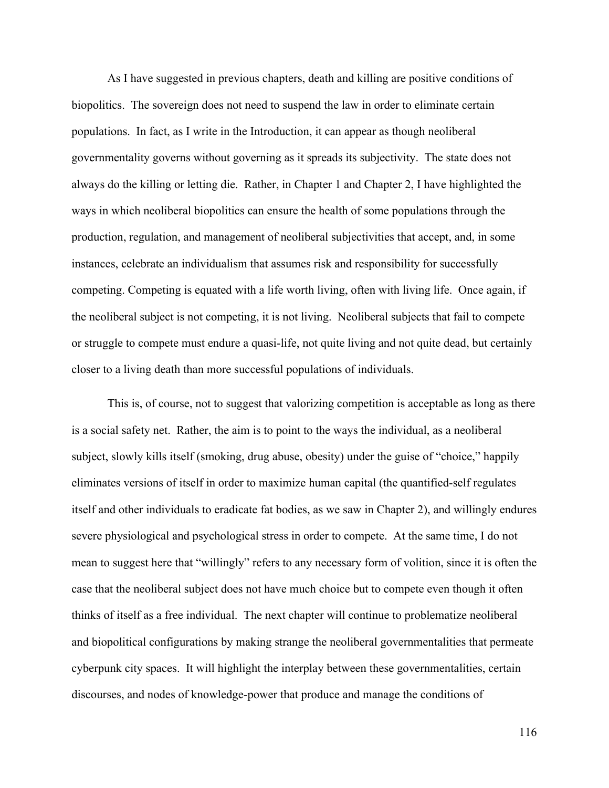As I have suggested in previous chapters, death and killing are positive conditions of biopolitics. The sovereign does not need to suspend the law in order to eliminate certain populations. In fact, as I write in the Introduction, it can appear as though neoliberal governmentality governs without governing as it spreads its subjectivity. The state does not always do the killing or letting die. Rather, in Chapter 1 and Chapter 2, I have highlighted the ways in which neoliberal biopolitics can ensure the health of some populations through the production, regulation, and management of neoliberal subjectivities that accept, and, in some instances, celebrate an individualism that assumes risk and responsibility for successfully competing. Competing is equated with a life worth living, often with living life. Once again, if the neoliberal subject is not competing, it is not living. Neoliberal subjects that fail to compete or struggle to compete must endure a quasi-life, not quite living and not quite dead, but certainly closer to a living death than more successful populations of individuals.

This is, of course, not to suggest that valorizing competition is acceptable as long as there is a social safety net. Rather, the aim is to point to the ways the individual, as a neoliberal subject, slowly kills itself (smoking, drug abuse, obesity) under the guise of "choice," happily eliminates versions of itself in order to maximize human capital (the quantified-self regulates itself and other individuals to eradicate fat bodies, as we saw in Chapter 2), and willingly endures severe physiological and psychological stress in order to compete. At the same time, I do not mean to suggest here that "willingly" refers to any necessary form of volition, since it is often the case that the neoliberal subject does not have much choice but to compete even though it often thinks of itself as a free individual. The next chapter will continue to problematize neoliberal and biopolitical configurations by making strange the neoliberal governmentalities that permeate cyberpunk city spaces. It will highlight the interplay between these governmentalities, certain discourses, and nodes of knowledge-power that produce and manage the conditions of

116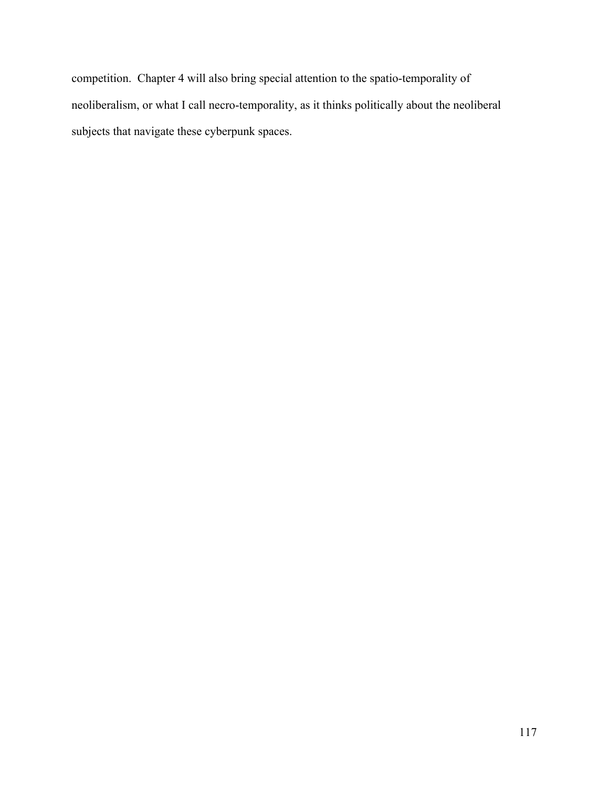competition. Chapter 4 will also bring special attention to the spatio-temporality of neoliberalism, or what I call necro-temporality, as it thinks politically about the neoliberal subjects that navigate these cyberpunk spaces.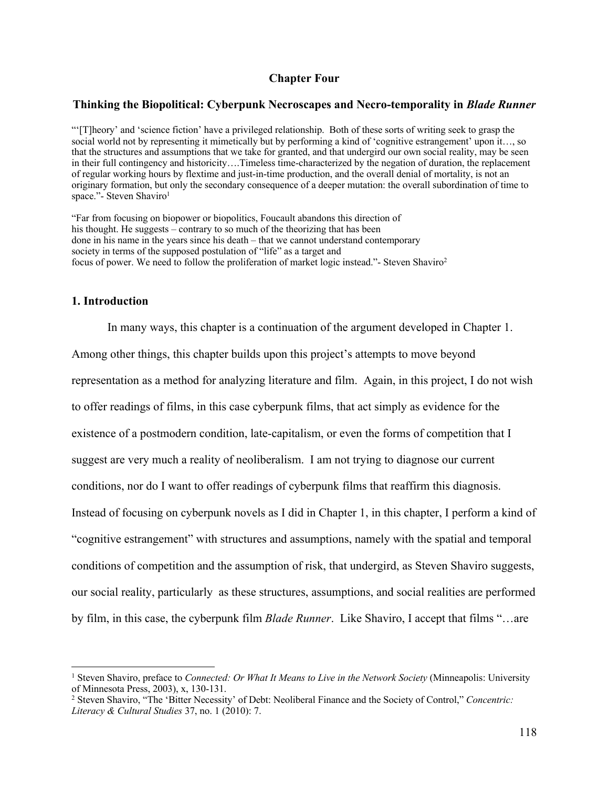#### **Chapter Four**

#### **Thinking the Biopolitical: Cyberpunk Necroscapes and Necro-temporality in** *Blade Runner*

"'[T]heory' and 'science fiction' have a privileged relationship. Both of these sorts of writing seek to grasp the social world not by representing it mimetically but by performing a kind of 'cognitive estrangement' upon it…, so that the structures and assumptions that we take for granted, and that undergird our own social reality, may be seen in their full contingency and historicity….Timeless time-characterized by the negation of duration, the replacement of regular working hours by flextime and just-in-time production, and the overall denial of mortality, is not an originary formation, but only the secondary consequence of a deeper mutation: the overall subordination of time to space."- Steven Shaviro<sup>1</sup>

"Far from focusing on biopower or biopolitics, Foucault abandons this direction of his thought. He suggests – contrary to so much of the theorizing that has been done in his name in the years since his death – that we cannot understand contemporary society in terms of the supposed postulation of "life" as a target and focus of power. We need to follow the proliferation of market logic instead."- Steven Shaviro2

# **1. Introduction**

In many ways, this chapter is a continuation of the argument developed in Chapter 1.

Among other things, this chapter builds upon this project's attempts to move beyond representation as a method for analyzing literature and film. Again, in this project, I do not wish to offer readings of films, in this case cyberpunk films, that act simply as evidence for the existence of a postmodern condition, late-capitalism, or even the forms of competition that I suggest are very much a reality of neoliberalism. I am not trying to diagnose our current conditions, nor do I want to offer readings of cyberpunk films that reaffirm this diagnosis. Instead of focusing on cyberpunk novels as I did in Chapter 1, in this chapter, I perform a kind of "cognitive estrangement" with structures and assumptions, namely with the spatial and temporal conditions of competition and the assumption of risk, that undergird, as Steven Shaviro suggests, our social reality, particularly as these structures, assumptions, and social realities are performed by film, in this case, the cyberpunk film *Blade Runner*. Like Shaviro, I accept that films "…are

<sup>&</sup>lt;sup>1</sup> Steven Shaviro, preface to *Connected: Or What It Means to Live in the Network Society* (Minneapolis: University of Minnesota Press, 2003), x, 130-131. 2 Steven Shaviro, "The 'Bitter Necessity' of Debt: Neoliberal Finance and the Society of Control," *Concentric:* 

*Literacy & Cultural Studies* 37, no. 1 (2010): 7.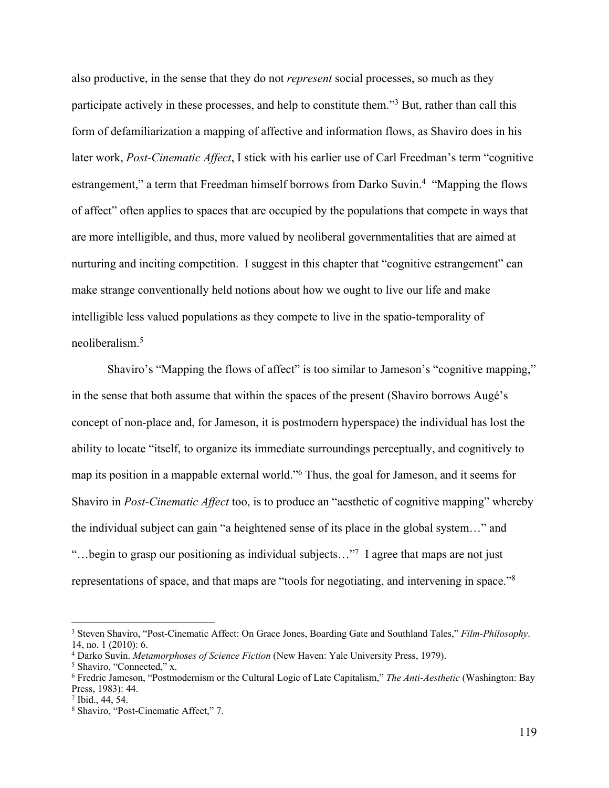also productive, in the sense that they do not *represent* social processes, so much as they participate actively in these processes, and help to constitute them."3 But, rather than call this form of defamiliarization a mapping of affective and information flows, as Shaviro does in his later work, *Post-Cinematic Affect*, I stick with his earlier use of Carl Freedman's term "cognitive estrangement," a term that Freedman himself borrows from Darko Suvin.<sup>4</sup> "Mapping the flows of affect" often applies to spaces that are occupied by the populations that compete in ways that are more intelligible, and thus, more valued by neoliberal governmentalities that are aimed at nurturing and inciting competition. I suggest in this chapter that "cognitive estrangement" can make strange conventionally held notions about how we ought to live our life and make intelligible less valued populations as they compete to live in the spatio-temporality of neoliberalism.5

Shaviro's "Mapping the flows of affect" is too similar to Jameson's "cognitive mapping," in the sense that both assume that within the spaces of the present (Shaviro borrows Augé's concept of non-place and, for Jameson, it is postmodern hyperspace) the individual has lost the ability to locate "itself, to organize its immediate surroundings perceptually, and cognitively to map its position in a mappable external world."6 Thus, the goal for Jameson, and it seems for Shaviro in *Post-Cinematic Affect* too, is to produce an "aesthetic of cognitive mapping" whereby the individual subject can gain "a heightened sense of its place in the global system…" and "...begin to grasp our positioning as individual subjects..."<sup>7</sup> I agree that maps are not just representations of space, and that maps are "tools for negotiating, and intervening in space."<sup>8</sup>

 <sup>3</sup> Steven Shaviro, "Post-Cinematic Affect: On Grace Jones, Boarding Gate and Southland Tales," *Film-Philosophy*. 14, no. 1 (2010): 6.

<sup>4</sup> Darko Suvin. *Metamorphoses of Science Fiction* (New Haven: Yale University Press, 1979). 5 Shaviro, "Connected," x.

<sup>6</sup> Fredric Jameson, "Postmodernism or the Cultural Logic of Late Capitalism," *The Anti-Aesthetic* (Washington: Bay Press, 1983): 44.

<sup>7</sup> Ibid., 44, 54.

<sup>8</sup> Shaviro, "Post-Cinematic Affect," 7.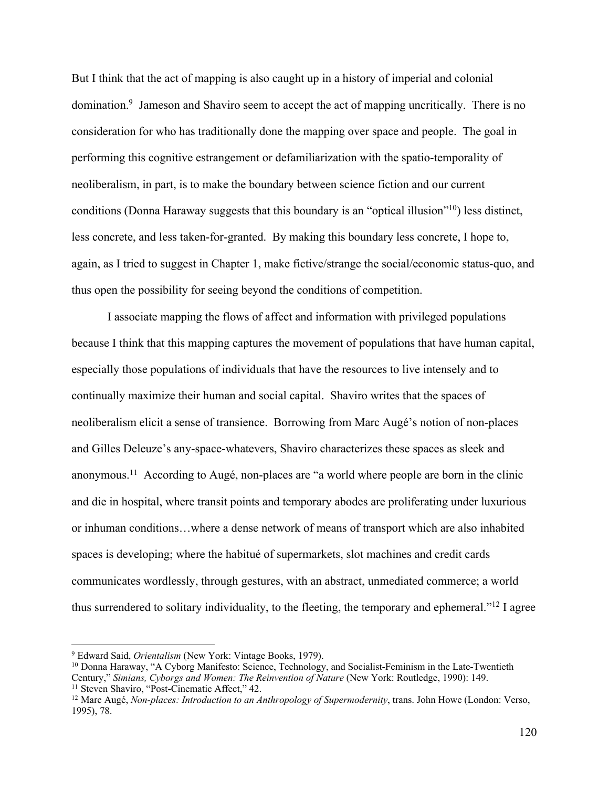But I think that the act of mapping is also caught up in a history of imperial and colonial domination.<sup>9</sup> Jameson and Shaviro seem to accept the act of mapping uncritically. There is no consideration for who has traditionally done the mapping over space and people. The goal in performing this cognitive estrangement or defamiliarization with the spatio-temporality of neoliberalism, in part, is to make the boundary between science fiction and our current conditions (Donna Haraway suggests that this boundary is an "optical illusion"10) less distinct, less concrete, and less taken-for-granted. By making this boundary less concrete, I hope to, again, as I tried to suggest in Chapter 1, make fictive/strange the social/economic status-quo, and thus open the possibility for seeing beyond the conditions of competition.

I associate mapping the flows of affect and information with privileged populations because I think that this mapping captures the movement of populations that have human capital, especially those populations of individuals that have the resources to live intensely and to continually maximize their human and social capital. Shaviro writes that the spaces of neoliberalism elicit a sense of transience. Borrowing from Marc Augé's notion of non-places and Gilles Deleuze's any-space-whatevers, Shaviro characterizes these spaces as sleek and anonymous.11 According to Augé, non-places are "a world where people are born in the clinic and die in hospital, where transit points and temporary abodes are proliferating under luxurious or inhuman conditions…where a dense network of means of transport which are also inhabited spaces is developing; where the habitué of supermarkets, slot machines and credit cards communicates wordlessly, through gestures, with an abstract, unmediated commerce; a world thus surrendered to solitary individuality, to the fleeting, the temporary and ephemeral."12 I agree

 <sup>9</sup> Edward Said, *Orientalism* (New York: Vintage Books, 1979).

<sup>10</sup> Donna Haraway, "A Cyborg Manifesto: Science, Technology, and Socialist-Feminism in the Late-Twentieth Century," *Simians, Cyborgs and Women: The Reinvention of Nature* (New York: Routledge, 1990): 149. <sup>11</sup> Steven Shaviro, "Post-Cinematic Affect," 42.

<sup>12</sup> Marc Augé, *Non-places: Introduction to an Anthropology of Supermodernity*, trans. John Howe (London: Verso, 1995), 78.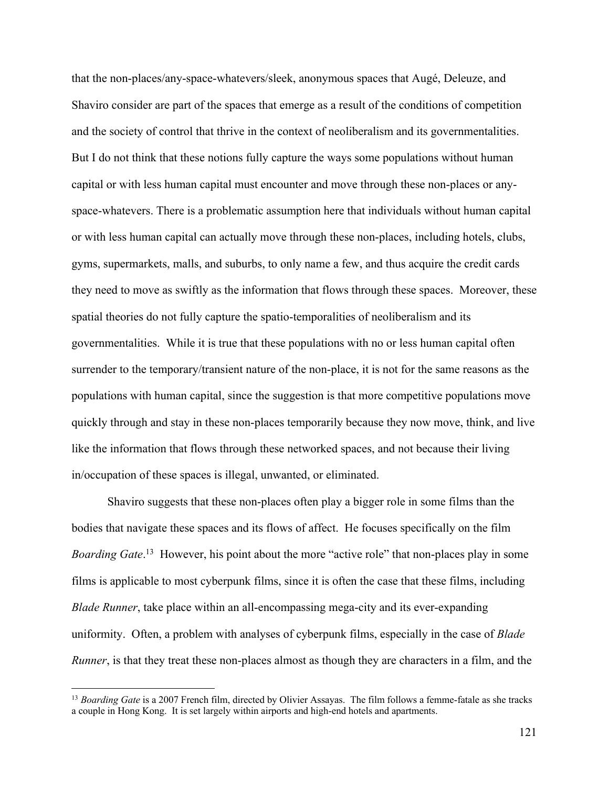that the non-places/any-space-whatevers/sleek, anonymous spaces that Augé, Deleuze, and Shaviro consider are part of the spaces that emerge as a result of the conditions of competition and the society of control that thrive in the context of neoliberalism and its governmentalities. But I do not think that these notions fully capture the ways some populations without human capital or with less human capital must encounter and move through these non-places or anyspace-whatevers. There is a problematic assumption here that individuals without human capital or with less human capital can actually move through these non-places, including hotels, clubs, gyms, supermarkets, malls, and suburbs, to only name a few, and thus acquire the credit cards they need to move as swiftly as the information that flows through these spaces. Moreover, these spatial theories do not fully capture the spatio-temporalities of neoliberalism and its governmentalities. While it is true that these populations with no or less human capital often surrender to the temporary/transient nature of the non-place, it is not for the same reasons as the populations with human capital, since the suggestion is that more competitive populations move quickly through and stay in these non-places temporarily because they now move, think, and live like the information that flows through these networked spaces, and not because their living in/occupation of these spaces is illegal, unwanted, or eliminated.

Shaviro suggests that these non-places often play a bigger role in some films than the bodies that navigate these spaces and its flows of affect. He focuses specifically on the film *Boarding Gate*. 13 However, his point about the more "active role" that non-places play in some films is applicable to most cyberpunk films, since it is often the case that these films, including *Blade Runner*, take place within an all-encompassing mega-city and its ever-expanding uniformity. Often, a problem with analyses of cyberpunk films, especially in the case of *Blade Runner*, is that they treat these non-places almost as though they are characters in a film, and the

 <sup>13</sup> *Boarding Gate* is a 2007 French film, directed by Olivier Assayas. The film follows a femme-fatale as she tracks a couple in Hong Kong. It is set largely within airports and high-end hotels and apartments.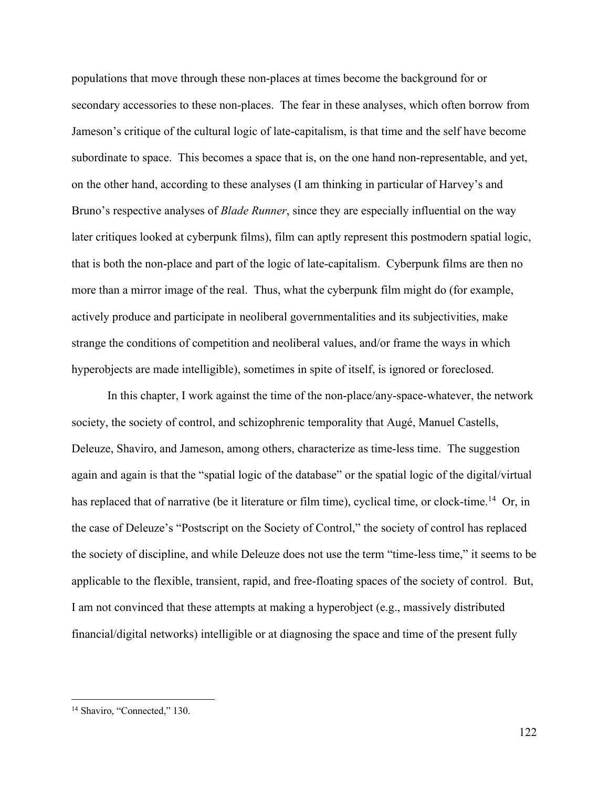populations that move through these non-places at times become the background for or secondary accessories to these non-places. The fear in these analyses, which often borrow from Jameson's critique of the cultural logic of late-capitalism, is that time and the self have become subordinate to space. This becomes a space that is, on the one hand non-representable, and yet, on the other hand, according to these analyses (I am thinking in particular of Harvey's and Bruno's respective analyses of *Blade Runner*, since they are especially influential on the way later critiques looked at cyberpunk films), film can aptly represent this postmodern spatial logic, that is both the non-place and part of the logic of late-capitalism. Cyberpunk films are then no more than a mirror image of the real. Thus, what the cyberpunk film might do (for example, actively produce and participate in neoliberal governmentalities and its subjectivities, make strange the conditions of competition and neoliberal values, and/or frame the ways in which hyperobjects are made intelligible), sometimes in spite of itself, is ignored or foreclosed.

In this chapter, I work against the time of the non-place/any-space-whatever, the network society, the society of control, and schizophrenic temporality that Augé, Manuel Castells, Deleuze, Shaviro, and Jameson, among others, characterize as time-less time. The suggestion again and again is that the "spatial logic of the database" or the spatial logic of the digital/virtual has replaced that of narrative (be it literature or film time), cyclical time, or clock-time.<sup>14</sup> Or, in the case of Deleuze's "Postscript on the Society of Control," the society of control has replaced the society of discipline, and while Deleuze does not use the term "time-less time," it seems to be applicable to the flexible, transient, rapid, and free-floating spaces of the society of control. But, I am not convinced that these attempts at making a hyperobject (e.g., massively distributed financial/digital networks) intelligible or at diagnosing the space and time of the present fully

<sup>&</sup>lt;sup>14</sup> Shaviro, "Connected," 130.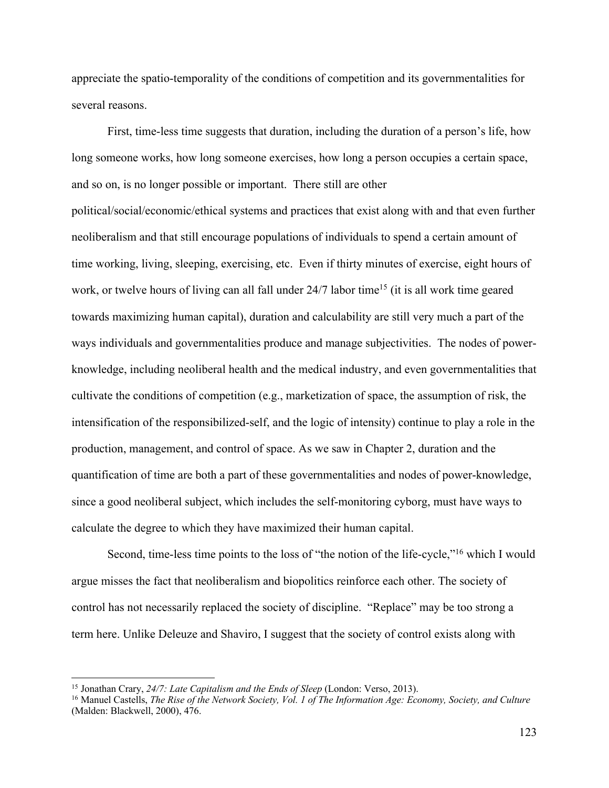appreciate the spatio-temporality of the conditions of competition and its governmentalities for several reasons.

First, time-less time suggests that duration, including the duration of a person's life, how long someone works, how long someone exercises, how long a person occupies a certain space, and so on, is no longer possible or important. There still are other political/social/economic/ethical systems and practices that exist along with and that even further neoliberalism and that still encourage populations of individuals to spend a certain amount of time working, living, sleeping, exercising, etc. Even if thirty minutes of exercise, eight hours of work, or twelve hours of living can all fall under 24/7 labor time<sup>15</sup> (it is all work time geared towards maximizing human capital), duration and calculability are still very much a part of the ways individuals and governmentalities produce and manage subjectivities. The nodes of powerknowledge, including neoliberal health and the medical industry, and even governmentalities that cultivate the conditions of competition (e.g., marketization of space, the assumption of risk, the intensification of the responsibilized-self, and the logic of intensity) continue to play a role in the production, management, and control of space. As we saw in Chapter 2, duration and the quantification of time are both a part of these governmentalities and nodes of power-knowledge, since a good neoliberal subject, which includes the self-monitoring cyborg, must have ways to calculate the degree to which they have maximized their human capital.

Second, time-less time points to the loss of "the notion of the life-cycle,"<sup>16</sup> which I would argue misses the fact that neoliberalism and biopolitics reinforce each other. The society of control has not necessarily replaced the society of discipline. "Replace" may be too strong a term here. Unlike Deleuze and Shaviro, I suggest that the society of control exists along with

 <sup>15</sup> Jonathan Crary, *24/7: Late Capitalism and the Ends of Sleep* (London: Verso, 2013).

<sup>16</sup> Manuel Castells, *The Rise of the Network Society, Vol. 1 of The Information Age: Economy, Society, and Culture* (Malden: Blackwell, 2000), 476.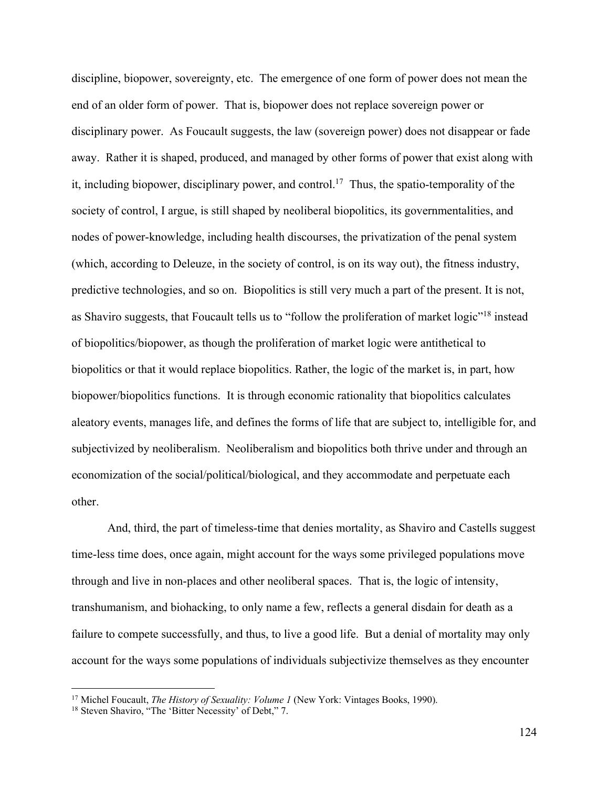discipline, biopower, sovereignty, etc. The emergence of one form of power does not mean the end of an older form of power. That is, biopower does not replace sovereign power or disciplinary power. As Foucault suggests, the law (sovereign power) does not disappear or fade away. Rather it is shaped, produced, and managed by other forms of power that exist along with it, including biopower, disciplinary power, and control.<sup>17</sup> Thus, the spatio-temporality of the society of control, I argue, is still shaped by neoliberal biopolitics, its governmentalities, and nodes of power-knowledge, including health discourses, the privatization of the penal system (which, according to Deleuze, in the society of control, is on its way out), the fitness industry, predictive technologies, and so on. Biopolitics is still very much a part of the present. It is not, as Shaviro suggests, that Foucault tells us to "follow the proliferation of market logic"<sup>18</sup> instead of biopolitics/biopower, as though the proliferation of market logic were antithetical to biopolitics or that it would replace biopolitics. Rather, the logic of the market is, in part, how biopower/biopolitics functions. It is through economic rationality that biopolitics calculates aleatory events, manages life, and defines the forms of life that are subject to, intelligible for, and subjectivized by neoliberalism. Neoliberalism and biopolitics both thrive under and through an economization of the social/political/biological, and they accommodate and perpetuate each other.

And, third, the part of timeless-time that denies mortality, as Shaviro and Castells suggest time-less time does, once again, might account for the ways some privileged populations move through and live in non-places and other neoliberal spaces. That is, the logic of intensity, transhumanism, and biohacking, to only name a few, reflects a general disdain for death as a failure to compete successfully, and thus, to live a good life. But a denial of mortality may only account for the ways some populations of individuals subjectivize themselves as they encounter

 <sup>17</sup> Michel Foucault, *The History of Sexuality: Volume 1* (New York: Vintages Books, 1990).

<sup>18</sup> Steven Shaviro, "The 'Bitter Necessity' of Debt," 7.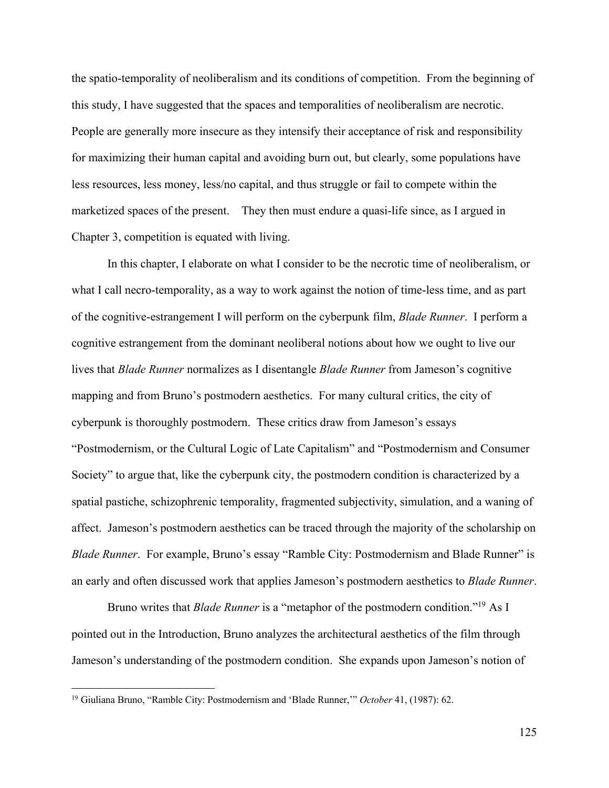the spatio-temporality of neoliberalism and its conditions of competition. From the beginning of this study, I have suggested that the spaces and temporalities of neoliberalism are necrotic. People are generally more insecure as they intensify their acceptance of risk and responsibility for maximizing their human capital and avoiding burn out, but clearly, some populations have less resources, less money, less/no capital, and thus struggle or fail to compete within the marketized spaces of the present. They then must endure a quasi-life since, as I argued in Chapter 3, competition is equated with living.

In this chapter, I elaborate on what I consider to be the necrotic time of neoliberalism, or what I call necro-temporality, as a way to work against the notion of time-less time, and as part of the cognitive-estrangement I will perform on the cyberpunk film, *Blade Runner*. I perform a cognitive estrangement from the dominant neoliberal notions about how we ought to live our lives that *Blade Runner* normalizes as I disentangle *Blade Runner* from Jameson's cognitive mapping and from Bruno's postmodern aesthetics. For many cultural critics, the city of cyberpunk is thoroughly postmodern. These critics draw from Jameson's essays "Postmodernism, or the Cultural Logic of Late Capitalism" and "Postmodernism and Consumer Society" to argue that, like the cyberpunk city, the postmodern condition is characterized by a spatial pastiche, schizophrenic temporality, fragmented subjectivity, simulation, and a waning of affect. Jameson's postmodern aesthetics can be traced through the majority of the scholarship on *Blade Runner*. For example, Bruno's essay "Ramble City: Postmodernism and Blade Runner" is an early and often discussed work that applies Jameson's postmodern aesthetics to *Blade Runner*.

Bruno writes that *Blade Runner* is a "metaphor of the postmodern condition."19 As I pointed out in the Introduction, Bruno analyzes the architectural aesthetics of the film through Jameson's understanding of the postmodern condition. She expands upon Jameson's notion of

 <sup>19</sup> Giuliana Bruno, "Ramble City: Postmodernism and 'Blade Runner,'" *October* 41, (1987): 62.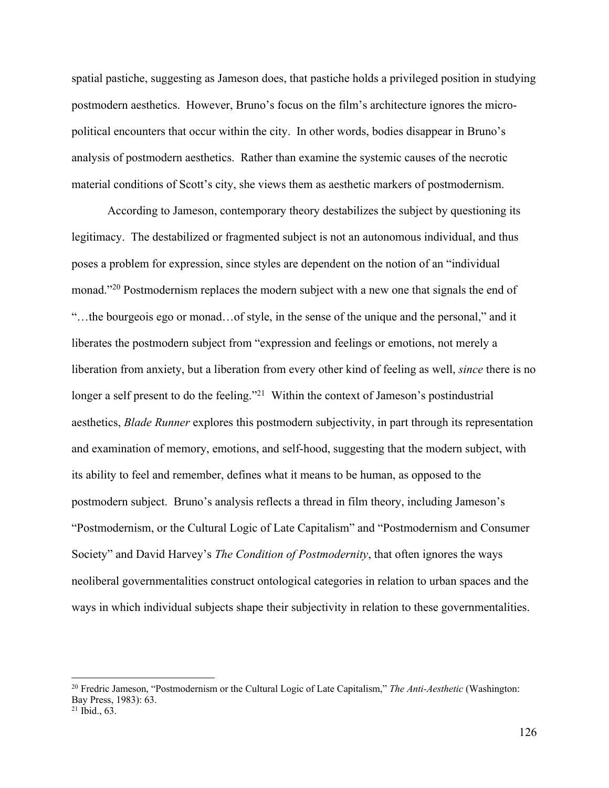spatial pastiche, suggesting as Jameson does, that pastiche holds a privileged position in studying postmodern aesthetics. However, Bruno's focus on the film's architecture ignores the micropolitical encounters that occur within the city. In other words, bodies disappear in Bruno's analysis of postmodern aesthetics. Rather than examine the systemic causes of the necrotic material conditions of Scott's city, she views them as aesthetic markers of postmodernism.

According to Jameson, contemporary theory destabilizes the subject by questioning its legitimacy. The destabilized or fragmented subject is not an autonomous individual, and thus poses a problem for expression, since styles are dependent on the notion of an "individual monad."<sup>20</sup> Postmodernism replaces the modern subject with a new one that signals the end of "…the bourgeois ego or monad…of style, in the sense of the unique and the personal," and it liberates the postmodern subject from "expression and feelings or emotions, not merely a liberation from anxiety, but a liberation from every other kind of feeling as well, *since* there is no longer a self present to do the feeling."<sup>21</sup> Within the context of Jameson's postindustrial aesthetics, *Blade Runner* explores this postmodern subjectivity, in part through its representation and examination of memory, emotions, and self-hood, suggesting that the modern subject, with its ability to feel and remember, defines what it means to be human, as opposed to the postmodern subject. Bruno's analysis reflects a thread in film theory, including Jameson's "Postmodernism, or the Cultural Logic of Late Capitalism" and "Postmodernism and Consumer Society" and David Harvey's *The Condition of Postmodernity*, that often ignores the ways neoliberal governmentalities construct ontological categories in relation to urban spaces and the ways in which individual subjects shape their subjectivity in relation to these governmentalities.

 <sup>20</sup> Fredric Jameson, "Postmodernism or the Cultural Logic of Late Capitalism," *The Anti-Aesthetic* (Washington: Bay Press, 1983): 63.

<sup>21</sup> Ibid., 63.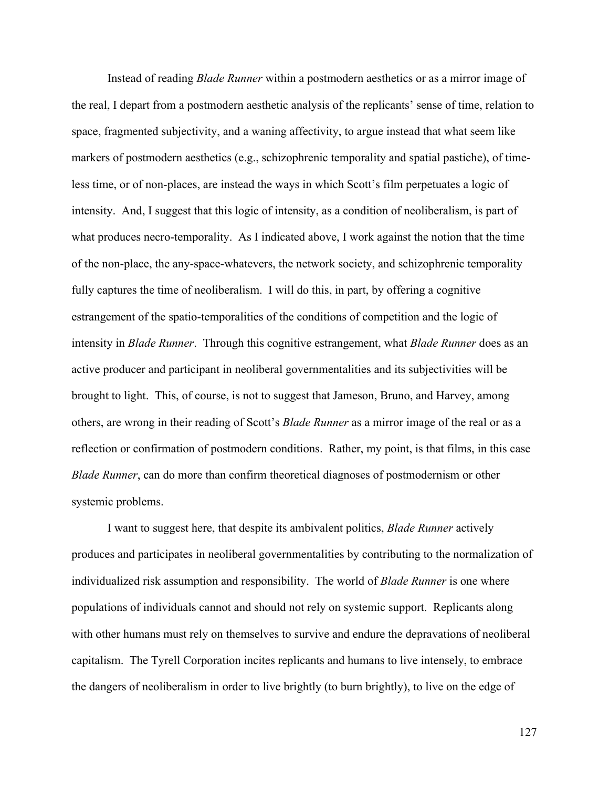Instead of reading *Blade Runner* within a postmodern aesthetics or as a mirror image of the real, I depart from a postmodern aesthetic analysis of the replicants' sense of time, relation to space, fragmented subjectivity, and a waning affectivity, to argue instead that what seem like markers of postmodern aesthetics (e.g., schizophrenic temporality and spatial pastiche), of timeless time, or of non-places, are instead the ways in which Scott's film perpetuates a logic of intensity. And, I suggest that this logic of intensity, as a condition of neoliberalism, is part of what produces necro-temporality. As I indicated above, I work against the notion that the time of the non-place, the any-space-whatevers, the network society, and schizophrenic temporality fully captures the time of neoliberalism. I will do this, in part, by offering a cognitive estrangement of the spatio-temporalities of the conditions of competition and the logic of intensity in *Blade Runner*. Through this cognitive estrangement, what *Blade Runner* does as an active producer and participant in neoliberal governmentalities and its subjectivities will be brought to light. This, of course, is not to suggest that Jameson, Bruno, and Harvey, among others, are wrong in their reading of Scott's *Blade Runner* as a mirror image of the real or as a reflection or confirmation of postmodern conditions. Rather, my point, is that films, in this case *Blade Runner*, can do more than confirm theoretical diagnoses of postmodernism or other systemic problems.

I want to suggest here, that despite its ambivalent politics, *Blade Runner* actively produces and participates in neoliberal governmentalities by contributing to the normalization of individualized risk assumption and responsibility. The world of *Blade Runner* is one where populations of individuals cannot and should not rely on systemic support. Replicants along with other humans must rely on themselves to survive and endure the depravations of neoliberal capitalism. The Tyrell Corporation incites replicants and humans to live intensely, to embrace the dangers of neoliberalism in order to live brightly (to burn brightly), to live on the edge of

127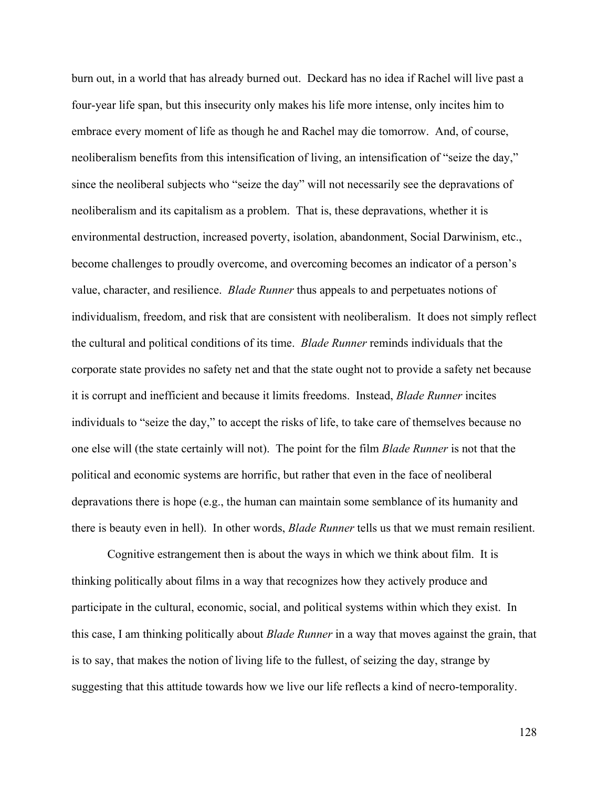burn out, in a world that has already burned out. Deckard has no idea if Rachel will live past a four-year life span, but this insecurity only makes his life more intense, only incites him to embrace every moment of life as though he and Rachel may die tomorrow. And, of course, neoliberalism benefits from this intensification of living, an intensification of "seize the day," since the neoliberal subjects who "seize the day" will not necessarily see the depravations of neoliberalism and its capitalism as a problem. That is, these depravations, whether it is environmental destruction, increased poverty, isolation, abandonment, Social Darwinism, etc., become challenges to proudly overcome, and overcoming becomes an indicator of a person's value, character, and resilience. *Blade Runner* thus appeals to and perpetuates notions of individualism, freedom, and risk that are consistent with neoliberalism. It does not simply reflect the cultural and political conditions of its time. *Blade Runner* reminds individuals that the corporate state provides no safety net and that the state ought not to provide a safety net because it is corrupt and inefficient and because it limits freedoms. Instead, *Blade Runner* incites individuals to "seize the day," to accept the risks of life, to take care of themselves because no one else will (the state certainly will not). The point for the film *Blade Runner* is not that the political and economic systems are horrific, but rather that even in the face of neoliberal depravations there is hope (e.g., the human can maintain some semblance of its humanity and there is beauty even in hell). In other words, *Blade Runner* tells us that we must remain resilient.

Cognitive estrangement then is about the ways in which we think about film. It is thinking politically about films in a way that recognizes how they actively produce and participate in the cultural, economic, social, and political systems within which they exist. In this case, I am thinking politically about *Blade Runner* in a way that moves against the grain, that is to say, that makes the notion of living life to the fullest, of seizing the day, strange by suggesting that this attitude towards how we live our life reflects a kind of necro-temporality.

128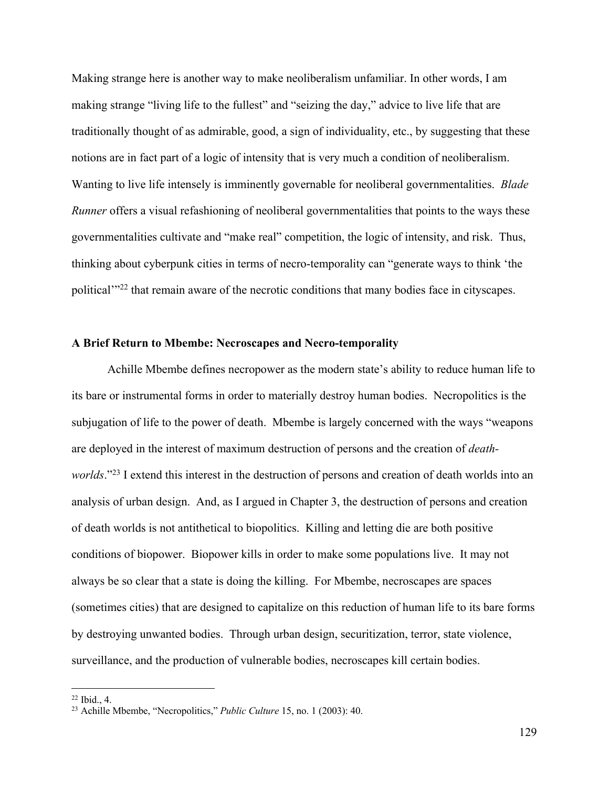Making strange here is another way to make neoliberalism unfamiliar. In other words, I am making strange "living life to the fullest" and "seizing the day," advice to live life that are traditionally thought of as admirable, good, a sign of individuality, etc., by suggesting that these notions are in fact part of a logic of intensity that is very much a condition of neoliberalism. Wanting to live life intensely is imminently governable for neoliberal governmentalities. *Blade Runner* offers a visual refashioning of neoliberal governmentalities that points to the ways these governmentalities cultivate and "make real" competition, the logic of intensity, and risk. Thus, thinking about cyberpunk cities in terms of necro-temporality can "generate ways to think 'the political<sup>222</sup> that remain aware of the necrotic conditions that many bodies face in cityscapes.

### **A Brief Return to Mbembe: Necroscapes and Necro-temporality**

Achille Mbembe defines necropower as the modern state's ability to reduce human life to its bare or instrumental forms in order to materially destroy human bodies. Necropolitics is the subjugation of life to the power of death. Mbembe is largely concerned with the ways "weapons are deployed in the interest of maximum destruction of persons and the creation of *deathworlds*."23 I extend this interest in the destruction of persons and creation of death worlds into an analysis of urban design. And, as I argued in Chapter 3, the destruction of persons and creation of death worlds is not antithetical to biopolitics. Killing and letting die are both positive conditions of biopower. Biopower kills in order to make some populations live. It may not always be so clear that a state is doing the killing. For Mbembe, necroscapes are spaces (sometimes cities) that are designed to capitalize on this reduction of human life to its bare forms by destroying unwanted bodies. Through urban design, securitization, terror, state violence, surveillance, and the production of vulnerable bodies, necroscapes kill certain bodies.

 <sup>22</sup> Ibid., 4.

<sup>23</sup> Achille Mbembe, "Necropolitics," *Public Culture* 15, no. 1 (2003): 40.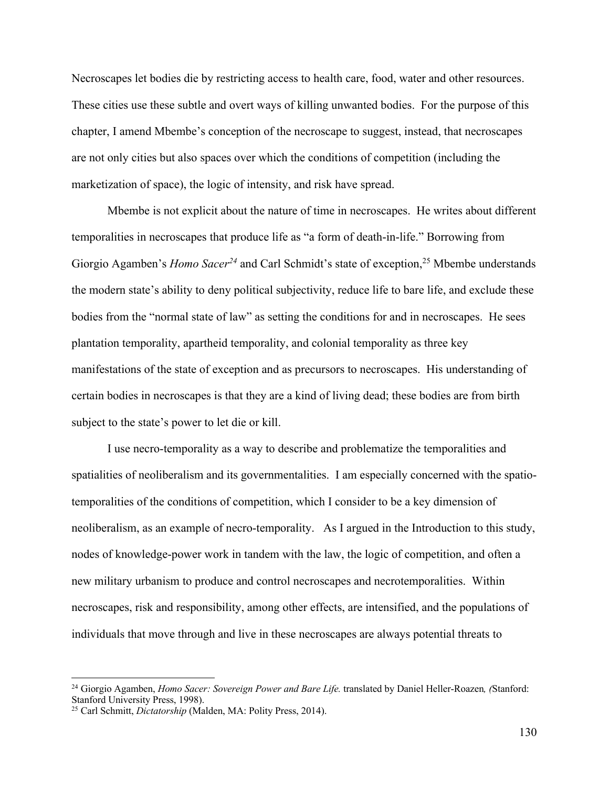Necroscapes let bodies die by restricting access to health care, food, water and other resources. These cities use these subtle and overt ways of killing unwanted bodies. For the purpose of this chapter, I amend Mbembe's conception of the necroscape to suggest, instead, that necroscapes are not only cities but also spaces over which the conditions of competition (including the marketization of space), the logic of intensity, and risk have spread.

Mbembe is not explicit about the nature of time in necroscapes. He writes about different temporalities in necroscapes that produce life as "a form of death-in-life." Borrowing from Giorgio Agamben's *Homo Sacer*<sup>24</sup> and Carl Schmidt's state of exception,<sup>25</sup> Mbembe understands the modern state's ability to deny political subjectivity, reduce life to bare life, and exclude these bodies from the "normal state of law" as setting the conditions for and in necroscapes. He sees plantation temporality, apartheid temporality, and colonial temporality as three key manifestations of the state of exception and as precursors to necroscapes. His understanding of certain bodies in necroscapes is that they are a kind of living dead; these bodies are from birth subject to the state's power to let die or kill.

I use necro-temporality as a way to describe and problematize the temporalities and spatialities of neoliberalism and its governmentalities. I am especially concerned with the spatiotemporalities of the conditions of competition, which I consider to be a key dimension of neoliberalism, as an example of necro-temporality. As I argued in the Introduction to this study, nodes of knowledge-power work in tandem with the law, the logic of competition, and often a new military urbanism to produce and control necroscapes and necrotemporalities. Within necroscapes, risk and responsibility, among other effects, are intensified, and the populations of individuals that move through and live in these necroscapes are always potential threats to

 <sup>24</sup> Giorgio Agamben, *Homo Sacer: Sovereign Power and Bare Life.* translated by Daniel Heller-Roazen*, (*Stanford: Stanford University Press, 1998).

<sup>25</sup> Carl Schmitt, *Dictatorship* (Malden, MA: Polity Press, 2014).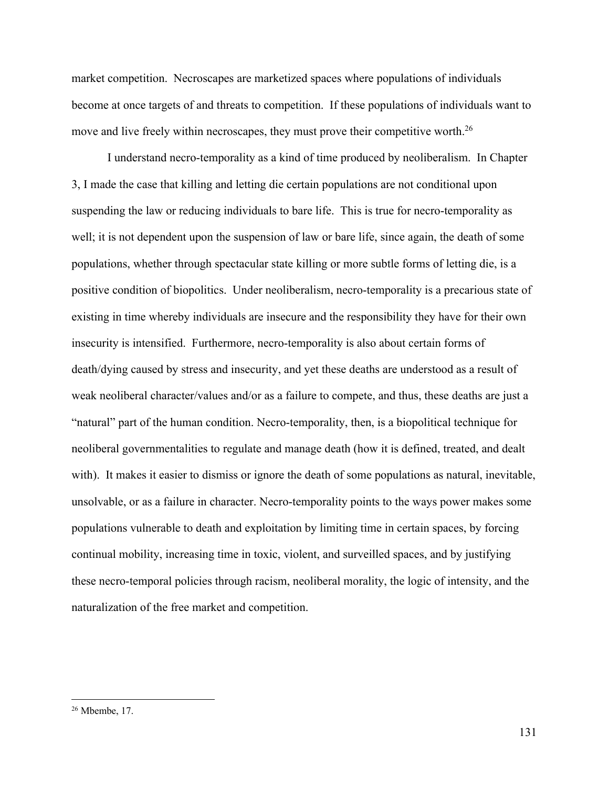market competition. Necroscapes are marketized spaces where populations of individuals become at once targets of and threats to competition. If these populations of individuals want to move and live freely within necroscapes, they must prove their competitive worth.26

I understand necro-temporality as a kind of time produced by neoliberalism. In Chapter 3, I made the case that killing and letting die certain populations are not conditional upon suspending the law or reducing individuals to bare life. This is true for necro-temporality as well; it is not dependent upon the suspension of law or bare life, since again, the death of some populations, whether through spectacular state killing or more subtle forms of letting die, is a positive condition of biopolitics. Under neoliberalism, necro-temporality is a precarious state of existing in time whereby individuals are insecure and the responsibility they have for their own insecurity is intensified. Furthermore, necro-temporality is also about certain forms of death/dying caused by stress and insecurity, and yet these deaths are understood as a result of weak neoliberal character/values and/or as a failure to compete, and thus, these deaths are just a "natural" part of the human condition. Necro-temporality, then, is a biopolitical technique for neoliberal governmentalities to regulate and manage death (how it is defined, treated, and dealt with). It makes it easier to dismiss or ignore the death of some populations as natural, inevitable, unsolvable, or as a failure in character. Necro-temporality points to the ways power makes some populations vulnerable to death and exploitation by limiting time in certain spaces, by forcing continual mobility, increasing time in toxic, violent, and surveilled spaces, and by justifying these necro-temporal policies through racism, neoliberal morality, the logic of intensity, and the naturalization of the free market and competition.

 <sup>26</sup> Mbembe, 17.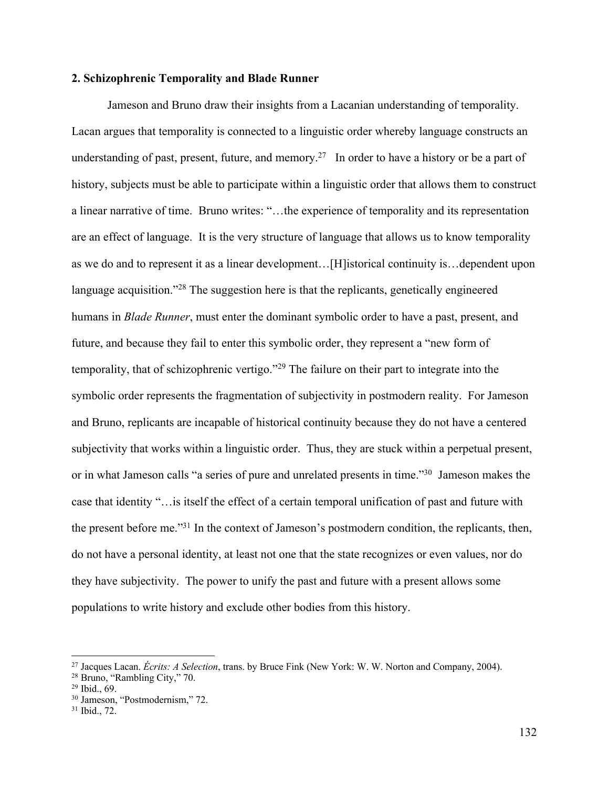## **2. Schizophrenic Temporality and Blade Runner**

Jameson and Bruno draw their insights from a Lacanian understanding of temporality. Lacan argues that temporality is connected to a linguistic order whereby language constructs an understanding of past, present, future, and memory.<sup>27</sup> In order to have a history or be a part of history, subjects must be able to participate within a linguistic order that allows them to construct a linear narrative of time. Bruno writes: "…the experience of temporality and its representation are an effect of language. It is the very structure of language that allows us to know temporality as we do and to represent it as a linear development…[H]istorical continuity is…dependent upon language acquisition."<sup>28</sup> The suggestion here is that the replicants, genetically engineered humans in *Blade Runner*, must enter the dominant symbolic order to have a past, present, and future, and because they fail to enter this symbolic order, they represent a "new form of temporality, that of schizophrenic vertigo."29 The failure on their part to integrate into the symbolic order represents the fragmentation of subjectivity in postmodern reality. For Jameson and Bruno, replicants are incapable of historical continuity because they do not have a centered subjectivity that works within a linguistic order. Thus, they are stuck within a perpetual present, or in what Jameson calls "a series of pure and unrelated presents in time."30 Jameson makes the case that identity "…is itself the effect of a certain temporal unification of past and future with the present before me."31 In the context of Jameson's postmodern condition, the replicants, then, do not have a personal identity, at least not one that the state recognizes or even values, nor do they have subjectivity. The power to unify the past and future with a present allows some populations to write history and exclude other bodies from this history.

<sup>27</sup> Jacques Lacan. *Écrits: A Selection*, trans. by Bruce Fink (New York: W. W. Norton and Company, 2004). 28 Bruno, "Rambling City," 70.

<sup>29</sup> Ibid., 69.

<sup>30</sup> Jameson, "Postmodernism," 72.

<sup>31</sup> Ibid., 72.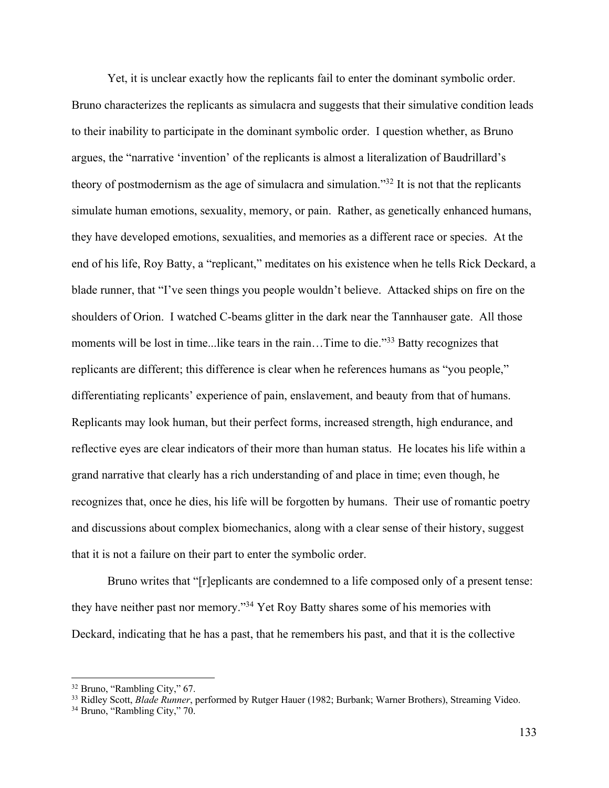Yet, it is unclear exactly how the replicants fail to enter the dominant symbolic order. Bruno characterizes the replicants as simulacra and suggests that their simulative condition leads to their inability to participate in the dominant symbolic order. I question whether, as Bruno argues, the "narrative 'invention' of the replicants is almost a literalization of Baudrillard's theory of postmodernism as the age of simulacra and simulation."32 It is not that the replicants simulate human emotions, sexuality, memory, or pain. Rather, as genetically enhanced humans, they have developed emotions, sexualities, and memories as a different race or species. At the end of his life, Roy Batty, a "replicant," meditates on his existence when he tells Rick Deckard, a blade runner, that "I've seen things you people wouldn't believe. Attacked ships on fire on the shoulders of Orion. I watched C-beams glitter in the dark near the Tannhauser gate. All those moments will be lost in time...like tears in the rain...Time to die."<sup>33</sup> Batty recognizes that replicants are different; this difference is clear when he references humans as "you people," differentiating replicants' experience of pain, enslavement, and beauty from that of humans. Replicants may look human, but their perfect forms, increased strength, high endurance, and reflective eyes are clear indicators of their more than human status. He locates his life within a grand narrative that clearly has a rich understanding of and place in time; even though, he recognizes that, once he dies, his life will be forgotten by humans. Their use of romantic poetry and discussions about complex biomechanics, along with a clear sense of their history, suggest that it is not a failure on their part to enter the symbolic order.

Bruno writes that "[r]eplicants are condemned to a life composed only of a present tense: they have neither past nor memory."34 Yet Roy Batty shares some of his memories with Deckard, indicating that he has a past, that he remembers his past, and that it is the collective

 <sup>32</sup> Bruno, "Rambling City," 67.

<sup>33</sup> Ridley Scott, *Blade Runner*, performed by Rutger Hauer (1982; Burbank; Warner Brothers), Streaming Video.

<sup>&</sup>lt;sup>34</sup> Bruno, "Rambling City," 70.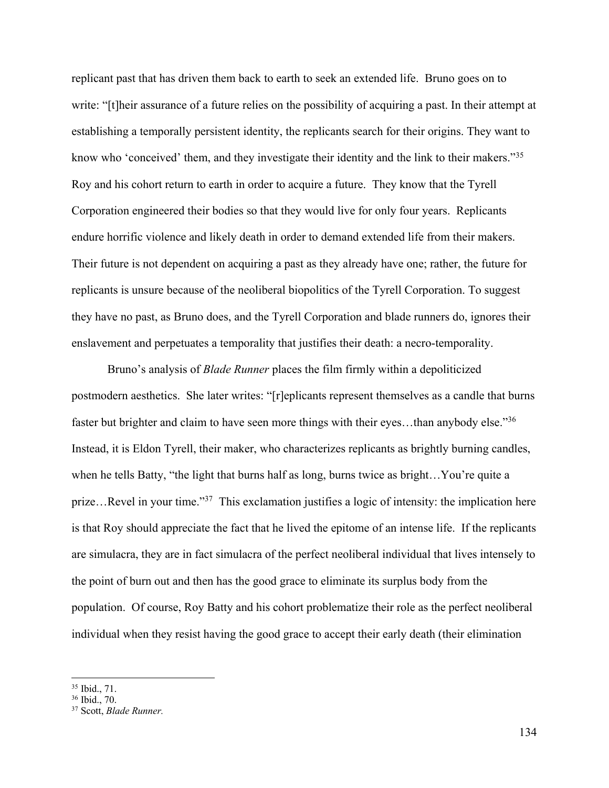replicant past that has driven them back to earth to seek an extended life. Bruno goes on to write: "[t]heir assurance of a future relies on the possibility of acquiring a past. In their attempt at establishing a temporally persistent identity, the replicants search for their origins. They want to know who 'conceived' them, and they investigate their identity and the link to their makers."35 Roy and his cohort return to earth in order to acquire a future. They know that the Tyrell Corporation engineered their bodies so that they would live for only four years. Replicants endure horrific violence and likely death in order to demand extended life from their makers. Their future is not dependent on acquiring a past as they already have one; rather, the future for replicants is unsure because of the neoliberal biopolitics of the Tyrell Corporation. To suggest they have no past, as Bruno does, and the Tyrell Corporation and blade runners do, ignores their enslavement and perpetuates a temporality that justifies their death: a necro-temporality.

Bruno's analysis of *Blade Runner* places the film firmly within a depoliticized postmodern aesthetics. She later writes: "[r]eplicants represent themselves as a candle that burns faster but brighter and claim to have seen more things with their eyes…than anybody else."36 Instead, it is Eldon Tyrell, their maker, who characterizes replicants as brightly burning candles, when he tells Batty, "the light that burns half as long, burns twice as bright…You're quite a prize…Revel in your time."37 This exclamation justifies a logic of intensity: the implication here is that Roy should appreciate the fact that he lived the epitome of an intense life. If the replicants are simulacra, they are in fact simulacra of the perfect neoliberal individual that lives intensely to the point of burn out and then has the good grace to eliminate its surplus body from the population. Of course, Roy Batty and his cohort problematize their role as the perfect neoliberal individual when they resist having the good grace to accept their early death (their elimination

 <sup>35</sup> Ibid., 71.

<sup>36</sup> Ibid., 70.

<sup>37</sup> Scott, *Blade Runner.*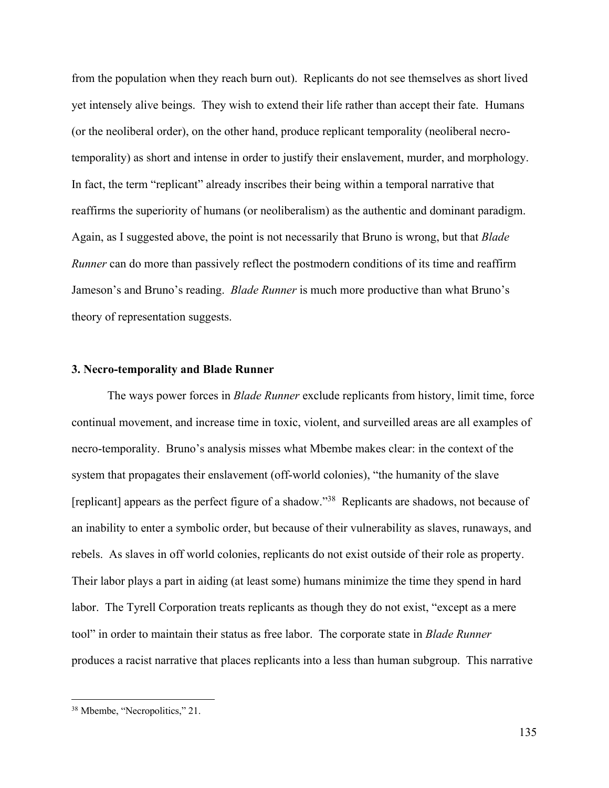from the population when they reach burn out). Replicants do not see themselves as short lived yet intensely alive beings. They wish to extend their life rather than accept their fate. Humans (or the neoliberal order), on the other hand, produce replicant temporality (neoliberal necrotemporality) as short and intense in order to justify their enslavement, murder, and morphology. In fact, the term "replicant" already inscribes their being within a temporal narrative that reaffirms the superiority of humans (or neoliberalism) as the authentic and dominant paradigm. Again, as I suggested above, the point is not necessarily that Bruno is wrong, but that *Blade Runner* can do more than passively reflect the postmodern conditions of its time and reaffirm Jameson's and Bruno's reading. *Blade Runner* is much more productive than what Bruno's theory of representation suggests.

## **3. Necro-temporality and Blade Runner**

The ways power forces in *Blade Runner* exclude replicants from history, limit time, force continual movement, and increase time in toxic, violent, and surveilled areas are all examples of necro-temporality. Bruno's analysis misses what Mbembe makes clear: in the context of the system that propagates their enslavement (off-world colonies), "the humanity of the slave [replicant] appears as the perfect figure of a shadow."38 Replicants are shadows, not because of an inability to enter a symbolic order, but because of their vulnerability as slaves, runaways, and rebels. As slaves in off world colonies, replicants do not exist outside of their role as property. Their labor plays a part in aiding (at least some) humans minimize the time they spend in hard labor. The Tyrell Corporation treats replicants as though they do not exist, "except as a mere tool" in order to maintain their status as free labor. The corporate state in *Blade Runner* produces a racist narrative that places replicants into a less than human subgroup. This narrative

 <sup>38</sup> Mbembe, "Necropolitics," 21.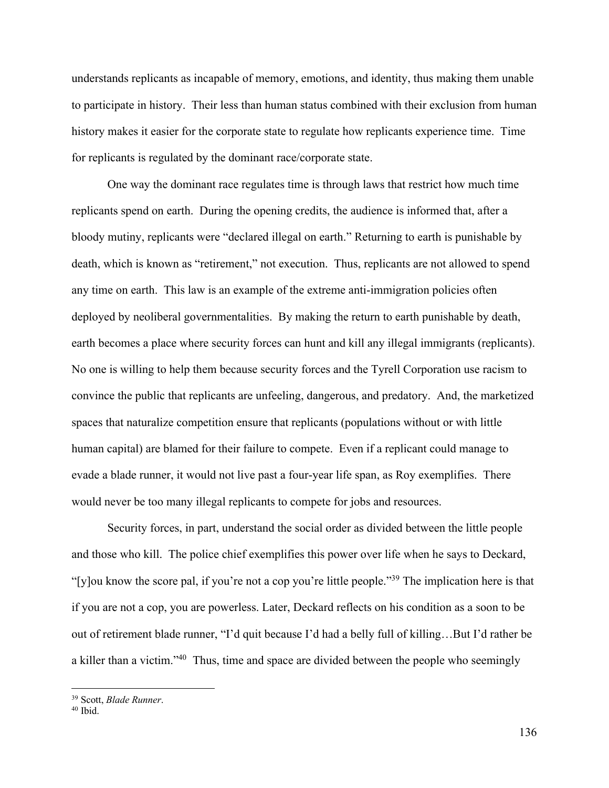understands replicants as incapable of memory, emotions, and identity, thus making them unable to participate in history. Their less than human status combined with their exclusion from human history makes it easier for the corporate state to regulate how replicants experience time. Time for replicants is regulated by the dominant race/corporate state.

One way the dominant race regulates time is through laws that restrict how much time replicants spend on earth. During the opening credits, the audience is informed that, after a bloody mutiny, replicants were "declared illegal on earth." Returning to earth is punishable by death, which is known as "retirement," not execution. Thus, replicants are not allowed to spend any time on earth. This law is an example of the extreme anti-immigration policies often deployed by neoliberal governmentalities. By making the return to earth punishable by death, earth becomes a place where security forces can hunt and kill any illegal immigrants (replicants). No one is willing to help them because security forces and the Tyrell Corporation use racism to convince the public that replicants are unfeeling, dangerous, and predatory. And, the marketized spaces that naturalize competition ensure that replicants (populations without or with little human capital) are blamed for their failure to compete. Even if a replicant could manage to evade a blade runner, it would not live past a four-year life span, as Roy exemplifies. There would never be too many illegal replicants to compete for jobs and resources.

Security forces, in part, understand the social order as divided between the little people and those who kill. The police chief exemplifies this power over life when he says to Deckard, "[y]ou know the score pal, if you're not a cop you're little people."<sup>39</sup> The implication here is that if you are not a cop, you are powerless. Later, Deckard reflects on his condition as a soon to be out of retirement blade runner, "I'd quit because I'd had a belly full of killing…But I'd rather be a killer than a victim."<sup>40</sup> Thus, time and space are divided between the people who seemingly

 <sup>39</sup> Scott, *Blade Runner*.

 $40$  Ibid.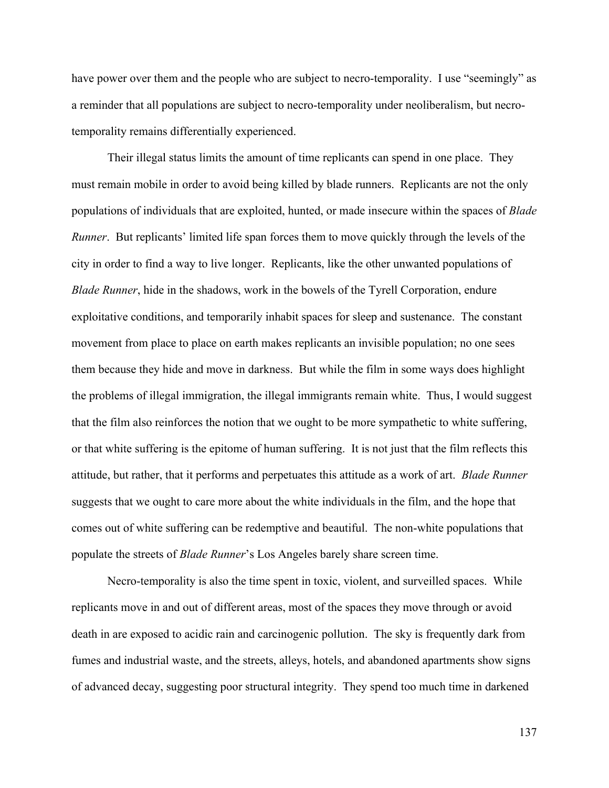have power over them and the people who are subject to necro-temporality. I use "seemingly" as a reminder that all populations are subject to necro-temporality under neoliberalism, but necrotemporality remains differentially experienced.

Their illegal status limits the amount of time replicants can spend in one place. They must remain mobile in order to avoid being killed by blade runners. Replicants are not the only populations of individuals that are exploited, hunted, or made insecure within the spaces of *Blade Runner*. But replicants' limited life span forces them to move quickly through the levels of the city in order to find a way to live longer. Replicants, like the other unwanted populations of *Blade Runner*, hide in the shadows, work in the bowels of the Tyrell Corporation, endure exploitative conditions, and temporarily inhabit spaces for sleep and sustenance. The constant movement from place to place on earth makes replicants an invisible population; no one sees them because they hide and move in darkness. But while the film in some ways does highlight the problems of illegal immigration, the illegal immigrants remain white. Thus, I would suggest that the film also reinforces the notion that we ought to be more sympathetic to white suffering, or that white suffering is the epitome of human suffering. It is not just that the film reflects this attitude, but rather, that it performs and perpetuates this attitude as a work of art. *Blade Runner* suggests that we ought to care more about the white individuals in the film, and the hope that comes out of white suffering can be redemptive and beautiful. The non-white populations that populate the streets of *Blade Runner*'s Los Angeles barely share screen time.

Necro-temporality is also the time spent in toxic, violent, and surveilled spaces. While replicants move in and out of different areas, most of the spaces they move through or avoid death in are exposed to acidic rain and carcinogenic pollution. The sky is frequently dark from fumes and industrial waste, and the streets, alleys, hotels, and abandoned apartments show signs of advanced decay, suggesting poor structural integrity. They spend too much time in darkened

137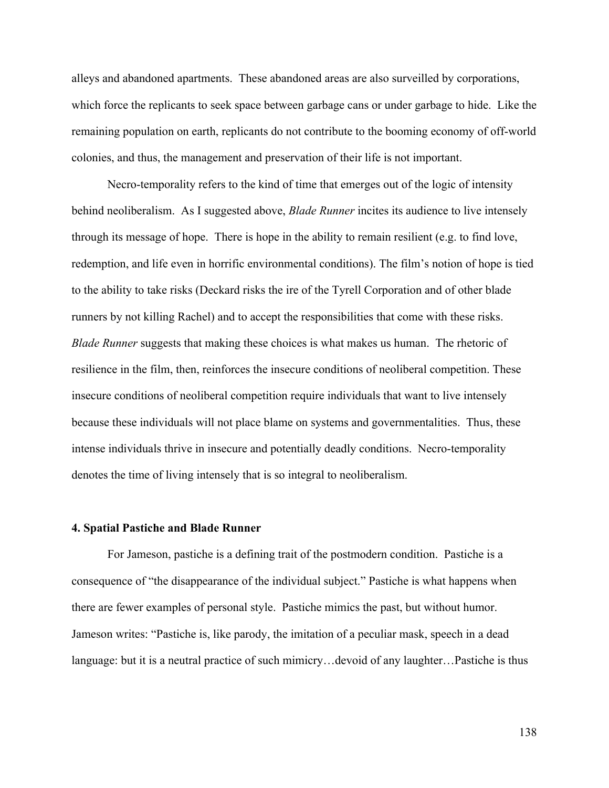alleys and abandoned apartments. These abandoned areas are also surveilled by corporations, which force the replicants to seek space between garbage cans or under garbage to hide. Like the remaining population on earth, replicants do not contribute to the booming economy of off-world colonies, and thus, the management and preservation of their life is not important.

Necro-temporality refers to the kind of time that emerges out of the logic of intensity behind neoliberalism. As I suggested above, *Blade Runner* incites its audience to live intensely through its message of hope. There is hope in the ability to remain resilient (e.g. to find love, redemption, and life even in horrific environmental conditions). The film's notion of hope is tied to the ability to take risks (Deckard risks the ire of the Tyrell Corporation and of other blade runners by not killing Rachel) and to accept the responsibilities that come with these risks. *Blade Runner* suggests that making these choices is what makes us human. The rhetoric of resilience in the film, then, reinforces the insecure conditions of neoliberal competition. These insecure conditions of neoliberal competition require individuals that want to live intensely because these individuals will not place blame on systems and governmentalities. Thus, these intense individuals thrive in insecure and potentially deadly conditions. Necro-temporality denotes the time of living intensely that is so integral to neoliberalism.

#### **4. Spatial Pastiche and Blade Runner**

For Jameson, pastiche is a defining trait of the postmodern condition. Pastiche is a consequence of "the disappearance of the individual subject." Pastiche is what happens when there are fewer examples of personal style. Pastiche mimics the past, but without humor. Jameson writes: "Pastiche is, like parody, the imitation of a peculiar mask, speech in a dead language: but it is a neutral practice of such mimicry…devoid of any laughter…Pastiche is thus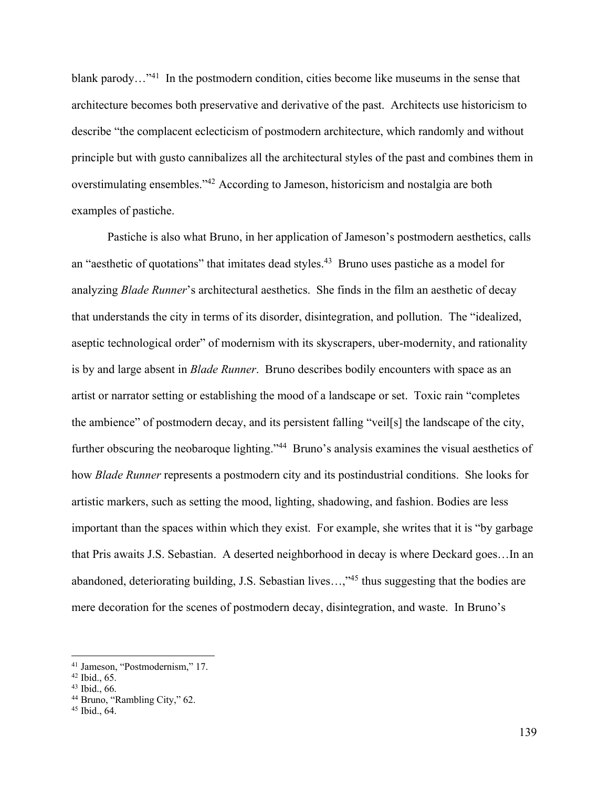blank parody...<sup>"41</sup> In the postmodern condition, cities become like museums in the sense that architecture becomes both preservative and derivative of the past. Architects use historicism to describe "the complacent eclecticism of postmodern architecture, which randomly and without principle but with gusto cannibalizes all the architectural styles of the past and combines them in overstimulating ensembles."42 According to Jameson, historicism and nostalgia are both examples of pastiche.

Pastiche is also what Bruno, in her application of Jameson's postmodern aesthetics, calls an "aesthetic of quotations" that imitates dead styles.<sup>43</sup> Bruno uses pastiche as a model for analyzing *Blade Runner*'s architectural aesthetics. She finds in the film an aesthetic of decay that understands the city in terms of its disorder, disintegration, and pollution. The "idealized, aseptic technological order" of modernism with its skyscrapers, uber-modernity, and rationality is by and large absent in *Blade Runner*. Bruno describes bodily encounters with space as an artist or narrator setting or establishing the mood of a landscape or set. Toxic rain "completes the ambience" of postmodern decay, and its persistent falling "veil[s] the landscape of the city, further obscuring the neobaroque lighting."<sup>44</sup> Bruno's analysis examines the visual aesthetics of how *Blade Runner* represents a postmodern city and its postindustrial conditions. She looks for artistic markers, such as setting the mood, lighting, shadowing, and fashion. Bodies are less important than the spaces within which they exist. For example, she writes that it is "by garbage that Pris awaits J.S. Sebastian. A deserted neighborhood in decay is where Deckard goes…In an abandoned, deteriorating building, J.S. Sebastian lives…,"45 thus suggesting that the bodies are mere decoration for the scenes of postmodern decay, disintegration, and waste. In Bruno's

<sup>&</sup>lt;sup>41</sup> Jameson, "Postmodernism," 17.<br><sup>42</sup> Ibid., 65.

<sup>43</sup> Ibid., 66.

<sup>44</sup> Bruno, "Rambling City," 62.

<sup>45</sup> Ibid., 64.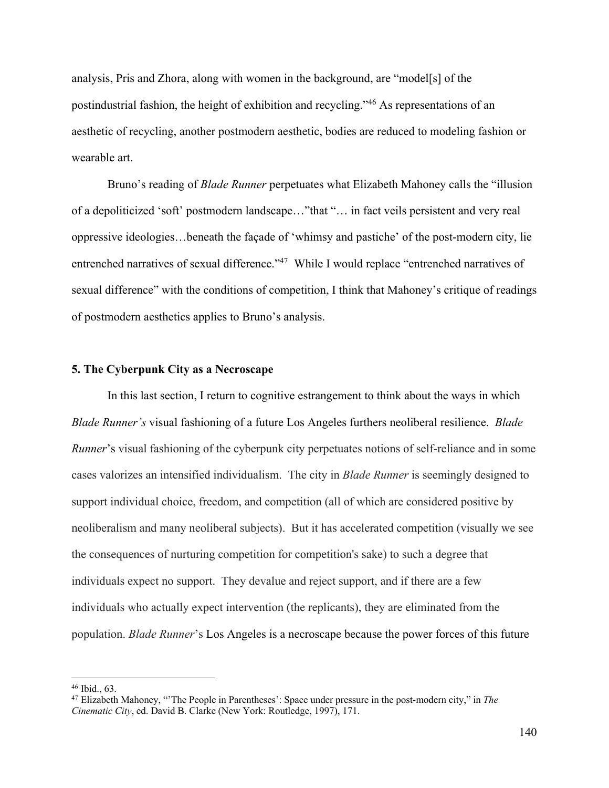analysis, Pris and Zhora, along with women in the background, are "model[s] of the postindustrial fashion, the height of exhibition and recycling."46 As representations of an aesthetic of recycling, another postmodern aesthetic, bodies are reduced to modeling fashion or wearable art.

Bruno's reading of *Blade Runner* perpetuates what Elizabeth Mahoney calls the "illusion of a depoliticized 'soft' postmodern landscape…"that "… in fact veils persistent and very real oppressive ideologies…beneath the façade of 'whimsy and pastiche' of the post-modern city, lie entrenched narratives of sexual difference."<sup>47</sup> While I would replace "entrenched narratives of sexual difference" with the conditions of competition, I think that Mahoney's critique of readings of postmodern aesthetics applies to Bruno's analysis.

## **5. The Cyberpunk City as a Necroscape**

In this last section, I return to cognitive estrangement to think about the ways in which *Blade Runner's* visual fashioning of a future Los Angeles furthers neoliberal resilience. *Blade Runner*'s visual fashioning of the cyberpunk city perpetuates notions of self-reliance and in some cases valorizes an intensified individualism. The city in *Blade Runner* is seemingly designed to support individual choice, freedom, and competition (all of which are considered positive by neoliberalism and many neoliberal subjects). But it has accelerated competition (visually we see the consequences of nurturing competition for competition's sake) to such a degree that individuals expect no support. They devalue and reject support, and if there are a few individuals who actually expect intervention (the replicants), they are eliminated from the population. *Blade Runner*'s Los Angeles is a necroscape because the power forces of this future

 <sup>46</sup> Ibid., 63.

<sup>47</sup> Elizabeth Mahoney, "'The People in Parentheses': Space under pressure in the post-modern city," in *The Cinematic City*, ed. David B. Clarke (New York: Routledge, 1997), 171.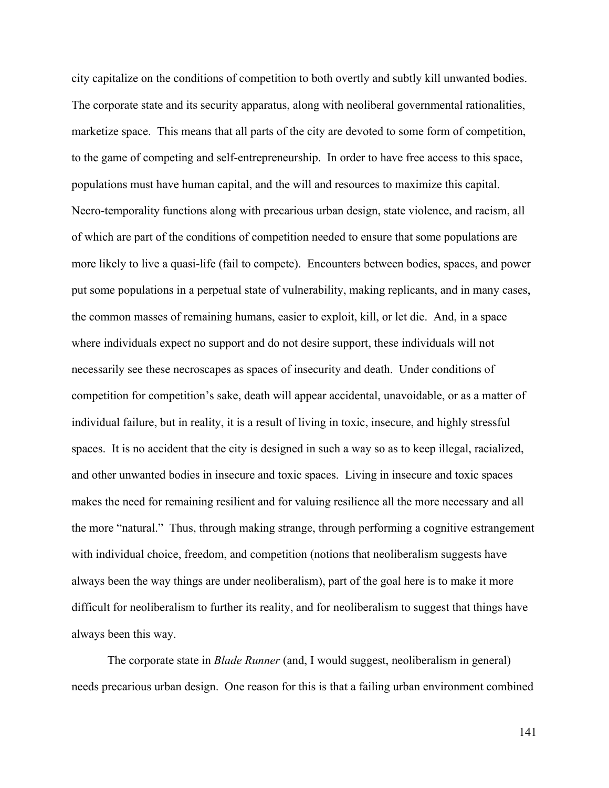city capitalize on the conditions of competition to both overtly and subtly kill unwanted bodies. The corporate state and its security apparatus, along with neoliberal governmental rationalities, marketize space. This means that all parts of the city are devoted to some form of competition, to the game of competing and self-entrepreneurship. In order to have free access to this space, populations must have human capital, and the will and resources to maximize this capital. Necro-temporality functions along with precarious urban design, state violence, and racism, all of which are part of the conditions of competition needed to ensure that some populations are more likely to live a quasi-life (fail to compete). Encounters between bodies, spaces, and power put some populations in a perpetual state of vulnerability, making replicants, and in many cases, the common masses of remaining humans, easier to exploit, kill, or let die. And, in a space where individuals expect no support and do not desire support, these individuals will not necessarily see these necroscapes as spaces of insecurity and death. Under conditions of competition for competition's sake, death will appear accidental, unavoidable, or as a matter of individual failure, but in reality, it is a result of living in toxic, insecure, and highly stressful spaces. It is no accident that the city is designed in such a way so as to keep illegal, racialized, and other unwanted bodies in insecure and toxic spaces. Living in insecure and toxic spaces makes the need for remaining resilient and for valuing resilience all the more necessary and all the more "natural." Thus, through making strange, through performing a cognitive estrangement with individual choice, freedom, and competition (notions that neoliberalism suggests have always been the way things are under neoliberalism), part of the goal here is to make it more difficult for neoliberalism to further its reality, and for neoliberalism to suggest that things have always been this way.

The corporate state in *Blade Runner* (and, I would suggest, neoliberalism in general) needs precarious urban design. One reason for this is that a failing urban environment combined

141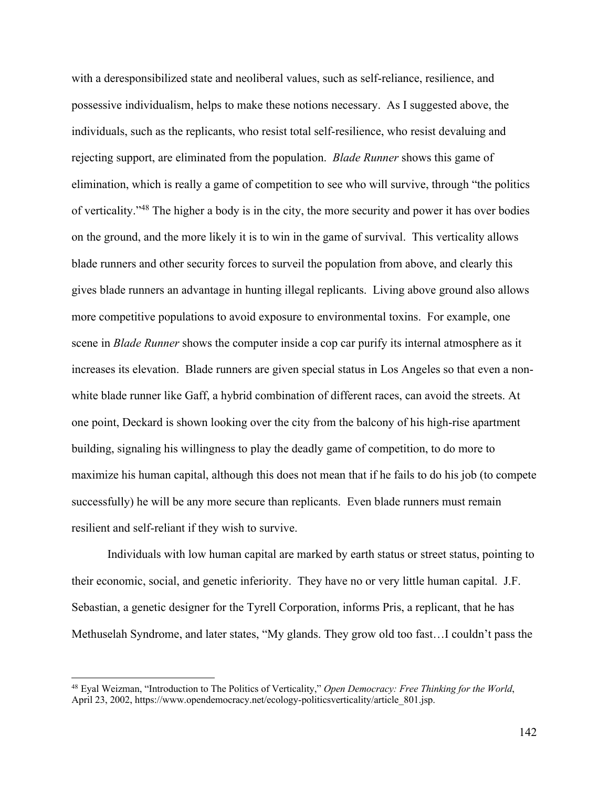with a deresponsibilized state and neoliberal values, such as self-reliance, resilience, and possessive individualism, helps to make these notions necessary. As I suggested above, the individuals, such as the replicants, who resist total self-resilience, who resist devaluing and rejecting support, are eliminated from the population. *Blade Runner* shows this game of elimination, which is really a game of competition to see who will survive, through "the politics of verticality."48 The higher a body is in the city, the more security and power it has over bodies on the ground, and the more likely it is to win in the game of survival. This verticality allows blade runners and other security forces to surveil the population from above, and clearly this gives blade runners an advantage in hunting illegal replicants. Living above ground also allows more competitive populations to avoid exposure to environmental toxins. For example, one scene in *Blade Runner* shows the computer inside a cop car purify its internal atmosphere as it increases its elevation. Blade runners are given special status in Los Angeles so that even a nonwhite blade runner like Gaff, a hybrid combination of different races, can avoid the streets. At one point, Deckard is shown looking over the city from the balcony of his high-rise apartment building, signaling his willingness to play the deadly game of competition, to do more to maximize his human capital, although this does not mean that if he fails to do his job (to compete successfully) he will be any more secure than replicants. Even blade runners must remain resilient and self-reliant if they wish to survive.

Individuals with low human capital are marked by earth status or street status, pointing to their economic, social, and genetic inferiority. They have no or very little human capital. J.F. Sebastian, a genetic designer for the Tyrell Corporation, informs Pris, a replicant, that he has Methuselah Syndrome, and later states, "My glands. They grow old too fast…I couldn't pass the

 <sup>48</sup> Eyal Weizman, "Introduction to The Politics of Verticality," *Open Democracy: Free Thinking for the World*, April 23, 2002, https://www.opendemocracy.net/ecology-politicsverticality/article 801.jsp.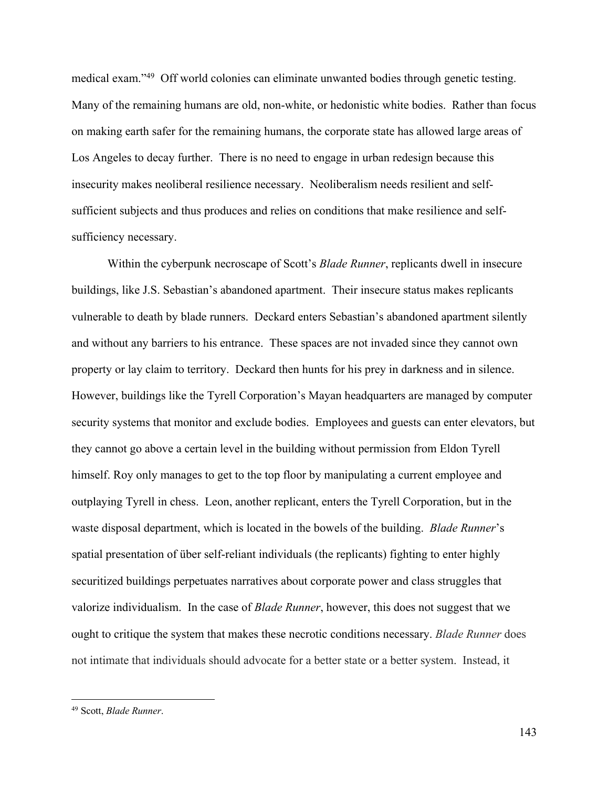medical exam."49 Off world colonies can eliminate unwanted bodies through genetic testing. Many of the remaining humans are old, non-white, or hedonistic white bodies. Rather than focus on making earth safer for the remaining humans, the corporate state has allowed large areas of Los Angeles to decay further. There is no need to engage in urban redesign because this insecurity makes neoliberal resilience necessary. Neoliberalism needs resilient and selfsufficient subjects and thus produces and relies on conditions that make resilience and selfsufficiency necessary.

Within the cyberpunk necroscape of Scott's *Blade Runner*, replicants dwell in insecure buildings, like J.S. Sebastian's abandoned apartment. Their insecure status makes replicants vulnerable to death by blade runners. Deckard enters Sebastian's abandoned apartment silently and without any barriers to his entrance. These spaces are not invaded since they cannot own property or lay claim to territory. Deckard then hunts for his prey in darkness and in silence. However, buildings like the Tyrell Corporation's Mayan headquarters are managed by computer security systems that monitor and exclude bodies. Employees and guests can enter elevators, but they cannot go above a certain level in the building without permission from Eldon Tyrell himself. Roy only manages to get to the top floor by manipulating a current employee and outplaying Tyrell in chess. Leon, another replicant, enters the Tyrell Corporation, but in the waste disposal department, which is located in the bowels of the building. *Blade Runner*'s spatial presentation of über self-reliant individuals (the replicants) fighting to enter highly securitized buildings perpetuates narratives about corporate power and class struggles that valorize individualism. In the case of *Blade Runner*, however, this does not suggest that we ought to critique the system that makes these necrotic conditions necessary. *Blade Runner* does not intimate that individuals should advocate for a better state or a better system. Instead, it

 <sup>49</sup> Scott, *Blade Runner*.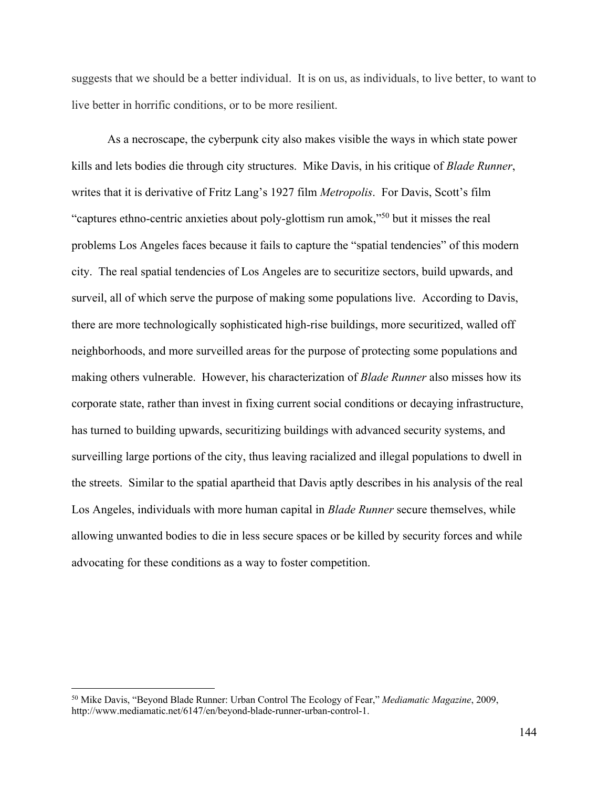suggests that we should be a better individual. It is on us, as individuals, to live better, to want to live better in horrific conditions, or to be more resilient.

As a necroscape, the cyberpunk city also makes visible the ways in which state power kills and lets bodies die through city structures. Mike Davis, in his critique of *Blade Runner*, writes that it is derivative of Fritz Lang's 1927 film *Metropolis*. For Davis, Scott's film "captures ethno-centric anxieties about poly-glottism run amok,"50 but it misses the real problems Los Angeles faces because it fails to capture the "spatial tendencies" of this modern city. The real spatial tendencies of Los Angeles are to securitize sectors, build upwards, and surveil, all of which serve the purpose of making some populations live. According to Davis, there are more technologically sophisticated high-rise buildings, more securitized, walled off neighborhoods, and more surveilled areas for the purpose of protecting some populations and making others vulnerable. However, his characterization of *Blade Runner* also misses how its corporate state, rather than invest in fixing current social conditions or decaying infrastructure, has turned to building upwards, securitizing buildings with advanced security systems, and surveilling large portions of the city, thus leaving racialized and illegal populations to dwell in the streets. Similar to the spatial apartheid that Davis aptly describes in his analysis of the real Los Angeles, individuals with more human capital in *Blade Runner* secure themselves, while allowing unwanted bodies to die in less secure spaces or be killed by security forces and while advocating for these conditions as a way to foster competition.

 <sup>50</sup> Mike Davis, "Beyond Blade Runner: Urban Control The Ecology of Fear," *Mediamatic Magazine*, 2009, http://www.mediamatic.net/6147/en/beyond-blade-runner-urban-control-1.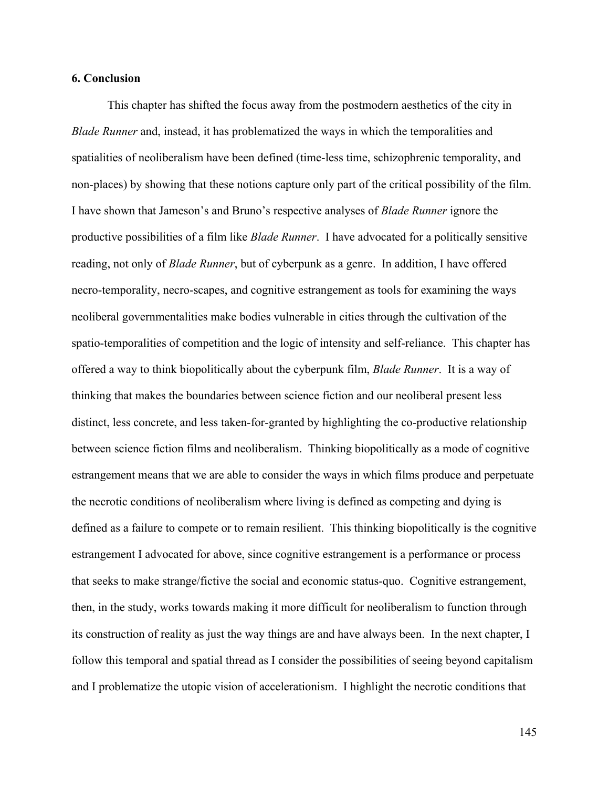## **6. Conclusion**

This chapter has shifted the focus away from the postmodern aesthetics of the city in *Blade Runner* and, instead, it has problematized the ways in which the temporalities and spatialities of neoliberalism have been defined (time-less time, schizophrenic temporality, and non-places) by showing that these notions capture only part of the critical possibility of the film. I have shown that Jameson's and Bruno's respective analyses of *Blade Runner* ignore the productive possibilities of a film like *Blade Runner*. I have advocated for a politically sensitive reading, not only of *Blade Runner*, but of cyberpunk as a genre. In addition, I have offered necro-temporality, necro-scapes, and cognitive estrangement as tools for examining the ways neoliberal governmentalities make bodies vulnerable in cities through the cultivation of the spatio-temporalities of competition and the logic of intensity and self-reliance. This chapter has offered a way to think biopolitically about the cyberpunk film, *Blade Runner*. It is a way of thinking that makes the boundaries between science fiction and our neoliberal present less distinct, less concrete, and less taken-for-granted by highlighting the co-productive relationship between science fiction films and neoliberalism. Thinking biopolitically as a mode of cognitive estrangement means that we are able to consider the ways in which films produce and perpetuate the necrotic conditions of neoliberalism where living is defined as competing and dying is defined as a failure to compete or to remain resilient. This thinking biopolitically is the cognitive estrangement I advocated for above, since cognitive estrangement is a performance or process that seeks to make strange/fictive the social and economic status-quo. Cognitive estrangement, then, in the study, works towards making it more difficult for neoliberalism to function through its construction of reality as just the way things are and have always been. In the next chapter, I follow this temporal and spatial thread as I consider the possibilities of seeing beyond capitalism and I problematize the utopic vision of accelerationism. I highlight the necrotic conditions that

145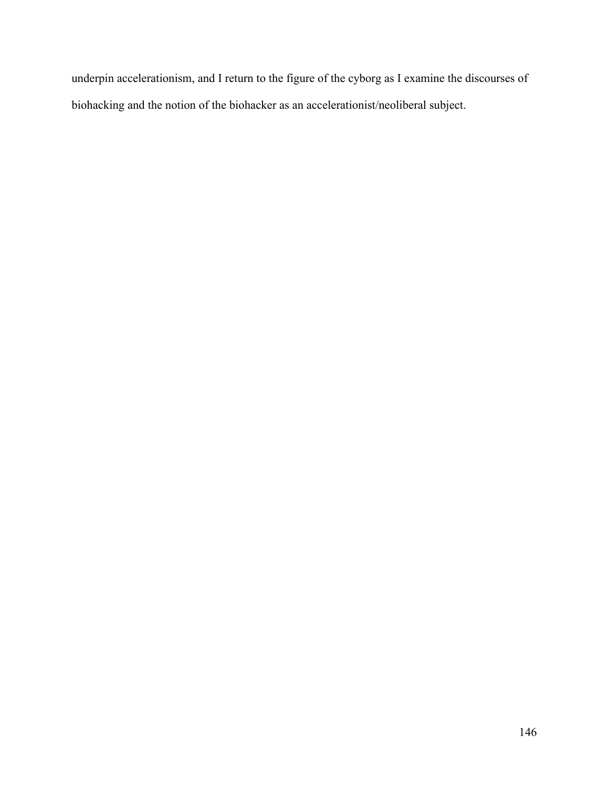underpin accelerationism, and I return to the figure of the cyborg as I examine the discourses of biohacking and the notion of the biohacker as an accelerationist/neoliberal subject.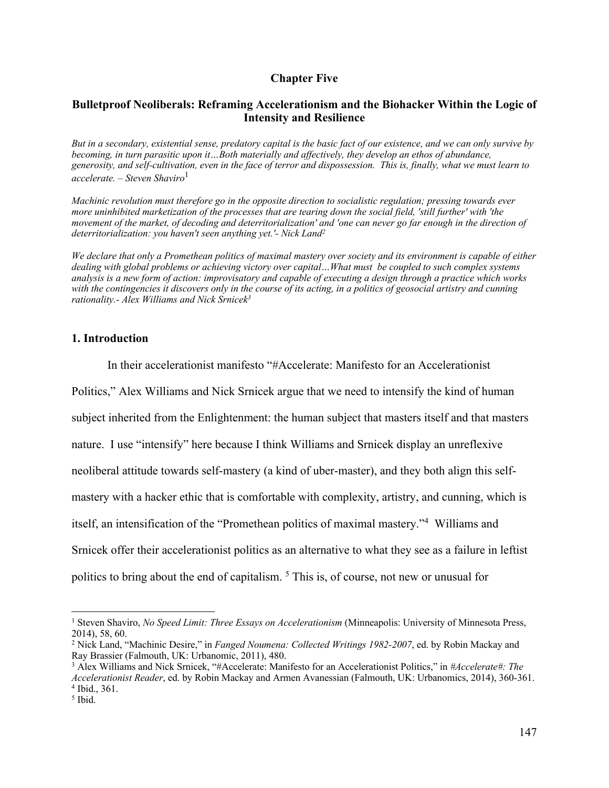## **Chapter Five**

## **Bulletproof Neoliberals: Reframing Accelerationism and the Biohacker Within the Logic of Intensity and Resilience**

*But in a secondary, existential sense, predatory capital is the basic fact of our existence, and we can only survive by becoming, in turn parasitic upon it…Both materially and affectively, they develop an ethos of abundance, generosity, and self-cultivation, even in the face of terror and dispossession. This is, finally, what we must learn to accelerate. – Steven Shaviro*<sup>1</sup>

*Machinic revolution must therefore go in the opposite direction to socialistic regulation; pressing towards ever more uninhibited marketization of the processes that are tearing down the social field, 'still further' with 'the movement of the market, of decoding and deterritorialization' and 'one can never go far enough in the direction of deterritorialization: you haven't seen anything yet.'- Nick Land2*

*We declare that only a Promethean politics of maximal mastery over society and its environment is capable of either dealing with global problems or achieving victory over capital…What must be coupled to such complex systems analysis is a new form of action: improvisatory and capable of executing a design through a practice which works with the contingencies it discovers only in the course of its acting, in a politics of geosocial artistry and cunning rationality.- Alex Williams and Nick Srnicek3*

## **1. Introduction**

In their accelerationist manifesto "#Accelerate: Manifesto for an Accelerationist

Politics," Alex Williams and Nick Srnicek argue that we need to intensify the kind of human subject inherited from the Enlightenment: the human subject that masters itself and that masters nature. I use "intensify" here because I think Williams and Srnicek display an unreflexive neoliberal attitude towards self-mastery (a kind of uber-master), and they both align this selfmastery with a hacker ethic that is comfortable with complexity, artistry, and cunning, which is itself, an intensification of the "Promethean politics of maximal mastery."4 Williams and Srnicek offer their accelerationist politics as an alternative to what they see as a failure in leftist politics to bring about the end of capitalism. <sup>5</sup> This is, of course, not new or unusual for

 <sup>1</sup> Steven Shaviro, *No Speed Limit: Three Essays on Accelerationism* (Minneapolis: University of Minnesota Press, 2014), 58, 60.

<sup>2</sup> Nick Land, "Machinic Desire," in *Fanged Noumena: Collected Writings 1982-2007*, ed. by Robin Mackay and Ray Brassier (Falmouth, UK: Urbanomic, 2011), 480.

<sup>3</sup> Alex Williams and Nick Srnicek, "#Accelerate: Manifesto for an Accelerationist Politics," in *#Accelerate#: The Accelerationist Reader*, ed. by Robin Mackay and Armen Avanessian (Falmouth, UK: Urbanomics, 2014), 360-361. 4 Ibid., 361.

<sup>5</sup> Ibid.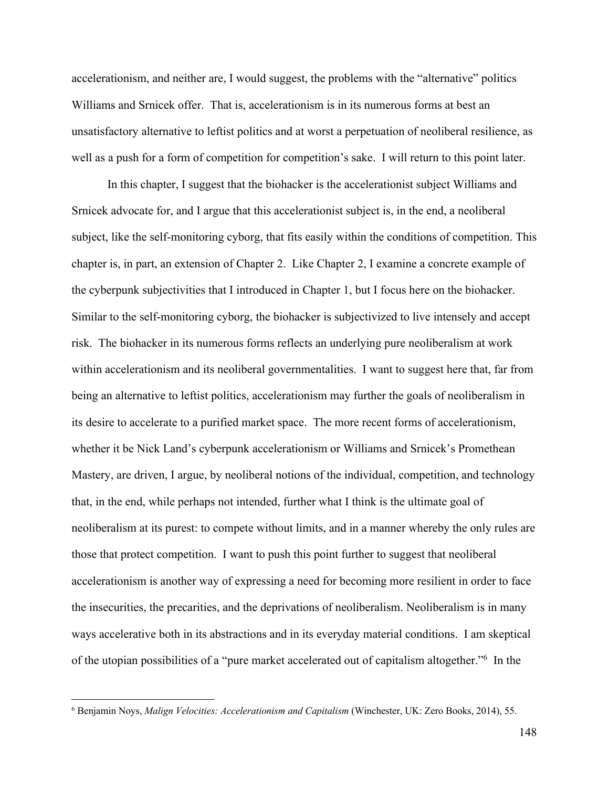accelerationism, and neither are, I would suggest, the problems with the "alternative" politics Williams and Srnicek offer. That is, accelerationism is in its numerous forms at best an unsatisfactory alternative to leftist politics and at worst a perpetuation of neoliberal resilience, as well as a push for a form of competition for competition's sake. I will return to this point later.

In this chapter, I suggest that the biohacker is the accelerationist subject Williams and Srnicek advocate for, and I argue that this accelerationist subject is, in the end, a neoliberal subject, like the self-monitoring cyborg, that fits easily within the conditions of competition. This chapter is, in part, an extension of Chapter 2. Like Chapter 2, I examine a concrete example of the cyberpunk subjectivities that I introduced in Chapter 1, but I focus here on the biohacker. Similar to the self-monitoring cyborg, the biohacker is subjectivized to live intensely and accept risk. The biohacker in its numerous forms reflects an underlying pure neoliberalism at work within accelerationism and its neoliberal governmentalities. I want to suggest here that, far from being an alternative to leftist politics, accelerationism may further the goals of neoliberalism in its desire to accelerate to a purified market space. The more recent forms of accelerationism, whether it be Nick Land's cyberpunk accelerationism or Williams and Srnicek's Promethean Mastery, are driven, I argue, by neoliberal notions of the individual, competition, and technology that, in the end, while perhaps not intended, further what I think is the ultimate goal of neoliberalism at its purest: to compete without limits, and in a manner whereby the only rules are those that protect competition. I want to push this point further to suggest that neoliberal accelerationism is another way of expressing a need for becoming more resilient in order to face the insecurities, the precarities, and the deprivations of neoliberalism. Neoliberalism is in many ways accelerative both in its abstractions and in its everyday material conditions. I am skeptical of the utopian possibilities of a "pure market accelerated out of capitalism altogether."<sup>6</sup> In the

 <sup>6</sup> Benjamin Noys, *Malign Velocities: Accelerationism and Capitalism* (Winchester, UK: Zero Books, 2014), 55.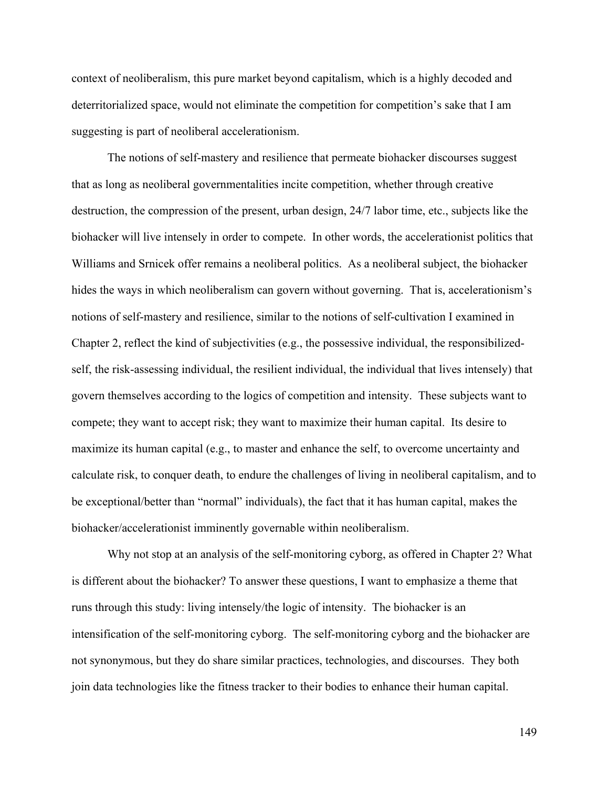context of neoliberalism, this pure market beyond capitalism, which is a highly decoded and deterritorialized space, would not eliminate the competition for competition's sake that I am suggesting is part of neoliberal accelerationism.

The notions of self-mastery and resilience that permeate biohacker discourses suggest that as long as neoliberal governmentalities incite competition, whether through creative destruction, the compression of the present, urban design, 24/7 labor time, etc., subjects like the biohacker will live intensely in order to compete. In other words, the accelerationist politics that Williams and Srnicek offer remains a neoliberal politics. As a neoliberal subject, the biohacker hides the ways in which neoliberalism can govern without governing. That is, accelerationism's notions of self-mastery and resilience, similar to the notions of self-cultivation I examined in Chapter 2, reflect the kind of subjectivities (e.g., the possessive individual, the responsibilizedself, the risk-assessing individual, the resilient individual, the individual that lives intensely) that govern themselves according to the logics of competition and intensity. These subjects want to compete; they want to accept risk; they want to maximize their human capital. Its desire to maximize its human capital (e.g., to master and enhance the self, to overcome uncertainty and calculate risk, to conquer death, to endure the challenges of living in neoliberal capitalism, and to be exceptional/better than "normal" individuals), the fact that it has human capital, makes the biohacker/accelerationist imminently governable within neoliberalism.

Why not stop at an analysis of the self-monitoring cyborg, as offered in Chapter 2? What is different about the biohacker? To answer these questions, I want to emphasize a theme that runs through this study: living intensely/the logic of intensity. The biohacker is an intensification of the self-monitoring cyborg. The self-monitoring cyborg and the biohacker are not synonymous, but they do share similar practices, technologies, and discourses. They both join data technologies like the fitness tracker to their bodies to enhance their human capital.

149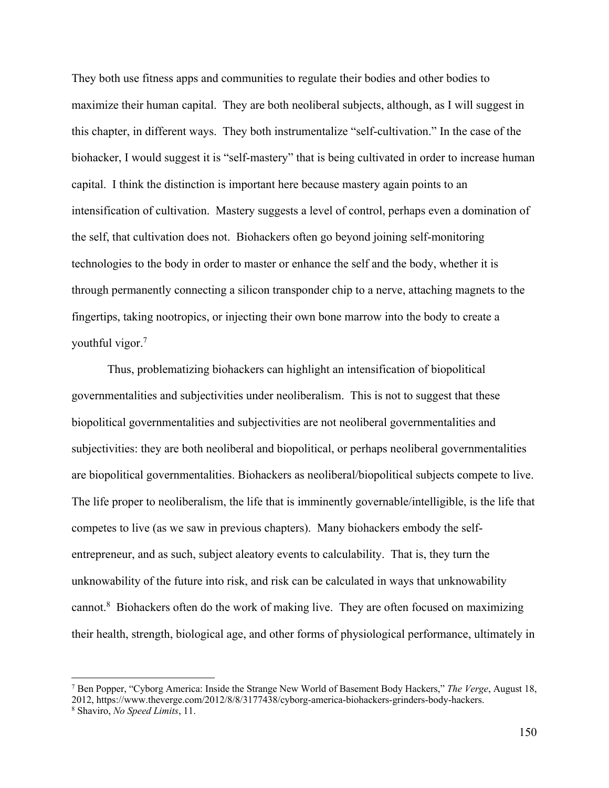They both use fitness apps and communities to regulate their bodies and other bodies to maximize their human capital. They are both neoliberal subjects, although, as I will suggest in this chapter, in different ways. They both instrumentalize "self-cultivation." In the case of the biohacker, I would suggest it is "self-mastery" that is being cultivated in order to increase human capital. I think the distinction is important here because mastery again points to an intensification of cultivation. Mastery suggests a level of control, perhaps even a domination of the self, that cultivation does not. Biohackers often go beyond joining self-monitoring technologies to the body in order to master or enhance the self and the body, whether it is through permanently connecting a silicon transponder chip to a nerve, attaching magnets to the fingertips, taking nootropics, or injecting their own bone marrow into the body to create a youthful vigor.<sup>7</sup>

Thus, problematizing biohackers can highlight an intensification of biopolitical governmentalities and subjectivities under neoliberalism. This is not to suggest that these biopolitical governmentalities and subjectivities are not neoliberal governmentalities and subjectivities: they are both neoliberal and biopolitical, or perhaps neoliberal governmentalities are biopolitical governmentalities. Biohackers as neoliberal/biopolitical subjects compete to live. The life proper to neoliberalism, the life that is imminently governable/intelligible, is the life that competes to live (as we saw in previous chapters). Many biohackers embody the selfentrepreneur, and as such, subject aleatory events to calculability. That is, they turn the unknowability of the future into risk, and risk can be calculated in ways that unknowability cannot.8 Biohackers often do the work of making live. They are often focused on maximizing their health, strength, biological age, and other forms of physiological performance, ultimately in

 <sup>7</sup> Ben Popper, "Cyborg America: Inside the Strange New World of Basement Body Hackers," *The Verge*, August 18, 2012, https://www.theverge.com/2012/8/8/3177438/cyborg-america-biohackers-grinders-body-hackers.

<sup>8</sup> Shaviro, *No Speed Limits*, 11.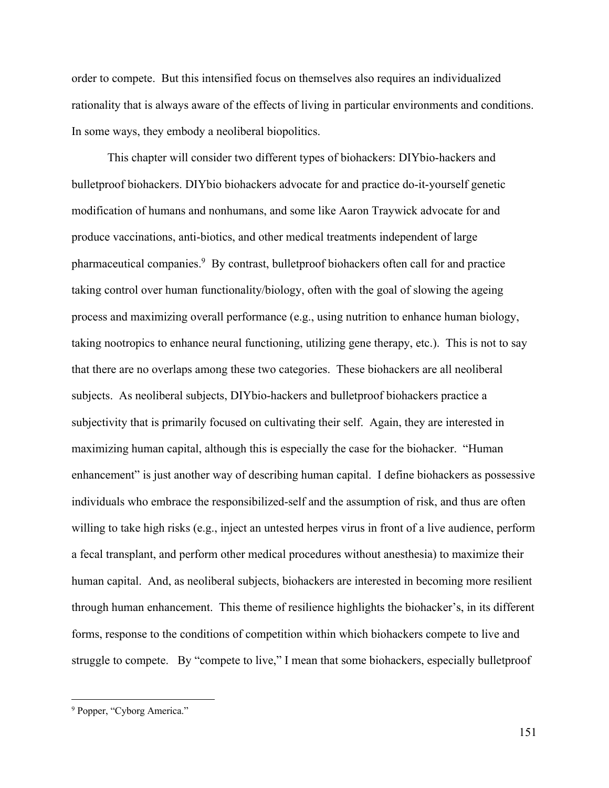order to compete. But this intensified focus on themselves also requires an individualized rationality that is always aware of the effects of living in particular environments and conditions. In some ways, they embody a neoliberal biopolitics.

This chapter will consider two different types of biohackers: DIYbio-hackers and bulletproof biohackers. DIYbio biohackers advocate for and practice do-it-yourself genetic modification of humans and nonhumans, and some like Aaron Traywick advocate for and produce vaccinations, anti-biotics, and other medical treatments independent of large pharmaceutical companies.9 By contrast, bulletproof biohackers often call for and practice taking control over human functionality/biology, often with the goal of slowing the ageing process and maximizing overall performance (e.g., using nutrition to enhance human biology, taking nootropics to enhance neural functioning, utilizing gene therapy, etc.). This is not to say that there are no overlaps among these two categories. These biohackers are all neoliberal subjects. As neoliberal subjects, DIYbio-hackers and bulletproof biohackers practice a subjectivity that is primarily focused on cultivating their self. Again, they are interested in maximizing human capital, although this is especially the case for the biohacker. "Human enhancement" is just another way of describing human capital. I define biohackers as possessive individuals who embrace the responsibilized-self and the assumption of risk, and thus are often willing to take high risks (e.g., inject an untested herpes virus in front of a live audience, perform a fecal transplant, and perform other medical procedures without anesthesia) to maximize their human capital. And, as neoliberal subjects, biohackers are interested in becoming more resilient through human enhancement. This theme of resilience highlights the biohacker's, in its different forms, response to the conditions of competition within which biohackers compete to live and struggle to compete. By "compete to live," I mean that some biohackers, especially bulletproof

151

 <sup>9</sup> Popper, "Cyborg America."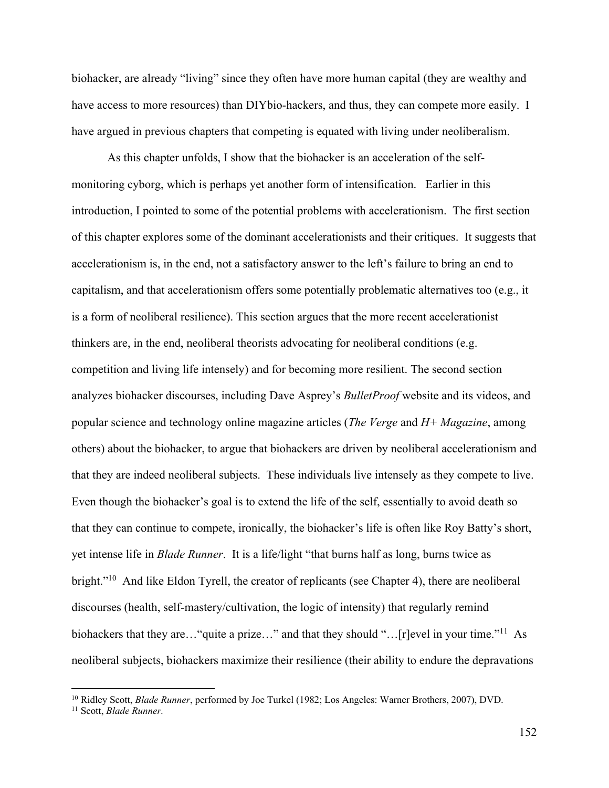biohacker, are already "living" since they often have more human capital (they are wealthy and have access to more resources) than DIYbio-hackers, and thus, they can compete more easily. I have argued in previous chapters that competing is equated with living under neoliberalism.

As this chapter unfolds, I show that the biohacker is an acceleration of the selfmonitoring cyborg, which is perhaps yet another form of intensification. Earlier in this introduction, I pointed to some of the potential problems with accelerationism. The first section of this chapter explores some of the dominant accelerationists and their critiques. It suggests that accelerationism is, in the end, not a satisfactory answer to the left's failure to bring an end to capitalism, and that accelerationism offers some potentially problematic alternatives too (e.g., it is a form of neoliberal resilience). This section argues that the more recent accelerationist thinkers are, in the end, neoliberal theorists advocating for neoliberal conditions (e.g. competition and living life intensely) and for becoming more resilient. The second section analyzes biohacker discourses, including Dave Asprey's *BulletProof* website and its videos, and popular science and technology online magazine articles (*The Verge* and *H+ Magazine*, among others) about the biohacker, to argue that biohackers are driven by neoliberal accelerationism and that they are indeed neoliberal subjects. These individuals live intensely as they compete to live. Even though the biohacker's goal is to extend the life of the self, essentially to avoid death so that they can continue to compete, ironically, the biohacker's life is often like Roy Batty's short, yet intense life in *Blade Runner*. It is a life/light "that burns half as long, burns twice as bright."<sup>10</sup> And like Eldon Tyrell, the creator of replicants (see Chapter 4), there are neoliberal discourses (health, self-mastery/cultivation, the logic of intensity) that regularly remind biohackers that they are... "quite a prize..." and that they should "...[r]evel in your time."<sup>11</sup> As neoliberal subjects, biohackers maximize their resilience (their ability to endure the depravations

 <sup>10</sup> Ridley Scott, *Blade Runner*, performed by Joe Turkel (1982; Los Angeles: Warner Brothers, 2007), DVD.

<sup>11</sup> Scott, *Blade Runner.*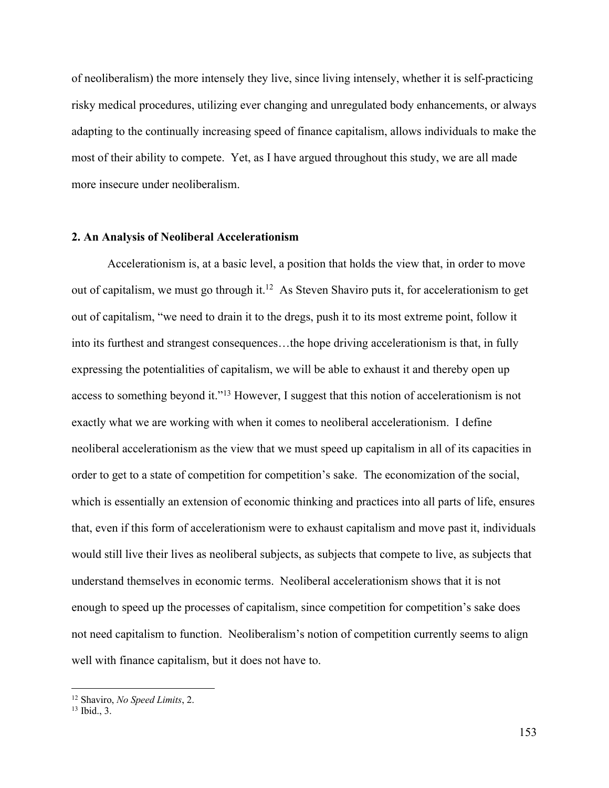of neoliberalism) the more intensely they live, since living intensely, whether it is self-practicing risky medical procedures, utilizing ever changing and unregulated body enhancements, or always adapting to the continually increasing speed of finance capitalism, allows individuals to make the most of their ability to compete. Yet, as I have argued throughout this study, we are all made more insecure under neoliberalism.

#### **2. An Analysis of Neoliberal Accelerationism**

Accelerationism is, at a basic level, a position that holds the view that, in order to move out of capitalism, we must go through it.12 As Steven Shaviro puts it, for accelerationism to get out of capitalism, "we need to drain it to the dregs, push it to its most extreme point, follow it into its furthest and strangest consequences…the hope driving accelerationism is that, in fully expressing the potentialities of capitalism, we will be able to exhaust it and thereby open up access to something beyond it."13 However, I suggest that this notion of accelerationism is not exactly what we are working with when it comes to neoliberal accelerationism. I define neoliberal accelerationism as the view that we must speed up capitalism in all of its capacities in order to get to a state of competition for competition's sake. The economization of the social, which is essentially an extension of economic thinking and practices into all parts of life, ensures that, even if this form of accelerationism were to exhaust capitalism and move past it, individuals would still live their lives as neoliberal subjects, as subjects that compete to live, as subjects that understand themselves in economic terms. Neoliberal accelerationism shows that it is not enough to speed up the processes of capitalism, since competition for competition's sake does not need capitalism to function. Neoliberalism's notion of competition currently seems to align well with finance capitalism, but it does not have to.

<sup>12</sup> Shaviro, *No Speed Limits*, 2. 13 Ibid., 3.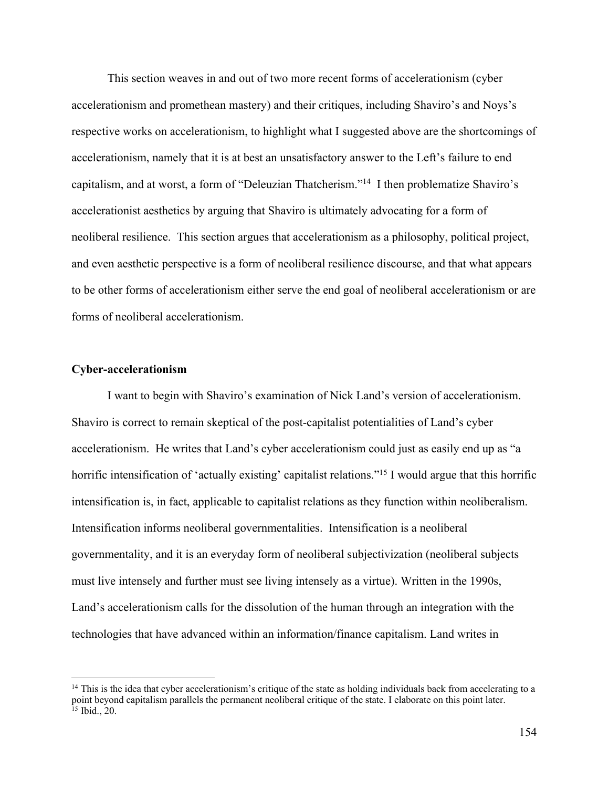This section weaves in and out of two more recent forms of accelerationism (cyber accelerationism and promethean mastery) and their critiques, including Shaviro's and Noys's respective works on accelerationism, to highlight what I suggested above are the shortcomings of accelerationism, namely that it is at best an unsatisfactory answer to the Left's failure to end capitalism, and at worst, a form of "Deleuzian Thatcherism."14 I then problematize Shaviro's accelerationist aesthetics by arguing that Shaviro is ultimately advocating for a form of neoliberal resilience. This section argues that accelerationism as a philosophy, political project, and even aesthetic perspective is a form of neoliberal resilience discourse, and that what appears to be other forms of accelerationism either serve the end goal of neoliberal accelerationism or are forms of neoliberal accelerationism.

## **Cyber-accelerationism**

I want to begin with Shaviro's examination of Nick Land's version of accelerationism. Shaviro is correct to remain skeptical of the post-capitalist potentialities of Land's cyber accelerationism. He writes that Land's cyber accelerationism could just as easily end up as "a horrific intensification of 'actually existing' capitalist relations."<sup>15</sup> I would argue that this horrific intensification is, in fact, applicable to capitalist relations as they function within neoliberalism. Intensification informs neoliberal governmentalities. Intensification is a neoliberal governmentality, and it is an everyday form of neoliberal subjectivization (neoliberal subjects must live intensely and further must see living intensely as a virtue). Written in the 1990s, Land's accelerationism calls for the dissolution of the human through an integration with the technologies that have advanced within an information/finance capitalism. Land writes in

<sup>&</sup>lt;sup>14</sup> This is the idea that cyber accelerationism's critique of the state as holding individuals back from accelerating to a point beyond capitalism parallels the permanent neoliberal critique of the state. I elaborate on this point later. <sup>15</sup> Ibid., 20.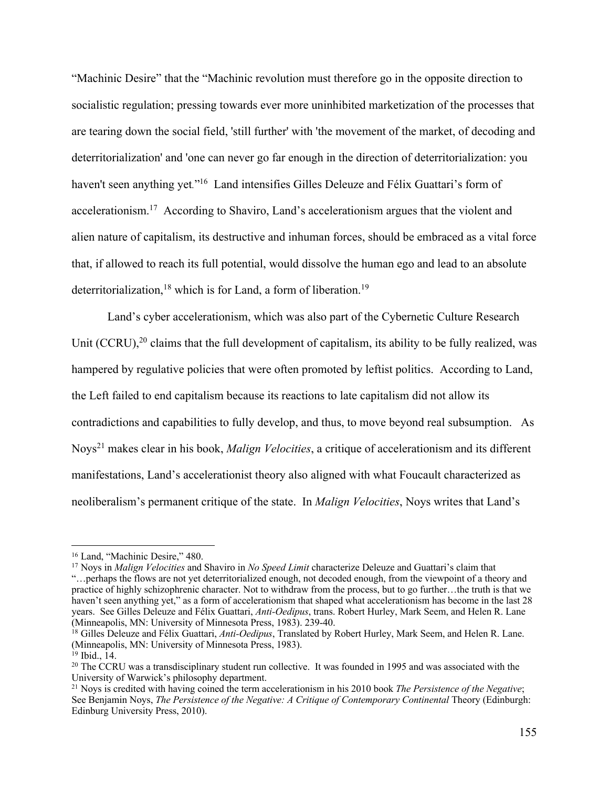"Machinic Desire" that the "Machinic revolution must therefore go in the opposite direction to socialistic regulation; pressing towards ever more uninhibited marketization of the processes that are tearing down the social field, 'still further' with 'the movement of the market, of decoding and deterritorialization' and 'one can never go far enough in the direction of deterritorialization: you haven't seen anything yet."<sup>16</sup> Land intensifies Gilles Deleuze and Félix Guattari's form of accelerationism.17 According to Shaviro, Land's accelerationism argues that the violent and alien nature of capitalism, its destructive and inhuman forces, should be embraced as a vital force that, if allowed to reach its full potential, would dissolve the human ego and lead to an absolute deterritorialization,<sup>18</sup> which is for Land, a form of liberation.<sup>19</sup>

Land's cyber accelerationism, which was also part of the Cybernetic Culture Research Unit  $(CCRU)$ ,<sup>20</sup> claims that the full development of capitalism, its ability to be fully realized, was hampered by regulative policies that were often promoted by leftist politics. According to Land, the Left failed to end capitalism because its reactions to late capitalism did not allow its contradictions and capabilities to fully develop, and thus, to move beyond real subsumption. As Noys21 makes clear in his book, *Malign Velocities*, a critique of accelerationism and its different manifestations, Land's accelerationist theory also aligned with what Foucault characterized as neoliberalism's permanent critique of the state. In *Malign Velocities*, Noys writes that Land's

<sup>17</sup> Noys in *Malign Velocities* and Shaviro in *No Speed Limit* characterize Deleuze and Guattari's claim that "…perhaps the flows are not yet deterritorialized enough, not decoded enough, from the viewpoint of a theory and practice of highly schizophrenic character. Not to withdraw from the process, but to go further…the truth is that we haven't seen anything yet," as a form of accelerationism that shaped what accelerationism has become in the last 28 years. See Gilles Deleuze and Félix Guattari, *Anti-Oedipus*, trans. Robert Hurley, Mark Seem, and Helen R. Lane (Minneapolis, MN: University of Minnesota Press, 1983). 239-40.<br><sup>18</sup> Gilles Deleuze and Félix Guattari, *Anti-Oedipus*, Translated by Robert Hurley, Mark Seem, and Helen R. Lane.

<sup>&</sup>lt;sup>16</sup> Land, "Machinic Desire," 480.

<sup>(</sup>Minneapolis, MN: University of Minnesota Press, 1983).<br><sup>19</sup> Ibid., 14.

<sup>&</sup>lt;sup>20</sup> The CCRU was a transdisciplinary student run collective. It was founded in 1995 and was associated with the University of Warwick's philosophy department. 21 Noys is credited with having coined the term accelerationism in his 2010 book *The Persistence of the Negative*;

See Benjamin Noys, *The Persistence of the Negative: A Critique of Contemporary Continental* Theory (Edinburgh: Edinburg University Press, 2010).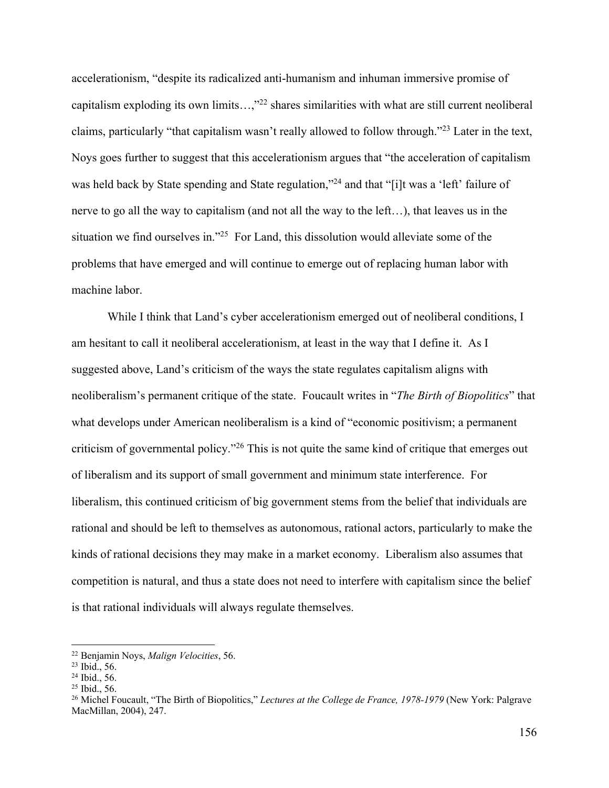accelerationism, "despite its radicalized anti-humanism and inhuman immersive promise of capitalism exploding its own limits…,"22 shares similarities with what are still current neoliberal claims, particularly "that capitalism wasn't really allowed to follow through."23 Later in the text, Noys goes further to suggest that this accelerationism argues that "the acceleration of capitalism was held back by State spending and State regulation,"24 and that "[i]t was a 'left' failure of nerve to go all the way to capitalism (and not all the way to the left…), that leaves us in the situation we find ourselves in."<sup>25</sup> For Land, this dissolution would alleviate some of the problems that have emerged and will continue to emerge out of replacing human labor with machine labor.

While I think that Land's cyber accelerationism emerged out of neoliberal conditions, I am hesitant to call it neoliberal accelerationism, at least in the way that I define it. As I suggested above, Land's criticism of the ways the state regulates capitalism aligns with neoliberalism's permanent critique of the state. Foucault writes in "*The Birth of Biopolitics*" that what develops under American neoliberalism is a kind of "economic positivism; a permanent criticism of governmental policy."26 This is not quite the same kind of critique that emerges out of liberalism and its support of small government and minimum state interference. For liberalism, this continued criticism of big government stems from the belief that individuals are rational and should be left to themselves as autonomous, rational actors, particularly to make the kinds of rational decisions they may make in a market economy. Liberalism also assumes that competition is natural, and thus a state does not need to interfere with capitalism since the belief is that rational individuals will always regulate themselves.

 <sup>22</sup> Benjamin Noys, *Malign Velocities*, 56.

<sup>23</sup> Ibid., 56.

 $^{24}$  Ibid., 56.<br> $^{25}$  Ibid., 56.

<sup>&</sup>lt;sup>26</sup> Michel Foucault, "The Birth of Biopolitics," *Lectures at the College de France, 1978-1979* (New York: Palgrave MacMillan, 2004), 247.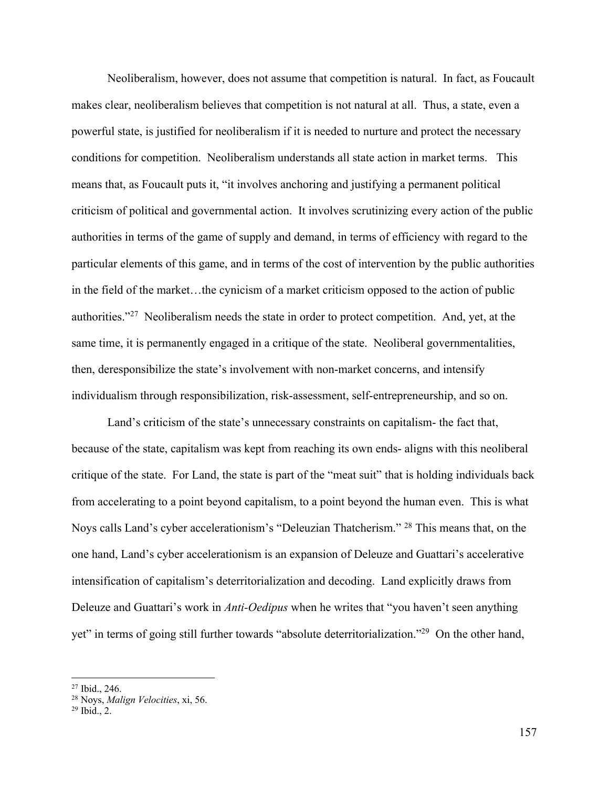Neoliberalism, however, does not assume that competition is natural. In fact, as Foucault makes clear, neoliberalism believes that competition is not natural at all. Thus, a state, even a powerful state, is justified for neoliberalism if it is needed to nurture and protect the necessary conditions for competition. Neoliberalism understands all state action in market terms. This means that, as Foucault puts it, "it involves anchoring and justifying a permanent political criticism of political and governmental action. It involves scrutinizing every action of the public authorities in terms of the game of supply and demand, in terms of efficiency with regard to the particular elements of this game, and in terms of the cost of intervention by the public authorities in the field of the market…the cynicism of a market criticism opposed to the action of public authorities."27 Neoliberalism needs the state in order to protect competition. And, yet, at the same time, it is permanently engaged in a critique of the state. Neoliberal governmentalities, then, deresponsibilize the state's involvement with non-market concerns, and intensify individualism through responsibilization, risk-assessment, self-entrepreneurship, and so on.

Land's criticism of the state's unnecessary constraints on capitalism- the fact that, because of the state, capitalism was kept from reaching its own ends- aligns with this neoliberal critique of the state. For Land, the state is part of the "meat suit" that is holding individuals back from accelerating to a point beyond capitalism, to a point beyond the human even. This is what Noys calls Land's cyber accelerationism's "Deleuzian Thatcherism." 28 This means that, on the one hand, Land's cyber accelerationism is an expansion of Deleuze and Guattari's accelerative intensification of capitalism's deterritorialization and decoding. Land explicitly draws from Deleuze and Guattari's work in *Anti-Oedipus* when he writes that "you haven't seen anything yet" in terms of going still further towards "absolute deterritorialization."<sup>29</sup> On the other hand,

<sup>27</sup> Ibid., 246. 28 Noys, *Malign Velocities*, xi, 56. 29 Ibid., 2.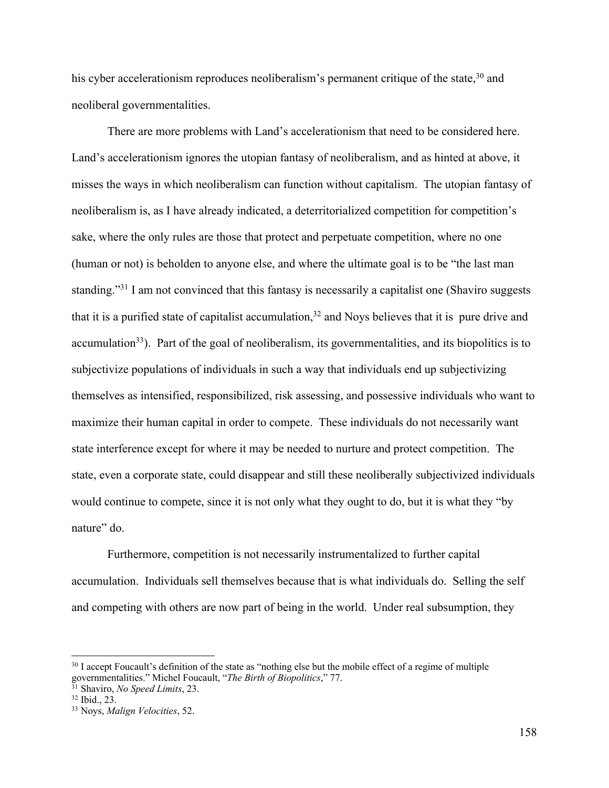his cyber accelerationism reproduces neoliberalism's permanent critique of the state,  $30$  and neoliberal governmentalities.

There are more problems with Land's accelerationism that need to be considered here. Land's accelerationism ignores the utopian fantasy of neoliberalism, and as hinted at above, it misses the ways in which neoliberalism can function without capitalism. The utopian fantasy of neoliberalism is, as I have already indicated, a deterritorialized competition for competition's sake, where the only rules are those that protect and perpetuate competition, where no one (human or not) is beholden to anyone else, and where the ultimate goal is to be "the last man standing."31 I am not convinced that this fantasy is necessarily a capitalist one (Shaviro suggests that it is a purified state of capitalist accumulation,  $32$  and Noys believes that it is pure drive and accumulation<sup>33</sup>). Part of the goal of neoliberalism, its governmentalities, and its biopolitics is to subjectivize populations of individuals in such a way that individuals end up subjectivizing themselves as intensified, responsibilized, risk assessing, and possessive individuals who want to maximize their human capital in order to compete. These individuals do not necessarily want state interference except for where it may be needed to nurture and protect competition. The state, even a corporate state, could disappear and still these neoliberally subjectivized individuals would continue to compete, since it is not only what they ought to do, but it is what they "by nature" do.

Furthermore, competition is not necessarily instrumentalized to further capital accumulation. Individuals sell themselves because that is what individuals do. Selling the self and competing with others are now part of being in the world. Under real subsumption, they

 <sup>30</sup> I accept Foucault's definition of the state as "nothing else but the mobile effect of a regime of multiple governmentalities." Michel Foucault, "*The Birth of Biopolitics*," 77. 31 Shaviro, *No Speed Limits*, 23. 32 Ibid., 23.

<sup>33</sup> Noys, *Malign Velocities*, 52.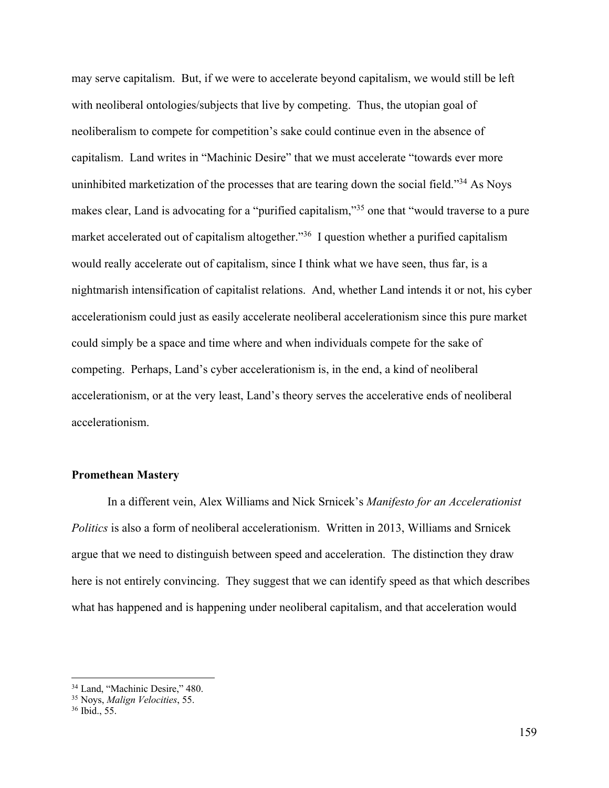may serve capitalism. But, if we were to accelerate beyond capitalism, we would still be left with neoliberal ontologies/subjects that live by competing. Thus, the utopian goal of neoliberalism to compete for competition's sake could continue even in the absence of capitalism. Land writes in "Machinic Desire" that we must accelerate "towards ever more uninhibited marketization of the processes that are tearing down the social field."<sup>34</sup> As Noys makes clear, Land is advocating for a "purified capitalism,"35 one that "would traverse to a pure market accelerated out of capitalism altogether."<sup>36</sup> I question whether a purified capitalism would really accelerate out of capitalism, since I think what we have seen, thus far, is a nightmarish intensification of capitalist relations. And, whether Land intends it or not, his cyber accelerationism could just as easily accelerate neoliberal accelerationism since this pure market could simply be a space and time where and when individuals compete for the sake of competing. Perhaps, Land's cyber accelerationism is, in the end, a kind of neoliberal accelerationism, or at the very least, Land's theory serves the accelerative ends of neoliberal accelerationism.

## **Promethean Mastery**

In a different vein, Alex Williams and Nick Srnicek's *Manifesto for an Accelerationist Politics* is also a form of neoliberal accelerationism. Written in 2013, Williams and Srnicek argue that we need to distinguish between speed and acceleration. The distinction they draw here is not entirely convincing. They suggest that we can identify speed as that which describes what has happened and is happening under neoliberal capitalism, and that acceleration would

 <sup>34</sup> Land, "Machinic Desire," 480.

<sup>35</sup> Noys, *Malign Velocities*, 55. 36 Ibid., 55.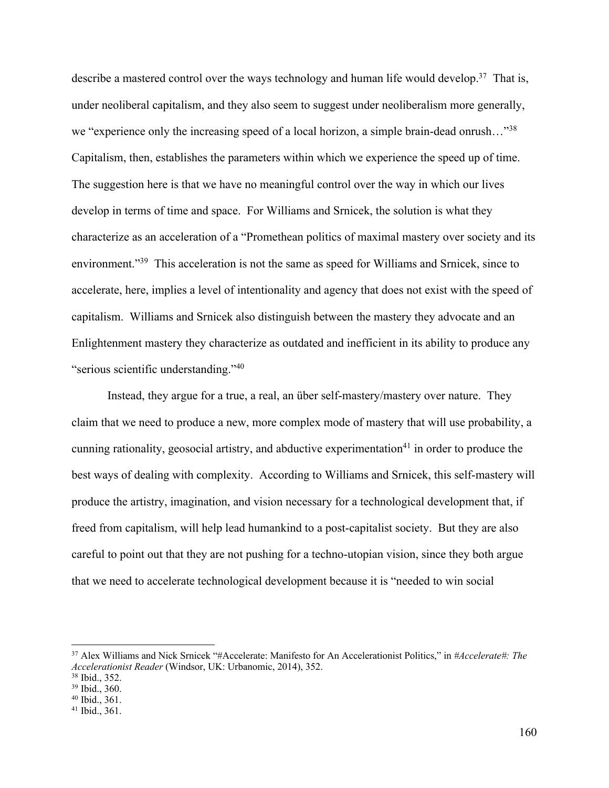describe a mastered control over the ways technology and human life would develop.<sup>37</sup> That is, under neoliberal capitalism, and they also seem to suggest under neoliberalism more generally, we "experience only the increasing speed of a local horizon, a simple brain-dead onrush..."<sup>38</sup> Capitalism, then, establishes the parameters within which we experience the speed up of time. The suggestion here is that we have no meaningful control over the way in which our lives develop in terms of time and space. For Williams and Srnicek, the solution is what they characterize as an acceleration of a "Promethean politics of maximal mastery over society and its environment."<sup>39</sup> This acceleration is not the same as speed for Williams and Srnicek, since to accelerate, here, implies a level of intentionality and agency that does not exist with the speed of capitalism. Williams and Srnicek also distinguish between the mastery they advocate and an Enlightenment mastery they characterize as outdated and inefficient in its ability to produce any "serious scientific understanding."40

Instead, they argue for a true, a real, an über self-mastery/mastery over nature. They claim that we need to produce a new, more complex mode of mastery that will use probability, a cunning rationality, geosocial artistry, and abductive experimentation<sup>41</sup> in order to produce the best ways of dealing with complexity. According to Williams and Srnicek, this self-mastery will produce the artistry, imagination, and vision necessary for a technological development that, if freed from capitalism, will help lead humankind to a post-capitalist society. But they are also careful to point out that they are not pushing for a techno-utopian vision, since they both argue that we need to accelerate technological development because it is "needed to win social

 <sup>37</sup> Alex Williams and Nick Srnicek "#Accelerate: Manifesto for An Accelerationist Politics," in *#Accelerate#: The Accelerationist Reader* (Windsor, UK: Urbanomic, 2014), 352. 38 Ibid., 352.

<sup>39</sup> Ibid., 360.

<sup>40</sup> Ibid., 361.

<sup>41</sup> Ibid., 361.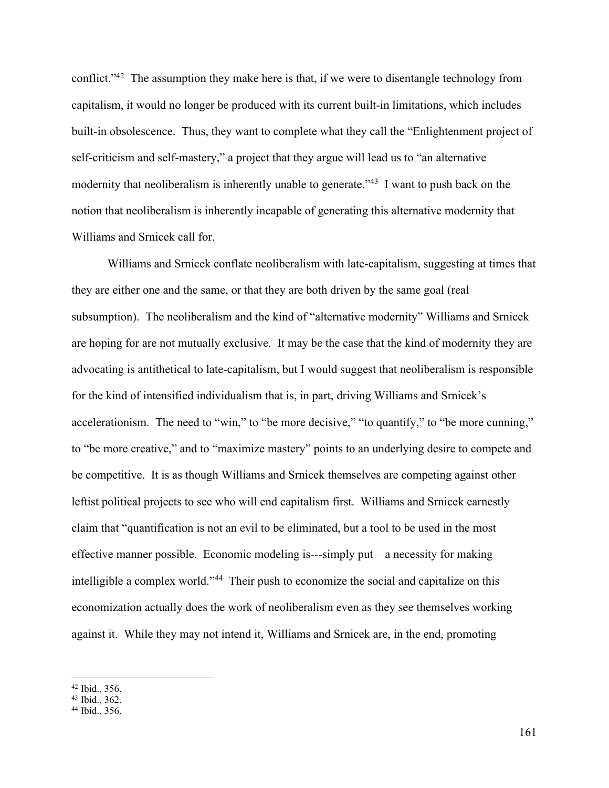conflict."42 The assumption they make here is that, if we were to disentangle technology from capitalism, it would no longer be produced with its current built-in limitations, which includes built-in obsolescence. Thus, they want to complete what they call the "Enlightenment project of self-criticism and self-mastery," a project that they argue will lead us to "an alternative modernity that neoliberalism is inherently unable to generate.<sup>343</sup> I want to push back on the notion that neoliberalism is inherently incapable of generating this alternative modernity that Williams and Srnicek call for.

Williams and Srnicek conflate neoliberalism with late-capitalism, suggesting at times that they are either one and the same, or that they are both driven by the same goal (real subsumption). The neoliberalism and the kind of "alternative modernity" Williams and Srnicek are hoping for are not mutually exclusive. It may be the case that the kind of modernity they are advocating is antithetical to late-capitalism, but I would suggest that neoliberalism is responsible for the kind of intensified individualism that is, in part, driving Williams and Srnicek's accelerationism. The need to "win," to "be more decisive," "to quantify," to "be more cunning," to "be more creative," and to "maximize mastery" points to an underlying desire to compete and be competitive. It is as though Williams and Srnicek themselves are competing against other leftist political projects to see who will end capitalism first. Williams and Srnicek earnestly claim that "quantification is not an evil to be eliminated, but a tool to be used in the most effective manner possible. Economic modeling is---simply put—a necessity for making intelligible a complex world."44 Their push to economize the social and capitalize on this economization actually does the work of neoliberalism even as they see themselves working against it. While they may not intend it, Williams and Srnicek are, in the end, promoting

 $42$  Ibid., 356.<br> $43$  Ibid., 362.<br> $44$  Ibid., 356.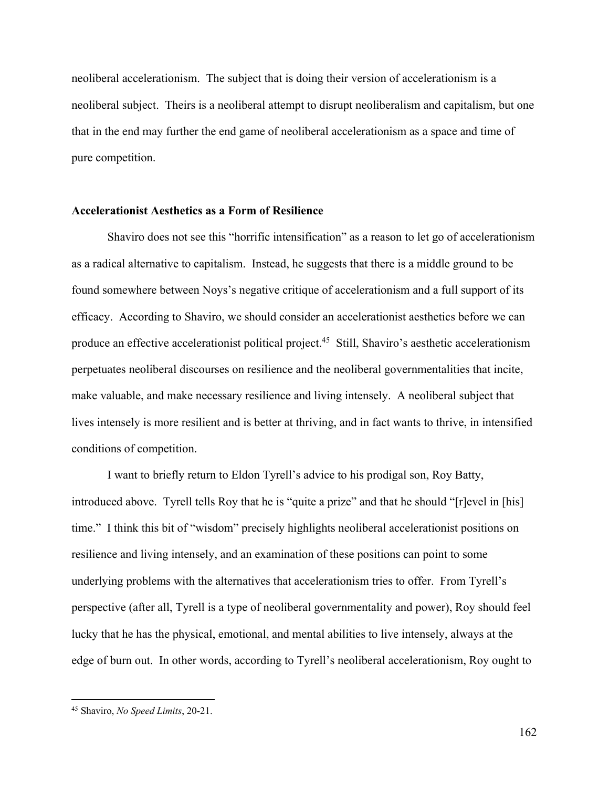neoliberal accelerationism. The subject that is doing their version of accelerationism is a neoliberal subject. Theirs is a neoliberal attempt to disrupt neoliberalism and capitalism, but one that in the end may further the end game of neoliberal accelerationism as a space and time of pure competition.

#### **Accelerationist Aesthetics as a Form of Resilience**

Shaviro does not see this "horrific intensification" as a reason to let go of accelerationism as a radical alternative to capitalism. Instead, he suggests that there is a middle ground to be found somewhere between Noys's negative critique of accelerationism and a full support of its efficacy. According to Shaviro, we should consider an accelerationist aesthetics before we can produce an effective accelerationist political project.45 Still, Shaviro's aesthetic accelerationism perpetuates neoliberal discourses on resilience and the neoliberal governmentalities that incite, make valuable, and make necessary resilience and living intensely. A neoliberal subject that lives intensely is more resilient and is better at thriving, and in fact wants to thrive, in intensified conditions of competition.

I want to briefly return to Eldon Tyrell's advice to his prodigal son, Roy Batty, introduced above. Tyrell tells Roy that he is "quite a prize" and that he should "[r]evel in [his] time." I think this bit of "wisdom" precisely highlights neoliberal accelerationist positions on resilience and living intensely, and an examination of these positions can point to some underlying problems with the alternatives that accelerationism tries to offer. From Tyrell's perspective (after all, Tyrell is a type of neoliberal governmentality and power), Roy should feel lucky that he has the physical, emotional, and mental abilities to live intensely, always at the edge of burn out. In other words, according to Tyrell's neoliberal accelerationism, Roy ought to

162

 <sup>45</sup> Shaviro, *No Speed Limits*, 20-21.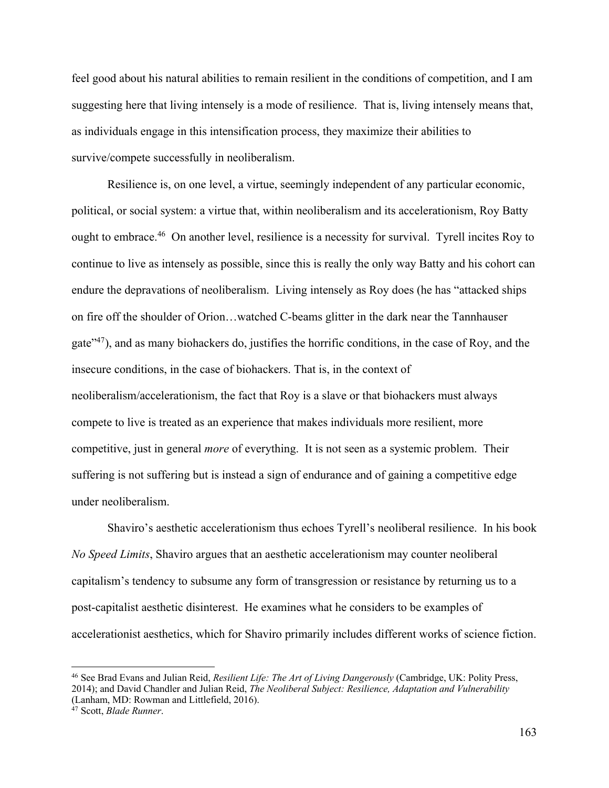feel good about his natural abilities to remain resilient in the conditions of competition, and I am suggesting here that living intensely is a mode of resilience. That is, living intensely means that, as individuals engage in this intensification process, they maximize their abilities to survive/compete successfully in neoliberalism.

Resilience is, on one level, a virtue, seemingly independent of any particular economic, political, or social system: a virtue that, within neoliberalism and its accelerationism, Roy Batty ought to embrace.46 On another level, resilience is a necessity for survival. Tyrell incites Roy to continue to live as intensely as possible, since this is really the only way Batty and his cohort can endure the depravations of neoliberalism. Living intensely as Roy does (he has "attacked ships on fire off the shoulder of Orion…watched C-beams glitter in the dark near the Tannhauser gate"47), and as many biohackers do, justifies the horrific conditions, in the case of Roy, and the insecure conditions, in the case of biohackers. That is, in the context of neoliberalism/accelerationism, the fact that Roy is a slave or that biohackers must always compete to live is treated as an experience that makes individuals more resilient, more competitive, just in general *more* of everything. It is not seen as a systemic problem. Their suffering is not suffering but is instead a sign of endurance and of gaining a competitive edge under neoliberalism.

Shaviro's aesthetic accelerationism thus echoes Tyrell's neoliberal resilience. In his book *No Speed Limits*, Shaviro argues that an aesthetic accelerationism may counter neoliberal capitalism's tendency to subsume any form of transgression or resistance by returning us to a post-capitalist aesthetic disinterest. He examines what he considers to be examples of accelerationist aesthetics, which for Shaviro primarily includes different works of science fiction.

 <sup>46</sup> See Brad Evans and Julian Reid, *Resilient Life: The Art of Living Dangerously* (Cambridge, UK: Polity Press, 2014); and David Chandler and Julian Reid, *The Neoliberal Subject: Resilience, Adaptation and Vulnerability* (Lanham, MD: Rowman and Littlefield, 2016).

<sup>47</sup> Scott, *Blade Runner*.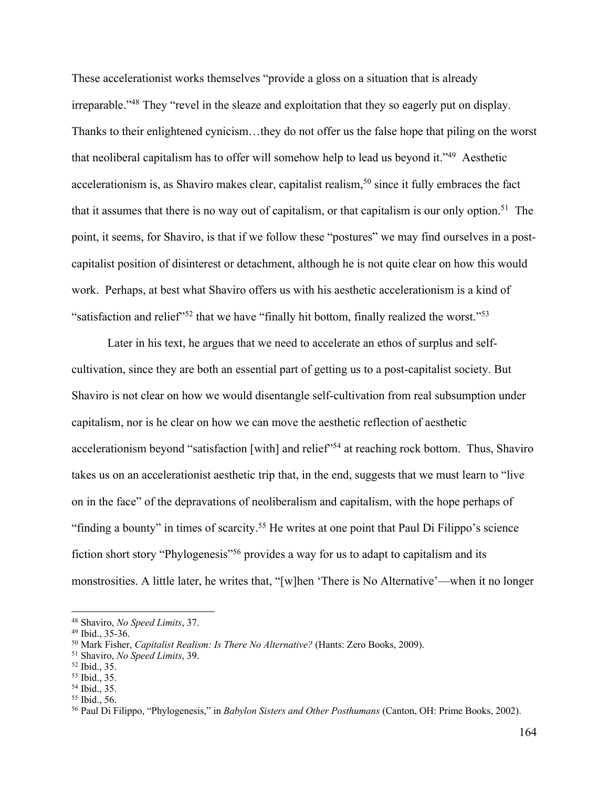These accelerationist works themselves "provide a gloss on a situation that is already irreparable."48 They "revel in the sleaze and exploitation that they so eagerly put on display. Thanks to their enlightened cynicism…they do not offer us the false hope that piling on the worst that neoliberal capitalism has to offer will somehow help to lead us beyond it."49 Aesthetic accelerationism is, as Shaviro makes clear, capitalist realism,<sup>50</sup> since it fully embraces the fact that it assumes that there is no way out of capitalism, or that capitalism is our only option.<sup>51</sup> The point, it seems, for Shaviro, is that if we follow these "postures" we may find ourselves in a postcapitalist position of disinterest or detachment, although he is not quite clear on how this would work. Perhaps, at best what Shaviro offers us with his aesthetic accelerationism is a kind of "satisfaction and relief"<sup>52</sup> that we have "finally hit bottom, finally realized the worst."<sup>53</sup>

Later in his text, he argues that we need to accelerate an ethos of surplus and selfcultivation, since they are both an essential part of getting us to a post-capitalist society. But Shaviro is not clear on how we would disentangle self-cultivation from real subsumption under capitalism, nor is he clear on how we can move the aesthetic reflection of aesthetic accelerationism beyond "satisfaction [with] and relief"<sup>54</sup> at reaching rock bottom. Thus, Shaviro takes us on an accelerationist aesthetic trip that, in the end, suggests that we must learn to "live on in the face" of the depravations of neoliberalism and capitalism, with the hope perhaps of "finding a bounty" in times of scarcity.<sup>55</sup> He writes at one point that Paul Di Filippo's science fiction short story "Phylogenesis"56 provides a way for us to adapt to capitalism and its monstrosities. A little later, he writes that, "[w]hen 'There is No Alternative'—when it no longer

<sup>48</sup> Shaviro, *No Speed Limits*, 37.<br><sup>49</sup> Ibid., 35-36.<br><sup>50</sup> Mark Fisher, *Capitalist Realism: Is There No Alternative?* (Hants: Zero Books, 2009).<br><sup>51</sup> Shaviro, *No Speed Limits*, 39.<br><sup>52</sup> Ibid., 35.<br><sup>53</sup> Ibid., 35.

<sup>&</sup>lt;sup>54</sup> Ibid., 35.<br><sup>55</sup> Ibid., 56.

<sup>&</sup>lt;sup>56</sup> Paul Di Filippo, "Phylogenesis," in *Babylon Sisters and Other Posthumans* (Canton, OH: Prime Books, 2002).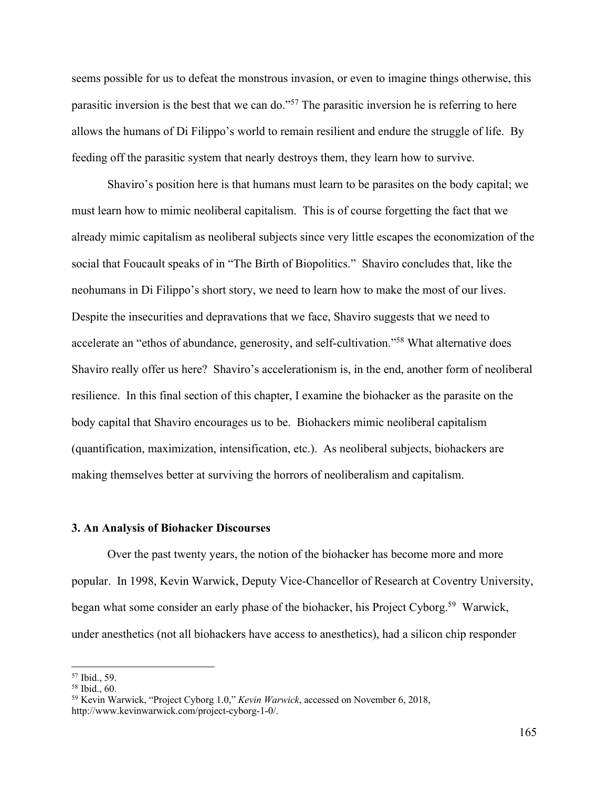seems possible for us to defeat the monstrous invasion, or even to imagine things otherwise, this parasitic inversion is the best that we can do."57 The parasitic inversion he is referring to here allows the humans of Di Filippo's world to remain resilient and endure the struggle of life. By feeding off the parasitic system that nearly destroys them, they learn how to survive.

Shaviro's position here is that humans must learn to be parasites on the body capital; we must learn how to mimic neoliberal capitalism. This is of course forgetting the fact that we already mimic capitalism as neoliberal subjects since very little escapes the economization of the social that Foucault speaks of in "The Birth of Biopolitics." Shaviro concludes that, like the neohumans in Di Filippo's short story, we need to learn how to make the most of our lives. Despite the insecurities and depravations that we face, Shaviro suggests that we need to accelerate an "ethos of abundance, generosity, and self-cultivation."58 What alternative does Shaviro really offer us here? Shaviro's accelerationism is, in the end, another form of neoliberal resilience. In this final section of this chapter, I examine the biohacker as the parasite on the body capital that Shaviro encourages us to be. Biohackers mimic neoliberal capitalism (quantification, maximization, intensification, etc.). As neoliberal subjects, biohackers are making themselves better at surviving the horrors of neoliberalism and capitalism.

#### **3. An Analysis of Biohacker Discourses**

Over the past twenty years, the notion of the biohacker has become more and more popular. In 1998, Kevin Warwick, Deputy Vice-Chancellor of Research at Coventry University, began what some consider an early phase of the biohacker, his Project Cyborg.<sup>59</sup> Warwick, under anesthetics (not all biohackers have access to anesthetics), had a silicon chip responder

<sup>&</sup>lt;sup>57</sup> Ibid., 59.<br><sup>58</sup> Ibid., 60.<br><sup>59</sup> Kevin Warwick, "Project Cyborg 1.0," *Kevin Warwick*, accessed on November 6, 2018, http://www.kevinwarwick.com/project-cyborg-1-0/.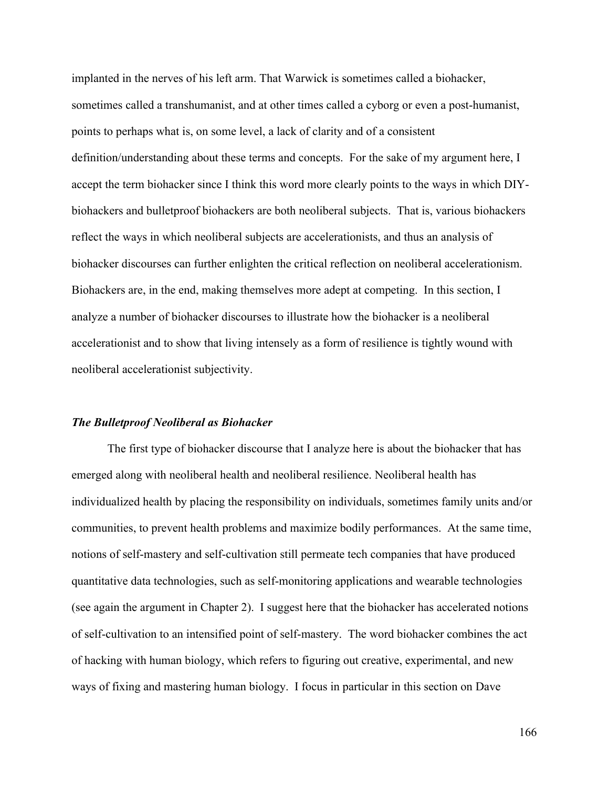implanted in the nerves of his left arm. That Warwick is sometimes called a biohacker, sometimes called a transhumanist, and at other times called a cyborg or even a post-humanist, points to perhaps what is, on some level, a lack of clarity and of a consistent definition/understanding about these terms and concepts. For the sake of my argument here, I accept the term biohacker since I think this word more clearly points to the ways in which DIYbiohackers and bulletproof biohackers are both neoliberal subjects. That is, various biohackers reflect the ways in which neoliberal subjects are accelerationists, and thus an analysis of biohacker discourses can further enlighten the critical reflection on neoliberal accelerationism. Biohackers are, in the end, making themselves more adept at competing. In this section, I analyze a number of biohacker discourses to illustrate how the biohacker is a neoliberal accelerationist and to show that living intensely as a form of resilience is tightly wound with neoliberal accelerationist subjectivity.

#### *The Bulletproof Neoliberal as Biohacker*

The first type of biohacker discourse that I analyze here is about the biohacker that has emerged along with neoliberal health and neoliberal resilience. Neoliberal health has individualized health by placing the responsibility on individuals, sometimes family units and/or communities, to prevent health problems and maximize bodily performances. At the same time, notions of self-mastery and self-cultivation still permeate tech companies that have produced quantitative data technologies, such as self-monitoring applications and wearable technologies (see again the argument in Chapter 2). I suggest here that the biohacker has accelerated notions of self-cultivation to an intensified point of self-mastery. The word biohacker combines the act of hacking with human biology, which refers to figuring out creative, experimental, and new ways of fixing and mastering human biology. I focus in particular in this section on Dave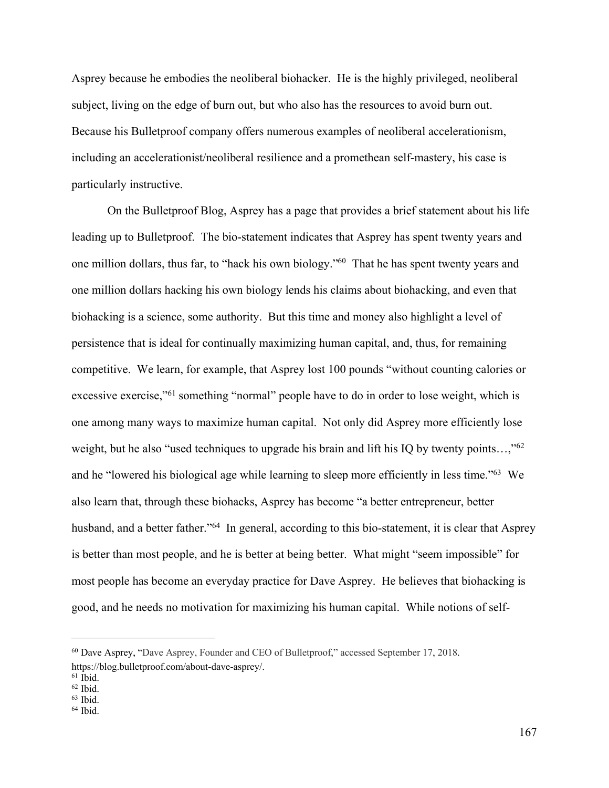Asprey because he embodies the neoliberal biohacker. He is the highly privileged, neoliberal subject, living on the edge of burn out, but who also has the resources to avoid burn out. Because his Bulletproof company offers numerous examples of neoliberal accelerationism, including an accelerationist/neoliberal resilience and a promethean self-mastery, his case is particularly instructive.

On the Bulletproof Blog, Asprey has a page that provides a brief statement about his life leading up to Bulletproof. The bio-statement indicates that Asprey has spent twenty years and one million dollars, thus far, to "hack his own biology."60 That he has spent twenty years and one million dollars hacking his own biology lends his claims about biohacking, and even that biohacking is a science, some authority. But this time and money also highlight a level of persistence that is ideal for continually maximizing human capital, and, thus, for remaining competitive. We learn, for example, that Asprey lost 100 pounds "without counting calories or excessive exercise,"<sup>61</sup> something "normal" people have to do in order to lose weight, which is one among many ways to maximize human capital. Not only did Asprey more efficiently lose weight, but he also "used techniques to upgrade his brain and lift his IQ by twenty points...,"<sup>62</sup> and he "lowered his biological age while learning to sleep more efficiently in less time."63 We also learn that, through these biohacks, Asprey has become "a better entrepreneur, better husband, and a better father.<sup>"64</sup> In general, according to this bio-statement, it is clear that Asprey is better than most people, and he is better at being better. What might "seem impossible" for most people has become an everyday practice for Dave Asprey. He believes that biohacking is good, and he needs no motivation for maximizing his human capital. While notions of self-

 <sup>60</sup> Dave Asprey, "Dave Asprey, Founder and CEO of Bulletproof," accessed September 17, 2018. https://blog.bulletproof.com/about-dave-asprey/.

 $61$  Ibid.

<sup>62</sup> Ibid.

 $63$  Ibid.

<sup>64</sup> Ibid.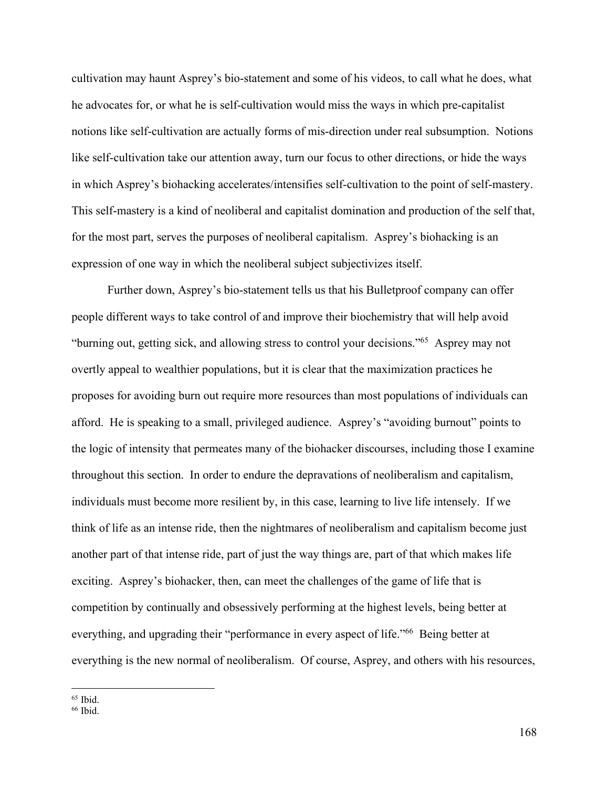cultivation may haunt Asprey's bio-statement and some of his videos, to call what he does, what he advocates for, or what he is self-cultivation would miss the ways in which pre-capitalist notions like self-cultivation are actually forms of mis-direction under real subsumption. Notions like self-cultivation take our attention away, turn our focus to other directions, or hide the ways in which Asprey's biohacking accelerates/intensifies self-cultivation to the point of self-mastery. This self-mastery is a kind of neoliberal and capitalist domination and production of the self that, for the most part, serves the purposes of neoliberal capitalism. Asprey's biohacking is an expression of one way in which the neoliberal subject subjectivizes itself.

Further down, Asprey's bio-statement tells us that his Bulletproof company can offer people different ways to take control of and improve their biochemistry that will help avoid "burning out, getting sick, and allowing stress to control your decisions."65 Asprey may not overtly appeal to wealthier populations, but it is clear that the maximization practices he proposes for avoiding burn out require more resources than most populations of individuals can afford. He is speaking to a small, privileged audience. Asprey's "avoiding burnout" points to the logic of intensity that permeates many of the biohacker discourses, including those I examine throughout this section. In order to endure the depravations of neoliberalism and capitalism, individuals must become more resilient by, in this case, learning to live life intensely. If we think of life as an intense ride, then the nightmares of neoliberalism and capitalism become just another part of that intense ride, part of just the way things are, part of that which makes life exciting. Asprey's biohacker, then, can meet the challenges of the game of life that is competition by continually and obsessively performing at the highest levels, being better at everything, and upgrading their "performance in every aspect of life."<sup>66</sup> Being better at everything is the new normal of neoliberalism. Of course, Asprey, and others with his resources,

 $65$  Ibid.<br> $66$  Ibid.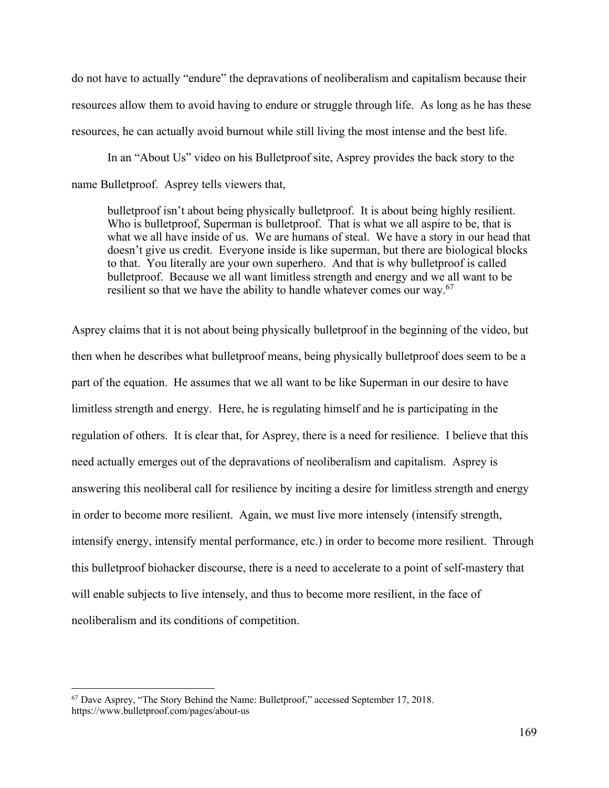do not have to actually "endure" the depravations of neoliberalism and capitalism because their resources allow them to avoid having to endure or struggle through life. As long as he has these resources, he can actually avoid burnout while still living the most intense and the best life.

In an "About Us" video on his Bulletproof site, Asprey provides the back story to the name Bulletproof. Asprey tells viewers that,

bulletproof isn't about being physically bulletproof. It is about being highly resilient. Who is bulletproof, Superman is bulletproof. That is what we all aspire to be, that is what we all have inside of us. We are humans of steal. We have a story in our head that doesn't give us credit. Everyone inside is like superman, but there are biological blocks to that. You literally are your own superhero. And that is why bulletproof is called bulletproof. Because we all want limitless strength and energy and we all want to be resilient so that we have the ability to handle whatever comes our way.<sup>67</sup>

Asprey claims that it is not about being physically bulletproof in the beginning of the video, but then when he describes what bulletproof means, being physically bulletproof does seem to be a part of the equation. He assumes that we all want to be like Superman in our desire to have limitless strength and energy. Here, he is regulating himself and he is participating in the regulation of others. It is clear that, for Asprey, there is a need for resilience. I believe that this need actually emerges out of the depravations of neoliberalism and capitalism. Asprey is answering this neoliberal call for resilience by inciting a desire for limitless strength and energy in order to become more resilient. Again, we must live more intensely (intensify strength, intensify energy, intensify mental performance, etc.) in order to become more resilient. Through this bulletproof biohacker discourse, there is a need to accelerate to a point of self-mastery that will enable subjects to live intensely, and thus to become more resilient, in the face of neoliberalism and its conditions of competition.

 <sup>67</sup> Dave Asprey, "The Story Behind the Name: Bulletproof," accessed September 17, 2018. https://www.bulletproof.com/pages/about-us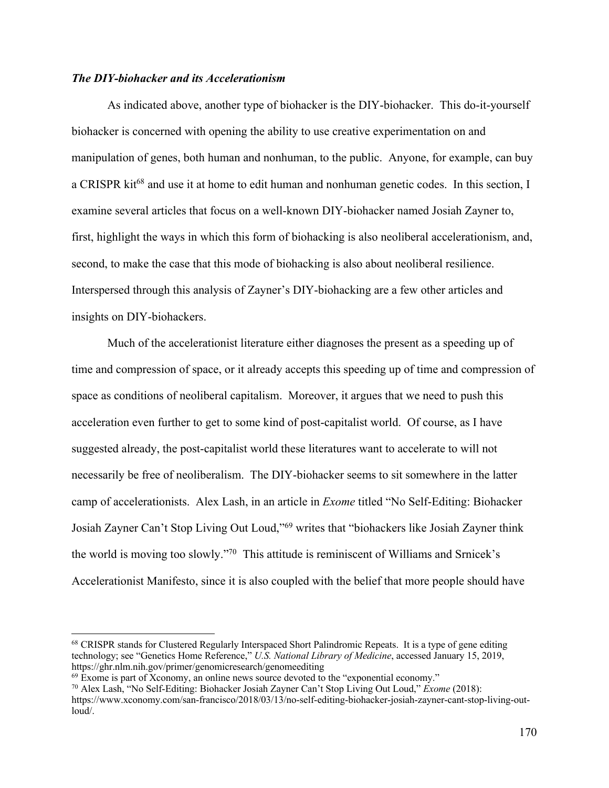# *The DIY-biohacker and its Accelerationism*

As indicated above, another type of biohacker is the DIY-biohacker. This do-it-yourself biohacker is concerned with opening the ability to use creative experimentation on and manipulation of genes, both human and nonhuman, to the public. Anyone, for example, can buy a CRISPR kit<sup>68</sup> and use it at home to edit human and nonhuman genetic codes. In this section, I examine several articles that focus on a well-known DIY-biohacker named Josiah Zayner to, first, highlight the ways in which this form of biohacking is also neoliberal accelerationism, and, second, to make the case that this mode of biohacking is also about neoliberal resilience. Interspersed through this analysis of Zayner's DIY-biohacking are a few other articles and insights on DIY-biohackers.

Much of the accelerationist literature either diagnoses the present as a speeding up of time and compression of space, or it already accepts this speeding up of time and compression of space as conditions of neoliberal capitalism. Moreover, it argues that we need to push this acceleration even further to get to some kind of post-capitalist world. Of course, as I have suggested already, the post-capitalist world these literatures want to accelerate to will not necessarily be free of neoliberalism. The DIY-biohacker seems to sit somewhere in the latter camp of accelerationists. Alex Lash, in an article in *Exome* titled "No Self-Editing: Biohacker Josiah Zayner Can't Stop Living Out Loud,"69 writes that "biohackers like Josiah Zayner think the world is moving too slowly."70 This attitude is reminiscent of Williams and Srnicek's Accelerationist Manifesto, since it is also coupled with the belief that more people should have

 <sup>68</sup> CRISPR stands for Clustered Regularly Interspaced Short Palindromic Repeats. It is a type of gene editing technology; see "Genetics Home Reference," *U.S. National Library of Medicine*, accessed January 15, 2019, https://ghr.nlm.nih.gov/primer/genomicresearch/genomeediting

<sup>&</sup>lt;sup>69</sup> Exome is part of Xconomy, an online news source devoted to the "exponential economy."

<sup>70</sup> Alex Lash, "No Self-Editing: Biohacker Josiah Zayner Can't Stop Living Out Loud," *Exome* (2018):

https://www.xconomy.com/san-francisco/2018/03/13/no-self-editing-biohacker-josiah-zayner-cant-stop-living-outloud/.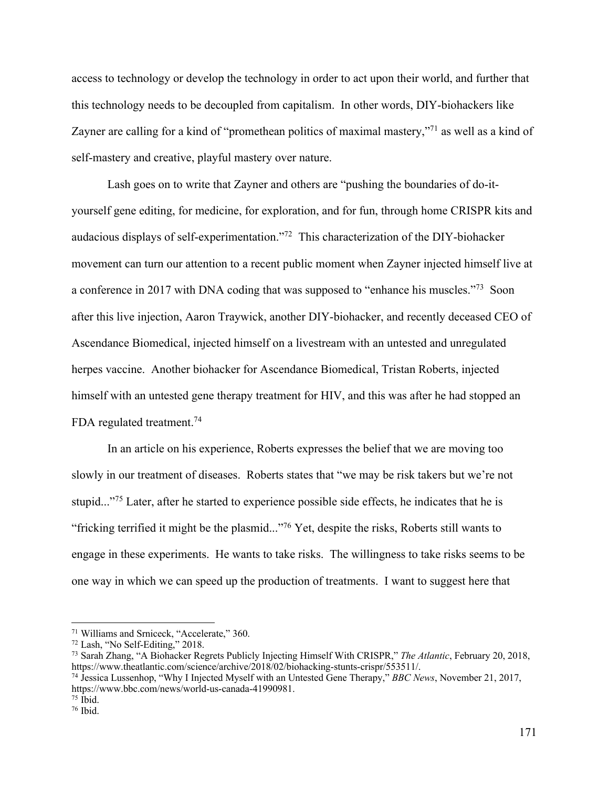access to technology or develop the technology in order to act upon their world, and further that this technology needs to be decoupled from capitalism. In other words, DIY-biohackers like Zayner are calling for a kind of "promethean politics of maximal mastery,"<sup>71</sup> as well as a kind of self-mastery and creative, playful mastery over nature.

Lash goes on to write that Zayner and others are "pushing the boundaries of do-ityourself gene editing, for medicine, for exploration, and for fun, through home CRISPR kits and audacious displays of self-experimentation."72 This characterization of the DIY-biohacker movement can turn our attention to a recent public moment when Zayner injected himself live at a conference in 2017 with DNA coding that was supposed to "enhance his muscles."73 Soon after this live injection, Aaron Traywick, another DIY-biohacker, and recently deceased CEO of Ascendance Biomedical, injected himself on a livestream with an untested and unregulated herpes vaccine. Another biohacker for Ascendance Biomedical, Tristan Roberts, injected himself with an untested gene therapy treatment for HIV, and this was after he had stopped an FDA regulated treatment.74

In an article on his experience, Roberts expresses the belief that we are moving too slowly in our treatment of diseases. Roberts states that "we may be risk takers but we're not stupid..."75 Later, after he started to experience possible side effects, he indicates that he is "fricking terrified it might be the plasmid..."76 Yet, despite the risks, Roberts still wants to engage in these experiments. He wants to take risks. The willingness to take risks seems to be one way in which we can speed up the production of treatments. I want to suggest here that

<sup>&</sup>lt;sup>71</sup> Williams and Srniceck, "Accelerate," 360.<br> $72$  Lash, "No Self-Editing," 2018.

<sup>73</sup> Sarah Zhang, "A Biohacker Regrets Publicly Injecting Himself With CRISPR," *The Atlantic*, February 20, 2018, https://www.theatlantic.com/science/archive/2018/02/biohacking-stunts-crispr/553511/.

<sup>74</sup> Jessica Lussenhop, "Why I Injected Myself with an Untested Gene Therapy," *BBC News*, November 21, 2017, https://www.bbc.com/news/world-us-canada-41990981.

 $75$  Ibid.

<sup>76</sup> Ibid.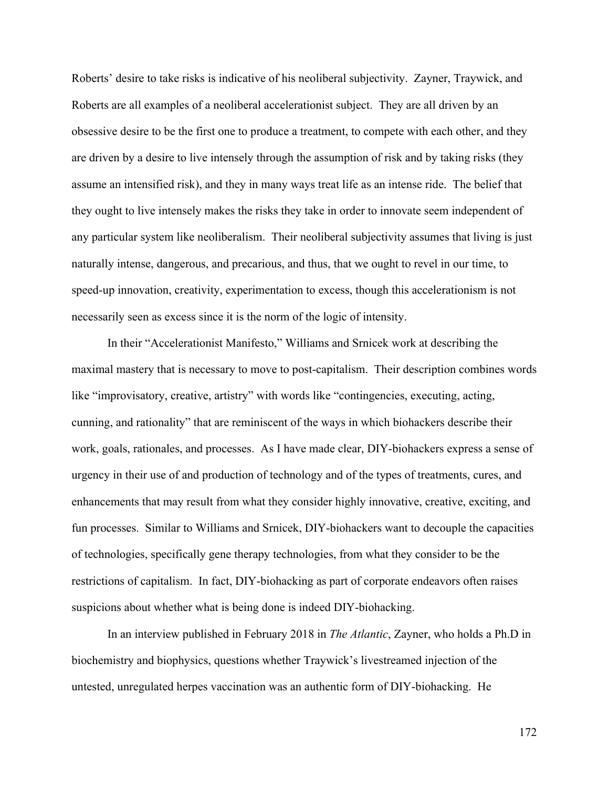Roberts' desire to take risks is indicative of his neoliberal subjectivity. Zayner, Traywick, and Roberts are all examples of a neoliberal accelerationist subject. They are all driven by an obsessive desire to be the first one to produce a treatment, to compete with each other, and they are driven by a desire to live intensely through the assumption of risk and by taking risks (they assume an intensified risk), and they in many ways treat life as an intense ride. The belief that they ought to live intensely makes the risks they take in order to innovate seem independent of any particular system like neoliberalism. Their neoliberal subjectivity assumes that living is just naturally intense, dangerous, and precarious, and thus, that we ought to revel in our time, to speed-up innovation, creativity, experimentation to excess, though this accelerationism is not necessarily seen as excess since it is the norm of the logic of intensity.

In their "Accelerationist Manifesto," Williams and Srnicek work at describing the maximal mastery that is necessary to move to post-capitalism. Their description combines words like "improvisatory, creative, artistry" with words like "contingencies, executing, acting, cunning, and rationality" that are reminiscent of the ways in which biohackers describe their work, goals, rationales, and processes. As I have made clear, DIY-biohackers express a sense of urgency in their use of and production of technology and of the types of treatments, cures, and enhancements that may result from what they consider highly innovative, creative, exciting, and fun processes. Similar to Williams and Srnicek, DIY-biohackers want to decouple the capacities of technologies, specifically gene therapy technologies, from what they consider to be the restrictions of capitalism. In fact, DIY-biohacking as part of corporate endeavors often raises suspicions about whether what is being done is indeed DIY-biohacking.

In an interview published in February 2018 in *The Atlantic*, Zayner, who holds a Ph.D in biochemistry and biophysics, questions whether Traywick's livestreamed injection of the untested, unregulated herpes vaccination was an authentic form of DIY-biohacking. He

172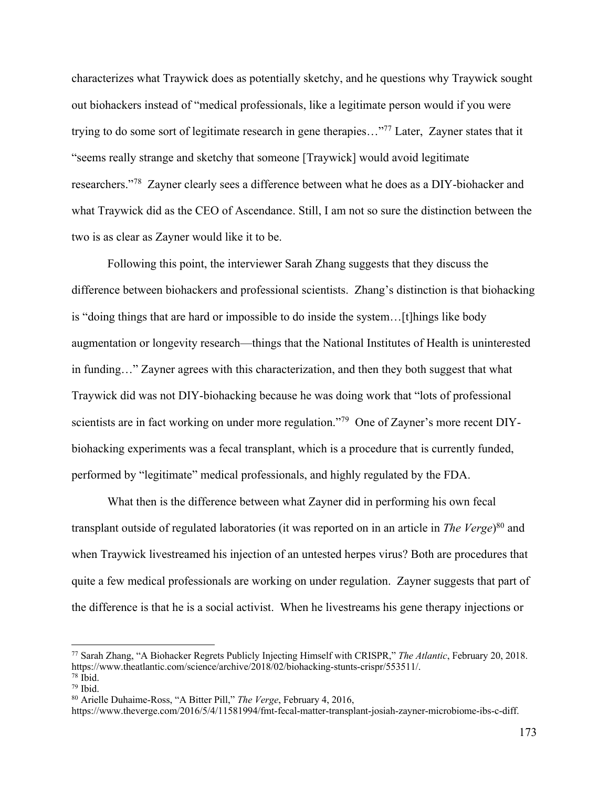characterizes what Traywick does as potentially sketchy, and he questions why Traywick sought out biohackers instead of "medical professionals, like a legitimate person would if you were trying to do some sort of legitimate research in gene therapies…"77 Later, Zayner states that it "seems really strange and sketchy that someone [Traywick] would avoid legitimate researchers."78 Zayner clearly sees a difference between what he does as a DIY-biohacker and what Traywick did as the CEO of Ascendance. Still, I am not so sure the distinction between the two is as clear as Zayner would like it to be.

Following this point, the interviewer Sarah Zhang suggests that they discuss the difference between biohackers and professional scientists. Zhang's distinction is that biohacking is "doing things that are hard or impossible to do inside the system…[t]hings like body augmentation or longevity research—things that the National Institutes of Health is uninterested in funding…" Zayner agrees with this characterization, and then they both suggest that what Traywick did was not DIY-biohacking because he was doing work that "lots of professional scientists are in fact working on under more regulation."<sup>79</sup> One of Zayner's more recent DIYbiohacking experiments was a fecal transplant, which is a procedure that is currently funded, performed by "legitimate" medical professionals, and highly regulated by the FDA.

What then is the difference between what Zayner did in performing his own fecal transplant outside of regulated laboratories (it was reported on in an article in *The Verge*) <sup>80</sup> and when Traywick livestreamed his injection of an untested herpes virus? Both are procedures that quite a few medical professionals are working on under regulation. Zayner suggests that part of the difference is that he is a social activist. When he livestreams his gene therapy injections or

 <sup>77</sup> Sarah Zhang, "A Biohacker Regrets Publicly Injecting Himself with CRISPR," *The Atlantic*, February 20, 2018. https://www.theatlantic.com/science/archive/2018/02/biohacking-stunts-crispr/553511/.

<sup>78</sup> Ibid.

<sup>79</sup> Ibid.

<sup>80</sup> Arielle Duhaime-Ross, "A Bitter Pill," *The Verge*, February 4, 2016,

https://www.theverge.com/2016/5/4/11581994/fmt-fecal-matter-transplant-josiah-zayner-microbiome-ibs-c-diff.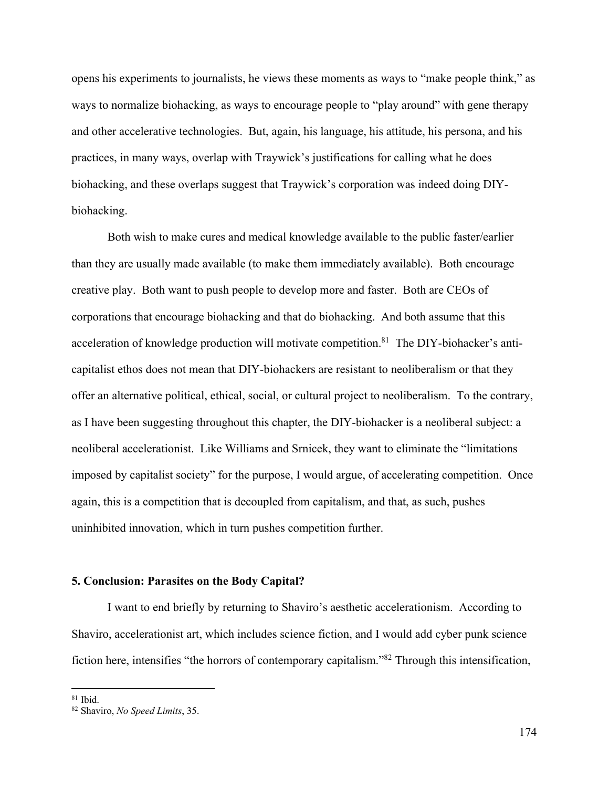opens his experiments to journalists, he views these moments as ways to "make people think," as ways to normalize biohacking, as ways to encourage people to "play around" with gene therapy and other accelerative technologies. But, again, his language, his attitude, his persona, and his practices, in many ways, overlap with Traywick's justifications for calling what he does biohacking, and these overlaps suggest that Traywick's corporation was indeed doing DIYbiohacking.

Both wish to make cures and medical knowledge available to the public faster/earlier than they are usually made available (to make them immediately available). Both encourage creative play. Both want to push people to develop more and faster. Both are CEOs of corporations that encourage biohacking and that do biohacking. And both assume that this acceleration of knowledge production will motivate competition.<sup>81</sup> The DIY-biohacker's anticapitalist ethos does not mean that DIY-biohackers are resistant to neoliberalism or that they offer an alternative political, ethical, social, or cultural project to neoliberalism. To the contrary, as I have been suggesting throughout this chapter, the DIY-biohacker is a neoliberal subject: a neoliberal accelerationist. Like Williams and Srnicek, they want to eliminate the "limitations imposed by capitalist society" for the purpose, I would argue, of accelerating competition. Once again, this is a competition that is decoupled from capitalism, and that, as such, pushes uninhibited innovation, which in turn pushes competition further.

# **5. Conclusion: Parasites on the Body Capital?**

I want to end briefly by returning to Shaviro's aesthetic accelerationism. According to Shaviro, accelerationist art, which includes science fiction, and I would add cyber punk science fiction here, intensifies "the horrors of contemporary capitalism."82 Through this intensification,

 $81$  Ibid.

<sup>82</sup> Shaviro, *No Speed Limits*, 35.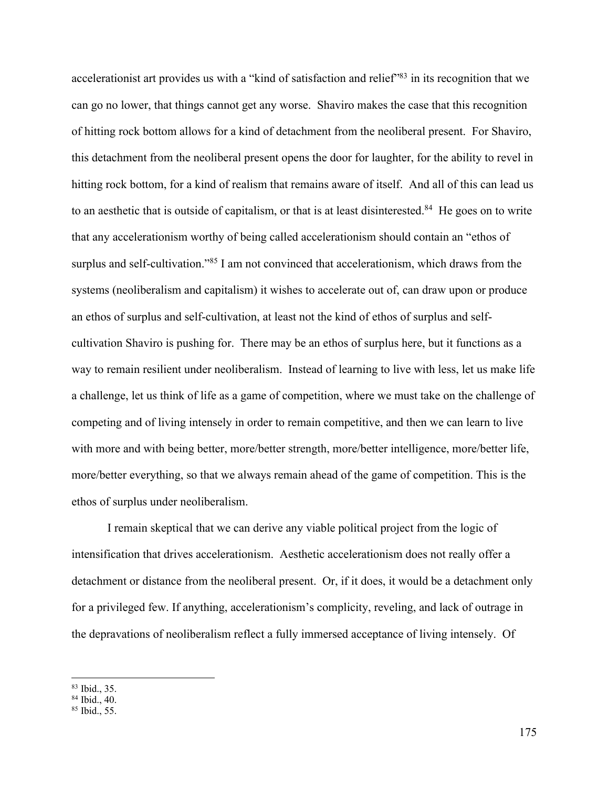accelerationist art provides us with a "kind of satisfaction and relief"<sup>83</sup> in its recognition that we can go no lower, that things cannot get any worse. Shaviro makes the case that this recognition of hitting rock bottom allows for a kind of detachment from the neoliberal present. For Shaviro, this detachment from the neoliberal present opens the door for laughter, for the ability to revel in hitting rock bottom, for a kind of realism that remains aware of itself. And all of this can lead us to an aesthetic that is outside of capitalism, or that is at least disinterested.<sup>84</sup> He goes on to write that any accelerationism worthy of being called accelerationism should contain an "ethos of surplus and self-cultivation."<sup>85</sup> I am not convinced that accelerationism, which draws from the systems (neoliberalism and capitalism) it wishes to accelerate out of, can draw upon or produce an ethos of surplus and self-cultivation, at least not the kind of ethos of surplus and selfcultivation Shaviro is pushing for. There may be an ethos of surplus here, but it functions as a way to remain resilient under neoliberalism. Instead of learning to live with less, let us make life a challenge, let us think of life as a game of competition, where we must take on the challenge of competing and of living intensely in order to remain competitive, and then we can learn to live with more and with being better, more/better strength, more/better intelligence, more/better life, more/better everything, so that we always remain ahead of the game of competition. This is the ethos of surplus under neoliberalism.

I remain skeptical that we can derive any viable political project from the logic of intensification that drives accelerationism. Aesthetic accelerationism does not really offer a detachment or distance from the neoliberal present. Or, if it does, it would be a detachment only for a privileged few. If anything, accelerationism's complicity, reveling, and lack of outrage in the depravations of neoliberalism reflect a fully immersed acceptance of living intensely. Of

 $83$  Ibid., 35.<br> $84$  Ibid., 40.<br> $85$  Ibid., 55.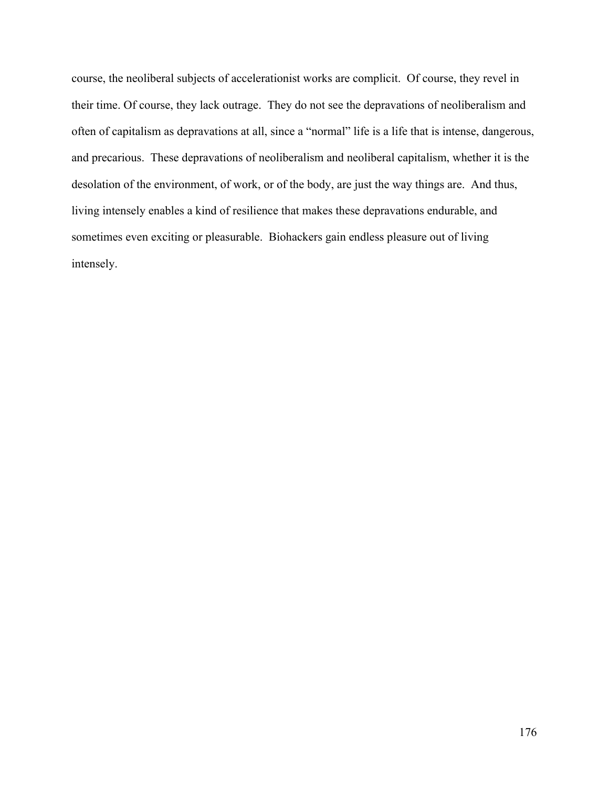course, the neoliberal subjects of accelerationist works are complicit. Of course, they revel in their time. Of course, they lack outrage. They do not see the depravations of neoliberalism and often of capitalism as depravations at all, since a "normal" life is a life that is intense, dangerous, and precarious. These depravations of neoliberalism and neoliberal capitalism, whether it is the desolation of the environment, of work, or of the body, are just the way things are. And thus, living intensely enables a kind of resilience that makes these depravations endurable, and sometimes even exciting or pleasurable. Biohackers gain endless pleasure out of living intensely.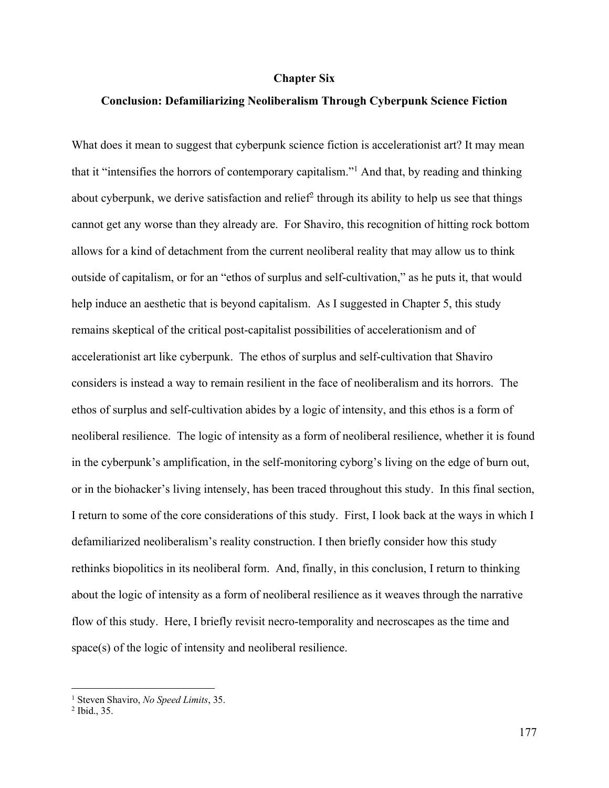### **Chapter Six**

# **Conclusion: Defamiliarizing Neoliberalism Through Cyberpunk Science Fiction**

What does it mean to suggest that cyberpunk science fiction is accelerationist art? It may mean that it "intensifies the horrors of contemporary capitalism."1 And that, by reading and thinking about cyberpunk, we derive satisfaction and relief<sup>2</sup> through its ability to help us see that things cannot get any worse than they already are. For Shaviro, this recognition of hitting rock bottom allows for a kind of detachment from the current neoliberal reality that may allow us to think outside of capitalism, or for an "ethos of surplus and self-cultivation," as he puts it, that would help induce an aesthetic that is beyond capitalism. As I suggested in Chapter 5, this study remains skeptical of the critical post-capitalist possibilities of accelerationism and of accelerationist art like cyberpunk. The ethos of surplus and self-cultivation that Shaviro considers is instead a way to remain resilient in the face of neoliberalism and its horrors. The ethos of surplus and self-cultivation abides by a logic of intensity, and this ethos is a form of neoliberal resilience. The logic of intensity as a form of neoliberal resilience, whether it is found in the cyberpunk's amplification, in the self-monitoring cyborg's living on the edge of burn out, or in the biohacker's living intensely, has been traced throughout this study. In this final section, I return to some of the core considerations of this study. First, I look back at the ways in which I defamiliarized neoliberalism's reality construction. I then briefly consider how this study rethinks biopolitics in its neoliberal form. And, finally, in this conclusion, I return to thinking about the logic of intensity as a form of neoliberal resilience as it weaves through the narrative flow of this study. Here, I briefly revisit necro-temporality and necroscapes as the time and space(s) of the logic of intensity and neoliberal resilience.

<sup>&</sup>lt;sup>1</sup> Steven Shaviro, *No Speed Limits*, 35.<br><sup>2</sup> Ibid., 35.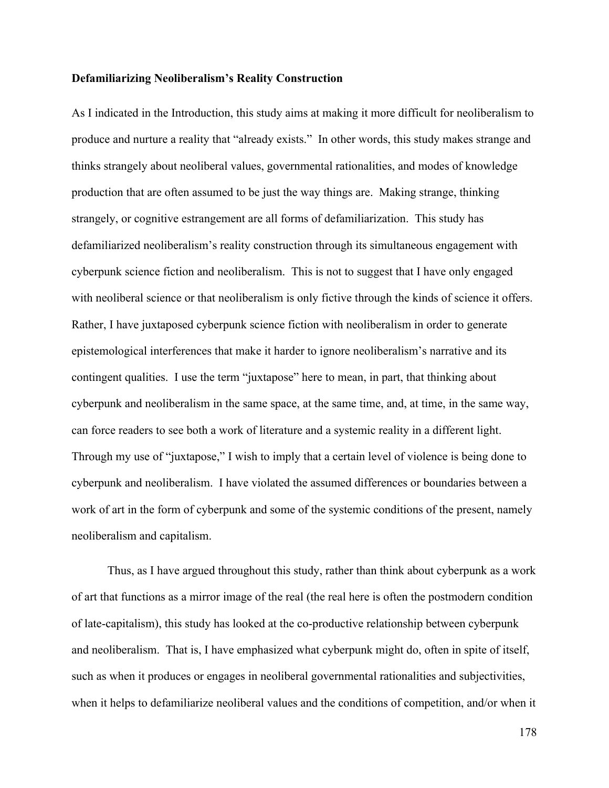### **Defamiliarizing Neoliberalism's Reality Construction**

As I indicated in the Introduction, this study aims at making it more difficult for neoliberalism to produce and nurture a reality that "already exists." In other words, this study makes strange and thinks strangely about neoliberal values, governmental rationalities, and modes of knowledge production that are often assumed to be just the way things are. Making strange, thinking strangely, or cognitive estrangement are all forms of defamiliarization. This study has defamiliarized neoliberalism's reality construction through its simultaneous engagement with cyberpunk science fiction and neoliberalism. This is not to suggest that I have only engaged with neoliberal science or that neoliberalism is only fictive through the kinds of science it offers. Rather, I have juxtaposed cyberpunk science fiction with neoliberalism in order to generate epistemological interferences that make it harder to ignore neoliberalism's narrative and its contingent qualities. I use the term "juxtapose" here to mean, in part, that thinking about cyberpunk and neoliberalism in the same space, at the same time, and, at time, in the same way, can force readers to see both a work of literature and a systemic reality in a different light. Through my use of "juxtapose," I wish to imply that a certain level of violence is being done to cyberpunk and neoliberalism. I have violated the assumed differences or boundaries between a work of art in the form of cyberpunk and some of the systemic conditions of the present, namely neoliberalism and capitalism.

Thus, as I have argued throughout this study, rather than think about cyberpunk as a work of art that functions as a mirror image of the real (the real here is often the postmodern condition of late-capitalism), this study has looked at the co-productive relationship between cyberpunk and neoliberalism. That is, I have emphasized what cyberpunk might do, often in spite of itself, such as when it produces or engages in neoliberal governmental rationalities and subjectivities, when it helps to defamiliarize neoliberal values and the conditions of competition, and/or when it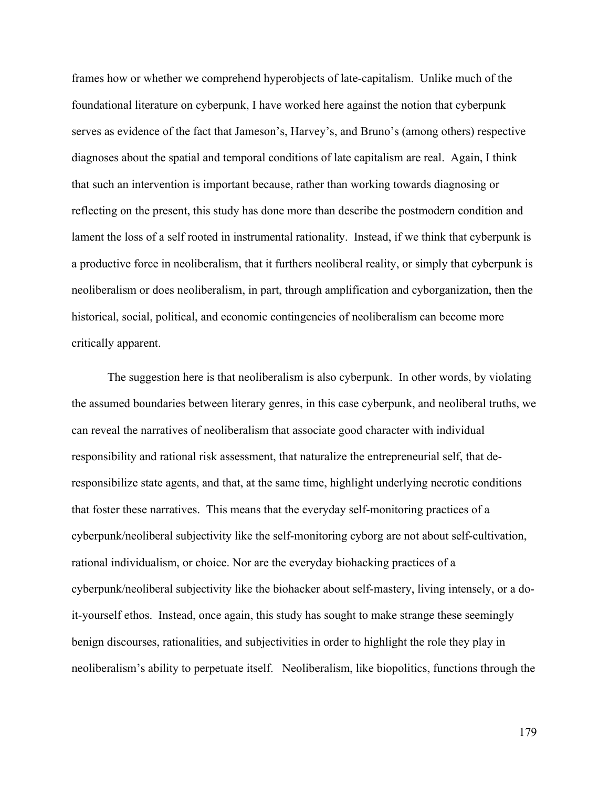frames how or whether we comprehend hyperobjects of late-capitalism. Unlike much of the foundational literature on cyberpunk, I have worked here against the notion that cyberpunk serves as evidence of the fact that Jameson's, Harvey's, and Bruno's (among others) respective diagnoses about the spatial and temporal conditions of late capitalism are real. Again, I think that such an intervention is important because, rather than working towards diagnosing or reflecting on the present, this study has done more than describe the postmodern condition and lament the loss of a self rooted in instrumental rationality. Instead, if we think that cyberpunk is a productive force in neoliberalism, that it furthers neoliberal reality, or simply that cyberpunk is neoliberalism or does neoliberalism, in part, through amplification and cyborganization, then the historical, social, political, and economic contingencies of neoliberalism can become more critically apparent.

The suggestion here is that neoliberalism is also cyberpunk. In other words, by violating the assumed boundaries between literary genres, in this case cyberpunk, and neoliberal truths, we can reveal the narratives of neoliberalism that associate good character with individual responsibility and rational risk assessment, that naturalize the entrepreneurial self, that deresponsibilize state agents, and that, at the same time, highlight underlying necrotic conditions that foster these narratives. This means that the everyday self-monitoring practices of a cyberpunk/neoliberal subjectivity like the self-monitoring cyborg are not about self-cultivation, rational individualism, or choice. Nor are the everyday biohacking practices of a cyberpunk/neoliberal subjectivity like the biohacker about self-mastery, living intensely, or a doit-yourself ethos. Instead, once again, this study has sought to make strange these seemingly benign discourses, rationalities, and subjectivities in order to highlight the role they play in neoliberalism's ability to perpetuate itself. Neoliberalism, like biopolitics, functions through the

179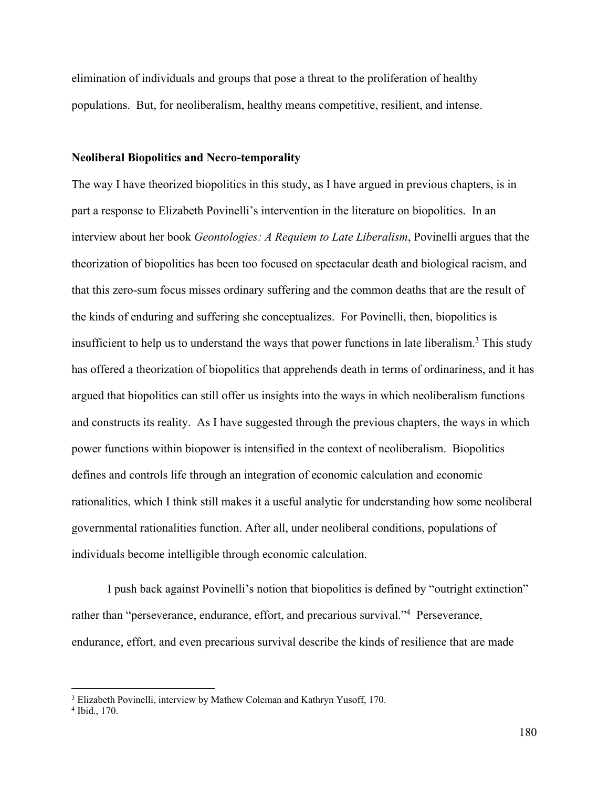elimination of individuals and groups that pose a threat to the proliferation of healthy populations. But, for neoliberalism, healthy means competitive, resilient, and intense.

# **Neoliberal Biopolitics and Necro-temporality**

The way I have theorized biopolitics in this study, as I have argued in previous chapters, is in part a response to Elizabeth Povinelli's intervention in the literature on biopolitics. In an interview about her book *Geontologies: A Requiem to Late Liberalism*, Povinelli argues that the theorization of biopolitics has been too focused on spectacular death and biological racism, and that this zero-sum focus misses ordinary suffering and the common deaths that are the result of the kinds of enduring and suffering she conceptualizes. For Povinelli, then, biopolitics is insufficient to help us to understand the ways that power functions in late liberalism.<sup>3</sup> This study has offered a theorization of biopolitics that apprehends death in terms of ordinariness, and it has argued that biopolitics can still offer us insights into the ways in which neoliberalism functions and constructs its reality. As I have suggested through the previous chapters, the ways in which power functions within biopower is intensified in the context of neoliberalism. Biopolitics defines and controls life through an integration of economic calculation and economic rationalities, which I think still makes it a useful analytic for understanding how some neoliberal governmental rationalities function. After all, under neoliberal conditions, populations of individuals become intelligible through economic calculation.

I push back against Povinelli's notion that biopolitics is defined by "outright extinction" rather than "perseverance, endurance, effort, and precarious survival."4 Perseverance, endurance, effort, and even precarious survival describe the kinds of resilience that are made

<sup>&</sup>lt;sup>3</sup> Elizabeth Povinelli, interview by Mathew Coleman and Kathryn Yusoff, 170.

<sup>4</sup> Ibid., 170.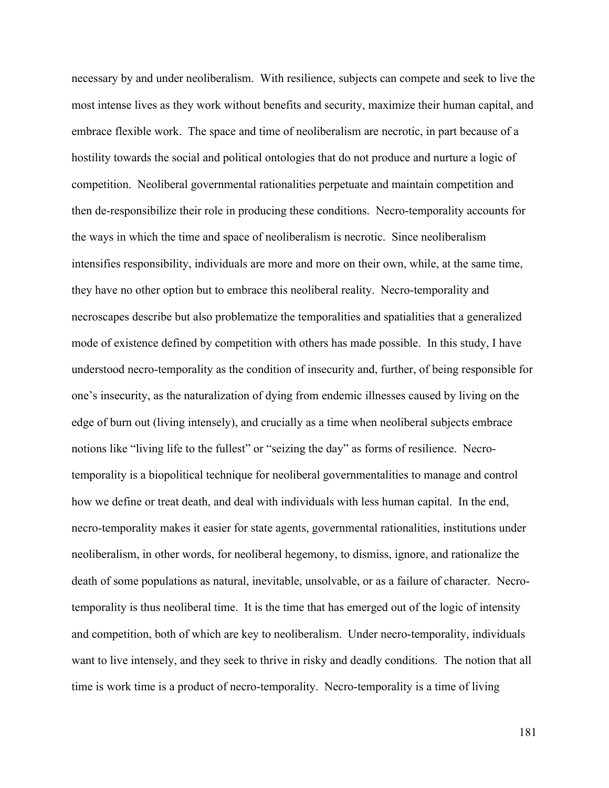necessary by and under neoliberalism. With resilience, subjects can compete and seek to live the most intense lives as they work without benefits and security, maximize their human capital, and embrace flexible work. The space and time of neoliberalism are necrotic, in part because of a hostility towards the social and political ontologies that do not produce and nurture a logic of competition. Neoliberal governmental rationalities perpetuate and maintain competition and then de-responsibilize their role in producing these conditions. Necro-temporality accounts for the ways in which the time and space of neoliberalism is necrotic. Since neoliberalism intensifies responsibility, individuals are more and more on their own, while, at the same time, they have no other option but to embrace this neoliberal reality. Necro-temporality and necroscapes describe but also problematize the temporalities and spatialities that a generalized mode of existence defined by competition with others has made possible. In this study, I have understood necro-temporality as the condition of insecurity and, further, of being responsible for one's insecurity, as the naturalization of dying from endemic illnesses caused by living on the edge of burn out (living intensely), and crucially as a time when neoliberal subjects embrace notions like "living life to the fullest" or "seizing the day" as forms of resilience. Necrotemporality is a biopolitical technique for neoliberal governmentalities to manage and control how we define or treat death, and deal with individuals with less human capital. In the end, necro-temporality makes it easier for state agents, governmental rationalities, institutions under neoliberalism, in other words, for neoliberal hegemony, to dismiss, ignore, and rationalize the death of some populations as natural, inevitable, unsolvable, or as a failure of character. Necrotemporality is thus neoliberal time. It is the time that has emerged out of the logic of intensity and competition, both of which are key to neoliberalism. Under necro-temporality, individuals want to live intensely, and they seek to thrive in risky and deadly conditions. The notion that all time is work time is a product of necro-temporality. Necro-temporality is a time of living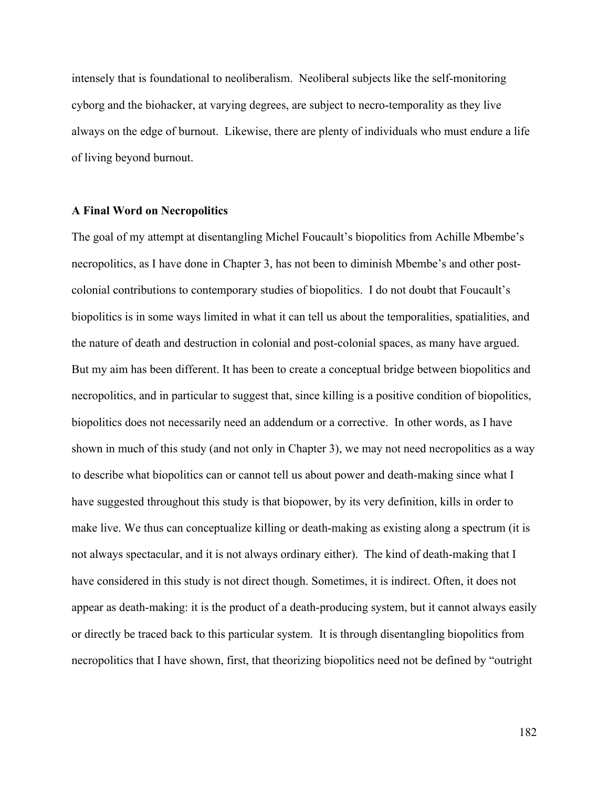intensely that is foundational to neoliberalism. Neoliberal subjects like the self-monitoring cyborg and the biohacker, at varying degrees, are subject to necro-temporality as they live always on the edge of burnout. Likewise, there are plenty of individuals who must endure a life of living beyond burnout.

### **A Final Word on Necropolitics**

The goal of my attempt at disentangling Michel Foucault's biopolitics from Achille Mbembe's necropolitics, as I have done in Chapter 3, has not been to diminish Mbembe's and other postcolonial contributions to contemporary studies of biopolitics. I do not doubt that Foucault's biopolitics is in some ways limited in what it can tell us about the temporalities, spatialities, and the nature of death and destruction in colonial and post-colonial spaces, as many have argued. But my aim has been different. It has been to create a conceptual bridge between biopolitics and necropolitics, and in particular to suggest that, since killing is a positive condition of biopolitics, biopolitics does not necessarily need an addendum or a corrective. In other words, as I have shown in much of this study (and not only in Chapter 3), we may not need necropolitics as a way to describe what biopolitics can or cannot tell us about power and death-making since what I have suggested throughout this study is that biopower, by its very definition, kills in order to make live. We thus can conceptualize killing or death-making as existing along a spectrum (it is not always spectacular, and it is not always ordinary either). The kind of death-making that I have considered in this study is not direct though. Sometimes, it is indirect. Often, it does not appear as death-making: it is the product of a death-producing system, but it cannot always easily or directly be traced back to this particular system. It is through disentangling biopolitics from necropolitics that I have shown, first, that theorizing biopolitics need not be defined by "outright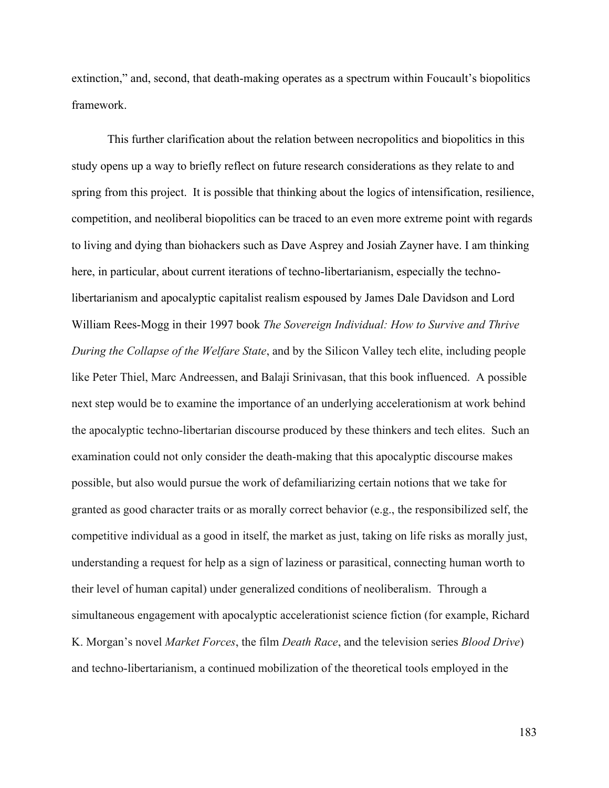extinction," and, second, that death-making operates as a spectrum within Foucault's biopolitics framework.

This further clarification about the relation between necropolitics and biopolitics in this study opens up a way to briefly reflect on future research considerations as they relate to and spring from this project. It is possible that thinking about the logics of intensification, resilience, competition, and neoliberal biopolitics can be traced to an even more extreme point with regards to living and dying than biohackers such as Dave Asprey and Josiah Zayner have. I am thinking here, in particular, about current iterations of techno-libertarianism, especially the technolibertarianism and apocalyptic capitalist realism espoused by James Dale Davidson and Lord William Rees-Mogg in their 1997 book *The Sovereign Individual: How to Survive and Thrive During the Collapse of the Welfare State*, and by the Silicon Valley tech elite, including people like Peter Thiel, Marc Andreessen, and Balaji Srinivasan, that this book influenced. A possible next step would be to examine the importance of an underlying accelerationism at work behind the apocalyptic techno-libertarian discourse produced by these thinkers and tech elites. Such an examination could not only consider the death-making that this apocalyptic discourse makes possible, but also would pursue the work of defamiliarizing certain notions that we take for granted as good character traits or as morally correct behavior (e.g., the responsibilized self, the competitive individual as a good in itself, the market as just, taking on life risks as morally just, understanding a request for help as a sign of laziness or parasitical, connecting human worth to their level of human capital) under generalized conditions of neoliberalism. Through a simultaneous engagement with apocalyptic accelerationist science fiction (for example, Richard K. Morgan's novel *Market Forces*, the film *Death Race*, and the television series *Blood Drive*) and techno-libertarianism, a continued mobilization of the theoretical tools employed in the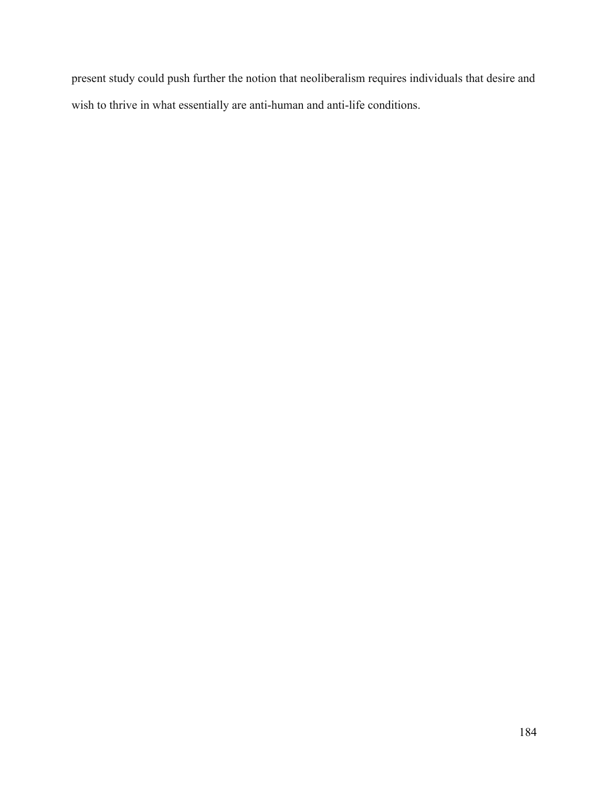present study could push further the notion that neoliberalism requires individuals that desire and wish to thrive in what essentially are anti-human and anti-life conditions.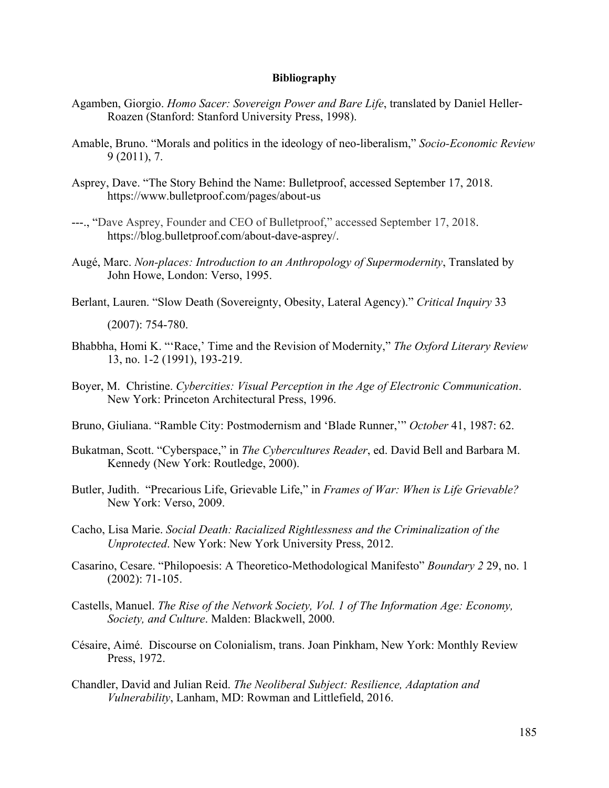#### **Bibliography**

- Agamben, Giorgio. *Homo Sacer: Sovereign Power and Bare Life*, translated by Daniel Heller-Roazen (Stanford: Stanford University Press, 1998).
- Amable, Bruno. "Morals and politics in the ideology of neo-liberalism," *Socio-Economic Review* 9 (2011), 7.
- Asprey, Dave. "The Story Behind the Name: Bulletproof, accessed September 17, 2018. https://www.bulletproof.com/pages/about-us
- ---., "Dave Asprey, Founder and CEO of Bulletproof," accessed September 17, 2018. https://blog.bulletproof.com/about-dave-asprey/.
- Augé, Marc. *Non-places: Introduction to an Anthropology of Supermodernity*, Translated by John Howe, London: Verso, 1995.
- Berlant, Lauren. "Slow Death (Sovereignty, Obesity, Lateral Agency)." *Critical Inquiry* 33

(2007): 754-780.

- Bhabbha, Homi K. "'Race,' Time and the Revision of Modernity," *The Oxford Literary Review* 13, no. 1-2 (1991), 193-219.
- Boyer, M. Christine. *Cybercities: Visual Perception in the Age of Electronic Communication*. New York: Princeton Architectural Press, 1996.
- Bruno, Giuliana. "Ramble City: Postmodernism and 'Blade Runner,'" *October* 41, 1987: 62.
- Bukatman, Scott. "Cyberspace," in *The Cybercultures Reader*, ed. David Bell and Barbara M. Kennedy (New York: Routledge, 2000).
- Butler, Judith. "Precarious Life, Grievable Life," in *Frames of War: When is Life Grievable?* New York: Verso, 2009.
- Cacho, Lisa Marie. *Social Death: Racialized Rightlessness and the Criminalization of the Unprotected*. New York: New York University Press, 2012.
- Casarino, Cesare. "Philopoesis: A Theoretico-Methodological Manifesto" *Boundary 2* 29, no. 1 (2002): 71-105.
- Castells, Manuel. *The Rise of the Network Society, Vol. 1 of The Information Age: Economy, Society, and Culture*. Malden: Blackwell, 2000.
- Césaire, Aimé. Discourse on Colonialism, trans. Joan Pinkham, New York: Monthly Review Press, 1972.
- Chandler, David and Julian Reid. *The Neoliberal Subject: Resilience, Adaptation and Vulnerability*, Lanham, MD: Rowman and Littlefield, 2016.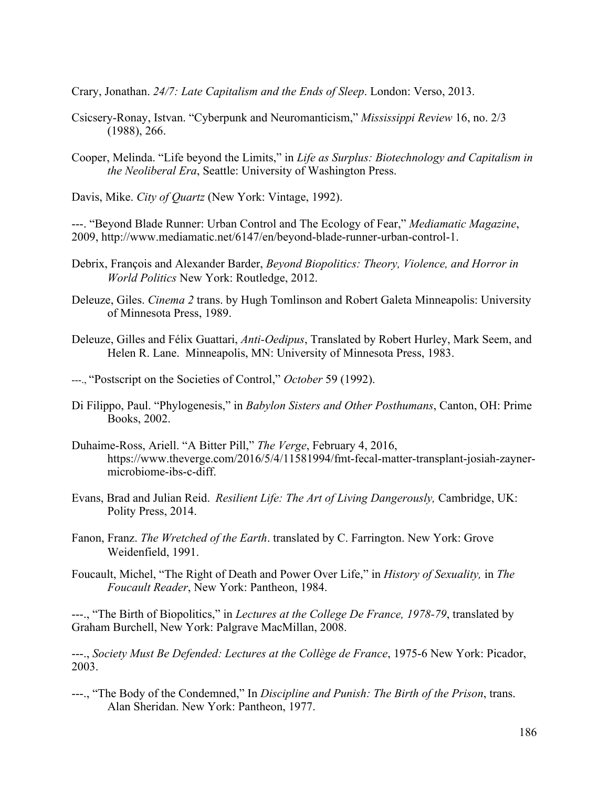Crary, Jonathan. *24/7: Late Capitalism and the Ends of Sleep*. London: Verso, 2013.

- Csicsery-Ronay, Istvan. "Cyberpunk and Neuromanticism," *Mississippi Review* 16, no. 2/3 (1988), 266.
- Cooper, Melinda. "Life beyond the Limits," in *Life as Surplus: Biotechnology and Capitalism in the Neoliberal Era*, Seattle: University of Washington Press.
- Davis, Mike. *City of Quartz* (New York: Vintage, 1992).

---. "Beyond Blade Runner: Urban Control and The Ecology of Fear," *Mediamatic Magazine*, 2009, http://www.mediamatic.net/6147/en/beyond-blade-runner-urban-control-1.

- Debrix, François and Alexander Barder, *Beyond Biopolitics: Theory, Violence, and Horror in World Politics* New York: Routledge, 2012.
- Deleuze, Giles. *Cinema 2* trans. by Hugh Tomlinson and Robert Galeta Minneapolis: University of Minnesota Press, 1989.
- Deleuze, Gilles and Félix Guattari, *Anti-Oedipus*, Translated by Robert Hurley, Mark Seem, and Helen R. Lane. Minneapolis, MN: University of Minnesota Press, 1983.
- ---., "Postscript on the Societies of Control," *October* 59 (1992).
- Di Filippo, Paul. "Phylogenesis," in *Babylon Sisters and Other Posthumans*, Canton, OH: Prime Books, 2002.
- Duhaime-Ross, Ariell. "A Bitter Pill," *The Verge*, February 4, 2016, https://www.theverge.com/2016/5/4/11581994/fmt-fecal-matter-transplant-josiah-zaynermicrobiome-ibs-c-diff.
- Evans, Brad and Julian Reid. *Resilient Life: The Art of Living Dangerously,* Cambridge, UK: Polity Press, 2014.
- Fanon, Franz. *The Wretched of the Earth*. translated by C. Farrington. New York: Grove Weidenfield, 1991.
- Foucault, Michel, "The Right of Death and Power Over Life," in *History of Sexuality,* in *The Foucault Reader*, New York: Pantheon, 1984.

---., "The Birth of Biopolitics," in *Lectures at the College De France, 1978-79*, translated by Graham Burchell, New York: Palgrave MacMillan, 2008.

---., *Society Must Be Defended: Lectures at the Collège de France*, 1975-6 New York: Picador, 2003.

---., "The Body of the Condemned," In *Discipline and Punish: The Birth of the Prison*, trans. Alan Sheridan. New York: Pantheon, 1977.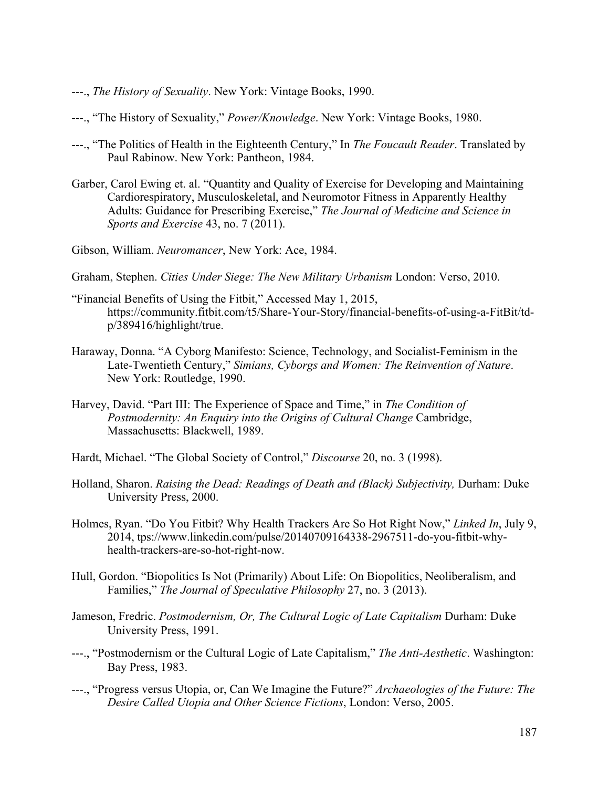- ---., *The History of Sexuality*. New York: Vintage Books, 1990.
- ---., "The History of Sexuality," *Power/Knowledge*. New York: Vintage Books, 1980.
- ---., "The Politics of Health in the Eighteenth Century," In *The Foucault Reader*. Translated by Paul Rabinow. New York: Pantheon, 1984.
- Garber, Carol Ewing et. al. "Quantity and Quality of Exercise for Developing and Maintaining Cardiorespiratory, Musculoskeletal, and Neuromotor Fitness in Apparently Healthy Adults: Guidance for Prescribing Exercise," *The Journal of Medicine and Science in Sports and Exercise* 43, no. 7 (2011).
- Gibson, William. *Neuromancer*, New York: Ace, 1984.
- Graham, Stephen. *Cities Under Siege: The New Military Urbanism* London: Verso, 2010.
- "Financial Benefits of Using the Fitbit," Accessed May 1, 2015, https://community.fitbit.com/t5/Share-Your-Story/financial-benefits-of-using-a-FitBit/tdp/389416/highlight/true.
- Haraway, Donna. "A Cyborg Manifesto: Science, Technology, and Socialist-Feminism in the Late-Twentieth Century," *Simians, Cyborgs and Women: The Reinvention of Nature*. New York: Routledge, 1990.
- Harvey, David. "Part III: The Experience of Space and Time," in *The Condition of Postmodernity: An Enquiry into the Origins of Cultural Change* Cambridge, Massachusetts: Blackwell, 1989.
- Hardt, Michael. "The Global Society of Control," *Discourse* 20, no. 3 (1998).
- Holland, Sharon. *Raising the Dead: Readings of Death and (Black) Subjectivity,* Durham: Duke University Press, 2000.
- Holmes, Ryan. "Do You Fitbit? Why Health Trackers Are So Hot Right Now," *Linked In*, July 9, 2014, tps://www.linkedin.com/pulse/20140709164338-2967511-do-you-fitbit-whyhealth-trackers-are-so-hot-right-now.
- Hull, Gordon. "Biopolitics Is Not (Primarily) About Life: On Biopolitics, Neoliberalism, and Families," *The Journal of Speculative Philosophy* 27, no. 3 (2013).
- Jameson, Fredric. *Postmodernism, Or, The Cultural Logic of Late Capitalism* Durham: Duke University Press, 1991.
- ---., "Postmodernism or the Cultural Logic of Late Capitalism," *The Anti-Aesthetic*. Washington: Bay Press, 1983.
- ---., "Progress versus Utopia, or, Can We Imagine the Future?" *Archaeologies of the Future: The Desire Called Utopia and Other Science Fictions*, London: Verso, 2005.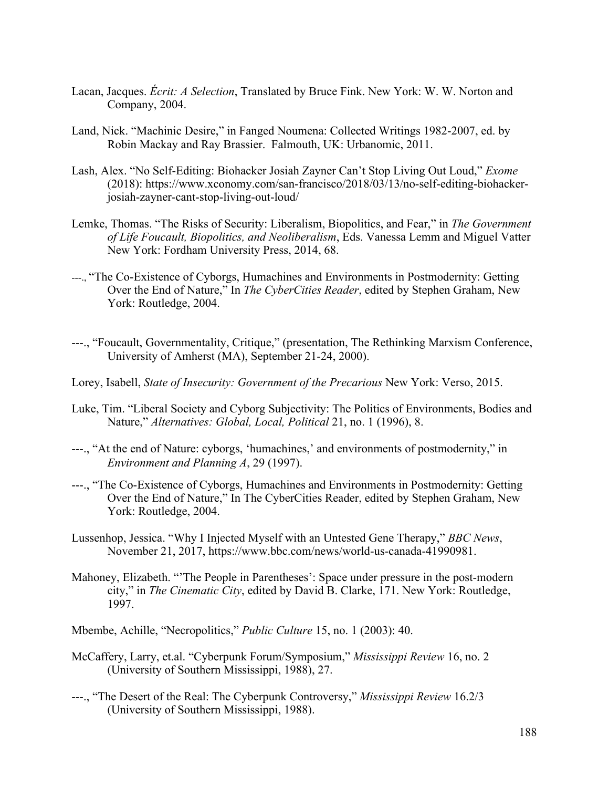- Lacan, Jacques. *Écrit: A Selection*, Translated by Bruce Fink. New York: W. W. Norton and Company, 2004.
- Land, Nick. "Machinic Desire," in Fanged Noumena: Collected Writings 1982-2007, ed. by Robin Mackay and Ray Brassier. Falmouth, UK: Urbanomic, 2011.
- Lash, Alex. "No Self-Editing: Biohacker Josiah Zayner Can't Stop Living Out Loud," *Exome* (2018): https://www.xconomy.com/san-francisco/2018/03/13/no-self-editing-biohackerjosiah-zayner-cant-stop-living-out-loud/
- Lemke, Thomas. "The Risks of Security: Liberalism, Biopolitics, and Fear," in *The Government of Life Foucault, Biopolitics, and Neoliberalism*, Eds. Vanessa Lemm and Miguel Vatter New York: Fordham University Press, 2014, 68.
- ---., "The Co-Existence of Cyborgs, Humachines and Environments in Postmodernity: Getting Over the End of Nature," In *The CyberCities Reader*, edited by Stephen Graham, New York: Routledge, 2004.
- ---., "Foucault, Governmentality, Critique," (presentation, The Rethinking Marxism Conference, University of Amherst (MA), September 21-24, 2000).
- Lorey, Isabell, *State of Insecurity: Government of the Precarious* New York: Verso, 2015.
- Luke, Tim. "Liberal Society and Cyborg Subjectivity: The Politics of Environments, Bodies and Nature," *Alternatives: Global, Local, Political* 21, no. 1 (1996), 8.
- ---., "At the end of Nature: cyborgs, 'humachines,' and environments of postmodernity," in *Environment and Planning A*, 29 (1997).
- ---., "The Co-Existence of Cyborgs, Humachines and Environments in Postmodernity: Getting Over the End of Nature," In The CyberCities Reader, edited by Stephen Graham, New York: Routledge, 2004.
- Lussenhop, Jessica. "Why I Injected Myself with an Untested Gene Therapy," *BBC News*, November 21, 2017, https://www.bbc.com/news/world-us-canada-41990981.
- Mahoney, Elizabeth. "'The People in Parentheses': Space under pressure in the post-modern city," in *The Cinematic City*, edited by David B. Clarke, 171. New York: Routledge, 1997.
- Mbembe, Achille, "Necropolitics," *Public Culture* 15, no. 1 (2003): 40.
- McCaffery, Larry, et.al. "Cyberpunk Forum/Symposium," *Mississippi Review* 16, no. 2 (University of Southern Mississippi, 1988), 27.
- ---., "The Desert of the Real: The Cyberpunk Controversy," *Mississippi Review* 16.2/3 (University of Southern Mississippi, 1988).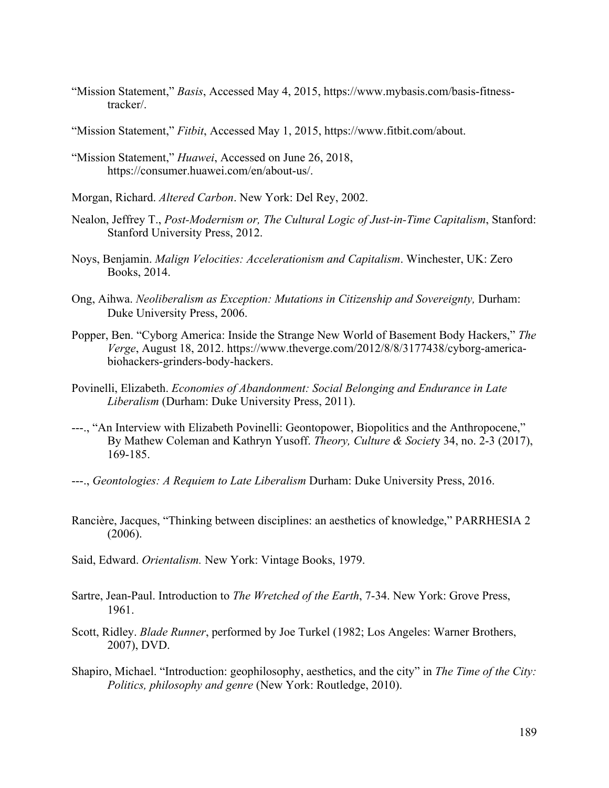"Mission Statement," *Basis*, Accessed May 4, 2015, https://www.mybasis.com/basis-fitnesstracker/.

"Mission Statement," *Fitbit*, Accessed May 1, 2015, https://www.fitbit.com/about.

- "Mission Statement," *Huawei*, Accessed on June 26, 2018, https://consumer.huawei.com/en/about-us/.
- Morgan, Richard. *Altered Carbon*. New York: Del Rey, 2002.
- Nealon, Jeffrey T., *Post-Modernism or, The Cultural Logic of Just-in-Time Capitalism*, Stanford: Stanford University Press, 2012.
- Noys, Benjamin. *Malign Velocities: Accelerationism and Capitalism*. Winchester, UK: Zero Books, 2014.
- Ong, Aihwa. *Neoliberalism as Exception: Mutations in Citizenship and Sovereignty,* Durham: Duke University Press, 2006.
- Popper, Ben. "Cyborg America: Inside the Strange New World of Basement Body Hackers," *The Verge*, August 18, 2012. https://www.theverge.com/2012/8/8/3177438/cyborg-americabiohackers-grinders-body-hackers.
- Povinelli, Elizabeth. *Economies of Abandonment: Social Belonging and Endurance in Late Liberalism* (Durham: Duke University Press, 2011).
- ---., "An Interview with Elizabeth Povinelli: Geontopower, Biopolitics and the Anthropocene," By Mathew Coleman and Kathryn Yusoff. *Theory, Culture & Societ*y 34, no. 2-3 (2017), 169-185.
- ---., *Geontologies: A Requiem to Late Liberalism* Durham: Duke University Press, 2016.
- Rancière, Jacques, "Thinking between disciplines: an aesthetics of knowledge," PARRHESIA 2 (2006).
- Said, Edward. *Orientalism.* New York: Vintage Books, 1979.
- Sartre, Jean-Paul. Introduction to *The Wretched of the Earth*, 7-34. New York: Grove Press, 1961.
- Scott, Ridley. *Blade Runner*, performed by Joe Turkel (1982; Los Angeles: Warner Brothers, 2007), DVD.
- Shapiro, Michael. "Introduction: geophilosophy, aesthetics, and the city" in *The Time of the City: Politics, philosophy and genre* (New York: Routledge, 2010).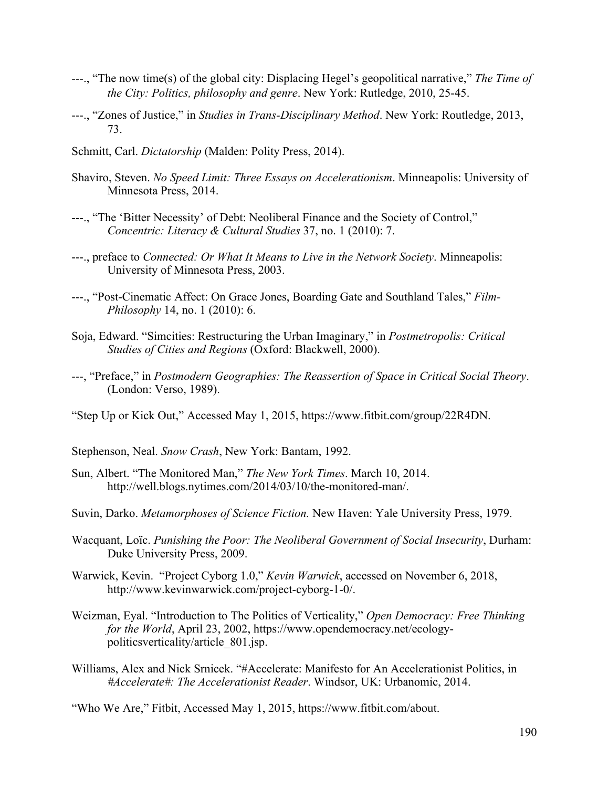- ---., "The now time(s) of the global city: Displacing Hegel's geopolitical narrative," *The Time of the City: Politics, philosophy and genre*. New York: Rutledge, 2010, 25-45.
- ---., "Zones of Justice," in *Studies in Trans-Disciplinary Method*. New York: Routledge, 2013, 73.
- Schmitt, Carl. *Dictatorship* (Malden: Polity Press, 2014).
- Shaviro, Steven. *No Speed Limit: Three Essays on Accelerationism*. Minneapolis: University of Minnesota Press, 2014.
- ---., "The 'Bitter Necessity' of Debt: Neoliberal Finance and the Society of Control," *Concentric: Literacy & Cultural Studies* 37, no. 1 (2010): 7.
- ---., preface to *Connected: Or What It Means to Live in the Network Society*. Minneapolis: University of Minnesota Press, 2003.
- ---., "Post-Cinematic Affect: On Grace Jones, Boarding Gate and Southland Tales," *Film-Philosophy* 14, no. 1 (2010): 6.
- Soja, Edward. "Simcities: Restructuring the Urban Imaginary," in *Postmetropolis: Critical Studies of Cities and Regions* (Oxford: Blackwell, 2000).
- ---, "Preface," in *Postmodern Geographies: The Reassertion of Space in Critical Social Theory*. (London: Verso, 1989).

"Step Up or Kick Out," Accessed May 1, 2015, https://www.fitbit.com/group/22R4DN.

Stephenson, Neal. *Snow Crash*, New York: Bantam, 1992.

- Sun, Albert. "The Monitored Man," *The New York Times*. March 10, 2014. http://well.blogs.nytimes.com/2014/03/10/the-monitored-man/.
- Suvin, Darko. *Metamorphoses of Science Fiction.* New Haven: Yale University Press, 1979.
- Wacquant, Loïc. *Punishing the Poor: The Neoliberal Government of Social Insecurity*, Durham: Duke University Press, 2009.
- Warwick, Kevin. "Project Cyborg 1.0," *Kevin Warwick*, accessed on November 6, 2018, http://www.kevinwarwick.com/project-cyborg-1-0/.
- Weizman, Eyal. "Introduction to The Politics of Verticality," *Open Democracy: Free Thinking for the World*, April 23, 2002, https://www.opendemocracy.net/ecologypoliticsverticality/article\_801.jsp.
- Williams, Alex and Nick Srnicek. "#Accelerate: Manifesto for An Accelerationist Politics, in *#Accelerate#: The Accelerationist Reader*. Windsor, UK: Urbanomic, 2014.

"Who We Are," Fitbit, Accessed May 1, 2015, https://www.fitbit.com/about.